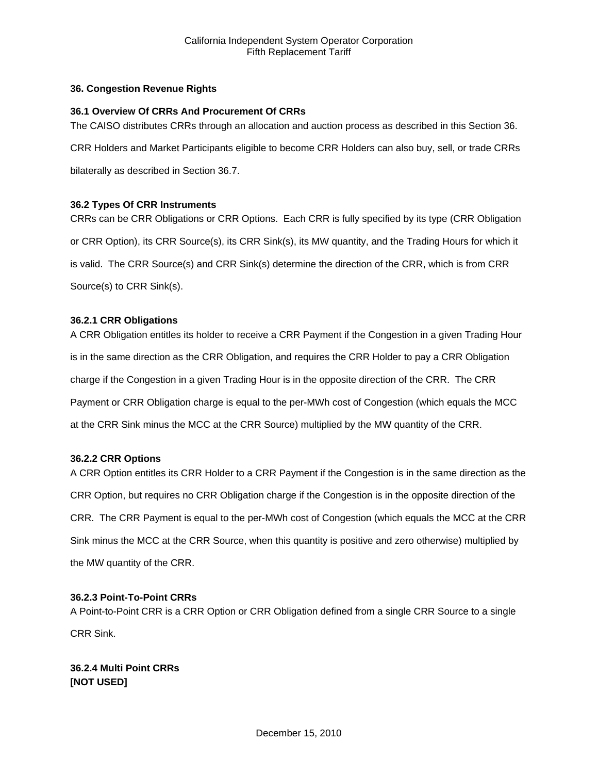# **36. Congestion Revenue Rights**

# **36.1 Overview Of CRRs And Procurement Of CRRs**

The CAISO distributes CRRs through an allocation and auction process as described in this Section 36.

CRR Holders and Market Participants eligible to become CRR Holders can also buy, sell, or trade CRRs

bilaterally as described in Section 36.7.

# **36.2 Types Of CRR Instruments**

CRRs can be CRR Obligations or CRR Options. Each CRR is fully specified by its type (CRR Obligation or CRR Option), its CRR Source(s), its CRR Sink(s), its MW quantity, and the Trading Hours for which it is valid. The CRR Source(s) and CRR Sink(s) determine the direction of the CRR, which is from CRR Source(s) to CRR Sink(s).

# **36.2.1 CRR Obligations**

A CRR Obligation entitles its holder to receive a CRR Payment if the Congestion in a given Trading Hour is in the same direction as the CRR Obligation, and requires the CRR Holder to pay a CRR Obligation charge if the Congestion in a given Trading Hour is in the opposite direction of the CRR. The CRR Payment or CRR Obligation charge is equal to the per-MWh cost of Congestion (which equals the MCC at the CRR Sink minus the MCC at the CRR Source) multiplied by the MW quantity of the CRR.

# **36.2.2 CRR Options**

A CRR Option entitles its CRR Holder to a CRR Payment if the Congestion is in the same direction as the CRR Option, but requires no CRR Obligation charge if the Congestion is in the opposite direction of the CRR. The CRR Payment is equal to the per-MWh cost of Congestion (which equals the MCC at the CRR Sink minus the MCC at the CRR Source, when this quantity is positive and zero otherwise) multiplied by the MW quantity of the CRR.

# **36.2.3 Point-To-Point CRRs**

A Point-to-Point CRR is a CRR Option or CRR Obligation defined from a single CRR Source to a single CRR Sink.

**36.2.4 Multi Point CRRs [NOT USED]**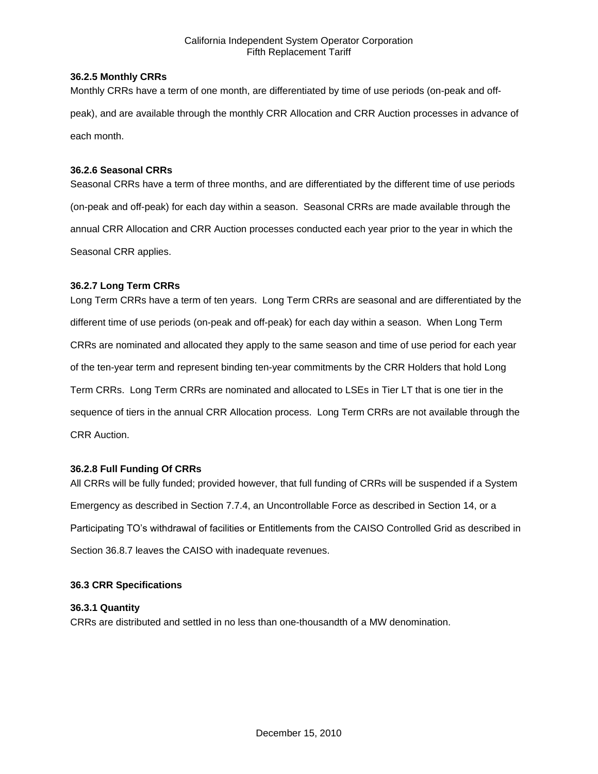## **36.2.5 Monthly CRRs**

Monthly CRRs have a term of one month, are differentiated by time of use periods (on-peak and offpeak), and are available through the monthly CRR Allocation and CRR Auction processes in advance of each month.

## **36.2.6 Seasonal CRRs**

Seasonal CRRs have a term of three months, and are differentiated by the different time of use periods (on-peak and off-peak) for each day within a season. Seasonal CRRs are made available through the annual CRR Allocation and CRR Auction processes conducted each year prior to the year in which the Seasonal CRR applies.

## **36.2.7 Long Term CRRs**

Long Term CRRs have a term of ten years. Long Term CRRs are seasonal and are differentiated by the different time of use periods (on-peak and off-peak) for each day within a season. When Long Term CRRs are nominated and allocated they apply to the same season and time of use period for each year of the ten-year term and represent binding ten-year commitments by the CRR Holders that hold Long Term CRRs. Long Term CRRs are nominated and allocated to LSEs in Tier LT that is one tier in the sequence of tiers in the annual CRR Allocation process. Long Term CRRs are not available through the CRR Auction.

### **36.2.8 Full Funding Of CRRs**

All CRRs will be fully funded; provided however, that full funding of CRRs will be suspended if a System Emergency as described in Section 7.7.4, an Uncontrollable Force as described in Section 14, or a Participating TO's withdrawal of facilities or Entitlements from the CAISO Controlled Grid as described in Section 36.8.7 leaves the CAISO with inadequate revenues.

### **36.3 CRR Specifications**

# **36.3.1 Quantity**

CRRs are distributed and settled in no less than one-thousandth of a MW denomination.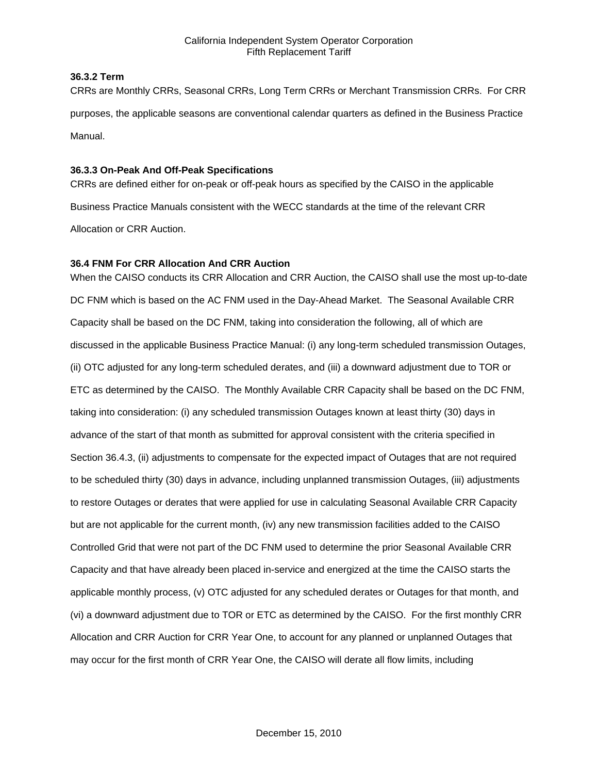## **36.3.2 Term**

CRRs are Monthly CRRs, Seasonal CRRs, Long Term CRRs or Merchant Transmission CRRs. For CRR purposes, the applicable seasons are conventional calendar quarters as defined in the Business Practice Manual.

## **36.3.3 On-Peak And Off-Peak Specifications**

CRRs are defined either for on-peak or off-peak hours as specified by the CAISO in the applicable Business Practice Manuals consistent with the WECC standards at the time of the relevant CRR Allocation or CRR Auction.

## **36.4 FNM For CRR Allocation And CRR Auction**

When the CAISO conducts its CRR Allocation and CRR Auction, the CAISO shall use the most up-to-date DC FNM which is based on the AC FNM used in the Day-Ahead Market. The Seasonal Available CRR Capacity shall be based on the DC FNM, taking into consideration the following, all of which are discussed in the applicable Business Practice Manual: (i) any long-term scheduled transmission Outages, (ii) OTC adjusted for any long-term scheduled derates, and (iii) a downward adjustment due to TOR or ETC as determined by the CAISO. The Monthly Available CRR Capacity shall be based on the DC FNM, taking into consideration: (i) any scheduled transmission Outages known at least thirty (30) days in advance of the start of that month as submitted for approval consistent with the criteria specified in Section 36.4.3, (ii) adjustments to compensate for the expected impact of Outages that are not required to be scheduled thirty (30) days in advance, including unplanned transmission Outages, (iii) adjustments to restore Outages or derates that were applied for use in calculating Seasonal Available CRR Capacity but are not applicable for the current month, (iv) any new transmission facilities added to the CAISO Controlled Grid that were not part of the DC FNM used to determine the prior Seasonal Available CRR Capacity and that have already been placed in-service and energized at the time the CAISO starts the applicable monthly process, (v) OTC adjusted for any scheduled derates or Outages for that month, and (vi) a downward adjustment due to TOR or ETC as determined by the CAISO. For the first monthly CRR Allocation and CRR Auction for CRR Year One, to account for any planned or unplanned Outages that may occur for the first month of CRR Year One, the CAISO will derate all flow limits, including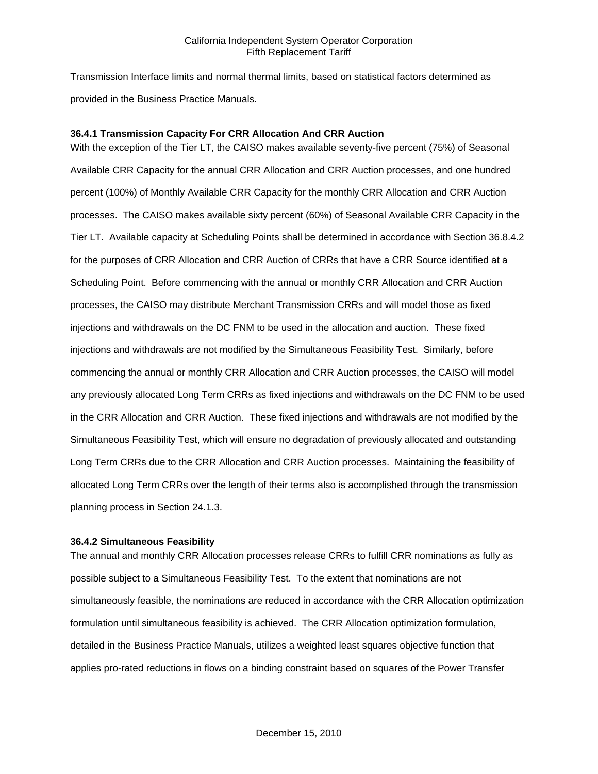Transmission Interface limits and normal thermal limits, based on statistical factors determined as provided in the Business Practice Manuals.

### **36.4.1 Transmission Capacity For CRR Allocation And CRR Auction**

With the exception of the Tier LT, the CAISO makes available seventy-five percent (75%) of Seasonal Available CRR Capacity for the annual CRR Allocation and CRR Auction processes, and one hundred percent (100%) of Monthly Available CRR Capacity for the monthly CRR Allocation and CRR Auction processes. The CAISO makes available sixty percent (60%) of Seasonal Available CRR Capacity in the Tier LT. Available capacity at Scheduling Points shall be determined in accordance with Section 36.8.4.2 for the purposes of CRR Allocation and CRR Auction of CRRs that have a CRR Source identified at a Scheduling Point. Before commencing with the annual or monthly CRR Allocation and CRR Auction processes, the CAISO may distribute Merchant Transmission CRRs and will model those as fixed injections and withdrawals on the DC FNM to be used in the allocation and auction. These fixed injections and withdrawals are not modified by the Simultaneous Feasibility Test. Similarly, before commencing the annual or monthly CRR Allocation and CRR Auction processes, the CAISO will model any previously allocated Long Term CRRs as fixed injections and withdrawals on the DC FNM to be used in the CRR Allocation and CRR Auction. These fixed injections and withdrawals are not modified by the Simultaneous Feasibility Test, which will ensure no degradation of previously allocated and outstanding Long Term CRRs due to the CRR Allocation and CRR Auction processes. Maintaining the feasibility of allocated Long Term CRRs over the length of their terms also is accomplished through the transmission planning process in Section 24.1.3.

#### **36.4.2 Simultaneous Feasibility**

The annual and monthly CRR Allocation processes release CRRs to fulfill CRR nominations as fully as possible subject to a Simultaneous Feasibility Test. To the extent that nominations are not simultaneously feasible, the nominations are reduced in accordance with the CRR Allocation optimization formulation until simultaneous feasibility is achieved. The CRR Allocation optimization formulation, detailed in the Business Practice Manuals, utilizes a weighted least squares objective function that applies pro-rated reductions in flows on a binding constraint based on squares of the Power Transfer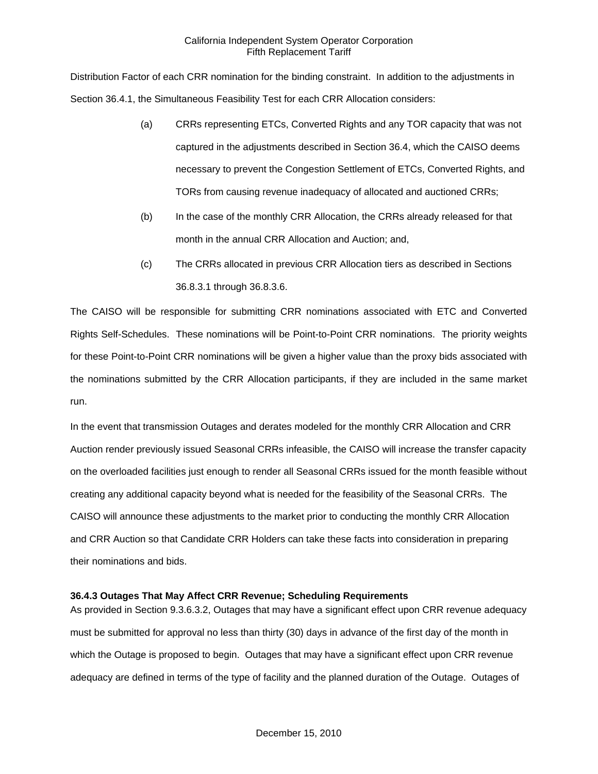Distribution Factor of each CRR nomination for the binding constraint. In addition to the adjustments in Section 36.4.1, the Simultaneous Feasibility Test for each CRR Allocation considers:

- (a) CRRs representing ETCs, Converted Rights and any TOR capacity that was not captured in the adjustments described in Section 36.4, which the CAISO deems necessary to prevent the Congestion Settlement of ETCs, Converted Rights, and TORs from causing revenue inadequacy of allocated and auctioned CRRs;
- (b) In the case of the monthly CRR Allocation, the CRRs already released for that month in the annual CRR Allocation and Auction; and,
- (c) The CRRs allocated in previous CRR Allocation tiers as described in Sections 36.8.3.1 through 36.8.3.6.

The CAISO will be responsible for submitting CRR nominations associated with ETC and Converted Rights Self-Schedules. These nominations will be Point-to-Point CRR nominations. The priority weights for these Point-to-Point CRR nominations will be given a higher value than the proxy bids associated with the nominations submitted by the CRR Allocation participants, if they are included in the same market run.

In the event that transmission Outages and derates modeled for the monthly CRR Allocation and CRR Auction render previously issued Seasonal CRRs infeasible, the CAISO will increase the transfer capacity on the overloaded facilities just enough to render all Seasonal CRRs issued for the month feasible without creating any additional capacity beyond what is needed for the feasibility of the Seasonal CRRs. The CAISO will announce these adjustments to the market prior to conducting the monthly CRR Allocation and CRR Auction so that Candidate CRR Holders can take these facts into consideration in preparing their nominations and bids.

# **36.4.3 Outages That May Affect CRR Revenue; Scheduling Requirements**

As provided in Section 9.3.6.3.2, Outages that may have a significant effect upon CRR revenue adequacy must be submitted for approval no less than thirty (30) days in advance of the first day of the month in which the Outage is proposed to begin. Outages that may have a significant effect upon CRR revenue adequacy are defined in terms of the type of facility and the planned duration of the Outage. Outages of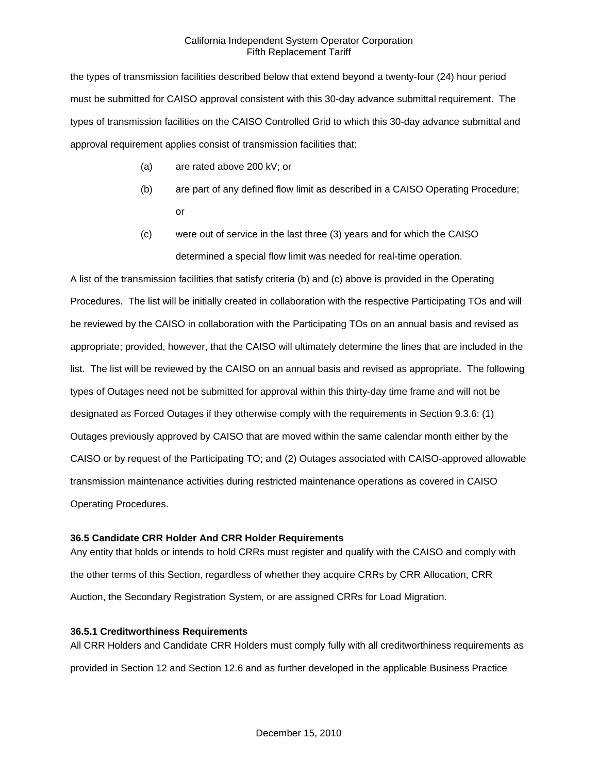the types of transmission facilities described below that extend beyond a twenty-four (24) hour period must be submitted for CAISO approval consistent with this 30-day advance submittal requirement. The types of transmission facilities on the CAISO Controlled Grid to which this 30-day advance submittal and approval requirement applies consist of transmission facilities that:

- (a) are rated above 200 kV; or
- (b) are part of any defined flow limit as described in a CAISO Operating Procedure; or
- (c) were out of service in the last three (3) years and for which the CAISO determined a special flow limit was needed for real-time operation.

A list of the transmission facilities that satisfy criteria (b) and (c) above is provided in the Operating Procedures. The list will be initially created in collaboration with the respective Participating TOs and will be reviewed by the CAISO in collaboration with the Participating TOs on an annual basis and revised as appropriate; provided, however, that the CAISO will ultimately determine the lines that are included in the list. The list will be reviewed by the CAISO on an annual basis and revised as appropriate. The following types of Outages need not be submitted for approval within this thirty-day time frame and will not be designated as Forced Outages if they otherwise comply with the requirements in Section 9.3.6: (1) Outages previously approved by CAISO that are moved within the same calendar month either by the CAISO or by request of the Participating TO; and (2) Outages associated with CAISO-approved allowable transmission maintenance activities during restricted maintenance operations as covered in CAISO Operating Procedures.

# **36.5 Candidate CRR Holder And CRR Holder Requirements**

Any entity that holds or intends to hold CRRs must register and qualify with the CAISO and comply with the other terms of this Section, regardless of whether they acquire CRRs by CRR Allocation, CRR Auction, the Secondary Registration System, or are assigned CRRs for Load Migration.

### **36.5.1 Creditworthiness Requirements**

All CRR Holders and Candidate CRR Holders must comply fully with all creditworthiness requirements as provided in Section 12 and Section 12.6 and as further developed in the applicable Business Practice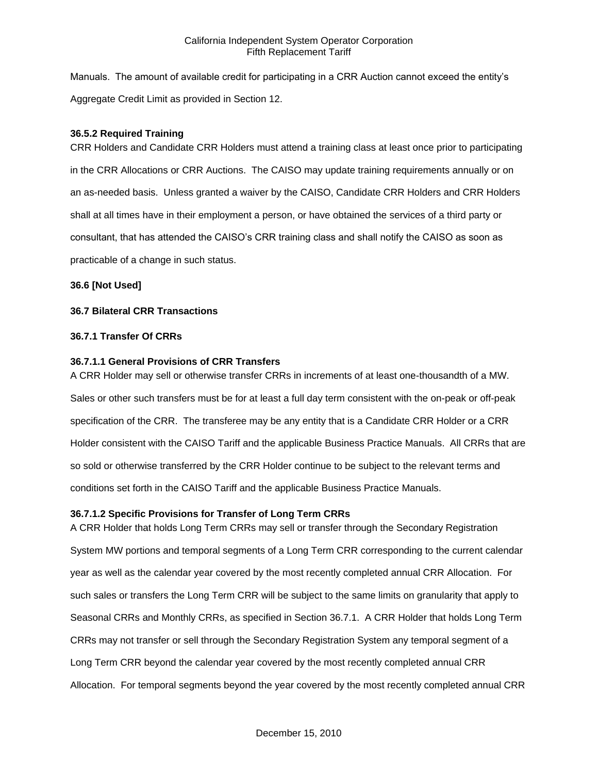Manuals. The amount of available credit for participating in a CRR Auction cannot exceed the entity's Aggregate Credit Limit as provided in Section 12.

## **36.5.2 Required Training**

CRR Holders and Candidate CRR Holders must attend a training class at least once prior to participating in the CRR Allocations or CRR Auctions. The CAISO may update training requirements annually or on an as-needed basis. Unless granted a waiver by the CAISO, Candidate CRR Holders and CRR Holders shall at all times have in their employment a person, or have obtained the services of a third party or consultant, that has attended the CAISO's CRR training class and shall notify the CAISO as soon as practicable of a change in such status.

## **36.6 [Not Used]**

## **36.7 Bilateral CRR Transactions**

## **36.7.1 Transfer Of CRRs**

## **36.7.1.1 General Provisions of CRR Transfers**

A CRR Holder may sell or otherwise transfer CRRs in increments of at least one-thousandth of a MW. Sales or other such transfers must be for at least a full day term consistent with the on-peak or off-peak specification of the CRR. The transferee may be any entity that is a Candidate CRR Holder or a CRR Holder consistent with the CAISO Tariff and the applicable Business Practice Manuals. All CRRs that are so sold or otherwise transferred by the CRR Holder continue to be subject to the relevant terms and conditions set forth in the CAISO Tariff and the applicable Business Practice Manuals.

# **36.7.1.2 Specific Provisions for Transfer of Long Term CRRs**

A CRR Holder that holds Long Term CRRs may sell or transfer through the Secondary Registration System MW portions and temporal segments of a Long Term CRR corresponding to the current calendar year as well as the calendar year covered by the most recently completed annual CRR Allocation. For such sales or transfers the Long Term CRR will be subject to the same limits on granularity that apply to Seasonal CRRs and Monthly CRRs, as specified in Section 36.7.1. A CRR Holder that holds Long Term CRRs may not transfer or sell through the Secondary Registration System any temporal segment of a Long Term CRR beyond the calendar year covered by the most recently completed annual CRR Allocation. For temporal segments beyond the year covered by the most recently completed annual CRR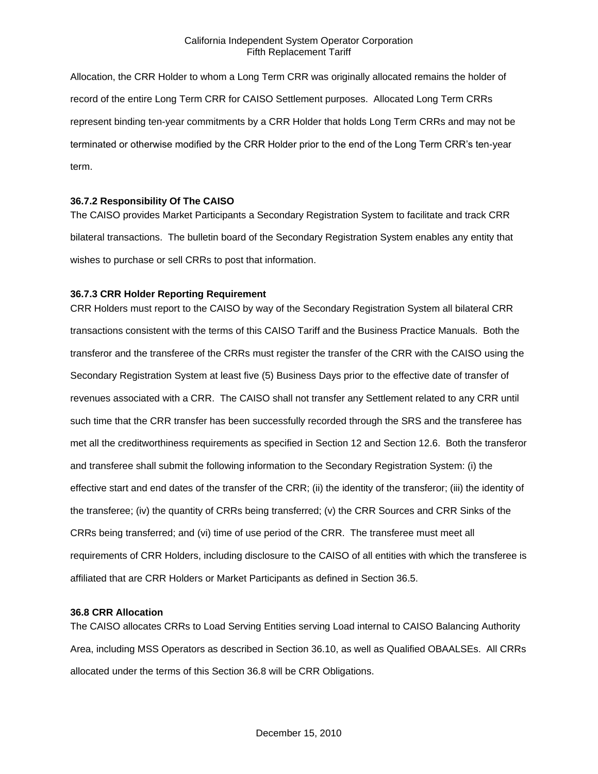Allocation, the CRR Holder to whom a Long Term CRR was originally allocated remains the holder of record of the entire Long Term CRR for CAISO Settlement purposes. Allocated Long Term CRRs represent binding ten-year commitments by a CRR Holder that holds Long Term CRRs and may not be terminated or otherwise modified by the CRR Holder prior to the end of the Long Term CRR's ten-year term.

## **36.7.2 Responsibility Of The CAISO**

The CAISO provides Market Participants a Secondary Registration System to facilitate and track CRR bilateral transactions. The bulletin board of the Secondary Registration System enables any entity that wishes to purchase or sell CRRs to post that information.

### **36.7.3 CRR Holder Reporting Requirement**

CRR Holders must report to the CAISO by way of the Secondary Registration System all bilateral CRR transactions consistent with the terms of this CAISO Tariff and the Business Practice Manuals. Both the transferor and the transferee of the CRRs must register the transfer of the CRR with the CAISO using the Secondary Registration System at least five (5) Business Days prior to the effective date of transfer of revenues associated with a CRR. The CAISO shall not transfer any Settlement related to any CRR until such time that the CRR transfer has been successfully recorded through the SRS and the transferee has met all the creditworthiness requirements as specified in Section 12 and Section 12.6. Both the transferor and transferee shall submit the following information to the Secondary Registration System: (i) the effective start and end dates of the transfer of the CRR; (ii) the identity of the transferor; (iii) the identity of the transferee; (iv) the quantity of CRRs being transferred; (v) the CRR Sources and CRR Sinks of the CRRs being transferred; and (vi) time of use period of the CRR. The transferee must meet all requirements of CRR Holders, including disclosure to the CAISO of all entities with which the transferee is affiliated that are CRR Holders or Market Participants as defined in Section 36.5.

### **36.8 CRR Allocation**

The CAISO allocates CRRs to Load Serving Entities serving Load internal to CAISO Balancing Authority Area, including MSS Operators as described in Section 36.10, as well as Qualified OBAALSEs. All CRRs allocated under the terms of this Section 36.8 will be CRR Obligations.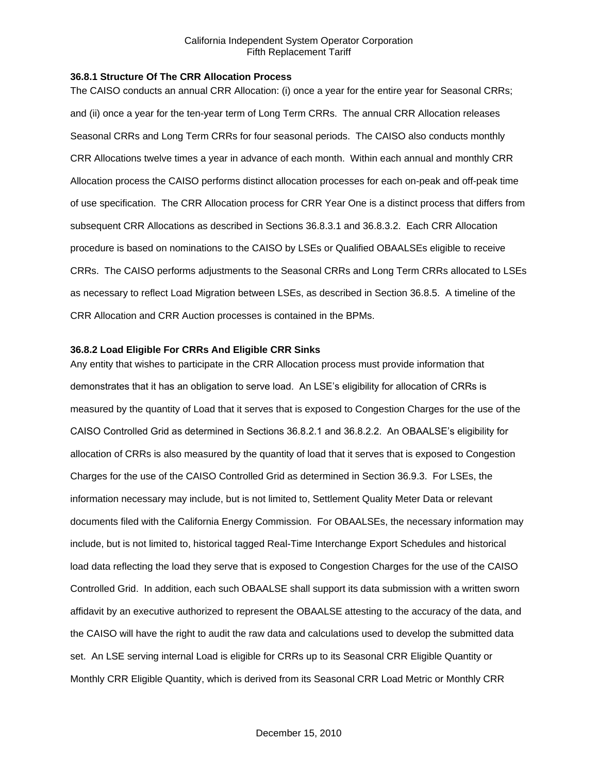#### **36.8.1 Structure Of The CRR Allocation Process**

The CAISO conducts an annual CRR Allocation: (i) once a year for the entire year for Seasonal CRRs; and (ii) once a year for the ten-year term of Long Term CRRs. The annual CRR Allocation releases Seasonal CRRs and Long Term CRRs for four seasonal periods. The CAISO also conducts monthly CRR Allocations twelve times a year in advance of each month. Within each annual and monthly CRR Allocation process the CAISO performs distinct allocation processes for each on-peak and off-peak time of use specification. The CRR Allocation process for CRR Year One is a distinct process that differs from subsequent CRR Allocations as described in Sections 36.8.3.1 and 36.8.3.2. Each CRR Allocation procedure is based on nominations to the CAISO by LSEs or Qualified OBAALSEs eligible to receive CRRs. The CAISO performs adjustments to the Seasonal CRRs and Long Term CRRs allocated to LSEs as necessary to reflect Load Migration between LSEs, as described in Section 36.8.5. A timeline of the CRR Allocation and CRR Auction processes is contained in the BPMs.

### **36.8.2 Load Eligible For CRRs And Eligible CRR Sinks**

Any entity that wishes to participate in the CRR Allocation process must provide information that demonstrates that it has an obligation to serve load. An LSE's eligibility for allocation of CRRs is measured by the quantity of Load that it serves that is exposed to Congestion Charges for the use of the CAISO Controlled Grid as determined in Sections 36.8.2.1 and 36.8.2.2. An OBAALSE's eligibility for allocation of CRRs is also measured by the quantity of load that it serves that is exposed to Congestion Charges for the use of the CAISO Controlled Grid as determined in Section 36.9.3. For LSEs, the information necessary may include, but is not limited to, Settlement Quality Meter Data or relevant documents filed with the California Energy Commission. For OBAALSEs, the necessary information may include, but is not limited to, historical tagged Real-Time Interchange Export Schedules and historical load data reflecting the load they serve that is exposed to Congestion Charges for the use of the CAISO Controlled Grid. In addition, each such OBAALSE shall support its data submission with a written sworn affidavit by an executive authorized to represent the OBAALSE attesting to the accuracy of the data, and the CAISO will have the right to audit the raw data and calculations used to develop the submitted data set. An LSE serving internal Load is eligible for CRRs up to its Seasonal CRR Eligible Quantity or Monthly CRR Eligible Quantity, which is derived from its Seasonal CRR Load Metric or Monthly CRR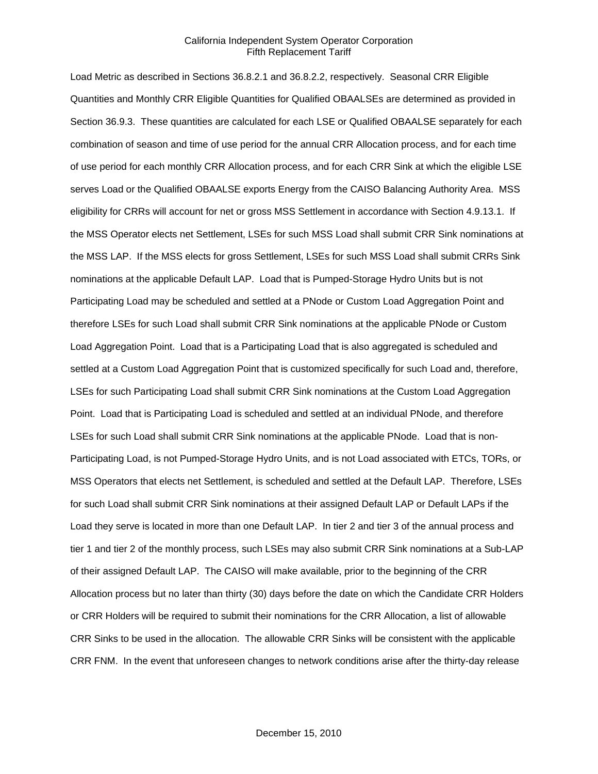Load Metric as described in Sections 36.8.2.1 and 36.8.2.2, respectively. Seasonal CRR Eligible Quantities and Monthly CRR Eligible Quantities for Qualified OBAALSEs are determined as provided in Section 36.9.3. These quantities are calculated for each LSE or Qualified OBAALSE separately for each combination of season and time of use period for the annual CRR Allocation process, and for each time of use period for each monthly CRR Allocation process, and for each CRR Sink at which the eligible LSE serves Load or the Qualified OBAALSE exports Energy from the CAISO Balancing Authority Area. MSS eligibility for CRRs will account for net or gross MSS Settlement in accordance with Section 4.9.13.1. If the MSS Operator elects net Settlement, LSEs for such MSS Load shall submit CRR Sink nominations at the MSS LAP. If the MSS elects for gross Settlement, LSEs for such MSS Load shall submit CRRs Sink nominations at the applicable Default LAP. Load that is Pumped-Storage Hydro Units but is not Participating Load may be scheduled and settled at a PNode or Custom Load Aggregation Point and therefore LSEs for such Load shall submit CRR Sink nominations at the applicable PNode or Custom Load Aggregation Point. Load that is a Participating Load that is also aggregated is scheduled and settled at a Custom Load Aggregation Point that is customized specifically for such Load and, therefore, LSEs for such Participating Load shall submit CRR Sink nominations at the Custom Load Aggregation Point. Load that is Participating Load is scheduled and settled at an individual PNode, and therefore LSEs for such Load shall submit CRR Sink nominations at the applicable PNode. Load that is non-Participating Load, is not Pumped-Storage Hydro Units, and is not Load associated with ETCs, TORs, or MSS Operators that elects net Settlement, is scheduled and settled at the Default LAP. Therefore, LSEs for such Load shall submit CRR Sink nominations at their assigned Default LAP or Default LAPs if the Load they serve is located in more than one Default LAP. In tier 2 and tier 3 of the annual process and tier 1 and tier 2 of the monthly process, such LSEs may also submit CRR Sink nominations at a Sub-LAP of their assigned Default LAP. The CAISO will make available, prior to the beginning of the CRR Allocation process but no later than thirty (30) days before the date on which the Candidate CRR Holders or CRR Holders will be required to submit their nominations for the CRR Allocation, a list of allowable CRR Sinks to be used in the allocation. The allowable CRR Sinks will be consistent with the applicable CRR FNM. In the event that unforeseen changes to network conditions arise after the thirty-day release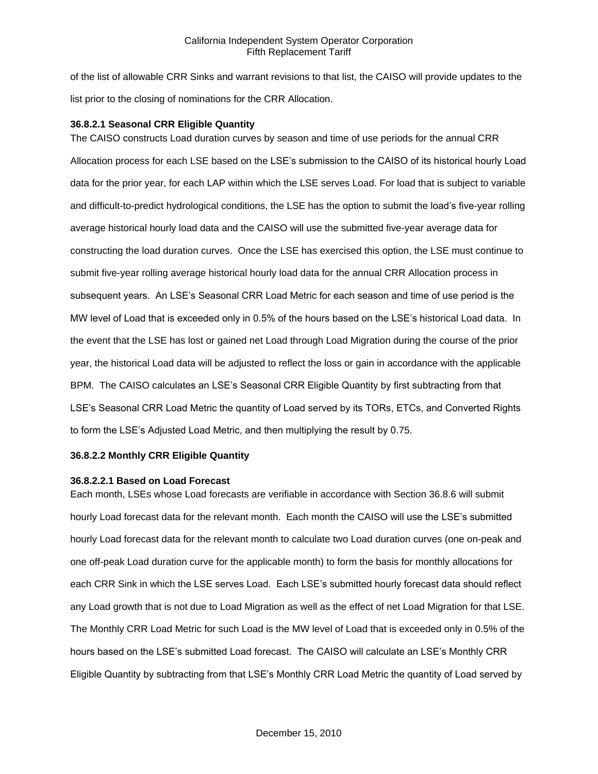of the list of allowable CRR Sinks and warrant revisions to that list, the CAISO will provide updates to the list prior to the closing of nominations for the CRR Allocation.

### **36.8.2.1 Seasonal CRR Eligible Quantity**

The CAISO constructs Load duration curves by season and time of use periods for the annual CRR Allocation process for each LSE based on the LSE's submission to the CAISO of its historical hourly Load data for the prior year, for each LAP within which the LSE serves Load. For load that is subject to variable and difficult-to-predict hydrological conditions, the LSE has the option to submit the load's five-year rolling average historical hourly load data and the CAISO will use the submitted five-year average data for constructing the load duration curves. Once the LSE has exercised this option, the LSE must continue to submit five-year rolling average historical hourly load data for the annual CRR Allocation process in subsequent years. An LSE's Seasonal CRR Load Metric for each season and time of use period is the MW level of Load that is exceeded only in 0.5% of the hours based on the LSE's historical Load data. In the event that the LSE has lost or gained net Load through Load Migration during the course of the prior year, the historical Load data will be adjusted to reflect the loss or gain in accordance with the applicable BPM. The CAISO calculates an LSE's Seasonal CRR Eligible Quantity by first subtracting from that LSE's Seasonal CRR Load Metric the quantity of Load served by its TORs, ETCs, and Converted Rights to form the LSE's Adjusted Load Metric, and then multiplying the result by 0.75.

### **36.8.2.2 Monthly CRR Eligible Quantity**

### **36.8.2.2.1 Based on Load Forecast**

Each month, LSEs whose Load forecasts are verifiable in accordance with Section 36.8.6 will submit hourly Load forecast data for the relevant month. Each month the CAISO will use the LSE's submitted hourly Load forecast data for the relevant month to calculate two Load duration curves (one on-peak and one off-peak Load duration curve for the applicable month) to form the basis for monthly allocations for each CRR Sink in which the LSE serves Load. Each LSE's submitted hourly forecast data should reflect any Load growth that is not due to Load Migration as well as the effect of net Load Migration for that LSE. The Monthly CRR Load Metric for such Load is the MW level of Load that is exceeded only in 0.5% of the hours based on the LSE's submitted Load forecast. The CAISO will calculate an LSE's Monthly CRR Eligible Quantity by subtracting from that LSE's Monthly CRR Load Metric the quantity of Load served by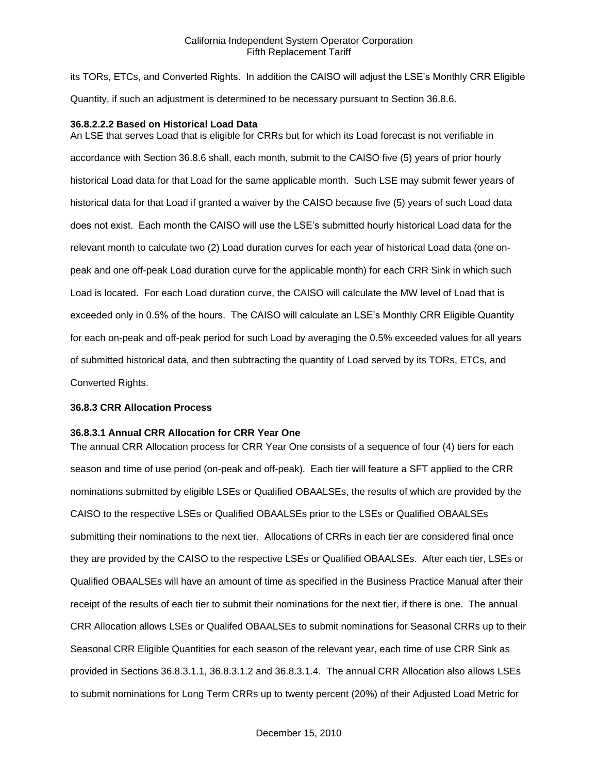its TORs, ETCs, and Converted Rights. In addition the CAISO will adjust the LSE's Monthly CRR Eligible Quantity, if such an adjustment is determined to be necessary pursuant to Section 36.8.6.

### **36.8.2.2.2 Based on Historical Load Data**

An LSE that serves Load that is eligible for CRRs but for which its Load forecast is not verifiable in accordance with Section 36.8.6 shall, each month, submit to the CAISO five (5) years of prior hourly historical Load data for that Load for the same applicable month. Such LSE may submit fewer years of historical data for that Load if granted a waiver by the CAISO because five (5) years of such Load data does not exist. Each month the CAISO will use the LSE's submitted hourly historical Load data for the relevant month to calculate two (2) Load duration curves for each year of historical Load data (one onpeak and one off-peak Load duration curve for the applicable month) for each CRR Sink in which such Load is located. For each Load duration curve, the CAISO will calculate the MW level of Load that is exceeded only in 0.5% of the hours. The CAISO will calculate an LSE's Monthly CRR Eligible Quantity for each on-peak and off-peak period for such Load by averaging the 0.5% exceeded values for all years of submitted historical data, and then subtracting the quantity of Load served by its TORs, ETCs, and Converted Rights.

#### **36.8.3 CRR Allocation Process**

#### **36.8.3.1 Annual CRR Allocation for CRR Year One**

The annual CRR Allocation process for CRR Year One consists of a sequence of four (4) tiers for each season and time of use period (on-peak and off-peak). Each tier will feature a SFT applied to the CRR nominations submitted by eligible LSEs or Qualified OBAALSEs, the results of which are provided by the CAISO to the respective LSEs or Qualified OBAALSEs prior to the LSEs or Qualified OBAALSEs submitting their nominations to the next tier. Allocations of CRRs in each tier are considered final once they are provided by the CAISO to the respective LSEs or Qualified OBAALSEs. After each tier, LSEs or Qualified OBAALSEs will have an amount of time as specified in the Business Practice Manual after their receipt of the results of each tier to submit their nominations for the next tier, if there is one. The annual CRR Allocation allows LSEs or Qualifed OBAALSEs to submit nominations for Seasonal CRRs up to their Seasonal CRR Eligible Quantities for each season of the relevant year, each time of use CRR Sink as provided in Sections 36.8.3.1.1, 36.8.3.1.2 and 36.8.3.1.4. The annual CRR Allocation also allows LSEs to submit nominations for Long Term CRRs up to twenty percent (20%) of their Adjusted Load Metric for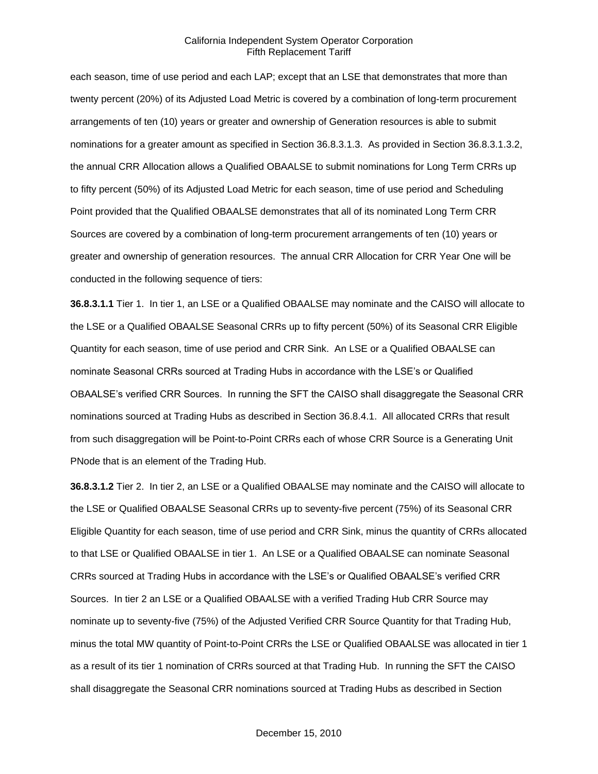each season, time of use period and each LAP; except that an LSE that demonstrates that more than twenty percent (20%) of its Adjusted Load Metric is covered by a combination of long-term procurement arrangements of ten (10) years or greater and ownership of Generation resources is able to submit nominations for a greater amount as specified in Section 36.8.3.1.3. As provided in Section 36.8.3.1.3.2, the annual CRR Allocation allows a Qualified OBAALSE to submit nominations for Long Term CRRs up to fifty percent (50%) of its Adjusted Load Metric for each season, time of use period and Scheduling Point provided that the Qualified OBAALSE demonstrates that all of its nominated Long Term CRR Sources are covered by a combination of long-term procurement arrangements of ten (10) years or greater and ownership of generation resources. The annual CRR Allocation for CRR Year One will be conducted in the following sequence of tiers:

**36.8.3.1.1** Tier 1. In tier 1, an LSE or a Qualified OBAALSE may nominate and the CAISO will allocate to the LSE or a Qualified OBAALSE Seasonal CRRs up to fifty percent (50%) of its Seasonal CRR Eligible Quantity for each season, time of use period and CRR Sink. An LSE or a Qualified OBAALSE can nominate Seasonal CRRs sourced at Trading Hubs in accordance with the LSE's or Qualified OBAALSE's verified CRR Sources. In running the SFT the CAISO shall disaggregate the Seasonal CRR nominations sourced at Trading Hubs as described in Section 36.8.4.1. All allocated CRRs that result from such disaggregation will be Point-to-Point CRRs each of whose CRR Source is a Generating Unit PNode that is an element of the Trading Hub.

**36.8.3.1.2** Tier 2. In tier 2, an LSE or a Qualified OBAALSE may nominate and the CAISO will allocate to the LSE or Qualified OBAALSE Seasonal CRRs up to seventy-five percent (75%) of its Seasonal CRR Eligible Quantity for each season, time of use period and CRR Sink, minus the quantity of CRRs allocated to that LSE or Qualified OBAALSE in tier 1. An LSE or a Qualified OBAALSE can nominate Seasonal CRRs sourced at Trading Hubs in accordance with the LSE's or Qualified OBAALSE's verified CRR Sources. In tier 2 an LSE or a Qualified OBAALSE with a verified Trading Hub CRR Source may nominate up to seventy-five (75%) of the Adjusted Verified CRR Source Quantity for that Trading Hub, minus the total MW quantity of Point-to-Point CRRs the LSE or Qualified OBAALSE was allocated in tier 1 as a result of its tier 1 nomination of CRRs sourced at that Trading Hub. In running the SFT the CAISO shall disaggregate the Seasonal CRR nominations sourced at Trading Hubs as described in Section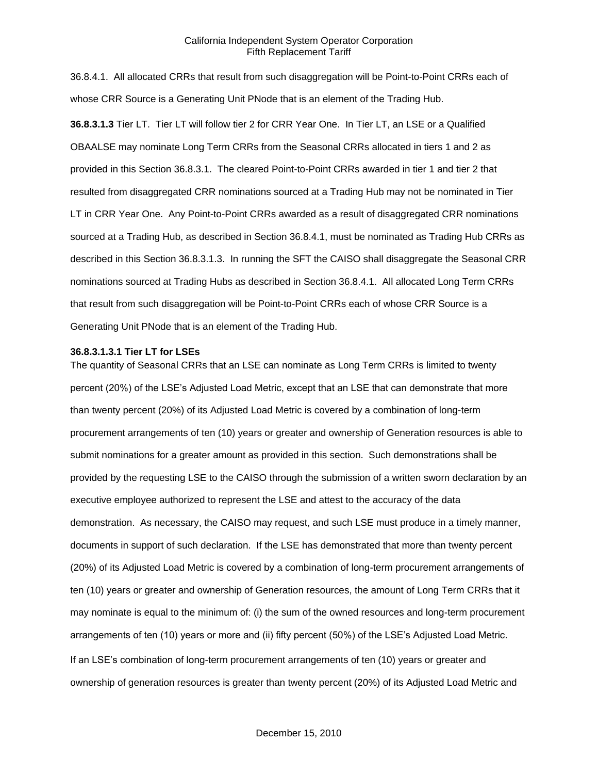36.8.4.1. All allocated CRRs that result from such disaggregation will be Point-to-Point CRRs each of whose CRR Source is a Generating Unit PNode that is an element of the Trading Hub. **36.8.3.1.3** Tier LT. Tier LT will follow tier 2 for CRR Year One. In Tier LT, an LSE or a Qualified OBAALSE may nominate Long Term CRRs from the Seasonal CRRs allocated in tiers 1 and 2 as provided in this Section 36.8.3.1. The cleared Point-to-Point CRRs awarded in tier 1 and tier 2 that resulted from disaggregated CRR nominations sourced at a Trading Hub may not be nominated in Tier LT in CRR Year One. Any Point-to-Point CRRs awarded as a result of disaggregated CRR nominations sourced at a Trading Hub, as described in Section 36.8.4.1, must be nominated as Trading Hub CRRs as described in this Section 36.8.3.1.3. In running the SFT the CAISO shall disaggregate the Seasonal CRR nominations sourced at Trading Hubs as described in Section 36.8.4.1. All allocated Long Term CRRs that result from such disaggregation will be Point-to-Point CRRs each of whose CRR Source is a Generating Unit PNode that is an element of the Trading Hub.

#### **36.8.3.1.3.1 Tier LT for LSEs**

The quantity of Seasonal CRRs that an LSE can nominate as Long Term CRRs is limited to twenty percent (20%) of the LSE's Adjusted Load Metric, except that an LSE that can demonstrate that more than twenty percent (20%) of its Adjusted Load Metric is covered by a combination of long-term procurement arrangements of ten (10) years or greater and ownership of Generation resources is able to submit nominations for a greater amount as provided in this section. Such demonstrations shall be provided by the requesting LSE to the CAISO through the submission of a written sworn declaration by an executive employee authorized to represent the LSE and attest to the accuracy of the data demonstration. As necessary, the CAISO may request, and such LSE must produce in a timely manner, documents in support of such declaration. If the LSE has demonstrated that more than twenty percent (20%) of its Adjusted Load Metric is covered by a combination of long-term procurement arrangements of ten (10) years or greater and ownership of Generation resources, the amount of Long Term CRRs that it may nominate is equal to the minimum of: (i) the sum of the owned resources and long-term procurement arrangements of ten (10) years or more and (ii) fifty percent (50%) of the LSE's Adjusted Load Metric. If an LSE's combination of long-term procurement arrangements of ten (10) years or greater and ownership of generation resources is greater than twenty percent (20%) of its Adjusted Load Metric and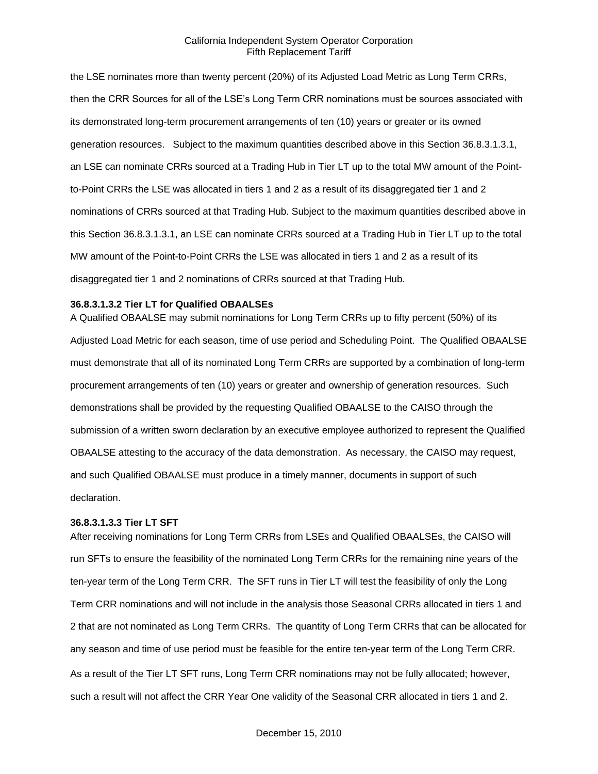the LSE nominates more than twenty percent (20%) of its Adjusted Load Metric as Long Term CRRs, then the CRR Sources for all of the LSE's Long Term CRR nominations must be sources associated with its demonstrated long-term procurement arrangements of ten (10) years or greater or its owned generation resources. Subject to the maximum quantities described above in this Section 36.8.3.1.3.1, an LSE can nominate CRRs sourced at a Trading Hub in Tier LT up to the total MW amount of the Pointto-Point CRRs the LSE was allocated in tiers 1 and 2 as a result of its disaggregated tier 1 and 2 nominations of CRRs sourced at that Trading Hub. Subject to the maximum quantities described above in this Section 36.8.3.1.3.1, an LSE can nominate CRRs sourced at a Trading Hub in Tier LT up to the total MW amount of the Point-to-Point CRRs the LSE was allocated in tiers 1 and 2 as a result of its disaggregated tier 1 and 2 nominations of CRRs sourced at that Trading Hub.

#### **36.8.3.1.3.2 Tier LT for Qualified OBAALSEs**

A Qualified OBAALSE may submit nominations for Long Term CRRs up to fifty percent (50%) of its Adjusted Load Metric for each season, time of use period and Scheduling Point. The Qualified OBAALSE must demonstrate that all of its nominated Long Term CRRs are supported by a combination of long-term procurement arrangements of ten (10) years or greater and ownership of generation resources. Such demonstrations shall be provided by the requesting Qualified OBAALSE to the CAISO through the submission of a written sworn declaration by an executive employee authorized to represent the Qualified OBAALSE attesting to the accuracy of the data demonstration. As necessary, the CAISO may request, and such Qualified OBAALSE must produce in a timely manner, documents in support of such declaration.

### **36.8.3.1.3.3 Tier LT SFT**

After receiving nominations for Long Term CRRs from LSEs and Qualified OBAALSEs, the CAISO will run SFTs to ensure the feasibility of the nominated Long Term CRRs for the remaining nine years of the ten-year term of the Long Term CRR. The SFT runs in Tier LT will test the feasibility of only the Long Term CRR nominations and will not include in the analysis those Seasonal CRRs allocated in tiers 1 and 2 that are not nominated as Long Term CRRs. The quantity of Long Term CRRs that can be allocated for any season and time of use period must be feasible for the entire ten-year term of the Long Term CRR. As a result of the Tier LT SFT runs, Long Term CRR nominations may not be fully allocated; however, such a result will not affect the CRR Year One validity of the Seasonal CRR allocated in tiers 1 and 2.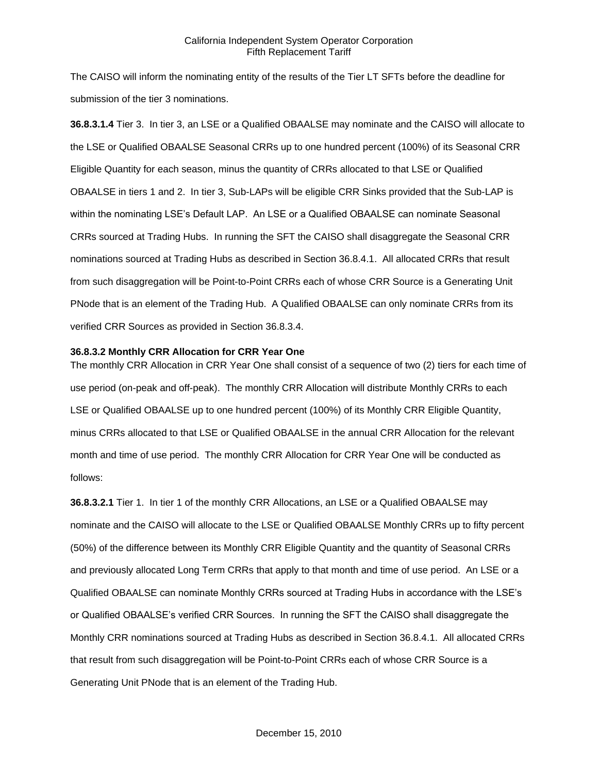The CAISO will inform the nominating entity of the results of the Tier LT SFTs before the deadline for submission of the tier 3 nominations.

**36.8.3.1.4** Tier 3. In tier 3, an LSE or a Qualified OBAALSE may nominate and the CAISO will allocate to the LSE or Qualified OBAALSE Seasonal CRRs up to one hundred percent (100%) of its Seasonal CRR Eligible Quantity for each season, minus the quantity of CRRs allocated to that LSE or Qualified OBAALSE in tiers 1 and 2. In tier 3, Sub-LAPs will be eligible CRR Sinks provided that the Sub-LAP is within the nominating LSE's Default LAP. An LSE or a Qualified OBAALSE can nominate Seasonal CRRs sourced at Trading Hubs. In running the SFT the CAISO shall disaggregate the Seasonal CRR nominations sourced at Trading Hubs as described in Section 36.8.4.1. All allocated CRRs that result from such disaggregation will be Point-to-Point CRRs each of whose CRR Source is a Generating Unit PNode that is an element of the Trading Hub. A Qualified OBAALSE can only nominate CRRs from its verified CRR Sources as provided in Section 36.8.3.4.

#### **36.8.3.2 Monthly CRR Allocation for CRR Year One**

The monthly CRR Allocation in CRR Year One shall consist of a sequence of two (2) tiers for each time of use period (on-peak and off-peak). The monthly CRR Allocation will distribute Monthly CRRs to each LSE or Qualified OBAALSE up to one hundred percent (100%) of its Monthly CRR Eligible Quantity, minus CRRs allocated to that LSE or Qualified OBAALSE in the annual CRR Allocation for the relevant month and time of use period. The monthly CRR Allocation for CRR Year One will be conducted as follows:

**36.8.3.2.1** Tier 1. In tier 1 of the monthly CRR Allocations, an LSE or a Qualified OBAALSE may nominate and the CAISO will allocate to the LSE or Qualified OBAALSE Monthly CRRs up to fifty percent (50%) of the difference between its Monthly CRR Eligible Quantity and the quantity of Seasonal CRRs and previously allocated Long Term CRRs that apply to that month and time of use period. An LSE or a Qualified OBAALSE can nominate Monthly CRRs sourced at Trading Hubs in accordance with the LSE's or Qualified OBAALSE's verified CRR Sources. In running the SFT the CAISO shall disaggregate the Monthly CRR nominations sourced at Trading Hubs as described in Section 36.8.4.1. All allocated CRRs that result from such disaggregation will be Point-to-Point CRRs each of whose CRR Source is a Generating Unit PNode that is an element of the Trading Hub.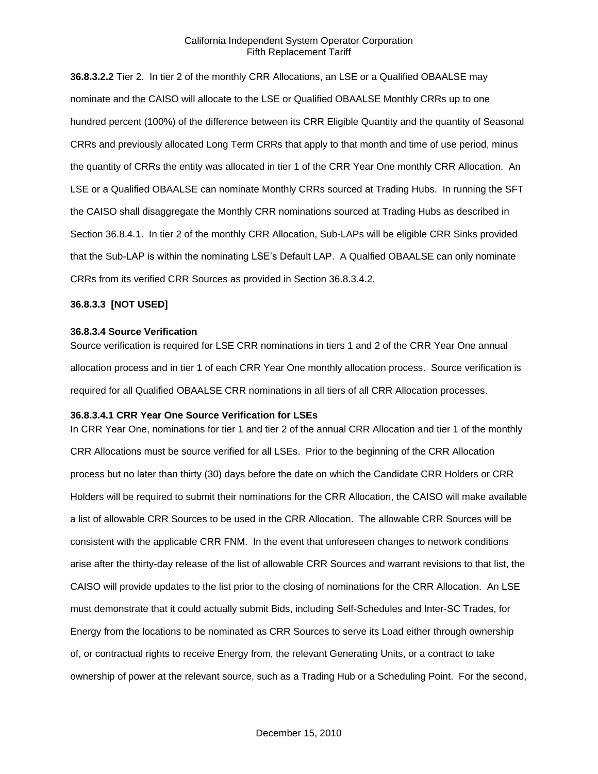**36.8.3.2.2** Tier 2. In tier 2 of the monthly CRR Allocations, an LSE or a Qualified OBAALSE may nominate and the CAISO will allocate to the LSE or Qualified OBAALSE Monthly CRRs up to one hundred percent (100%) of the difference between its CRR Eligible Quantity and the quantity of Seasonal CRRs and previously allocated Long Term CRRs that apply to that month and time of use period, minus the quantity of CRRs the entity was allocated in tier 1 of the CRR Year One monthly CRR Allocation. An LSE or a Qualified OBAALSE can nominate Monthly CRRs sourced at Trading Hubs. In running the SFT the CAISO shall disaggregate the Monthly CRR nominations sourced at Trading Hubs as described in Section 36.8.4.1. In tier 2 of the monthly CRR Allocation, Sub-LAPs will be eligible CRR Sinks provided that the Sub-LAP is within the nominating LSE's Default LAP. A Qualfied OBAALSE can only nominate CRRs from its verified CRR Sources as provided in Section 36.8.3.4.2.

#### **36.8.3.3 [NOT USED]**

#### **36.8.3.4 Source Verification**

Source verification is required for LSE CRR nominations in tiers 1 and 2 of the CRR Year One annual allocation process and in tier 1 of each CRR Year One monthly allocation process. Source verification is required for all Qualified OBAALSE CRR nominations in all tiers of all CRR Allocation processes.

### **36.8.3.4.1 CRR Year One Source Verification for LSEs**

In CRR Year One, nominations for tier 1 and tier 2 of the annual CRR Allocation and tier 1 of the monthly CRR Allocations must be source verified for all LSEs. Prior to the beginning of the CRR Allocation process but no later than thirty (30) days before the date on which the Candidate CRR Holders or CRR Holders will be required to submit their nominations for the CRR Allocation, the CAISO will make available a list of allowable CRR Sources to be used in the CRR Allocation. The allowable CRR Sources will be consistent with the applicable CRR FNM. In the event that unforeseen changes to network conditions arise after the thirty-day release of the list of allowable CRR Sources and warrant revisions to that list, the CAISO will provide updates to the list prior to the closing of nominations for the CRR Allocation. An LSE must demonstrate that it could actually submit Bids, including Self-Schedules and Inter-SC Trades, for Energy from the locations to be nominated as CRR Sources to serve its Load either through ownership of, or contractual rights to receive Energy from, the relevant Generating Units, or a contract to take ownership of power at the relevant source, such as a Trading Hub or a Scheduling Point. For the second,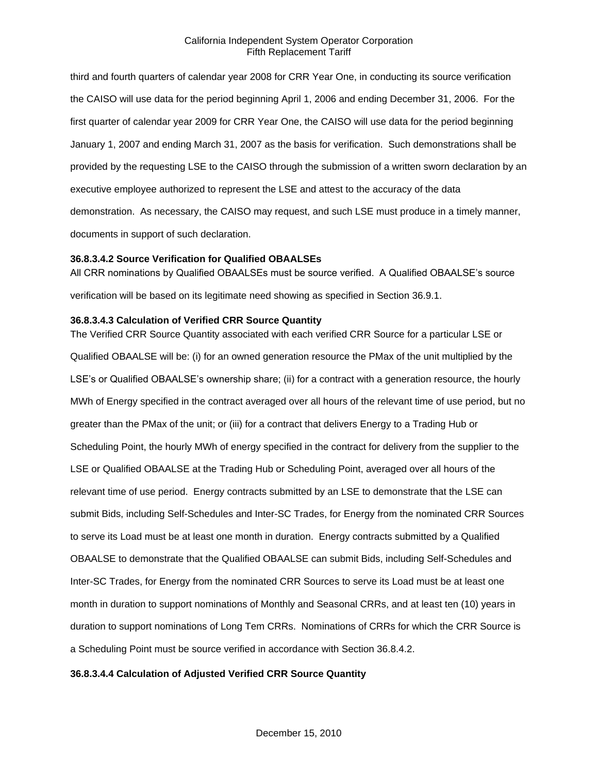third and fourth quarters of calendar year 2008 for CRR Year One, in conducting its source verification the CAISO will use data for the period beginning April 1, 2006 and ending December 31, 2006. For the first quarter of calendar year 2009 for CRR Year One, the CAISO will use data for the period beginning January 1, 2007 and ending March 31, 2007 as the basis for verification. Such demonstrations shall be provided by the requesting LSE to the CAISO through the submission of a written sworn declaration by an executive employee authorized to represent the LSE and attest to the accuracy of the data demonstration. As necessary, the CAISO may request, and such LSE must produce in a timely manner, documents in support of such declaration.

## **36.8.3.4.2 Source Verification for Qualified OBAALSEs**

All CRR nominations by Qualified OBAALSEs must be source verified. A Qualified OBAALSE's source verification will be based on its legitimate need showing as specified in Section 36.9.1.

#### **36.8.3.4.3 Calculation of Verified CRR Source Quantity**

The Verified CRR Source Quantity associated with each verified CRR Source for a particular LSE or Qualified OBAALSE will be: (i) for an owned generation resource the PMax of the unit multiplied by the LSE's or Qualified OBAALSE's ownership share; (ii) for a contract with a generation resource, the hourly MWh of Energy specified in the contract averaged over all hours of the relevant time of use period, but no greater than the PMax of the unit; or (iii) for a contract that delivers Energy to a Trading Hub or Scheduling Point, the hourly MWh of energy specified in the contract for delivery from the supplier to the LSE or Qualified OBAALSE at the Trading Hub or Scheduling Point, averaged over all hours of the relevant time of use period. Energy contracts submitted by an LSE to demonstrate that the LSE can submit Bids, including Self-Schedules and Inter-SC Trades, for Energy from the nominated CRR Sources to serve its Load must be at least one month in duration. Energy contracts submitted by a Qualified OBAALSE to demonstrate that the Qualified OBAALSE can submit Bids, including Self-Schedules and Inter-SC Trades, for Energy from the nominated CRR Sources to serve its Load must be at least one month in duration to support nominations of Monthly and Seasonal CRRs, and at least ten (10) years in duration to support nominations of Long Tem CRRs. Nominations of CRRs for which the CRR Source is a Scheduling Point must be source verified in accordance with Section 36.8.4.2.

### **36.8.3.4.4 Calculation of Adjusted Verified CRR Source Quantity**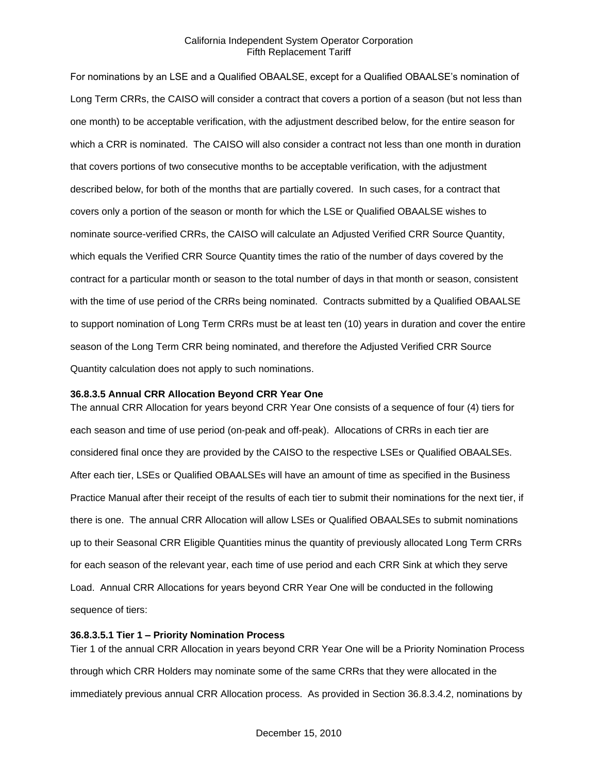For nominations by an LSE and a Qualified OBAALSE, except for a Qualified OBAALSE's nomination of Long Term CRRs, the CAISO will consider a contract that covers a portion of a season (but not less than one month) to be acceptable verification, with the adjustment described below, for the entire season for which a CRR is nominated. The CAISO will also consider a contract not less than one month in duration that covers portions of two consecutive months to be acceptable verification, with the adjustment described below, for both of the months that are partially covered. In such cases, for a contract that covers only a portion of the season or month for which the LSE or Qualified OBAALSE wishes to nominate source-verified CRRs, the CAISO will calculate an Adjusted Verified CRR Source Quantity, which equals the Verified CRR Source Quantity times the ratio of the number of days covered by the contract for a particular month or season to the total number of days in that month or season, consistent with the time of use period of the CRRs being nominated. Contracts submitted by a Qualified OBAALSE to support nomination of Long Term CRRs must be at least ten (10) years in duration and cover the entire season of the Long Term CRR being nominated, and therefore the Adjusted Verified CRR Source Quantity calculation does not apply to such nominations.

#### **36.8.3.5 Annual CRR Allocation Beyond CRR Year One**

The annual CRR Allocation for years beyond CRR Year One consists of a sequence of four (4) tiers for each season and time of use period (on-peak and off-peak). Allocations of CRRs in each tier are considered final once they are provided by the CAISO to the respective LSEs or Qualified OBAALSEs. After each tier, LSEs or Qualified OBAALSEs will have an amount of time as specified in the Business Practice Manual after their receipt of the results of each tier to submit their nominations for the next tier, if there is one. The annual CRR Allocation will allow LSEs or Qualified OBAALSEs to submit nominations up to their Seasonal CRR Eligible Quantities minus the quantity of previously allocated Long Term CRRs for each season of the relevant year, each time of use period and each CRR Sink at which they serve Load. Annual CRR Allocations for years beyond CRR Year One will be conducted in the following sequence of tiers:

#### **36.8.3.5.1 Tier 1 – Priority Nomination Process**

Tier 1 of the annual CRR Allocation in years beyond CRR Year One will be a Priority Nomination Process through which CRR Holders may nominate some of the same CRRs that they were allocated in the immediately previous annual CRR Allocation process. As provided in Section 36.8.3.4.2, nominations by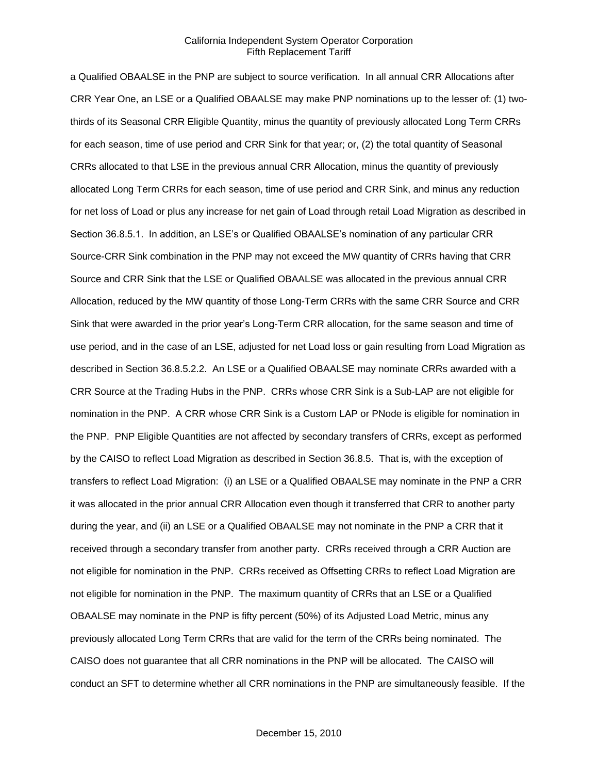a Qualified OBAALSE in the PNP are subject to source verification. In all annual CRR Allocations after CRR Year One, an LSE or a Qualified OBAALSE may make PNP nominations up to the lesser of: (1) twothirds of its Seasonal CRR Eligible Quantity, minus the quantity of previously allocated Long Term CRRs for each season, time of use period and CRR Sink for that year; or, (2) the total quantity of Seasonal CRRs allocated to that LSE in the previous annual CRR Allocation, minus the quantity of previously allocated Long Term CRRs for each season, time of use period and CRR Sink, and minus any reduction for net loss of Load or plus any increase for net gain of Load through retail Load Migration as described in Section 36.8.5.1. In addition, an LSE's or Qualified OBAALSE's nomination of any particular CRR Source-CRR Sink combination in the PNP may not exceed the MW quantity of CRRs having that CRR Source and CRR Sink that the LSE or Qualified OBAALSE was allocated in the previous annual CRR Allocation, reduced by the MW quantity of those Long-Term CRRs with the same CRR Source and CRR Sink that were awarded in the prior year's Long-Term CRR allocation, for the same season and time of use period, and in the case of an LSE, adjusted for net Load loss or gain resulting from Load Migration as described in Section 36.8.5.2.2. An LSE or a Qualified OBAALSE may nominate CRRs awarded with a CRR Source at the Trading Hubs in the PNP. CRRs whose CRR Sink is a Sub-LAP are not eligible for nomination in the PNP. A CRR whose CRR Sink is a Custom LAP or PNode is eligible for nomination in the PNP. PNP Eligible Quantities are not affected by secondary transfers of CRRs, except as performed by the CAISO to reflect Load Migration as described in Section 36.8.5. That is, with the exception of transfers to reflect Load Migration: (i) an LSE or a Qualified OBAALSE may nominate in the PNP a CRR it was allocated in the prior annual CRR Allocation even though it transferred that CRR to another party during the year, and (ii) an LSE or a Qualified OBAALSE may not nominate in the PNP a CRR that it received through a secondary transfer from another party. CRRs received through a CRR Auction are not eligible for nomination in the PNP. CRRs received as Offsetting CRRs to reflect Load Migration are not eligible for nomination in the PNP. The maximum quantity of CRRs that an LSE or a Qualified OBAALSE may nominate in the PNP is fifty percent (50%) of its Adjusted Load Metric, minus any previously allocated Long Term CRRs that are valid for the term of the CRRs being nominated. The CAISO does not guarantee that all CRR nominations in the PNP will be allocated. The CAISO will conduct an SFT to determine whether all CRR nominations in the PNP are simultaneously feasible. If the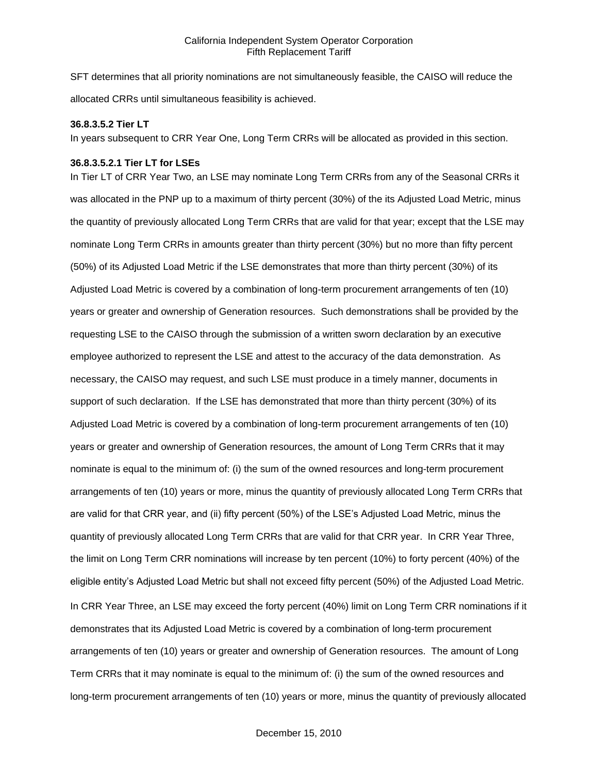SFT determines that all priority nominations are not simultaneously feasible, the CAISO will reduce the allocated CRRs until simultaneous feasibility is achieved.

### **36.8.3.5.2 Tier LT**

In years subsequent to CRR Year One, Long Term CRRs will be allocated as provided in this section.

#### **36.8.3.5.2.1 Tier LT for LSEs**

In Tier LT of CRR Year Two, an LSE may nominate Long Term CRRs from any of the Seasonal CRRs it was allocated in the PNP up to a maximum of thirty percent (30%) of the its Adjusted Load Metric, minus the quantity of previously allocated Long Term CRRs that are valid for that year; except that the LSE may nominate Long Term CRRs in amounts greater than thirty percent (30%) but no more than fifty percent (50%) of its Adjusted Load Metric if the LSE demonstrates that more than thirty percent (30%) of its Adjusted Load Metric is covered by a combination of long-term procurement arrangements of ten (10) years or greater and ownership of Generation resources. Such demonstrations shall be provided by the requesting LSE to the CAISO through the submission of a written sworn declaration by an executive employee authorized to represent the LSE and attest to the accuracy of the data demonstration. As necessary, the CAISO may request, and such LSE must produce in a timely manner, documents in support of such declaration. If the LSE has demonstrated that more than thirty percent (30%) of its Adjusted Load Metric is covered by a combination of long-term procurement arrangements of ten (10) years or greater and ownership of Generation resources, the amount of Long Term CRRs that it may nominate is equal to the minimum of: (i) the sum of the owned resources and long-term procurement arrangements of ten (10) years or more, minus the quantity of previously allocated Long Term CRRs that are valid for that CRR year, and (ii) fifty percent (50%) of the LSE's Adjusted Load Metric, minus the quantity of previously allocated Long Term CRRs that are valid for that CRR year. In CRR Year Three, the limit on Long Term CRR nominations will increase by ten percent (10%) to forty percent (40%) of the eligible entity's Adjusted Load Metric but shall not exceed fifty percent (50%) of the Adjusted Load Metric. In CRR Year Three, an LSE may exceed the forty percent (40%) limit on Long Term CRR nominations if it demonstrates that its Adjusted Load Metric is covered by a combination of long-term procurement arrangements of ten (10) years or greater and ownership of Generation resources. The amount of Long Term CRRs that it may nominate is equal to the minimum of: (i) the sum of the owned resources and long-term procurement arrangements of ten (10) years or more, minus the quantity of previously allocated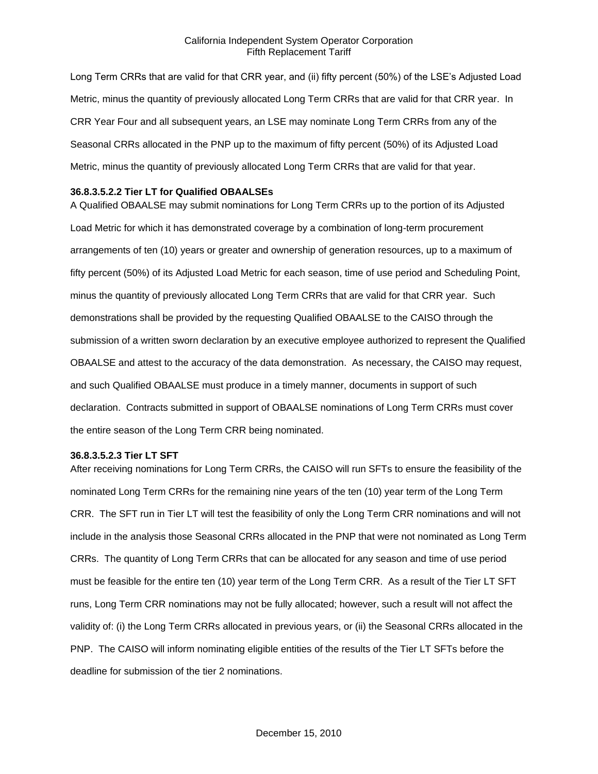Long Term CRRs that are valid for that CRR year, and (ii) fifty percent (50%) of the LSE's Adjusted Load Metric, minus the quantity of previously allocated Long Term CRRs that are valid for that CRR year. In CRR Year Four and all subsequent years, an LSE may nominate Long Term CRRs from any of the Seasonal CRRs allocated in the PNP up to the maximum of fifty percent (50%) of its Adjusted Load Metric, minus the quantity of previously allocated Long Term CRRs that are valid for that year.

#### **36.8.3.5.2.2 Tier LT for Qualified OBAALSEs**

A Qualified OBAALSE may submit nominations for Long Term CRRs up to the portion of its Adjusted Load Metric for which it has demonstrated coverage by a combination of long-term procurement arrangements of ten (10) years or greater and ownership of generation resources, up to a maximum of fifty percent (50%) of its Adjusted Load Metric for each season, time of use period and Scheduling Point, minus the quantity of previously allocated Long Term CRRs that are valid for that CRR year. Such demonstrations shall be provided by the requesting Qualified OBAALSE to the CAISO through the submission of a written sworn declaration by an executive employee authorized to represent the Qualified OBAALSE and attest to the accuracy of the data demonstration. As necessary, the CAISO may request, and such Qualified OBAALSE must produce in a timely manner, documents in support of such declaration. Contracts submitted in support of OBAALSE nominations of Long Term CRRs must cover the entire season of the Long Term CRR being nominated.

#### **36.8.3.5.2.3 Tier LT SFT**

After receiving nominations for Long Term CRRs, the CAISO will run SFTs to ensure the feasibility of the nominated Long Term CRRs for the remaining nine years of the ten (10) year term of the Long Term CRR. The SFT run in Tier LT will test the feasibility of only the Long Term CRR nominations and will not include in the analysis those Seasonal CRRs allocated in the PNP that were not nominated as Long Term CRRs. The quantity of Long Term CRRs that can be allocated for any season and time of use period must be feasible for the entire ten (10) year term of the Long Term CRR. As a result of the Tier LT SFT runs, Long Term CRR nominations may not be fully allocated; however, such a result will not affect the validity of: (i) the Long Term CRRs allocated in previous years, or (ii) the Seasonal CRRs allocated in the PNP. The CAISO will inform nominating eligible entities of the results of the Tier LT SFTs before the deadline for submission of the tier 2 nominations.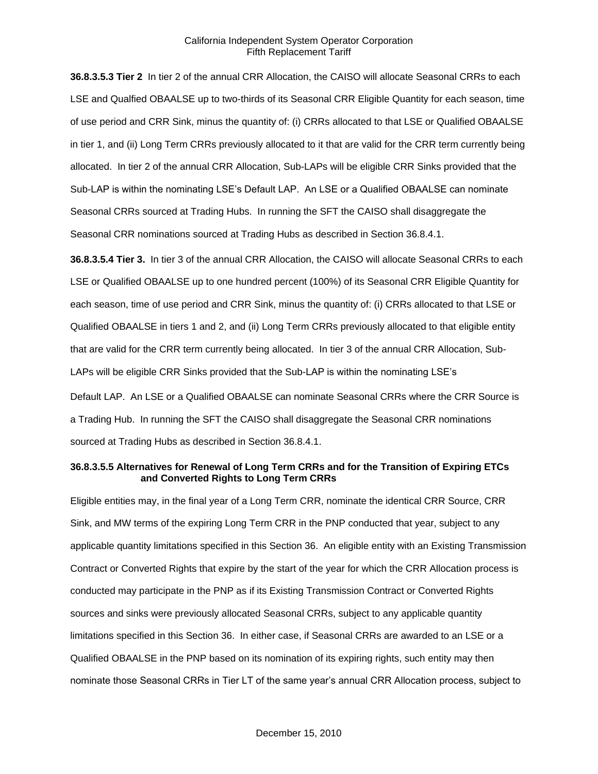**36.8.3.5.3 Tier 2** In tier 2 of the annual CRR Allocation, the CAISO will allocate Seasonal CRRs to each LSE and Qualfied OBAALSE up to two-thirds of its Seasonal CRR Eligible Quantity for each season, time of use period and CRR Sink, minus the quantity of: (i) CRRs allocated to that LSE or Qualified OBAALSE in tier 1, and (ii) Long Term CRRs previously allocated to it that are valid for the CRR term currently being allocated. In tier 2 of the annual CRR Allocation, Sub-LAPs will be eligible CRR Sinks provided that the Sub-LAP is within the nominating LSE's Default LAP. An LSE or a Qualified OBAALSE can nominate Seasonal CRRs sourced at Trading Hubs. In running the SFT the CAISO shall disaggregate the Seasonal CRR nominations sourced at Trading Hubs as described in Section 36.8.4.1.

**36.8.3.5.4 Tier 3.** In tier 3 of the annual CRR Allocation, the CAISO will allocate Seasonal CRRs to each LSE or Qualified OBAALSE up to one hundred percent (100%) of its Seasonal CRR Eligible Quantity for each season, time of use period and CRR Sink, minus the quantity of: (i) CRRs allocated to that LSE or Qualified OBAALSE in tiers 1 and 2, and (ii) Long Term CRRs previously allocated to that eligible entity that are valid for the CRR term currently being allocated. In tier 3 of the annual CRR Allocation, Sub-LAPs will be eligible CRR Sinks provided that the Sub-LAP is within the nominating LSE's

Default LAP. An LSE or a Qualified OBAALSE can nominate Seasonal CRRs where the CRR Source is a Trading Hub. In running the SFT the CAISO shall disaggregate the Seasonal CRR nominations sourced at Trading Hubs as described in Section 36.8.4.1.

#### **36.8.3.5.5 Alternatives for Renewal of Long Term CRRs and for the Transition of Expiring ETCs and Converted Rights to Long Term CRRs**

Eligible entities may, in the final year of a Long Term CRR, nominate the identical CRR Source, CRR Sink, and MW terms of the expiring Long Term CRR in the PNP conducted that year, subject to any applicable quantity limitations specified in this Section 36. An eligible entity with an Existing Transmission Contract or Converted Rights that expire by the start of the year for which the CRR Allocation process is conducted may participate in the PNP as if its Existing Transmission Contract or Converted Rights sources and sinks were previously allocated Seasonal CRRs, subject to any applicable quantity limitations specified in this Section 36. In either case, if Seasonal CRRs are awarded to an LSE or a Qualified OBAALSE in the PNP based on its nomination of its expiring rights, such entity may then nominate those Seasonal CRRs in Tier LT of the same year's annual CRR Allocation process, subject to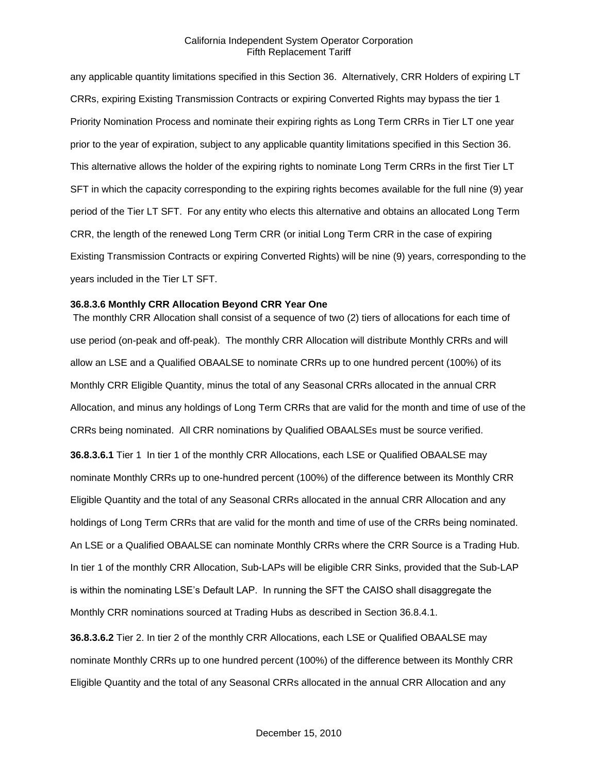any applicable quantity limitations specified in this Section 36. Alternatively, CRR Holders of expiring LT CRRs, expiring Existing Transmission Contracts or expiring Converted Rights may bypass the tier 1 Priority Nomination Process and nominate their expiring rights as Long Term CRRs in Tier LT one year prior to the year of expiration, subject to any applicable quantity limitations specified in this Section 36. This alternative allows the holder of the expiring rights to nominate Long Term CRRs in the first Tier LT SFT in which the capacity corresponding to the expiring rights becomes available for the full nine (9) year period of the Tier LT SFT. For any entity who elects this alternative and obtains an allocated Long Term CRR, the length of the renewed Long Term CRR (or initial Long Term CRR in the case of expiring Existing Transmission Contracts or expiring Converted Rights) will be nine (9) years, corresponding to the years included in the Tier LT SFT.

#### **36.8.3.6 Monthly CRR Allocation Beyond CRR Year One**

The monthly CRR Allocation shall consist of a sequence of two (2) tiers of allocations for each time of use period (on-peak and off-peak). The monthly CRR Allocation will distribute Monthly CRRs and will allow an LSE and a Qualified OBAALSE to nominate CRRs up to one hundred percent (100%) of its Monthly CRR Eligible Quantity, minus the total of any Seasonal CRRs allocated in the annual CRR Allocation, and minus any holdings of Long Term CRRs that are valid for the month and time of use of the CRRs being nominated. All CRR nominations by Qualified OBAALSEs must be source verified. **36.8.3.6.1** Tier 1 In tier 1 of the monthly CRR Allocations, each LSE or Qualified OBAALSE may nominate Monthly CRRs up to one-hundred percent (100%) of the difference between its Monthly CRR Eligible Quantity and the total of any Seasonal CRRs allocated in the annual CRR Allocation and any holdings of Long Term CRRs that are valid for the month and time of use of the CRRs being nominated. An LSE or a Qualified OBAALSE can nominate Monthly CRRs where the CRR Source is a Trading Hub. In tier 1 of the monthly CRR Allocation, Sub-LAPs will be eligible CRR Sinks, provided that the Sub-LAP is within the nominating LSE's Default LAP. In running the SFT the CAISO shall disaggregate the Monthly CRR nominations sourced at Trading Hubs as described in Section 36.8.4.1.

**36.8.3.6.2** Tier 2. In tier 2 of the monthly CRR Allocations, each LSE or Qualified OBAALSE may nominate Monthly CRRs up to one hundred percent (100%) of the difference between its Monthly CRR Eligible Quantity and the total of any Seasonal CRRs allocated in the annual CRR Allocation and any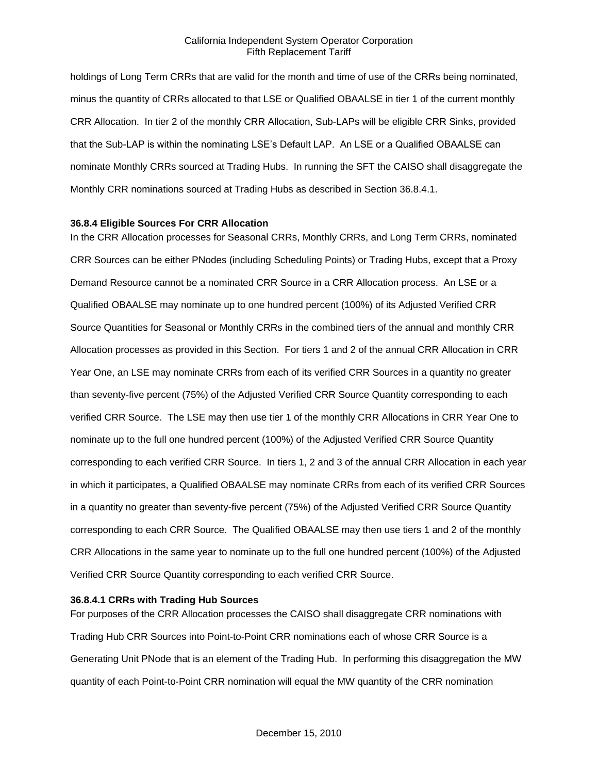holdings of Long Term CRRs that are valid for the month and time of use of the CRRs being nominated, minus the quantity of CRRs allocated to that LSE or Qualified OBAALSE in tier 1 of the current monthly CRR Allocation. In tier 2 of the monthly CRR Allocation, Sub-LAPs will be eligible CRR Sinks, provided that the Sub-LAP is within the nominating LSE's Default LAP. An LSE or a Qualified OBAALSE can nominate Monthly CRRs sourced at Trading Hubs. In running the SFT the CAISO shall disaggregate the Monthly CRR nominations sourced at Trading Hubs as described in Section 36.8.4.1.

#### **36.8.4 Eligible Sources For CRR Allocation**

In the CRR Allocation processes for Seasonal CRRs, Monthly CRRs, and Long Term CRRs, nominated CRR Sources can be either PNodes (including Scheduling Points) or Trading Hubs, except that a Proxy Demand Resource cannot be a nominated CRR Source in a CRR Allocation process. An LSE or a Qualified OBAALSE may nominate up to one hundred percent (100%) of its Adjusted Verified CRR Source Quantities for Seasonal or Monthly CRRs in the combined tiers of the annual and monthly CRR Allocation processes as provided in this Section. For tiers 1 and 2 of the annual CRR Allocation in CRR Year One, an LSE may nominate CRRs from each of its verified CRR Sources in a quantity no greater than seventy-five percent (75%) of the Adjusted Verified CRR Source Quantity corresponding to each verified CRR Source. The LSE may then use tier 1 of the monthly CRR Allocations in CRR Year One to nominate up to the full one hundred percent (100%) of the Adjusted Verified CRR Source Quantity corresponding to each verified CRR Source. In tiers 1, 2 and 3 of the annual CRR Allocation in each year in which it participates, a Qualified OBAALSE may nominate CRRs from each of its verified CRR Sources in a quantity no greater than seventy-five percent (75%) of the Adjusted Verified CRR Source Quantity corresponding to each CRR Source. The Qualified OBAALSE may then use tiers 1 and 2 of the monthly CRR Allocations in the same year to nominate up to the full one hundred percent (100%) of the Adjusted Verified CRR Source Quantity corresponding to each verified CRR Source.

#### **36.8.4.1 CRRs with Trading Hub Sources**

For purposes of the CRR Allocation processes the CAISO shall disaggregate CRR nominations with Trading Hub CRR Sources into Point-to-Point CRR nominations each of whose CRR Source is a Generating Unit PNode that is an element of the Trading Hub. In performing this disaggregation the MW quantity of each Point-to-Point CRR nomination will equal the MW quantity of the CRR nomination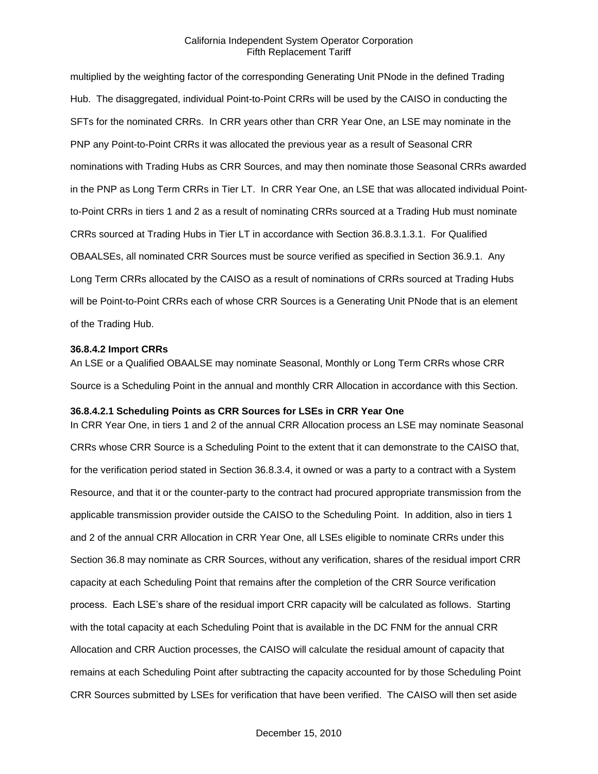multiplied by the weighting factor of the corresponding Generating Unit PNode in the defined Trading Hub. The disaggregated, individual Point-to-Point CRRs will be used by the CAISO in conducting the SFTs for the nominated CRRs. In CRR years other than CRR Year One, an LSE may nominate in the PNP any Point-to-Point CRRs it was allocated the previous year as a result of Seasonal CRR nominations with Trading Hubs as CRR Sources, and may then nominate those Seasonal CRRs awarded in the PNP as Long Term CRRs in Tier LT. In CRR Year One, an LSE that was allocated individual Pointto-Point CRRs in tiers 1 and 2 as a result of nominating CRRs sourced at a Trading Hub must nominate CRRs sourced at Trading Hubs in Tier LT in accordance with Section 36.8.3.1.3.1. For Qualified OBAALSEs, all nominated CRR Sources must be source verified as specified in Section 36.9.1. Any Long Term CRRs allocated by the CAISO as a result of nominations of CRRs sourced at Trading Hubs will be Point-to-Point CRRs each of whose CRR Sources is a Generating Unit PNode that is an element of the Trading Hub.

#### **36.8.4.2 Import CRRs**

An LSE or a Qualified OBAALSE may nominate Seasonal, Monthly or Long Term CRRs whose CRR Source is a Scheduling Point in the annual and monthly CRR Allocation in accordance with this Section.

### **36.8.4.2.1 Scheduling Points as CRR Sources for LSEs in CRR Year One**

In CRR Year One, in tiers 1 and 2 of the annual CRR Allocation process an LSE may nominate Seasonal CRRs whose CRR Source is a Scheduling Point to the extent that it can demonstrate to the CAISO that, for the verification period stated in Section 36.8.3.4, it owned or was a party to a contract with a System Resource, and that it or the counter-party to the contract had procured appropriate transmission from the applicable transmission provider outside the CAISO to the Scheduling Point. In addition, also in tiers 1 and 2 of the annual CRR Allocation in CRR Year One, all LSEs eligible to nominate CRRs under this Section 36.8 may nominate as CRR Sources, without any verification, shares of the residual import CRR capacity at each Scheduling Point that remains after the completion of the CRR Source verification process. Each LSE's share of the residual import CRR capacity will be calculated as follows. Starting with the total capacity at each Scheduling Point that is available in the DC FNM for the annual CRR Allocation and CRR Auction processes, the CAISO will calculate the residual amount of capacity that remains at each Scheduling Point after subtracting the capacity accounted for by those Scheduling Point CRR Sources submitted by LSEs for verification that have been verified. The CAISO will then set aside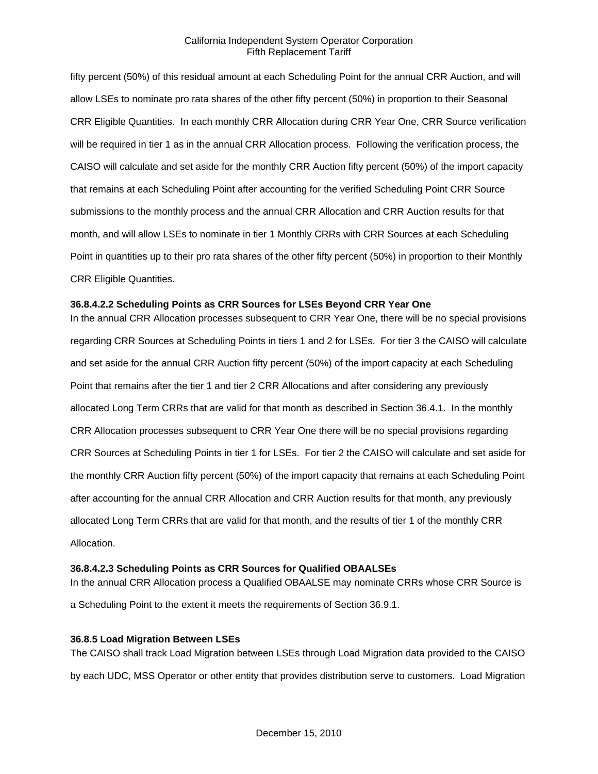fifty percent (50%) of this residual amount at each Scheduling Point for the annual CRR Auction, and will allow LSEs to nominate pro rata shares of the other fifty percent (50%) in proportion to their Seasonal CRR Eligible Quantities. In each monthly CRR Allocation during CRR Year One, CRR Source verification will be required in tier 1 as in the annual CRR Allocation process. Following the verification process, the CAISO will calculate and set aside for the monthly CRR Auction fifty percent (50%) of the import capacity that remains at each Scheduling Point after accounting for the verified Scheduling Point CRR Source submissions to the monthly process and the annual CRR Allocation and CRR Auction results for that month, and will allow LSEs to nominate in tier 1 Monthly CRRs with CRR Sources at each Scheduling Point in quantities up to their pro rata shares of the other fifty percent (50%) in proportion to their Monthly CRR Eligible Quantities.

## **36.8.4.2.2 Scheduling Points as CRR Sources for LSEs Beyond CRR Year One**

In the annual CRR Allocation processes subsequent to CRR Year One, there will be no special provisions regarding CRR Sources at Scheduling Points in tiers 1 and 2 for LSEs. For tier 3 the CAISO will calculate and set aside for the annual CRR Auction fifty percent (50%) of the import capacity at each Scheduling Point that remains after the tier 1 and tier 2 CRR Allocations and after considering any previously allocated Long Term CRRs that are valid for that month as described in Section 36.4.1. In the monthly CRR Allocation processes subsequent to CRR Year One there will be no special provisions regarding CRR Sources at Scheduling Points in tier 1 for LSEs. For tier 2 the CAISO will calculate and set aside for the monthly CRR Auction fifty percent (50%) of the import capacity that remains at each Scheduling Point after accounting for the annual CRR Allocation and CRR Auction results for that month, any previously allocated Long Term CRRs that are valid for that month, and the results of tier 1 of the monthly CRR Allocation.

### **36.8.4.2.3 Scheduling Points as CRR Sources for Qualified OBAALSEs**

In the annual CRR Allocation process a Qualified OBAALSE may nominate CRRs whose CRR Source is a Scheduling Point to the extent it meets the requirements of Section 36.9.1.

### **36.8.5 Load Migration Between LSEs**

The CAISO shall track Load Migration between LSEs through Load Migration data provided to the CAISO by each UDC, MSS Operator or other entity that provides distribution serve to customers. Load Migration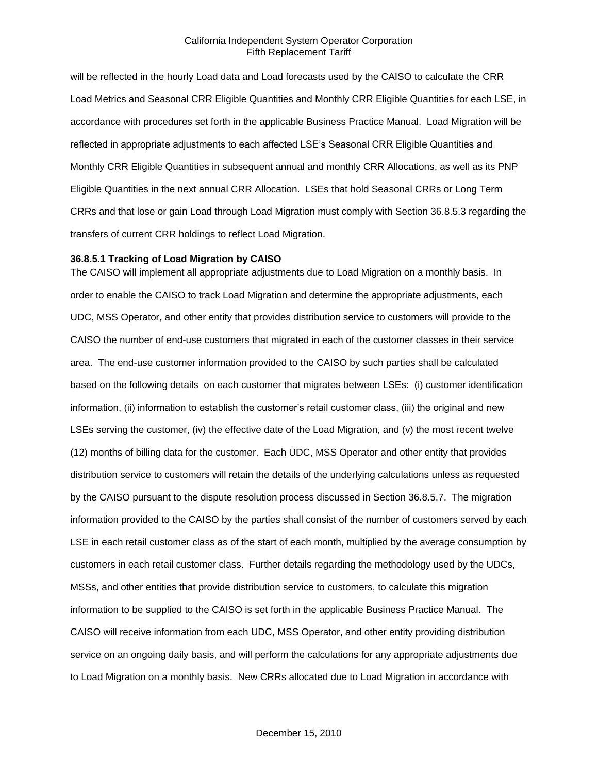will be reflected in the hourly Load data and Load forecasts used by the CAISO to calculate the CRR Load Metrics and Seasonal CRR Eligible Quantities and Monthly CRR Eligible Quantities for each LSE, in accordance with procedures set forth in the applicable Business Practice Manual. Load Migration will be reflected in appropriate adjustments to each affected LSE's Seasonal CRR Eligible Quantities and Monthly CRR Eligible Quantities in subsequent annual and monthly CRR Allocations, as well as its PNP Eligible Quantities in the next annual CRR Allocation. LSEs that hold Seasonal CRRs or Long Term CRRs and that lose or gain Load through Load Migration must comply with Section 36.8.5.3 regarding the transfers of current CRR holdings to reflect Load Migration.

#### **36.8.5.1 Tracking of Load Migration by CAISO**

The CAISO will implement all appropriate adjustments due to Load Migration on a monthly basis. In order to enable the CAISO to track Load Migration and determine the appropriate adjustments, each UDC, MSS Operator, and other entity that provides distribution service to customers will provide to the CAISO the number of end-use customers that migrated in each of the customer classes in their service area. The end-use customer information provided to the CAISO by such parties shall be calculated based on the following details on each customer that migrates between LSEs: (i) customer identification information, (ii) information to establish the customer's retail customer class, (iii) the original and new LSEs serving the customer, (iv) the effective date of the Load Migration, and (v) the most recent twelve (12) months of billing data for the customer. Each UDC, MSS Operator and other entity that provides distribution service to customers will retain the details of the underlying calculations unless as requested by the CAISO pursuant to the dispute resolution process discussed in Section 36.8.5.7. The migration information provided to the CAISO by the parties shall consist of the number of customers served by each LSE in each retail customer class as of the start of each month, multiplied by the average consumption by customers in each retail customer class. Further details regarding the methodology used by the UDCs, MSSs, and other entities that provide distribution service to customers, to calculate this migration information to be supplied to the CAISO is set forth in the applicable Business Practice Manual. The CAISO will receive information from each UDC, MSS Operator, and other entity providing distribution service on an ongoing daily basis, and will perform the calculations for any appropriate adjustments due to Load Migration on a monthly basis. New CRRs allocated due to Load Migration in accordance with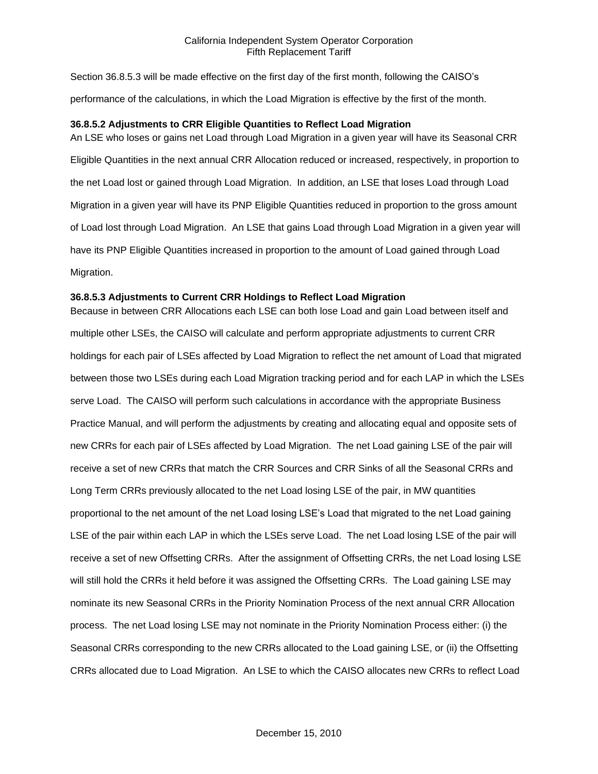Section 36.8.5.3 will be made effective on the first day of the first month, following the CAISO's performance of the calculations, in which the Load Migration is effective by the first of the month.

## **36.8.5.2 Adjustments to CRR Eligible Quantities to Reflect Load Migration**

An LSE who loses or gains net Load through Load Migration in a given year will have its Seasonal CRR Eligible Quantities in the next annual CRR Allocation reduced or increased, respectively, in proportion to the net Load lost or gained through Load Migration. In addition, an LSE that loses Load through Load Migration in a given year will have its PNP Eligible Quantities reduced in proportion to the gross amount of Load lost through Load Migration. An LSE that gains Load through Load Migration in a given year will have its PNP Eligible Quantities increased in proportion to the amount of Load gained through Load Migration.

### **36.8.5.3 Adjustments to Current CRR Holdings to Reflect Load Migration**

Because in between CRR Allocations each LSE can both lose Load and gain Load between itself and multiple other LSEs, the CAISO will calculate and perform appropriate adjustments to current CRR holdings for each pair of LSEs affected by Load Migration to reflect the net amount of Load that migrated between those two LSEs during each Load Migration tracking period and for each LAP in which the LSEs serve Load. The CAISO will perform such calculations in accordance with the appropriate Business Practice Manual, and will perform the adjustments by creating and allocating equal and opposite sets of new CRRs for each pair of LSEs affected by Load Migration. The net Load gaining LSE of the pair will receive a set of new CRRs that match the CRR Sources and CRR Sinks of all the Seasonal CRRs and Long Term CRRs previously allocated to the net Load losing LSE of the pair, in MW quantities proportional to the net amount of the net Load losing LSE's Load that migrated to the net Load gaining LSE of the pair within each LAP in which the LSEs serve Load. The net Load losing LSE of the pair will receive a set of new Offsetting CRRs. After the assignment of Offsetting CRRs, the net Load losing LSE will still hold the CRRs it held before it was assigned the Offsetting CRRs. The Load gaining LSE may nominate its new Seasonal CRRs in the Priority Nomination Process of the next annual CRR Allocation process. The net Load losing LSE may not nominate in the Priority Nomination Process either: (i) the Seasonal CRRs corresponding to the new CRRs allocated to the Load gaining LSE, or (ii) the Offsetting CRRs allocated due to Load Migration. An LSE to which the CAISO allocates new CRRs to reflect Load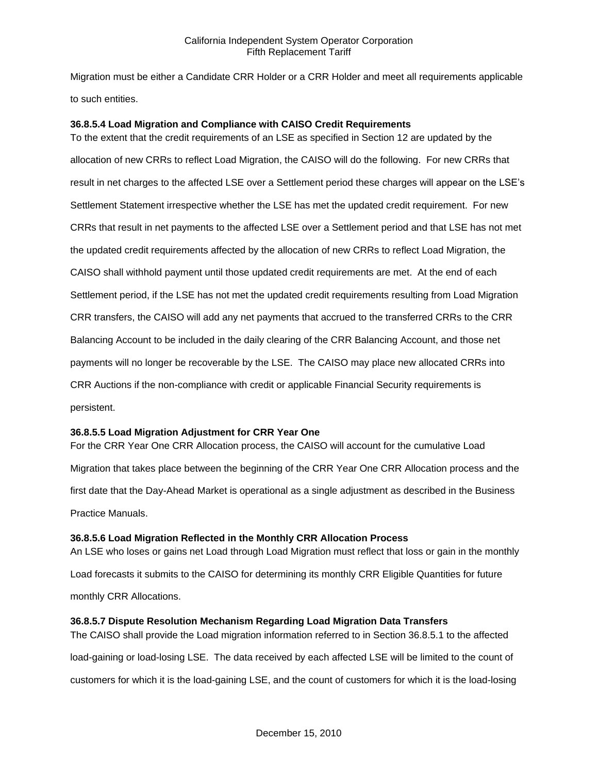Migration must be either a Candidate CRR Holder or a CRR Holder and meet all requirements applicable to such entities.

## **36.8.5.4 Load Migration and Compliance with CAISO Credit Requirements**

To the extent that the credit requirements of an LSE as specified in Section 12 are updated by the allocation of new CRRs to reflect Load Migration, the CAISO will do the following. For new CRRs that result in net charges to the affected LSE over a Settlement period these charges will appear on the LSE's Settlement Statement irrespective whether the LSE has met the updated credit requirement. For new CRRs that result in net payments to the affected LSE over a Settlement period and that LSE has not met the updated credit requirements affected by the allocation of new CRRs to reflect Load Migration, the CAISO shall withhold payment until those updated credit requirements are met. At the end of each Settlement period, if the LSE has not met the updated credit requirements resulting from Load Migration CRR transfers, the CAISO will add any net payments that accrued to the transferred CRRs to the CRR Balancing Account to be included in the daily clearing of the CRR Balancing Account, and those net payments will no longer be recoverable by the LSE. The CAISO may place new allocated CRRs into CRR Auctions if the non-compliance with credit or applicable Financial Security requirements is persistent.

### **36.8.5.5 Load Migration Adjustment for CRR Year One**

For the CRR Year One CRR Allocation process, the CAISO will account for the cumulative Load Migration that takes place between the beginning of the CRR Year One CRR Allocation process and the first date that the Day-Ahead Market is operational as a single adjustment as described in the Business Practice Manuals.

### **36.8.5.6 Load Migration Reflected in the Monthly CRR Allocation Process**

An LSE who loses or gains net Load through Load Migration must reflect that loss or gain in the monthly Load forecasts it submits to the CAISO for determining its monthly CRR Eligible Quantities for future monthly CRR Allocations.

### **36.8.5.7 Dispute Resolution Mechanism Regarding Load Migration Data Transfers**

The CAISO shall provide the Load migration information referred to in Section 36.8.5.1 to the affected load-gaining or load-losing LSE. The data received by each affected LSE will be limited to the count of customers for which it is the load-gaining LSE, and the count of customers for which it is the load-losing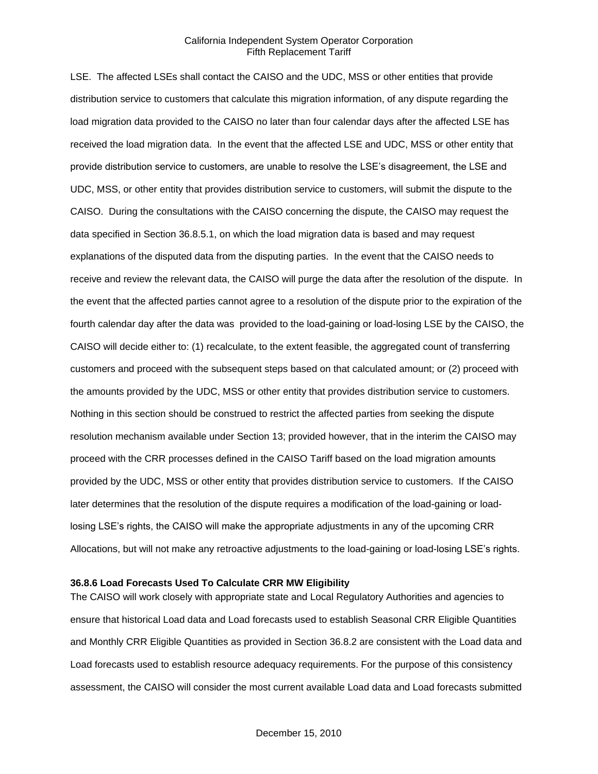LSE. The affected LSEs shall contact the CAISO and the UDC, MSS or other entities that provide distribution service to customers that calculate this migration information, of any dispute regarding the load migration data provided to the CAISO no later than four calendar days after the affected LSE has received the load migration data. In the event that the affected LSE and UDC, MSS or other entity that provide distribution service to customers, are unable to resolve the LSE's disagreement, the LSE and UDC, MSS, or other entity that provides distribution service to customers, will submit the dispute to the CAISO. During the consultations with the CAISO concerning the dispute, the CAISO may request the data specified in Section 36.8.5.1, on which the load migration data is based and may request explanations of the disputed data from the disputing parties. In the event that the CAISO needs to receive and review the relevant data, the CAISO will purge the data after the resolution of the dispute. In the event that the affected parties cannot agree to a resolution of the dispute prior to the expiration of the fourth calendar day after the data was provided to the load-gaining or load-losing LSE by the CAISO, the CAISO will decide either to: (1) recalculate, to the extent feasible, the aggregated count of transferring customers and proceed with the subsequent steps based on that calculated amount; or (2) proceed with the amounts provided by the UDC, MSS or other entity that provides distribution service to customers. Nothing in this section should be construed to restrict the affected parties from seeking the dispute resolution mechanism available under Section 13; provided however, that in the interim the CAISO may proceed with the CRR processes defined in the CAISO Tariff based on the load migration amounts provided by the UDC, MSS or other entity that provides distribution service to customers. If the CAISO later determines that the resolution of the dispute requires a modification of the load-gaining or loadlosing LSE's rights, the CAISO will make the appropriate adjustments in any of the upcoming CRR Allocations, but will not make any retroactive adjustments to the load-gaining or load-losing LSE's rights.

#### **36.8.6 Load Forecasts Used To Calculate CRR MW Eligibility**

The CAISO will work closely with appropriate state and Local Regulatory Authorities and agencies to ensure that historical Load data and Load forecasts used to establish Seasonal CRR Eligible Quantities and Monthly CRR Eligible Quantities as provided in Section 36.8.2 are consistent with the Load data and Load forecasts used to establish resource adequacy requirements. For the purpose of this consistency assessment, the CAISO will consider the most current available Load data and Load forecasts submitted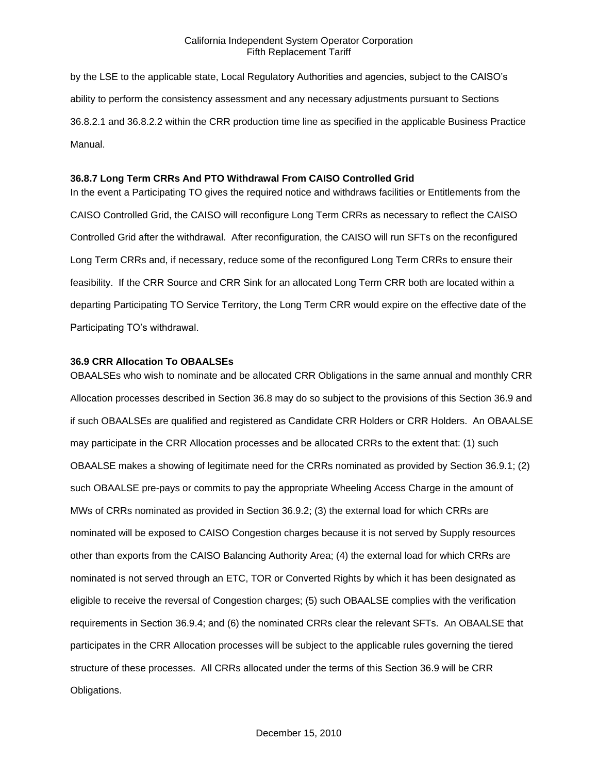by the LSE to the applicable state, Local Regulatory Authorities and agencies, subject to the CAISO's ability to perform the consistency assessment and any necessary adjustments pursuant to Sections 36.8.2.1 and 36.8.2.2 within the CRR production time line as specified in the applicable Business Practice Manual.

#### **36.8.7 Long Term CRRs And PTO Withdrawal From CAISO Controlled Grid**

In the event a Participating TO gives the required notice and withdraws facilities or Entitlements from the CAISO Controlled Grid, the CAISO will reconfigure Long Term CRRs as necessary to reflect the CAISO Controlled Grid after the withdrawal. After reconfiguration, the CAISO will run SFTs on the reconfigured Long Term CRRs and, if necessary, reduce some of the reconfigured Long Term CRRs to ensure their feasibility. If the CRR Source and CRR Sink for an allocated Long Term CRR both are located within a departing Participating TO Service Territory, the Long Term CRR would expire on the effective date of the Participating TO's withdrawal.

#### **36.9 CRR Allocation To OBAALSEs**

OBAALSEs who wish to nominate and be allocated CRR Obligations in the same annual and monthly CRR Allocation processes described in Section 36.8 may do so subject to the provisions of this Section 36.9 and if such OBAALSEs are qualified and registered as Candidate CRR Holders or CRR Holders. An OBAALSE may participate in the CRR Allocation processes and be allocated CRRs to the extent that: (1) such OBAALSE makes a showing of legitimate need for the CRRs nominated as provided by Section 36.9.1; (2) such OBAALSE pre-pays or commits to pay the appropriate Wheeling Access Charge in the amount of MWs of CRRs nominated as provided in Section 36.9.2; (3) the external load for which CRRs are nominated will be exposed to CAISO Congestion charges because it is not served by Supply resources other than exports from the CAISO Balancing Authority Area; (4) the external load for which CRRs are nominated is not served through an ETC, TOR or Converted Rights by which it has been designated as eligible to receive the reversal of Congestion charges; (5) such OBAALSE complies with the verification requirements in Section 36.9.4; and (6) the nominated CRRs clear the relevant SFTs. An OBAALSE that participates in the CRR Allocation processes will be subject to the applicable rules governing the tiered structure of these processes. All CRRs allocated under the terms of this Section 36.9 will be CRR Obligations.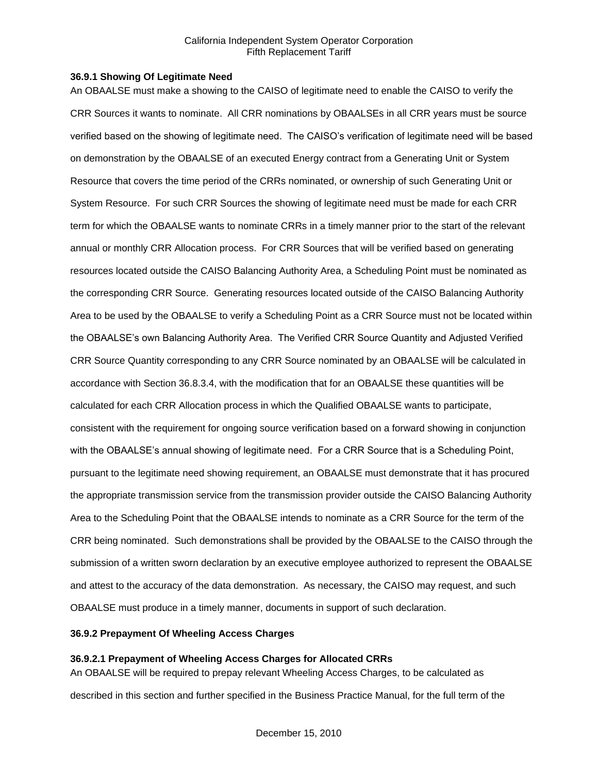#### **36.9.1 Showing Of Legitimate Need**

An OBAALSE must make a showing to the CAISO of legitimate need to enable the CAISO to verify the CRR Sources it wants to nominate. All CRR nominations by OBAALSEs in all CRR years must be source verified based on the showing of legitimate need. The CAISO's verification of legitimate need will be based on demonstration by the OBAALSE of an executed Energy contract from a Generating Unit or System Resource that covers the time period of the CRRs nominated, or ownership of such Generating Unit or System Resource. For such CRR Sources the showing of legitimate need must be made for each CRR term for which the OBAALSE wants to nominate CRRs in a timely manner prior to the start of the relevant annual or monthly CRR Allocation process. For CRR Sources that will be verified based on generating resources located outside the CAISO Balancing Authority Area, a Scheduling Point must be nominated as the corresponding CRR Source. Generating resources located outside of the CAISO Balancing Authority Area to be used by the OBAALSE to verify a Scheduling Point as a CRR Source must not be located within the OBAALSE's own Balancing Authority Area. The Verified CRR Source Quantity and Adjusted Verified CRR Source Quantity corresponding to any CRR Source nominated by an OBAALSE will be calculated in accordance with Section 36.8.3.4, with the modification that for an OBAALSE these quantities will be calculated for each CRR Allocation process in which the Qualified OBAALSE wants to participate, consistent with the requirement for ongoing source verification based on a forward showing in conjunction with the OBAALSE's annual showing of legitimate need. For a CRR Source that is a Scheduling Point, pursuant to the legitimate need showing requirement, an OBAALSE must demonstrate that it has procured the appropriate transmission service from the transmission provider outside the CAISO Balancing Authority Area to the Scheduling Point that the OBAALSE intends to nominate as a CRR Source for the term of the CRR being nominated. Such demonstrations shall be provided by the OBAALSE to the CAISO through the submission of a written sworn declaration by an executive employee authorized to represent the OBAALSE and attest to the accuracy of the data demonstration. As necessary, the CAISO may request, and such OBAALSE must produce in a timely manner, documents in support of such declaration.

## **36.9.2 Prepayment Of Wheeling Access Charges**

# **36.9.2.1 Prepayment of Wheeling Access Charges for Allocated CRRs**

An OBAALSE will be required to prepay relevant Wheeling Access Charges, to be calculated as described in this section and further specified in the Business Practice Manual, for the full term of the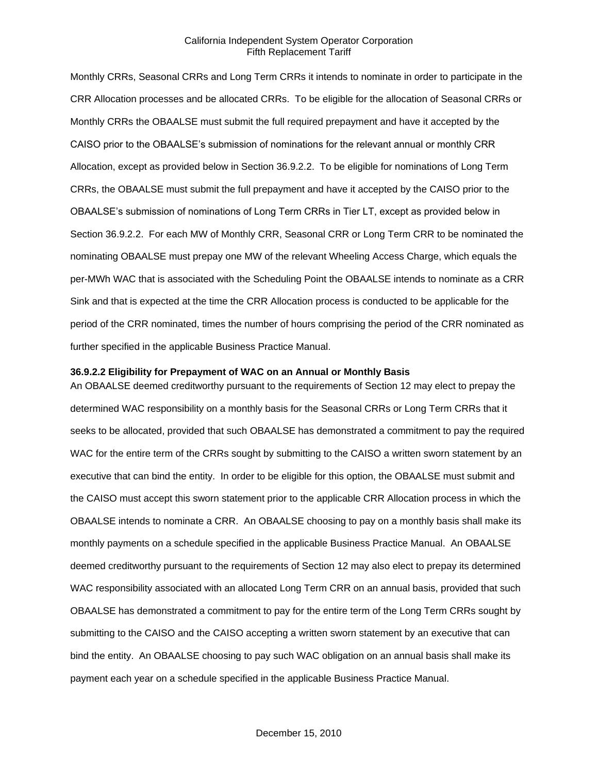Monthly CRRs, Seasonal CRRs and Long Term CRRs it intends to nominate in order to participate in the CRR Allocation processes and be allocated CRRs. To be eligible for the allocation of Seasonal CRRs or Monthly CRRs the OBAALSE must submit the full required prepayment and have it accepted by the CAISO prior to the OBAALSE's submission of nominations for the relevant annual or monthly CRR Allocation, except as provided below in Section 36.9.2.2. To be eligible for nominations of Long Term CRRs, the OBAALSE must submit the full prepayment and have it accepted by the CAISO prior to the OBAALSE's submission of nominations of Long Term CRRs in Tier LT, except as provided below in Section 36.9.2.2. For each MW of Monthly CRR, Seasonal CRR or Long Term CRR to be nominated the nominating OBAALSE must prepay one MW of the relevant Wheeling Access Charge, which equals the per-MWh WAC that is associated with the Scheduling Point the OBAALSE intends to nominate as a CRR Sink and that is expected at the time the CRR Allocation process is conducted to be applicable for the period of the CRR nominated, times the number of hours comprising the period of the CRR nominated as further specified in the applicable Business Practice Manual.

#### **36.9.2.2 Eligibility for Prepayment of WAC on an Annual or Monthly Basis**

An OBAALSE deemed creditworthy pursuant to the requirements of Section 12 may elect to prepay the determined WAC responsibility on a monthly basis for the Seasonal CRRs or Long Term CRRs that it seeks to be allocated, provided that such OBAALSE has demonstrated a commitment to pay the required WAC for the entire term of the CRRs sought by submitting to the CAISO a written sworn statement by an executive that can bind the entity. In order to be eligible for this option, the OBAALSE must submit and the CAISO must accept this sworn statement prior to the applicable CRR Allocation process in which the OBAALSE intends to nominate a CRR. An OBAALSE choosing to pay on a monthly basis shall make its monthly payments on a schedule specified in the applicable Business Practice Manual. An OBAALSE deemed creditworthy pursuant to the requirements of Section 12 may also elect to prepay its determined WAC responsibility associated with an allocated Long Term CRR on an annual basis, provided that such OBAALSE has demonstrated a commitment to pay for the entire term of the Long Term CRRs sought by submitting to the CAISO and the CAISO accepting a written sworn statement by an executive that can bind the entity. An OBAALSE choosing to pay such WAC obligation on an annual basis shall make its payment each year on a schedule specified in the applicable Business Practice Manual.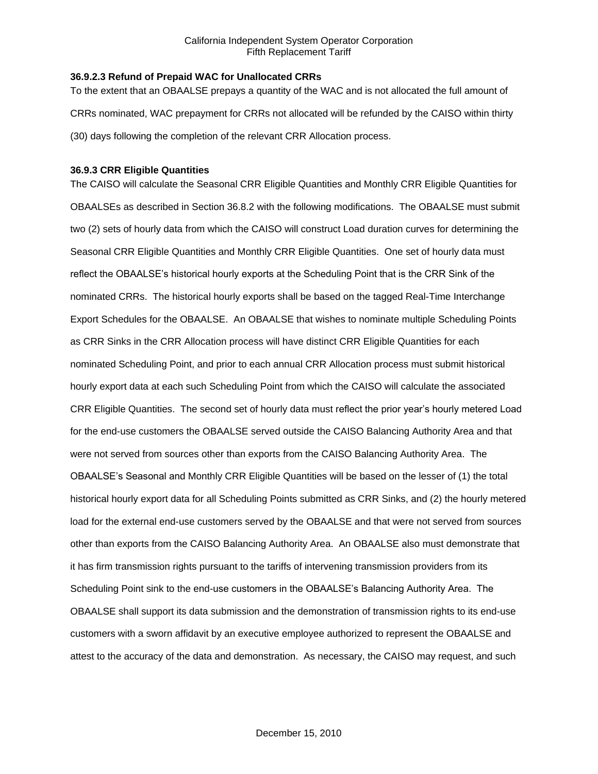## **36.9.2.3 Refund of Prepaid WAC for Unallocated CRRs**

To the extent that an OBAALSE prepays a quantity of the WAC and is not allocated the full amount of CRRs nominated, WAC prepayment for CRRs not allocated will be refunded by the CAISO within thirty (30) days following the completion of the relevant CRR Allocation process.

## **36.9.3 CRR Eligible Quantities**

The CAISO will calculate the Seasonal CRR Eligible Quantities and Monthly CRR Eligible Quantities for OBAALSEs as described in Section 36.8.2 with the following modifications. The OBAALSE must submit two (2) sets of hourly data from which the CAISO will construct Load duration curves for determining the Seasonal CRR Eligible Quantities and Monthly CRR Eligible Quantities. One set of hourly data must reflect the OBAALSE's historical hourly exports at the Scheduling Point that is the CRR Sink of the nominated CRRs. The historical hourly exports shall be based on the tagged Real-Time Interchange Export Schedules for the OBAALSE. An OBAALSE that wishes to nominate multiple Scheduling Points as CRR Sinks in the CRR Allocation process will have distinct CRR Eligible Quantities for each nominated Scheduling Point, and prior to each annual CRR Allocation process must submit historical hourly export data at each such Scheduling Point from which the CAISO will calculate the associated CRR Eligible Quantities. The second set of hourly data must reflect the prior year's hourly metered Load for the end-use customers the OBAALSE served outside the CAISO Balancing Authority Area and that were not served from sources other than exports from the CAISO Balancing Authority Area. The OBAALSE's Seasonal and Monthly CRR Eligible Quantities will be based on the lesser of (1) the total historical hourly export data for all Scheduling Points submitted as CRR Sinks, and (2) the hourly metered load for the external end-use customers served by the OBAALSE and that were not served from sources other than exports from the CAISO Balancing Authority Area. An OBAALSE also must demonstrate that it has firm transmission rights pursuant to the tariffs of intervening transmission providers from its Scheduling Point sink to the end-use customers in the OBAALSE's Balancing Authority Area. The OBAALSE shall support its data submission and the demonstration of transmission rights to its end-use customers with a sworn affidavit by an executive employee authorized to represent the OBAALSE and attest to the accuracy of the data and demonstration. As necessary, the CAISO may request, and such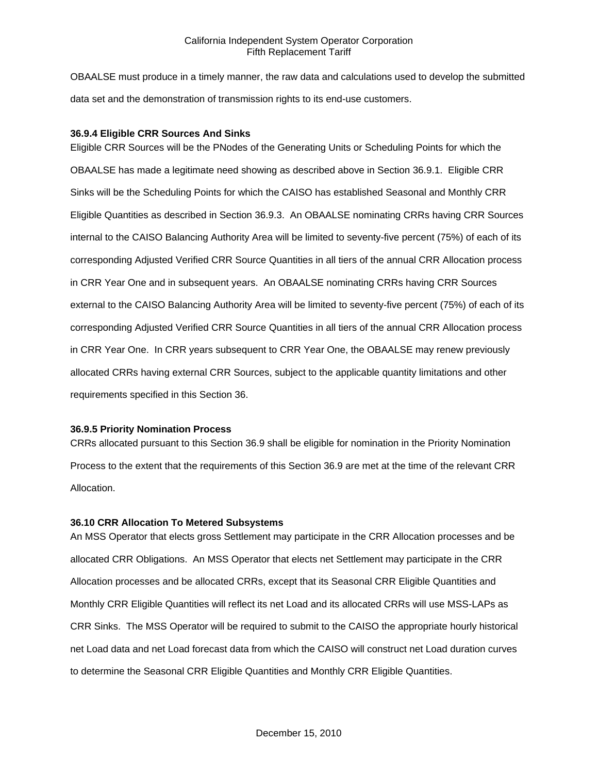OBAALSE must produce in a timely manner, the raw data and calculations used to develop the submitted data set and the demonstration of transmission rights to its end-use customers.

## **36.9.4 Eligible CRR Sources And Sinks**

Eligible CRR Sources will be the PNodes of the Generating Units or Scheduling Points for which the OBAALSE has made a legitimate need showing as described above in Section 36.9.1. Eligible CRR Sinks will be the Scheduling Points for which the CAISO has established Seasonal and Monthly CRR Eligible Quantities as described in Section 36.9.3. An OBAALSE nominating CRRs having CRR Sources internal to the CAISO Balancing Authority Area will be limited to seventy-five percent (75%) of each of its corresponding Adjusted Verified CRR Source Quantities in all tiers of the annual CRR Allocation process in CRR Year One and in subsequent years. An OBAALSE nominating CRRs having CRR Sources external to the CAISO Balancing Authority Area will be limited to seventy-five percent (75%) of each of its corresponding Adjusted Verified CRR Source Quantities in all tiers of the annual CRR Allocation process in CRR Year One. In CRR years subsequent to CRR Year One, the OBAALSE may renew previously allocated CRRs having external CRR Sources, subject to the applicable quantity limitations and other requirements specified in this Section 36.

### **36.9.5 Priority Nomination Process**

CRRs allocated pursuant to this Section 36.9 shall be eligible for nomination in the Priority Nomination Process to the extent that the requirements of this Section 36.9 are met at the time of the relevant CRR Allocation.

#### **36.10 CRR Allocation To Metered Subsystems**

An MSS Operator that elects gross Settlement may participate in the CRR Allocation processes and be allocated CRR Obligations. An MSS Operator that elects net Settlement may participate in the CRR Allocation processes and be allocated CRRs, except that its Seasonal CRR Eligible Quantities and Monthly CRR Eligible Quantities will reflect its net Load and its allocated CRRs will use MSS-LAPs as CRR Sinks. The MSS Operator will be required to submit to the CAISO the appropriate hourly historical net Load data and net Load forecast data from which the CAISO will construct net Load duration curves to determine the Seasonal CRR Eligible Quantities and Monthly CRR Eligible Quantities.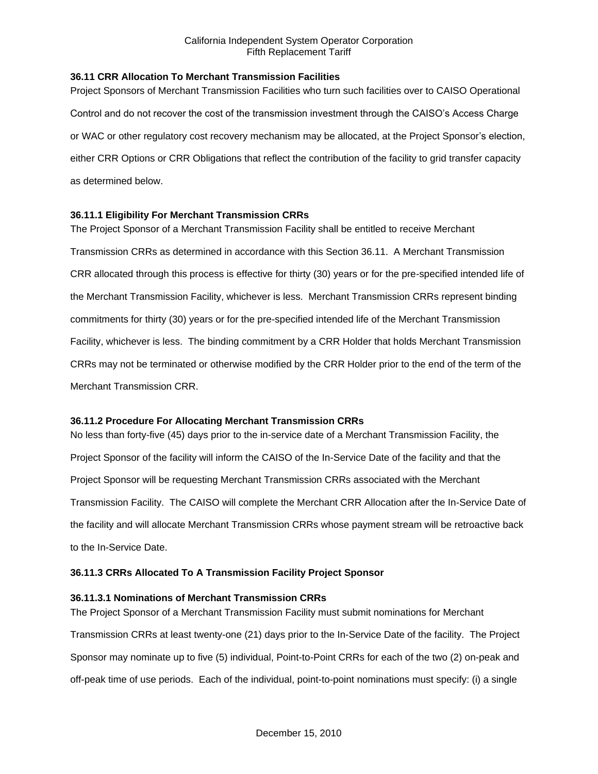## **36.11 CRR Allocation To Merchant Transmission Facilities**

Project Sponsors of Merchant Transmission Facilities who turn such facilities over to CAISO Operational Control and do not recover the cost of the transmission investment through the CAISO's Access Charge or WAC or other regulatory cost recovery mechanism may be allocated, at the Project Sponsor's election, either CRR Options or CRR Obligations that reflect the contribution of the facility to grid transfer capacity as determined below.

## **36.11.1 Eligibility For Merchant Transmission CRRs**

The Project Sponsor of a Merchant Transmission Facility shall be entitled to receive Merchant Transmission CRRs as determined in accordance with this Section 36.11. A Merchant Transmission CRR allocated through this process is effective for thirty (30) years or for the pre-specified intended life of the Merchant Transmission Facility, whichever is less. Merchant Transmission CRRs represent binding commitments for thirty (30) years or for the pre-specified intended life of the Merchant Transmission Facility, whichever is less. The binding commitment by a CRR Holder that holds Merchant Transmission CRRs may not be terminated or otherwise modified by the CRR Holder prior to the end of the term of the Merchant Transmission CRR.

#### **36.11.2 Procedure For Allocating Merchant Transmission CRRs**

No less than forty-five (45) days prior to the in-service date of a Merchant Transmission Facility, the Project Sponsor of the facility will inform the CAISO of the In-Service Date of the facility and that the Project Sponsor will be requesting Merchant Transmission CRRs associated with the Merchant Transmission Facility. The CAISO will complete the Merchant CRR Allocation after the In-Service Date of the facility and will allocate Merchant Transmission CRRs whose payment stream will be retroactive back to the In-Service Date.

#### **36.11.3 CRRs Allocated To A Transmission Facility Project Sponsor**

#### **36.11.3.1 Nominations of Merchant Transmission CRRs**

The Project Sponsor of a Merchant Transmission Facility must submit nominations for Merchant Transmission CRRs at least twenty-one (21) days prior to the In-Service Date of the facility. The Project Sponsor may nominate up to five (5) individual, Point-to-Point CRRs for each of the two (2) on-peak and off-peak time of use periods. Each of the individual, point-to-point nominations must specify: (i) a single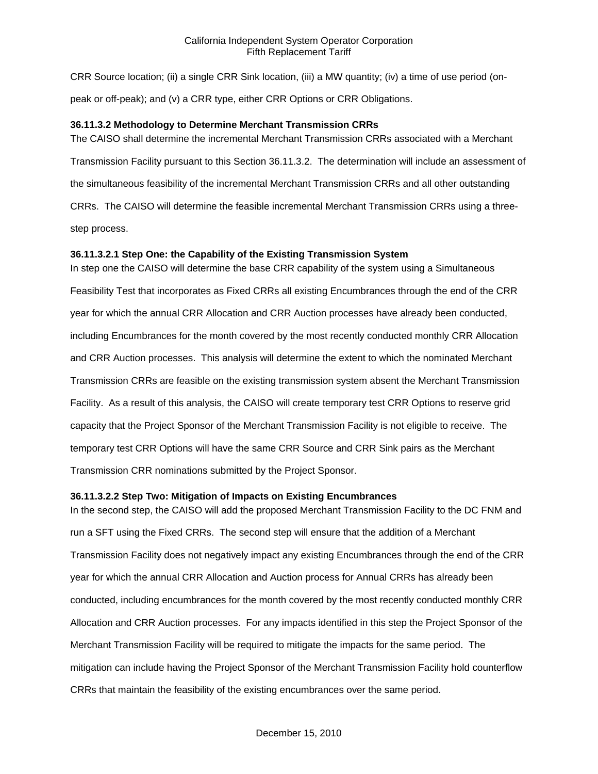CRR Source location; (ii) a single CRR Sink location, (iii) a MW quantity; (iv) a time of use period (onpeak or off-peak); and (v) a CRR type, either CRR Options or CRR Obligations.

### **36.11.3.2 Methodology to Determine Merchant Transmission CRRs**

The CAISO shall determine the incremental Merchant Transmission CRRs associated with a Merchant Transmission Facility pursuant to this Section 36.11.3.2. The determination will include an assessment of the simultaneous feasibility of the incremental Merchant Transmission CRRs and all other outstanding CRRs. The CAISO will determine the feasible incremental Merchant Transmission CRRs using a threestep process.

## **36.11.3.2.1 Step One: the Capability of the Existing Transmission System**

In step one the CAISO will determine the base CRR capability of the system using a Simultaneous Feasibility Test that incorporates as Fixed CRRs all existing Encumbrances through the end of the CRR year for which the annual CRR Allocation and CRR Auction processes have already been conducted, including Encumbrances for the month covered by the most recently conducted monthly CRR Allocation and CRR Auction processes. This analysis will determine the extent to which the nominated Merchant Transmission CRRs are feasible on the existing transmission system absent the Merchant Transmission Facility. As a result of this analysis, the CAISO will create temporary test CRR Options to reserve grid capacity that the Project Sponsor of the Merchant Transmission Facility is not eligible to receive. The temporary test CRR Options will have the same CRR Source and CRR Sink pairs as the Merchant Transmission CRR nominations submitted by the Project Sponsor.

#### **36.11.3.2.2 Step Two: Mitigation of Impacts on Existing Encumbrances**

In the second step, the CAISO will add the proposed Merchant Transmission Facility to the DC FNM and run a SFT using the Fixed CRRs. The second step will ensure that the addition of a Merchant Transmission Facility does not negatively impact any existing Encumbrances through the end of the CRR year for which the annual CRR Allocation and Auction process for Annual CRRs has already been conducted, including encumbrances for the month covered by the most recently conducted monthly CRR Allocation and CRR Auction processes. For any impacts identified in this step the Project Sponsor of the Merchant Transmission Facility will be required to mitigate the impacts for the same period. The mitigation can include having the Project Sponsor of the Merchant Transmission Facility hold counterflow CRRs that maintain the feasibility of the existing encumbrances over the same period.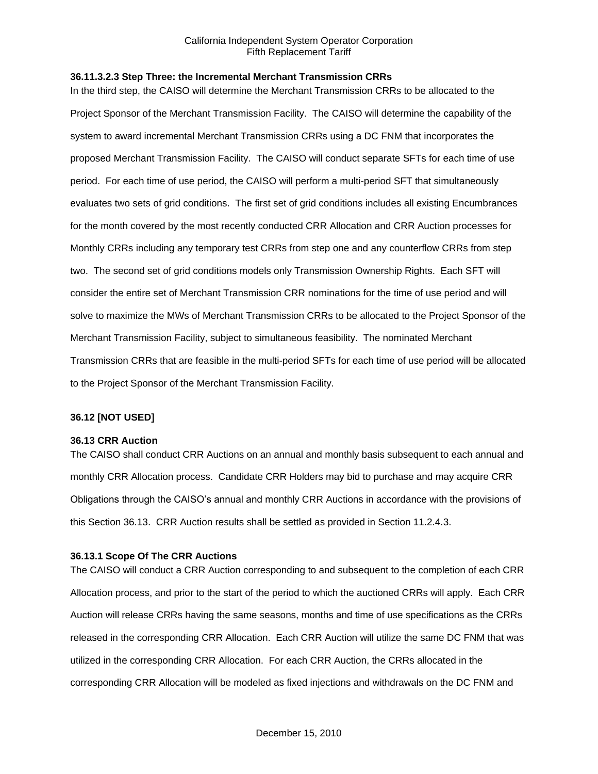#### **36.11.3.2.3 Step Three: the Incremental Merchant Transmission CRRs**

In the third step, the CAISO will determine the Merchant Transmission CRRs to be allocated to the Project Sponsor of the Merchant Transmission Facility. The CAISO will determine the capability of the system to award incremental Merchant Transmission CRRs using a DC FNM that incorporates the proposed Merchant Transmission Facility. The CAISO will conduct separate SFTs for each time of use period. For each time of use period, the CAISO will perform a multi-period SFT that simultaneously evaluates two sets of grid conditions. The first set of grid conditions includes all existing Encumbrances for the month covered by the most recently conducted CRR Allocation and CRR Auction processes for Monthly CRRs including any temporary test CRRs from step one and any counterflow CRRs from step two. The second set of grid conditions models only Transmission Ownership Rights. Each SFT will consider the entire set of Merchant Transmission CRR nominations for the time of use period and will solve to maximize the MWs of Merchant Transmission CRRs to be allocated to the Project Sponsor of the Merchant Transmission Facility, subject to simultaneous feasibility. The nominated Merchant Transmission CRRs that are feasible in the multi-period SFTs for each time of use period will be allocated to the Project Sponsor of the Merchant Transmission Facility.

#### **36.12 [NOT USED]**

#### **36.13 CRR Auction**

The CAISO shall conduct CRR Auctions on an annual and monthly basis subsequent to each annual and monthly CRR Allocation process. Candidate CRR Holders may bid to purchase and may acquire CRR Obligations through the CAISO's annual and monthly CRR Auctions in accordance with the provisions of this Section 36.13. CRR Auction results shall be settled as provided in Section 11.2.4.3.

#### **36.13.1 Scope Of The CRR Auctions**

The CAISO will conduct a CRR Auction corresponding to and subsequent to the completion of each CRR Allocation process, and prior to the start of the period to which the auctioned CRRs will apply. Each CRR Auction will release CRRs having the same seasons, months and time of use specifications as the CRRs released in the corresponding CRR Allocation. Each CRR Auction will utilize the same DC FNM that was utilized in the corresponding CRR Allocation. For each CRR Auction, the CRRs allocated in the corresponding CRR Allocation will be modeled as fixed injections and withdrawals on the DC FNM and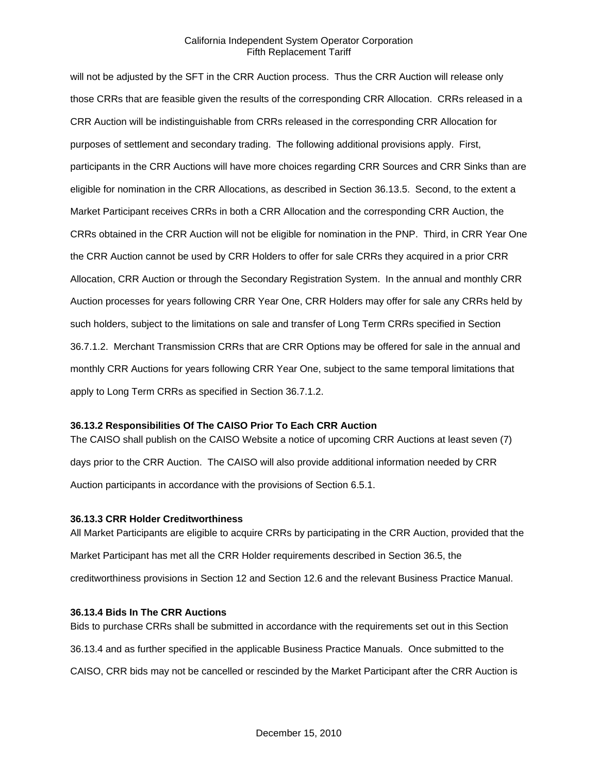will not be adjusted by the SFT in the CRR Auction process. Thus the CRR Auction will release only those CRRs that are feasible given the results of the corresponding CRR Allocation. CRRs released in a CRR Auction will be indistinguishable from CRRs released in the corresponding CRR Allocation for purposes of settlement and secondary trading. The following additional provisions apply. First, participants in the CRR Auctions will have more choices regarding CRR Sources and CRR Sinks than are eligible for nomination in the CRR Allocations, as described in Section 36.13.5. Second, to the extent a Market Participant receives CRRs in both a CRR Allocation and the corresponding CRR Auction, the CRRs obtained in the CRR Auction will not be eligible for nomination in the PNP. Third, in CRR Year One the CRR Auction cannot be used by CRR Holders to offer for sale CRRs they acquired in a prior CRR Allocation, CRR Auction or through the Secondary Registration System. In the annual and monthly CRR Auction processes for years following CRR Year One, CRR Holders may offer for sale any CRRs held by such holders, subject to the limitations on sale and transfer of Long Term CRRs specified in Section 36.7.1.2. Merchant Transmission CRRs that are CRR Options may be offered for sale in the annual and monthly CRR Auctions for years following CRR Year One, subject to the same temporal limitations that apply to Long Term CRRs as specified in Section 36.7.1.2.

#### **36.13.2 Responsibilities Of The CAISO Prior To Each CRR Auction**

The CAISO shall publish on the CAISO Website a notice of upcoming CRR Auctions at least seven (7) days prior to the CRR Auction. The CAISO will also provide additional information needed by CRR Auction participants in accordance with the provisions of Section 6.5.1.

#### **36.13.3 CRR Holder Creditworthiness**

All Market Participants are eligible to acquire CRRs by participating in the CRR Auction, provided that the Market Participant has met all the CRR Holder requirements described in Section 36.5, the creditworthiness provisions in Section 12 and Section 12.6 and the relevant Business Practice Manual.

### **36.13.4 Bids In The CRR Auctions**

Bids to purchase CRRs shall be submitted in accordance with the requirements set out in this Section 36.13.4 and as further specified in the applicable Business Practice Manuals. Once submitted to the CAISO, CRR bids may not be cancelled or rescinded by the Market Participant after the CRR Auction is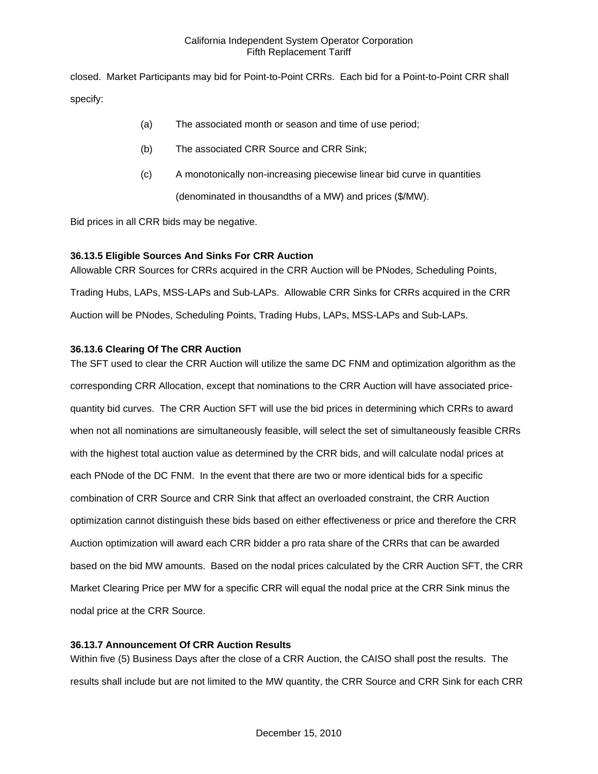closed. Market Participants may bid for Point-to-Point CRRs. Each bid for a Point-to-Point CRR shall specify:

- (a) The associated month or season and time of use period;
- (b) The associated CRR Source and CRR Sink;
- (c) A monotonically non-increasing piecewise linear bid curve in quantities

(denominated in thousandths of a MW) and prices (\$/MW).

Bid prices in all CRR bids may be negative.

# **36.13.5 Eligible Sources And Sinks For CRR Auction**

Allowable CRR Sources for CRRs acquired in the CRR Auction will be PNodes, Scheduling Points, Trading Hubs, LAPs, MSS-LAPs and Sub-LAPs. Allowable CRR Sinks for CRRs acquired in the CRR Auction will be PNodes, Scheduling Points, Trading Hubs, LAPs, MSS-LAPs and Sub-LAPs.

# **36.13.6 Clearing Of The CRR Auction**

The SFT used to clear the CRR Auction will utilize the same DC FNM and optimization algorithm as the corresponding CRR Allocation, except that nominations to the CRR Auction will have associated pricequantity bid curves. The CRR Auction SFT will use the bid prices in determining which CRRs to award when not all nominations are simultaneously feasible, will select the set of simultaneously feasible CRRs with the highest total auction value as determined by the CRR bids, and will calculate nodal prices at each PNode of the DC FNM. In the event that there are two or more identical bids for a specific combination of CRR Source and CRR Sink that affect an overloaded constraint, the CRR Auction optimization cannot distinguish these bids based on either effectiveness or price and therefore the CRR Auction optimization will award each CRR bidder a pro rata share of the CRRs that can be awarded based on the bid MW amounts. Based on the nodal prices calculated by the CRR Auction SFT, the CRR Market Clearing Price per MW for a specific CRR will equal the nodal price at the CRR Sink minus the nodal price at the CRR Source.

# **36.13.7 Announcement Of CRR Auction Results**

Within five (5) Business Days after the close of a CRR Auction, the CAISO shall post the results. The results shall include but are not limited to the MW quantity, the CRR Source and CRR Sink for each CRR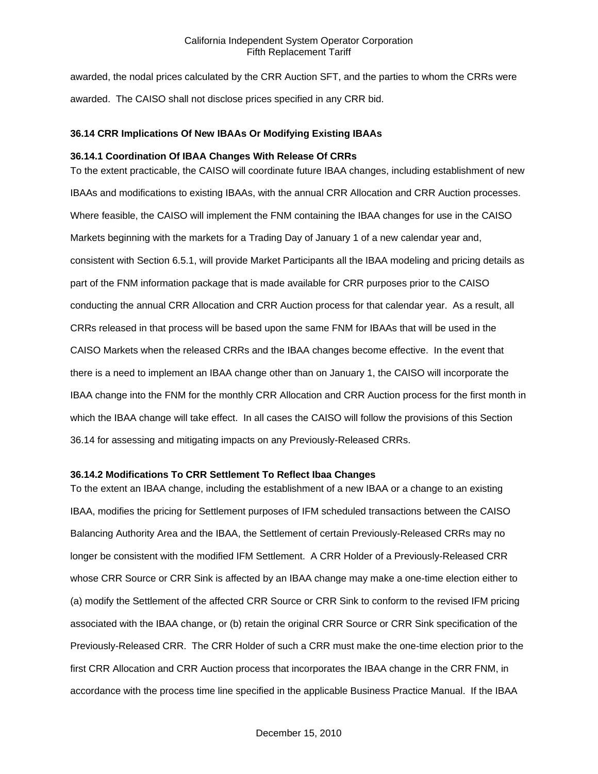awarded, the nodal prices calculated by the CRR Auction SFT, and the parties to whom the CRRs were awarded. The CAISO shall not disclose prices specified in any CRR bid.

### **36.14 CRR Implications Of New IBAAs Or Modifying Existing IBAAs**

#### **36.14.1 Coordination Of IBAA Changes With Release Of CRRs**

To the extent practicable, the CAISO will coordinate future IBAA changes, including establishment of new IBAAs and modifications to existing IBAAs, with the annual CRR Allocation and CRR Auction processes. Where feasible, the CAISO will implement the FNM containing the IBAA changes for use in the CAISO Markets beginning with the markets for a Trading Day of January 1 of a new calendar year and, consistent with Section 6.5.1, will provide Market Participants all the IBAA modeling and pricing details as part of the FNM information package that is made available for CRR purposes prior to the CAISO conducting the annual CRR Allocation and CRR Auction process for that calendar year. As a result, all CRRs released in that process will be based upon the same FNM for IBAAs that will be used in the CAISO Markets when the released CRRs and the IBAA changes become effective. In the event that there is a need to implement an IBAA change other than on January 1, the CAISO will incorporate the IBAA change into the FNM for the monthly CRR Allocation and CRR Auction process for the first month in which the IBAA change will take effect. In all cases the CAISO will follow the provisions of this Section 36.14 for assessing and mitigating impacts on any Previously-Released CRRs.

#### **36.14.2 Modifications To CRR Settlement To Reflect Ibaa Changes**

To the extent an IBAA change, including the establishment of a new IBAA or a change to an existing IBAA, modifies the pricing for Settlement purposes of IFM scheduled transactions between the CAISO Balancing Authority Area and the IBAA, the Settlement of certain Previously-Released CRRs may no longer be consistent with the modified IFM Settlement. A CRR Holder of a Previously-Released CRR whose CRR Source or CRR Sink is affected by an IBAA change may make a one-time election either to (a) modify the Settlement of the affected CRR Source or CRR Sink to conform to the revised IFM pricing associated with the IBAA change, or (b) retain the original CRR Source or CRR Sink specification of the Previously-Released CRR. The CRR Holder of such a CRR must make the one-time election prior to the first CRR Allocation and CRR Auction process that incorporates the IBAA change in the CRR FNM, in accordance with the process time line specified in the applicable Business Practice Manual. If the IBAA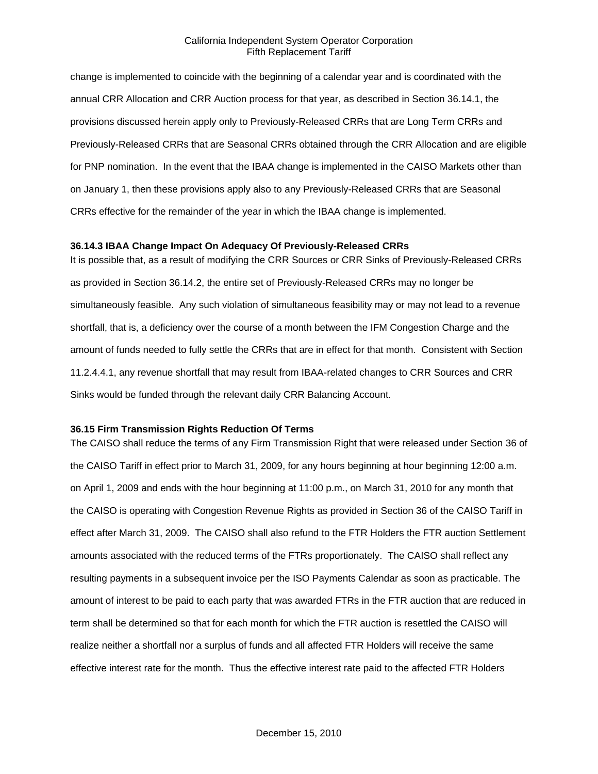change is implemented to coincide with the beginning of a calendar year and is coordinated with the annual CRR Allocation and CRR Auction process for that year, as described in Section 36.14.1, the provisions discussed herein apply only to Previously-Released CRRs that are Long Term CRRs and Previously-Released CRRs that are Seasonal CRRs obtained through the CRR Allocation and are eligible for PNP nomination. In the event that the IBAA change is implemented in the CAISO Markets other than on January 1, then these provisions apply also to any Previously-Released CRRs that are Seasonal CRRs effective for the remainder of the year in which the IBAA change is implemented.

#### **36.14.3 IBAA Change Impact On Adequacy Of Previously-Released CRRs**

It is possible that, as a result of modifying the CRR Sources or CRR Sinks of Previously-Released CRRs as provided in Section 36.14.2, the entire set of Previously-Released CRRs may no longer be simultaneously feasible. Any such violation of simultaneous feasibility may or may not lead to a revenue shortfall, that is, a deficiency over the course of a month between the IFM Congestion Charge and the amount of funds needed to fully settle the CRRs that are in effect for that month. Consistent with Section 11.2.4.4.1, any revenue shortfall that may result from IBAA-related changes to CRR Sources and CRR Sinks would be funded through the relevant daily CRR Balancing Account.

#### **36.15 Firm Transmission Rights Reduction Of Terms**

The CAISO shall reduce the terms of any Firm Transmission Right that were released under Section 36 of the CAISO Tariff in effect prior to March 31, 2009, for any hours beginning at hour beginning 12:00 a.m. on April 1, 2009 and ends with the hour beginning at 11:00 p.m., on March 31, 2010 for any month that the CAISO is operating with Congestion Revenue Rights as provided in Section 36 of the CAISO Tariff in effect after March 31, 2009. The CAISO shall also refund to the FTR Holders the FTR auction Settlement amounts associated with the reduced terms of the FTRs proportionately. The CAISO shall reflect any resulting payments in a subsequent invoice per the ISO Payments Calendar as soon as practicable. The amount of interest to be paid to each party that was awarded FTRs in the FTR auction that are reduced in term shall be determined so that for each month for which the FTR auction is resettled the CAISO will realize neither a shortfall nor a surplus of funds and all affected FTR Holders will receive the same effective interest rate for the month. Thus the effective interest rate paid to the affected FTR Holders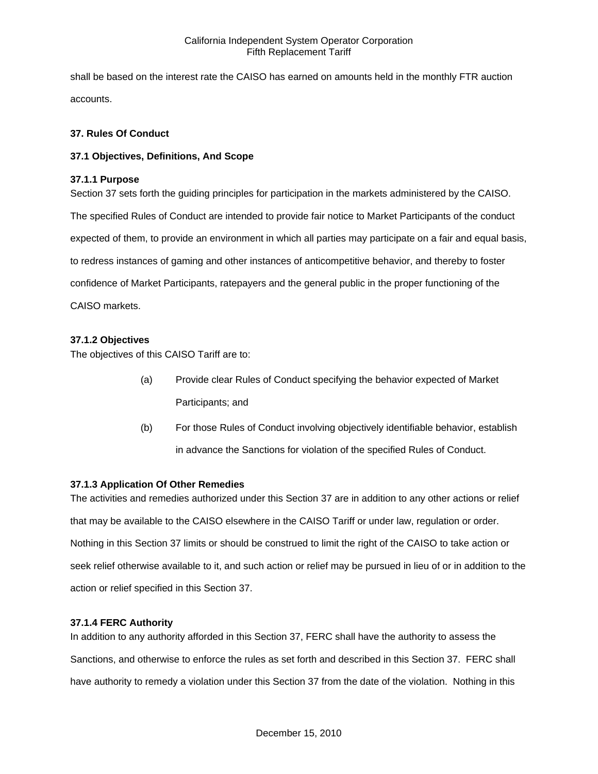shall be based on the interest rate the CAISO has earned on amounts held in the monthly FTR auction accounts.

## **37. Rules Of Conduct**

## **37.1 Objectives, Definitions, And Scope**

## **37.1.1 Purpose**

Section 37 sets forth the guiding principles for participation in the markets administered by the CAISO. The specified Rules of Conduct are intended to provide fair notice to Market Participants of the conduct expected of them, to provide an environment in which all parties may participate on a fair and equal basis, to redress instances of gaming and other instances of anticompetitive behavior, and thereby to foster confidence of Market Participants, ratepayers and the general public in the proper functioning of the CAISO markets.

# **37.1.2 Objectives**

The objectives of this CAISO Tariff are to:

- (a) Provide clear Rules of Conduct specifying the behavior expected of Market Participants; and
- (b) For those Rules of Conduct involving objectively identifiable behavior, establish in advance the Sanctions for violation of the specified Rules of Conduct.

#### **37.1.3 Application Of Other Remedies**

The activities and remedies authorized under this Section 37 are in addition to any other actions or relief that may be available to the CAISO elsewhere in the CAISO Tariff or under law, regulation or order. Nothing in this Section 37 limits or should be construed to limit the right of the CAISO to take action or seek relief otherwise available to it, and such action or relief may be pursued in lieu of or in addition to the action or relief specified in this Section 37.

#### **37.1.4 FERC Authority**

In addition to any authority afforded in this Section 37, FERC shall have the authority to assess the Sanctions, and otherwise to enforce the rules as set forth and described in this Section 37. FERC shall have authority to remedy a violation under this Section 37 from the date of the violation. Nothing in this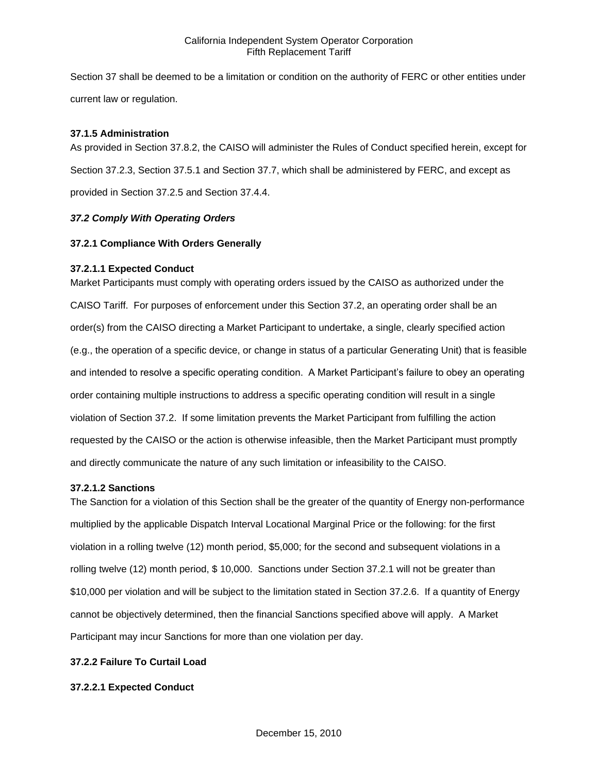Section 37 shall be deemed to be a limitation or condition on the authority of FERC or other entities under current law or regulation.

### **37.1.5 Administration**

As provided in Section 37.8.2, the CAISO will administer the Rules of Conduct specified herein, except for Section 37.2.3, Section 37.5.1 and Section 37.7, which shall be administered by FERC, and except as provided in Section 37.2.5 and Section 37.4.4.

## *37.2 Comply With Operating Orders*

## **37.2.1 Compliance With Orders Generally**

## **37.2.1.1 Expected Conduct**

Market Participants must comply with operating orders issued by the CAISO as authorized under the CAISO Tariff. For purposes of enforcement under this Section 37.2, an operating order shall be an order(s) from the CAISO directing a Market Participant to undertake, a single, clearly specified action (e.g., the operation of a specific device, or change in status of a particular Generating Unit) that is feasible and intended to resolve a specific operating condition. A Market Participant's failure to obey an operating order containing multiple instructions to address a specific operating condition will result in a single violation of Section 37.2. If some limitation prevents the Market Participant from fulfilling the action requested by the CAISO or the action is otherwise infeasible, then the Market Participant must promptly and directly communicate the nature of any such limitation or infeasibility to the CAISO.

#### **37.2.1.2 Sanctions**

The Sanction for a violation of this Section shall be the greater of the quantity of Energy non-performance multiplied by the applicable Dispatch Interval Locational Marginal Price or the following: for the first violation in a rolling twelve (12) month period, \$5,000; for the second and subsequent violations in a rolling twelve (12) month period, \$ 10,000. Sanctions under Section 37.2.1 will not be greater than \$10,000 per violation and will be subject to the limitation stated in Section 37.2.6. If a quantity of Energy cannot be objectively determined, then the financial Sanctions specified above will apply. A Market Participant may incur Sanctions for more than one violation per day.

## **37.2.2 Failure To Curtail Load**

# **37.2.2.1 Expected Conduct**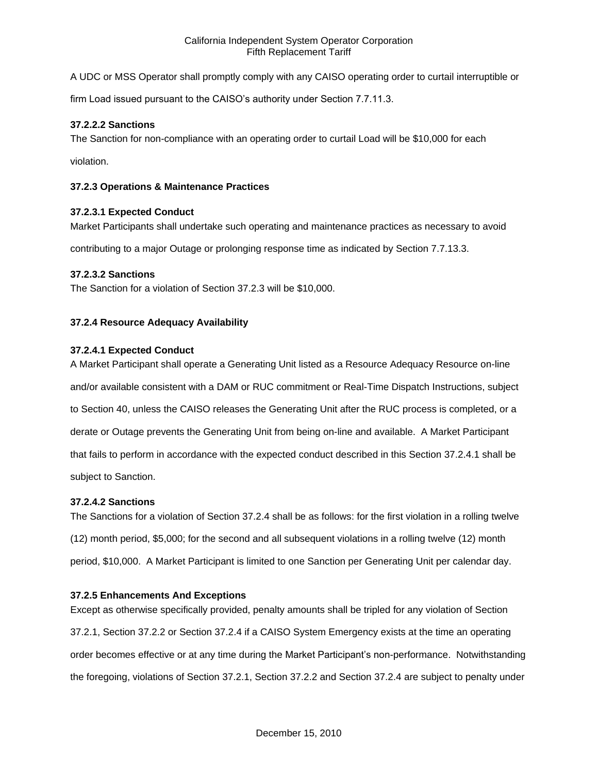A UDC or MSS Operator shall promptly comply with any CAISO operating order to curtail interruptible or

firm Load issued pursuant to the CAISO's authority under Section 7.7.11.3.

## **37.2.2.2 Sanctions**

The Sanction for non-compliance with an operating order to curtail Load will be \$10,000 for each

violation.

## **37.2.3 Operations & Maintenance Practices**

## **37.2.3.1 Expected Conduct**

Market Participants shall undertake such operating and maintenance practices as necessary to avoid

contributing to a major Outage or prolonging response time as indicated by Section 7.7.13.3.

# **37.2.3.2 Sanctions**

The Sanction for a violation of Section 37.2.3 will be \$10,000.

## **37.2.4 Resource Adequacy Availability**

#### **37.2.4.1 Expected Conduct**

A Market Participant shall operate a Generating Unit listed as a Resource Adequacy Resource on-line and/or available consistent with a DAM or RUC commitment or Real-Time Dispatch Instructions, subject to Section 40, unless the CAISO releases the Generating Unit after the RUC process is completed, or a derate or Outage prevents the Generating Unit from being on-line and available. A Market Participant that fails to perform in accordance with the expected conduct described in this Section 37.2.4.1 shall be subject to Sanction.

#### **37.2.4.2 Sanctions**

The Sanctions for a violation of Section 37.2.4 shall be as follows: for the first violation in a rolling twelve (12) month period, \$5,000; for the second and all subsequent violations in a rolling twelve (12) month period, \$10,000. A Market Participant is limited to one Sanction per Generating Unit per calendar day.

#### **37.2.5 Enhancements And Exceptions**

Except as otherwise specifically provided, penalty amounts shall be tripled for any violation of Section 37.2.1, Section 37.2.2 or Section 37.2.4 if a CAISO System Emergency exists at the time an operating order becomes effective or at any time during the Market Participant's non-performance. Notwithstanding the foregoing, violations of Section 37.2.1, Section 37.2.2 and Section 37.2.4 are subject to penalty under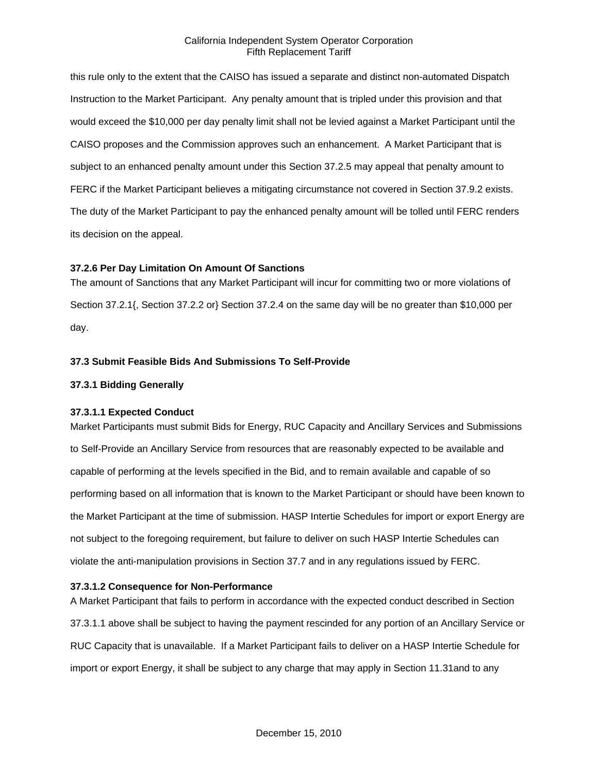this rule only to the extent that the CAISO has issued a separate and distinct non-automated Dispatch Instruction to the Market Participant. Any penalty amount that is tripled under this provision and that would exceed the \$10,000 per day penalty limit shall not be levied against a Market Participant until the CAISO proposes and the Commission approves such an enhancement. A Market Participant that is subject to an enhanced penalty amount under this Section 37.2.5 may appeal that penalty amount to FERC if the Market Participant believes a mitigating circumstance not covered in Section 37.9.2 exists. The duty of the Market Participant to pay the enhanced penalty amount will be tolled until FERC renders its decision on the appeal.

## **37.2.6 Per Day Limitation On Amount Of Sanctions**

The amount of Sanctions that any Market Participant will incur for committing two or more violations of Section 37.2.1{, Section 37.2.2 or} Section 37.2.4 on the same day will be no greater than \$10,000 per day.

## **37.3 Submit Feasible Bids And Submissions To Self-Provide**

## **37.3.1 Bidding Generally**

#### **37.3.1.1 Expected Conduct**

Market Participants must submit Bids for Energy, RUC Capacity and Ancillary Services and Submissions to Self-Provide an Ancillary Service from resources that are reasonably expected to be available and capable of performing at the levels specified in the Bid, and to remain available and capable of so performing based on all information that is known to the Market Participant or should have been known to the Market Participant at the time of submission. HASP Intertie Schedules for import or export Energy are not subject to the foregoing requirement, but failure to deliver on such HASP Intertie Schedules can violate the anti-manipulation provisions in Section 37.7 and in any regulations issued by FERC.

#### **37.3.1.2 Consequence for Non-Performance**

A Market Participant that fails to perform in accordance with the expected conduct described in Section 37.3.1.1 above shall be subject to having the payment rescinded for any portion of an Ancillary Service or RUC Capacity that is unavailable. If a Market Participant fails to deliver on a HASP Intertie Schedule for import or export Energy, it shall be subject to any charge that may apply in Section 11.31and to any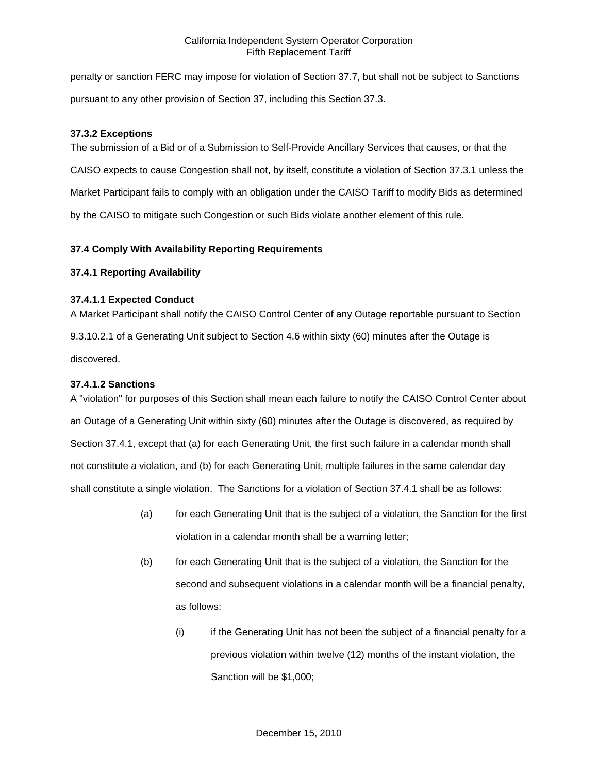penalty or sanction FERC may impose for violation of Section 37.7, but shall not be subject to Sanctions pursuant to any other provision of Section 37, including this Section 37.3.

## **37.3.2 Exceptions**

The submission of a Bid or of a Submission to Self-Provide Ancillary Services that causes, or that the CAISO expects to cause Congestion shall not, by itself, constitute a violation of Section 37.3.1 unless the Market Participant fails to comply with an obligation under the CAISO Tariff to modify Bids as determined by the CAISO to mitigate such Congestion or such Bids violate another element of this rule.

# **37.4 Comply With Availability Reporting Requirements**

## **37.4.1 Reporting Availability**

## **37.4.1.1 Expected Conduct**

A Market Participant shall notify the CAISO Control Center of any Outage reportable pursuant to Section 9.3.10.2.1 of a Generating Unit subject to Section 4.6 within sixty (60) minutes after the Outage is discovered.

## **37.4.1.2 Sanctions**

A "violation" for purposes of this Section shall mean each failure to notify the CAISO Control Center about an Outage of a Generating Unit within sixty (60) minutes after the Outage is discovered, as required by Section 37.4.1, except that (a) for each Generating Unit, the first such failure in a calendar month shall not constitute a violation, and (b) for each Generating Unit, multiple failures in the same calendar day shall constitute a single violation. The Sanctions for a violation of Section 37.4.1 shall be as follows:

- (a) for each Generating Unit that is the subject of a violation, the Sanction for the first violation in a calendar month shall be a warning letter;
- (b) for each Generating Unit that is the subject of a violation, the Sanction for the second and subsequent violations in a calendar month will be a financial penalty, as follows:
	- (i) if the Generating Unit has not been the subject of a financial penalty for a previous violation within twelve (12) months of the instant violation, the Sanction will be \$1,000;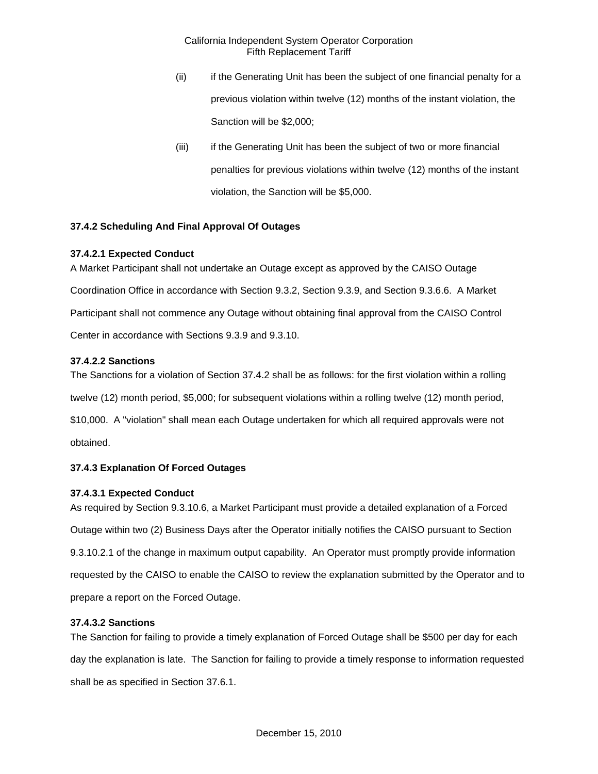- (ii) if the Generating Unit has been the subject of one financial penalty for a previous violation within twelve (12) months of the instant violation, the Sanction will be \$2,000;
- (iii) if the Generating Unit has been the subject of two or more financial penalties for previous violations within twelve (12) months of the instant violation, the Sanction will be \$5,000.

# **37.4.2 Scheduling And Final Approval Of Outages**

# **37.4.2.1 Expected Conduct**

A Market Participant shall not undertake an Outage except as approved by the CAISO Outage Coordination Office in accordance with Section 9.3.2, Section 9.3.9, and Section 9.3.6.6. A Market Participant shall not commence any Outage without obtaining final approval from the CAISO Control Center in accordance with Sections 9.3.9 and 9.3.10.

# **37.4.2.2 Sanctions**

The Sanctions for a violation of Section 37.4.2 shall be as follows: for the first violation within a rolling twelve (12) month period, \$5,000; for subsequent violations within a rolling twelve (12) month period, \$10,000. A "violation" shall mean each Outage undertaken for which all required approvals were not

obtained.

# **37.4.3 Explanation Of Forced Outages**

# **37.4.3.1 Expected Conduct**

As required by Section 9.3.10.6, a Market Participant must provide a detailed explanation of a Forced Outage within two (2) Business Days after the Operator initially notifies the CAISO pursuant to Section 9.3.10.2.1 of the change in maximum output capability. An Operator must promptly provide information requested by the CAISO to enable the CAISO to review the explanation submitted by the Operator and to prepare a report on the Forced Outage.

# **37.4.3.2 Sanctions**

The Sanction for failing to provide a timely explanation of Forced Outage shall be \$500 per day for each day the explanation is late. The Sanction for failing to provide a timely response to information requested shall be as specified in Section 37.6.1.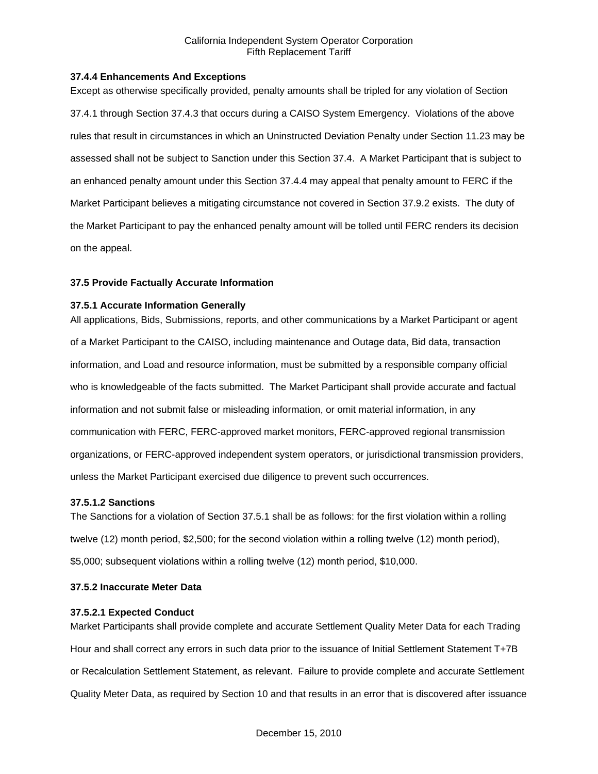### **37.4.4 Enhancements And Exceptions**

Except as otherwise specifically provided, penalty amounts shall be tripled for any violation of Section 37.4.1 through Section 37.4.3 that occurs during a CAISO System Emergency. Violations of the above rules that result in circumstances in which an Uninstructed Deviation Penalty under Section 11.23 may be assessed shall not be subject to Sanction under this Section 37.4. A Market Participant that is subject to an enhanced penalty amount under this Section 37.4.4 may appeal that penalty amount to FERC if the Market Participant believes a mitigating circumstance not covered in Section 37.9.2 exists. The duty of the Market Participant to pay the enhanced penalty amount will be tolled until FERC renders its decision on the appeal.

## **37.5 Provide Factually Accurate Information**

## **37.5.1 Accurate Information Generally**

All applications, Bids, Submissions, reports, and other communications by a Market Participant or agent of a Market Participant to the CAISO, including maintenance and Outage data, Bid data, transaction information, and Load and resource information, must be submitted by a responsible company official who is knowledgeable of the facts submitted. The Market Participant shall provide accurate and factual information and not submit false or misleading information, or omit material information, in any communication with FERC, FERC-approved market monitors, FERC-approved regional transmission organizations, or FERC-approved independent system operators, or jurisdictional transmission providers, unless the Market Participant exercised due diligence to prevent such occurrences.

#### **37.5.1.2 Sanctions**

The Sanctions for a violation of Section 37.5.1 shall be as follows: for the first violation within a rolling twelve (12) month period, \$2,500; for the second violation within a rolling twelve (12) month period), \$5,000; subsequent violations within a rolling twelve (12) month period, \$10,000.

# **37.5.2 Inaccurate Meter Data**

#### **37.5.2.1 Expected Conduct**

Market Participants shall provide complete and accurate Settlement Quality Meter Data for each Trading Hour and shall correct any errors in such data prior to the issuance of Initial Settlement Statement T+7B or Recalculation Settlement Statement, as relevant. Failure to provide complete and accurate Settlement Quality Meter Data, as required by Section 10 and that results in an error that is discovered after issuance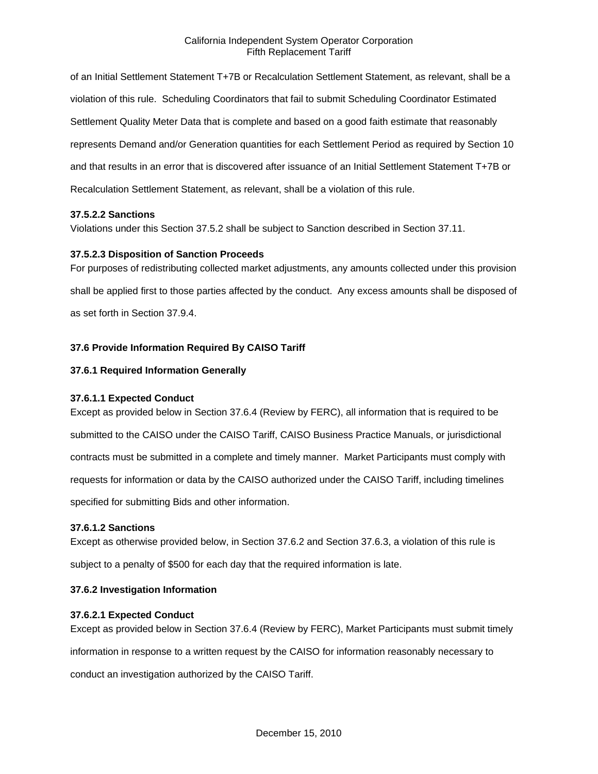of an Initial Settlement Statement T+7B or Recalculation Settlement Statement, as relevant, shall be a violation of this rule. Scheduling Coordinators that fail to submit Scheduling Coordinator Estimated Settlement Quality Meter Data that is complete and based on a good faith estimate that reasonably represents Demand and/or Generation quantities for each Settlement Period as required by Section 10 and that results in an error that is discovered after issuance of an Initial Settlement Statement T+7B or Recalculation Settlement Statement, as relevant, shall be a violation of this rule.

## **37.5.2.2 Sanctions**

Violations under this Section 37.5.2 shall be subject to Sanction described in Section 37.11.

## **37.5.2.3 Disposition of Sanction Proceeds**

For purposes of redistributing collected market adjustments, any amounts collected under this provision shall be applied first to those parties affected by the conduct. Any excess amounts shall be disposed of as set forth in Section 37.9.4.

# **37.6 Provide Information Required By CAISO Tariff**

## **37.6.1 Required Information Generally**

# **37.6.1.1 Expected Conduct**

Except as provided below in Section 37.6.4 (Review by FERC), all information that is required to be submitted to the CAISO under the CAISO Tariff, CAISO Business Practice Manuals, or jurisdictional contracts must be submitted in a complete and timely manner. Market Participants must comply with requests for information or data by the CAISO authorized under the CAISO Tariff, including timelines specified for submitting Bids and other information.

#### **37.6.1.2 Sanctions**

Except as otherwise provided below, in Section 37.6.2 and Section 37.6.3, a violation of this rule is subject to a penalty of \$500 for each day that the required information is late.

#### **37.6.2 Investigation Information**

# **37.6.2.1 Expected Conduct**

Except as provided below in Section 37.6.4 (Review by FERC), Market Participants must submit timely

information in response to a written request by the CAISO for information reasonably necessary to

conduct an investigation authorized by the CAISO Tariff.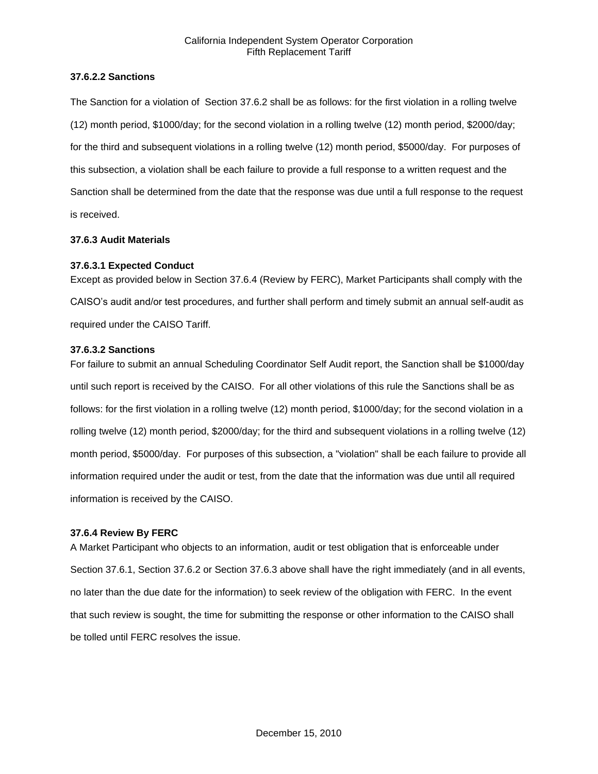### **37.6.2.2 Sanctions**

The Sanction for a violation of Section 37.6.2 shall be as follows: for the first violation in a rolling twelve (12) month period, \$1000/day; for the second violation in a rolling twelve (12) month period, \$2000/day; for the third and subsequent violations in a rolling twelve (12) month period, \$5000/day. For purposes of this subsection, a violation shall be each failure to provide a full response to a written request and the Sanction shall be determined from the date that the response was due until a full response to the request is received.

## **37.6.3 Audit Materials**

## **37.6.3.1 Expected Conduct**

Except as provided below in Section 37.6.4 (Review by FERC), Market Participants shall comply with the CAISO's audit and/or test procedures, and further shall perform and timely submit an annual self-audit as required under the CAISO Tariff.

## **37.6.3.2 Sanctions**

For failure to submit an annual Scheduling Coordinator Self Audit report, the Sanction shall be \$1000/day until such report is received by the CAISO. For all other violations of this rule the Sanctions shall be as follows: for the first violation in a rolling twelve (12) month period, \$1000/day; for the second violation in a rolling twelve (12) month period, \$2000/day; for the third and subsequent violations in a rolling twelve (12) month period, \$5000/day. For purposes of this subsection, a "violation" shall be each failure to provide all information required under the audit or test, from the date that the information was due until all required information is received by the CAISO.

#### **37.6.4 Review By FERC**

A Market Participant who objects to an information, audit or test obligation that is enforceable under Section 37.6.1, Section 37.6.2 or Section 37.6.3 above shall have the right immediately (and in all events, no later than the due date for the information) to seek review of the obligation with FERC. In the event that such review is sought, the time for submitting the response or other information to the CAISO shall be tolled until FERC resolves the issue.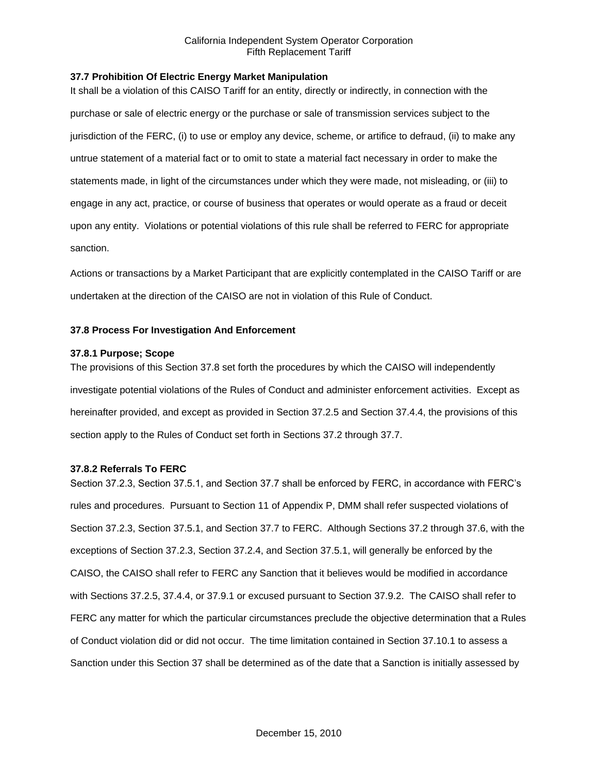## **37.7 Prohibition Of Electric Energy Market Manipulation**

It shall be a violation of this CAISO Tariff for an entity, directly or indirectly, in connection with the purchase or sale of electric energy or the purchase or sale of transmission services subject to the jurisdiction of the FERC, (i) to use or employ any device, scheme, or artifice to defraud, (ii) to make any untrue statement of a material fact or to omit to state a material fact necessary in order to make the statements made, in light of the circumstances under which they were made, not misleading, or (iii) to engage in any act, practice, or course of business that operates or would operate as a fraud or deceit upon any entity. Violations or potential violations of this rule shall be referred to FERC for appropriate sanction.

Actions or transactions by a Market Participant that are explicitly contemplated in the CAISO Tariff or are undertaken at the direction of the CAISO are not in violation of this Rule of Conduct.

## **37.8 Process For Investigation And Enforcement**

#### **37.8.1 Purpose; Scope**

The provisions of this Section 37.8 set forth the procedures by which the CAISO will independently investigate potential violations of the Rules of Conduct and administer enforcement activities. Except as hereinafter provided, and except as provided in Section 37.2.5 and Section 37.4.4, the provisions of this section apply to the Rules of Conduct set forth in Sections 37.2 through 37.7.

#### **37.8.2 Referrals To FERC**

Section 37.2.3, Section 37.5.1, and Section 37.7 shall be enforced by FERC, in accordance with FERC's rules and procedures. Pursuant to Section 11 of Appendix P, DMM shall refer suspected violations of Section 37.2.3, Section 37.5.1, and Section 37.7 to FERC. Although Sections 37.2 through 37.6, with the exceptions of Section 37.2.3, Section 37.2.4, and Section 37.5.1, will generally be enforced by the CAISO, the CAISO shall refer to FERC any Sanction that it believes would be modified in accordance with Sections 37.2.5, 37.4.4, or 37.9.1 or excused pursuant to Section 37.9.2. The CAISO shall refer to FERC any matter for which the particular circumstances preclude the objective determination that a Rules of Conduct violation did or did not occur. The time limitation contained in Section 37.10.1 to assess a Sanction under this Section 37 shall be determined as of the date that a Sanction is initially assessed by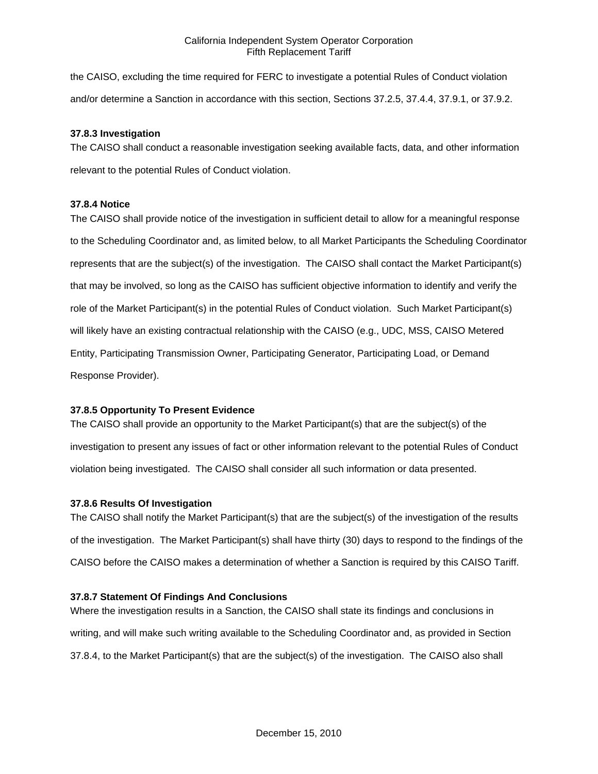the CAISO, excluding the time required for FERC to investigate a potential Rules of Conduct violation and/or determine a Sanction in accordance with this section, Sections 37.2.5, 37.4.4, 37.9.1, or 37.9.2.

## **37.8.3 Investigation**

The CAISO shall conduct a reasonable investigation seeking available facts, data, and other information relevant to the potential Rules of Conduct violation.

## **37.8.4 Notice**

The CAISO shall provide notice of the investigation in sufficient detail to allow for a meaningful response to the Scheduling Coordinator and, as limited below, to all Market Participants the Scheduling Coordinator represents that are the subject(s) of the investigation. The CAISO shall contact the Market Participant(s) that may be involved, so long as the CAISO has sufficient objective information to identify and verify the role of the Market Participant(s) in the potential Rules of Conduct violation. Such Market Participant(s) will likely have an existing contractual relationship with the CAISO (e.g., UDC, MSS, CAISO Metered Entity, Participating Transmission Owner, Participating Generator, Participating Load, or Demand Response Provider).

# **37.8.5 Opportunity To Present Evidence**

The CAISO shall provide an opportunity to the Market Participant(s) that are the subject(s) of the investigation to present any issues of fact or other information relevant to the potential Rules of Conduct violation being investigated. The CAISO shall consider all such information or data presented.

# **37.8.6 Results Of Investigation**

The CAISO shall notify the Market Participant(s) that are the subject(s) of the investigation of the results of the investigation. The Market Participant(s) shall have thirty (30) days to respond to the findings of the CAISO before the CAISO makes a determination of whether a Sanction is required by this CAISO Tariff.

# **37.8.7 Statement Of Findings And Conclusions**

Where the investigation results in a Sanction, the CAISO shall state its findings and conclusions in writing, and will make such writing available to the Scheduling Coordinator and, as provided in Section 37.8.4, to the Market Participant(s) that are the subject(s) of the investigation. The CAISO also shall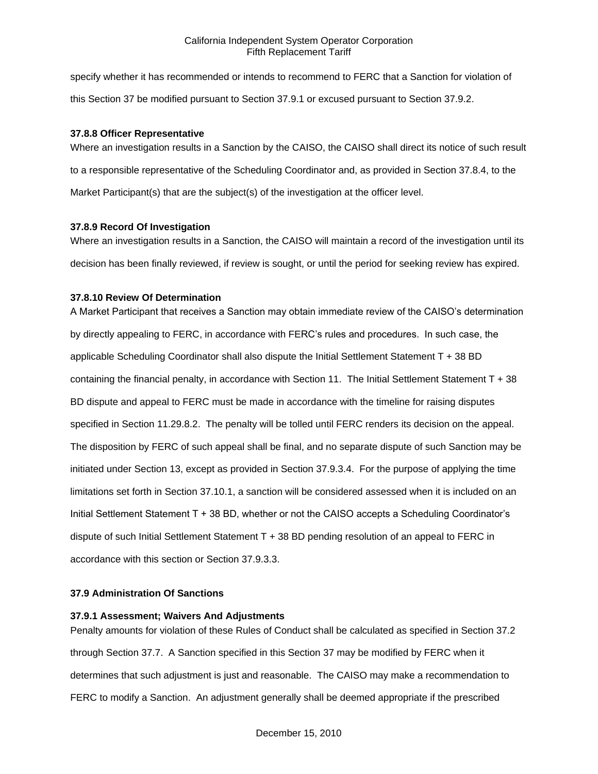specify whether it has recommended or intends to recommend to FERC that a Sanction for violation of this Section 37 be modified pursuant to Section 37.9.1 or excused pursuant to Section 37.9.2.

### **37.8.8 Officer Representative**

Where an investigation results in a Sanction by the CAISO, the CAISO shall direct its notice of such result to a responsible representative of the Scheduling Coordinator and, as provided in Section 37.8.4, to the Market Participant(s) that are the subject(s) of the investigation at the officer level.

## **37.8.9 Record Of Investigation**

Where an investigation results in a Sanction, the CAISO will maintain a record of the investigation until its decision has been finally reviewed, if review is sought, or until the period for seeking review has expired.

# **37.8.10 Review Of Determination**

A Market Participant that receives a Sanction may obtain immediate review of the CAISO's determination by directly appealing to FERC, in accordance with FERC's rules and procedures. In such case, the applicable Scheduling Coordinator shall also dispute the Initial Settlement Statement T + 38 BD containing the financial penalty, in accordance with Section 11. The Initial Settlement Statement T + 38 BD dispute and appeal to FERC must be made in accordance with the timeline for raising disputes specified in Section 11.29.8.2. The penalty will be tolled until FERC renders its decision on the appeal. The disposition by FERC of such appeal shall be final, and no separate dispute of such Sanction may be initiated under Section 13, except as provided in Section 37.9.3.4. For the purpose of applying the time limitations set forth in Section 37.10.1, a sanction will be considered assessed when it is included on an Initial Settlement Statement T + 38 BD, whether or not the CAISO accepts a Scheduling Coordinator's dispute of such Initial Settlement Statement T + 38 BD pending resolution of an appeal to FERC in accordance with this section or Section 37.9.3.3.

#### **37.9 Administration Of Sanctions**

#### **37.9.1 Assessment; Waivers And Adjustments**

Penalty amounts for violation of these Rules of Conduct shall be calculated as specified in Section 37.2 through Section 37.7. A Sanction specified in this Section 37 may be modified by FERC when it determines that such adjustment is just and reasonable. The CAISO may make a recommendation to FERC to modify a Sanction. An adjustment generally shall be deemed appropriate if the prescribed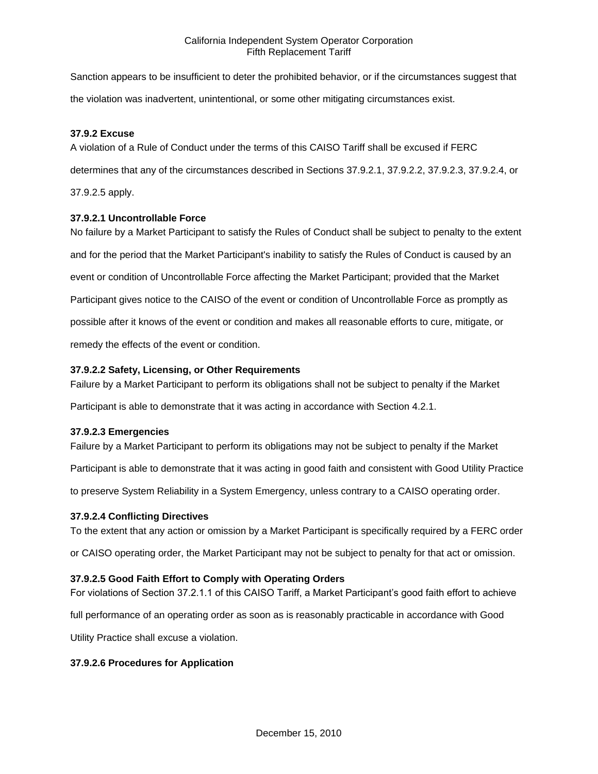Sanction appears to be insufficient to deter the prohibited behavior, or if the circumstances suggest that the violation was inadvertent, unintentional, or some other mitigating circumstances exist.

## **37.9.2 Excuse**

A violation of a Rule of Conduct under the terms of this CAISO Tariff shall be excused if FERC determines that any of the circumstances described in Sections 37.9.2.1, 37.9.2.2, 37.9.2.3, 37.9.2.4, or 37.9.2.5 apply.

## **37.9.2.1 Uncontrollable Force**

No failure by a Market Participant to satisfy the Rules of Conduct shall be subject to penalty to the extent and for the period that the Market Participant's inability to satisfy the Rules of Conduct is caused by an event or condition of Uncontrollable Force affecting the Market Participant; provided that the Market Participant gives notice to the CAISO of the event or condition of Uncontrollable Force as promptly as possible after it knows of the event or condition and makes all reasonable efforts to cure, mitigate, or remedy the effects of the event or condition.

## **37.9.2.2 Safety, Licensing, or Other Requirements**

Failure by a Market Participant to perform its obligations shall not be subject to penalty if the Market

Participant is able to demonstrate that it was acting in accordance with Section 4.2.1.

#### **37.9.2.3 Emergencies**

Failure by a Market Participant to perform its obligations may not be subject to penalty if the Market

Participant is able to demonstrate that it was acting in good faith and consistent with Good Utility Practice

to preserve System Reliability in a System Emergency, unless contrary to a CAISO operating order.

#### **37.9.2.4 Conflicting Directives**

To the extent that any action or omission by a Market Participant is specifically required by a FERC order

or CAISO operating order, the Market Participant may not be subject to penalty for that act or omission.

#### **37.9.2.5 Good Faith Effort to Comply with Operating Orders**

For violations of Section 37.2.1.1 of this CAISO Tariff, a Market Participant's good faith effort to achieve

full performance of an operating order as soon as is reasonably practicable in accordance with Good

Utility Practice shall excuse a violation.

### **37.9.2.6 Procedures for Application**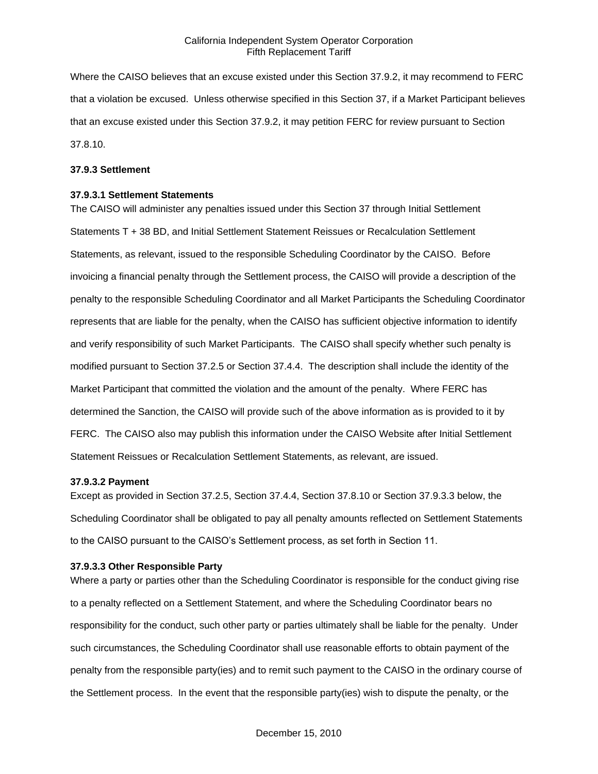Where the CAISO believes that an excuse existed under this Section 37.9.2, it may recommend to FERC that a violation be excused. Unless otherwise specified in this Section 37, if a Market Participant believes that an excuse existed under this Section 37.9.2, it may petition FERC for review pursuant to Section 37.8.10.

#### **37.9.3 Settlement**

#### **37.9.3.1 Settlement Statements**

The CAISO will administer any penalties issued under this Section 37 through Initial Settlement Statements T + 38 BD, and Initial Settlement Statement Reissues or Recalculation Settlement Statements, as relevant, issued to the responsible Scheduling Coordinator by the CAISO. Before invoicing a financial penalty through the Settlement process, the CAISO will provide a description of the penalty to the responsible Scheduling Coordinator and all Market Participants the Scheduling Coordinator represents that are liable for the penalty, when the CAISO has sufficient objective information to identify and verify responsibility of such Market Participants. The CAISO shall specify whether such penalty is modified pursuant to Section 37.2.5 or Section 37.4.4. The description shall include the identity of the Market Participant that committed the violation and the amount of the penalty. Where FERC has determined the Sanction, the CAISO will provide such of the above information as is provided to it by FERC. The CAISO also may publish this information under the CAISO Website after Initial Settlement Statement Reissues or Recalculation Settlement Statements, as relevant, are issued.

#### **37.9.3.2 Payment**

Except as provided in Section 37.2.5, Section 37.4.4, Section 37.8.10 or Section 37.9.3.3 below, the Scheduling Coordinator shall be obligated to pay all penalty amounts reflected on Settlement Statements to the CAISO pursuant to the CAISO's Settlement process, as set forth in Section 11.

#### **37.9.3.3 Other Responsible Party**

Where a party or parties other than the Scheduling Coordinator is responsible for the conduct giving rise to a penalty reflected on a Settlement Statement, and where the Scheduling Coordinator bears no responsibility for the conduct, such other party or parties ultimately shall be liable for the penalty. Under such circumstances, the Scheduling Coordinator shall use reasonable efforts to obtain payment of the penalty from the responsible party(ies) and to remit such payment to the CAISO in the ordinary course of the Settlement process. In the event that the responsible party(ies) wish to dispute the penalty, or the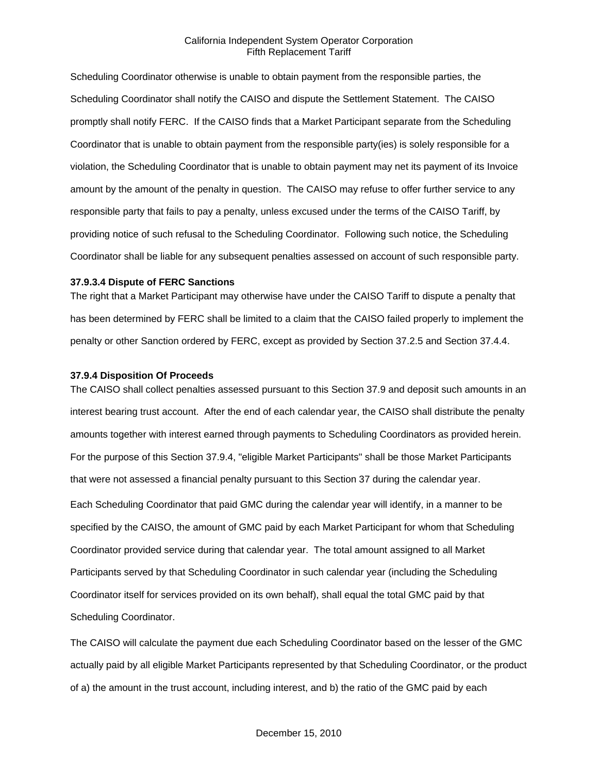Scheduling Coordinator otherwise is unable to obtain payment from the responsible parties, the Scheduling Coordinator shall notify the CAISO and dispute the Settlement Statement. The CAISO promptly shall notify FERC. If the CAISO finds that a Market Participant separate from the Scheduling Coordinator that is unable to obtain payment from the responsible party(ies) is solely responsible for a violation, the Scheduling Coordinator that is unable to obtain payment may net its payment of its Invoice amount by the amount of the penalty in question. The CAISO may refuse to offer further service to any responsible party that fails to pay a penalty, unless excused under the terms of the CAISO Tariff, by providing notice of such refusal to the Scheduling Coordinator. Following such notice, the Scheduling Coordinator shall be liable for any subsequent penalties assessed on account of such responsible party.

#### **37.9.3.4 Dispute of FERC Sanctions**

The right that a Market Participant may otherwise have under the CAISO Tariff to dispute a penalty that has been determined by FERC shall be limited to a claim that the CAISO failed properly to implement the penalty or other Sanction ordered by FERC, except as provided by Section 37.2.5 and Section 37.4.4.

#### **37.9.4 Disposition Of Proceeds**

The CAISO shall collect penalties assessed pursuant to this Section 37.9 and deposit such amounts in an interest bearing trust account. After the end of each calendar year, the CAISO shall distribute the penalty amounts together with interest earned through payments to Scheduling Coordinators as provided herein. For the purpose of this Section 37.9.4, "eligible Market Participants" shall be those Market Participants that were not assessed a financial penalty pursuant to this Section 37 during the calendar year. Each Scheduling Coordinator that paid GMC during the calendar year will identify, in a manner to be specified by the CAISO, the amount of GMC paid by each Market Participant for whom that Scheduling Coordinator provided service during that calendar year. The total amount assigned to all Market Participants served by that Scheduling Coordinator in such calendar year (including the Scheduling Coordinator itself for services provided on its own behalf), shall equal the total GMC paid by that Scheduling Coordinator.

The CAISO will calculate the payment due each Scheduling Coordinator based on the lesser of the GMC actually paid by all eligible Market Participants represented by that Scheduling Coordinator, or the product of a) the amount in the trust account, including interest, and b) the ratio of the GMC paid by each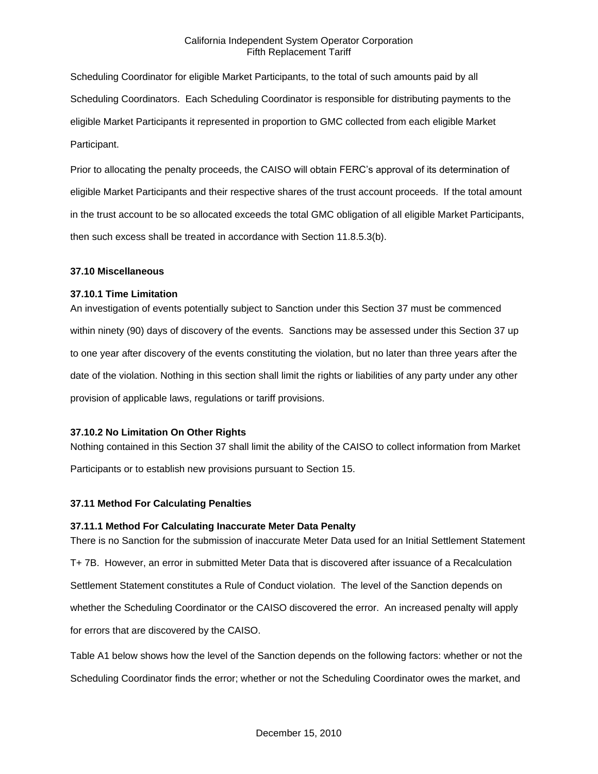Scheduling Coordinator for eligible Market Participants, to the total of such amounts paid by all Scheduling Coordinators. Each Scheduling Coordinator is responsible for distributing payments to the eligible Market Participants it represented in proportion to GMC collected from each eligible Market Participant.

Prior to allocating the penalty proceeds, the CAISO will obtain FERC's approval of its determination of eligible Market Participants and their respective shares of the trust account proceeds. If the total amount in the trust account to be so allocated exceeds the total GMC obligation of all eligible Market Participants, then such excess shall be treated in accordance with Section 11.8.5.3(b).

## **37.10 Miscellaneous**

## **37.10.1 Time Limitation**

An investigation of events potentially subject to Sanction under this Section 37 must be commenced within ninety (90) days of discovery of the events. Sanctions may be assessed under this Section 37 up to one year after discovery of the events constituting the violation, but no later than three years after the date of the violation. Nothing in this section shall limit the rights or liabilities of any party under any other provision of applicable laws, regulations or tariff provisions.

# **37.10.2 No Limitation On Other Rights**

Nothing contained in this Section 37 shall limit the ability of the CAISO to collect information from Market Participants or to establish new provisions pursuant to Section 15.

# **37.11 Method For Calculating Penalties**

# **37.11.1 Method For Calculating Inaccurate Meter Data Penalty**

There is no Sanction for the submission of inaccurate Meter Data used for an Initial Settlement Statement T+ 7B. However, an error in submitted Meter Data that is discovered after issuance of a Recalculation Settlement Statement constitutes a Rule of Conduct violation. The level of the Sanction depends on whether the Scheduling Coordinator or the CAISO discovered the error. An increased penalty will apply for errors that are discovered by the CAISO.

Table A1 below shows how the level of the Sanction depends on the following factors: whether or not the Scheduling Coordinator finds the error; whether or not the Scheduling Coordinator owes the market, and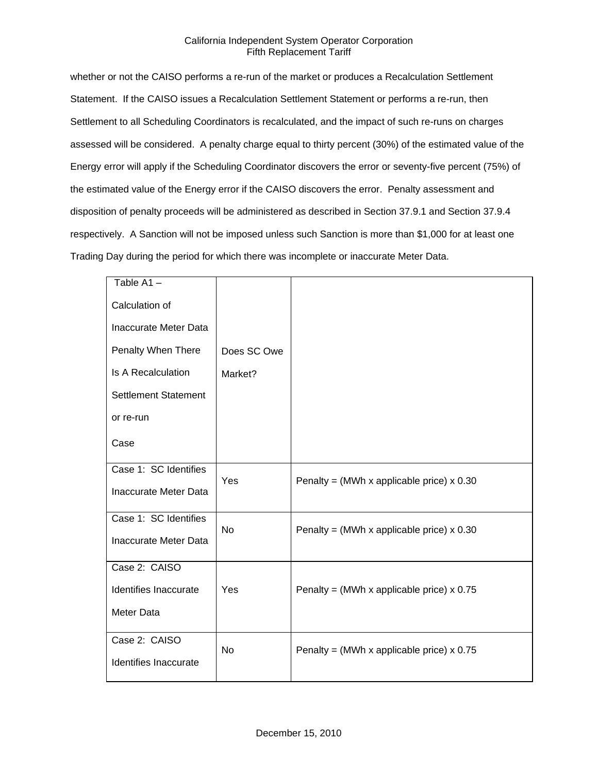whether or not the CAISO performs a re-run of the market or produces a Recalculation Settlement Statement. If the CAISO issues a Recalculation Settlement Statement or performs a re-run, then Settlement to all Scheduling Coordinators is recalculated, and the impact of such re-runs on charges assessed will be considered. A penalty charge equal to thirty percent (30%) of the estimated value of the Energy error will apply if the Scheduling Coordinator discovers the error or seventy-five percent (75%) of the estimated value of the Energy error if the CAISO discovers the error. Penalty assessment and disposition of penalty proceeds will be administered as described in Section 37.9.1 and Section 37.9.4 respectively. A Sanction will not be imposed unless such Sanction is more than \$1,000 for at least one Trading Day during the period for which there was incomplete or inaccurate Meter Data.

| Table A1-                   |             |                                             |
|-----------------------------|-------------|---------------------------------------------|
| Calculation of              |             |                                             |
| Inaccurate Meter Data       |             |                                             |
| Penalty When There          | Does SC Owe |                                             |
| <b>Is A Recalculation</b>   | Market?     |                                             |
| <b>Settlement Statement</b> |             |                                             |
| or re-run                   |             |                                             |
| Case                        |             |                                             |
|                             |             |                                             |
| Case 1: SC Identifies       | Yes         |                                             |
| Inaccurate Meter Data       |             | Penalty = (MWh x applicable price) $x$ 0.30 |
|                             |             |                                             |
| Case 1: SC Identifies       | <b>No</b>   | Penalty = (MWh x applicable price) $x$ 0.30 |
| Inaccurate Meter Data       |             |                                             |
| Case 2: CAISO               |             |                                             |
| Identifies Inaccurate       | Yes         | Penalty = (MWh x applicable price) $x$ 0.75 |
|                             |             |                                             |
| Meter Data                  |             |                                             |
| Case 2: CAISO               |             |                                             |
|                             | <b>No</b>   | Penalty = (MWh x applicable price) $x$ 0.75 |
| Identifies Inaccurate       |             |                                             |
|                             |             |                                             |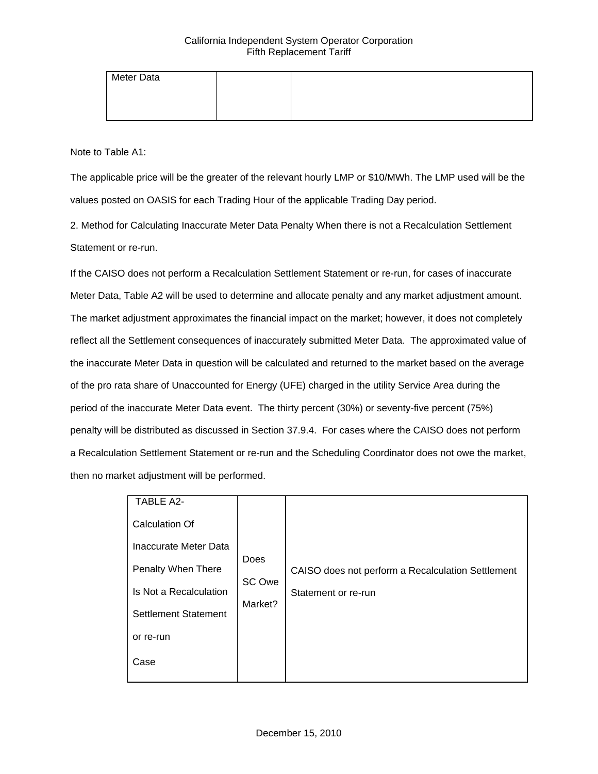| Meter Data |  |  |
|------------|--|--|
|            |  |  |
|            |  |  |

Note to Table A1:

The applicable price will be the greater of the relevant hourly LMP or \$10/MWh. The LMP used will be the values posted on OASIS for each Trading Hour of the applicable Trading Day period.

2. Method for Calculating Inaccurate Meter Data Penalty When there is not a Recalculation Settlement Statement or re-run.

If the CAISO does not perform a Recalculation Settlement Statement or re-run, for cases of inaccurate Meter Data, Table A2 will be used to determine and allocate penalty and any market adjustment amount. The market adjustment approximates the financial impact on the market; however, it does not completely reflect all the Settlement consequences of inaccurately submitted Meter Data. The approximated value of the inaccurate Meter Data in question will be calculated and returned to the market based on the average of the pro rata share of Unaccounted for Energy (UFE) charged in the utility Service Area during the period of the inaccurate Meter Data event. The thirty percent (30%) or seventy-five percent (75%) penalty will be distributed as discussed in Section 37.9.4. For cases where the CAISO does not perform a Recalculation Settlement Statement or re-run and the Scheduling Coordinator does not owe the market, then no market adjustment will be performed.

| <b>TABLE A2-</b>            |                           |                                                   |
|-----------------------------|---------------------------|---------------------------------------------------|
| <b>Calculation Of</b>       |                           |                                                   |
| Inaccurate Meter Data       | Does<br>SC Owe<br>Market? |                                                   |
| Penalty When There          |                           | CAISO does not perform a Recalculation Settlement |
| Is Not a Recalculation      |                           | Statement or re-run                               |
| <b>Settlement Statement</b> |                           |                                                   |
| or re-run                   |                           |                                                   |
| Case                        |                           |                                                   |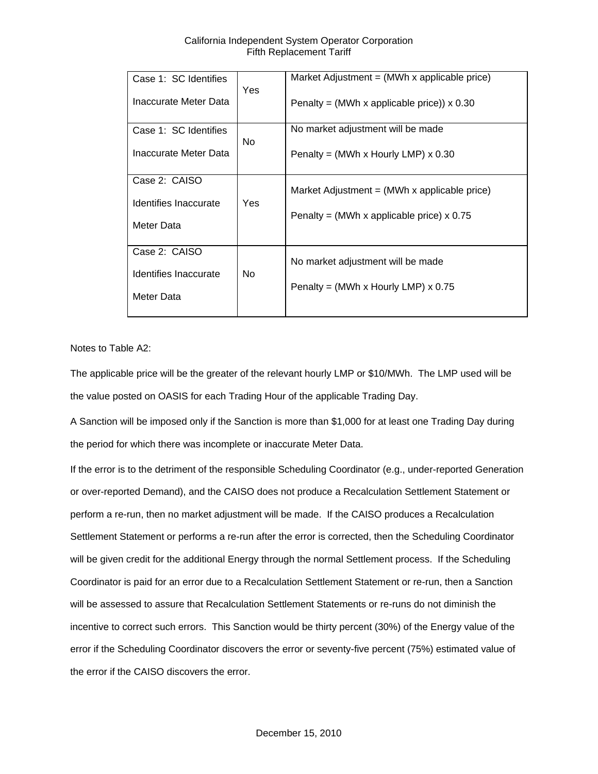| Case 1: SC Identifies | <b>Yes</b> | Market Adjustment $=$ (MWh x applicable price)             |
|-----------------------|------------|------------------------------------------------------------|
| Inaccurate Meter Data |            | Penalty = (MWh x applicable price)) $\times$ 0.30          |
| Case 1: SC Identifies | No.        | No market adjustment will be made                          |
| Inaccurate Meter Data |            | Penalty = (MWh x Hourly LMP) $\times$ 0.30                 |
| Case 2: CAISO         |            | Market Adjustment = $(MWh \times \text{applicable price})$ |
| Identifies Inaccurate | Yes        | Penalty = (MWh x applicable price) $x$ 0.75                |
| Meter Data            |            |                                                            |
| Case 2: CAISO         |            | No market adjustment will be made                          |
| Identifies Inaccurate | No.        | Penalty = (MWh x Hourly LMP) $\times$ 0.75                 |
| Meter Data            |            |                                                            |

Notes to Table A2:

The applicable price will be the greater of the relevant hourly LMP or \$10/MWh. The LMP used will be the value posted on OASIS for each Trading Hour of the applicable Trading Day.

A Sanction will be imposed only if the Sanction is more than \$1,000 for at least one Trading Day during the period for which there was incomplete or inaccurate Meter Data.

If the error is to the detriment of the responsible Scheduling Coordinator (e.g., under-reported Generation or over-reported Demand), and the CAISO does not produce a Recalculation Settlement Statement or perform a re-run, then no market adjustment will be made. If the CAISO produces a Recalculation Settlement Statement or performs a re-run after the error is corrected, then the Scheduling Coordinator will be given credit for the additional Energy through the normal Settlement process. If the Scheduling Coordinator is paid for an error due to a Recalculation Settlement Statement or re-run, then a Sanction will be assessed to assure that Recalculation Settlement Statements or re-runs do not diminish the incentive to correct such errors. This Sanction would be thirty percent (30%) of the Energy value of the error if the Scheduling Coordinator discovers the error or seventy-five percent (75%) estimated value of the error if the CAISO discovers the error.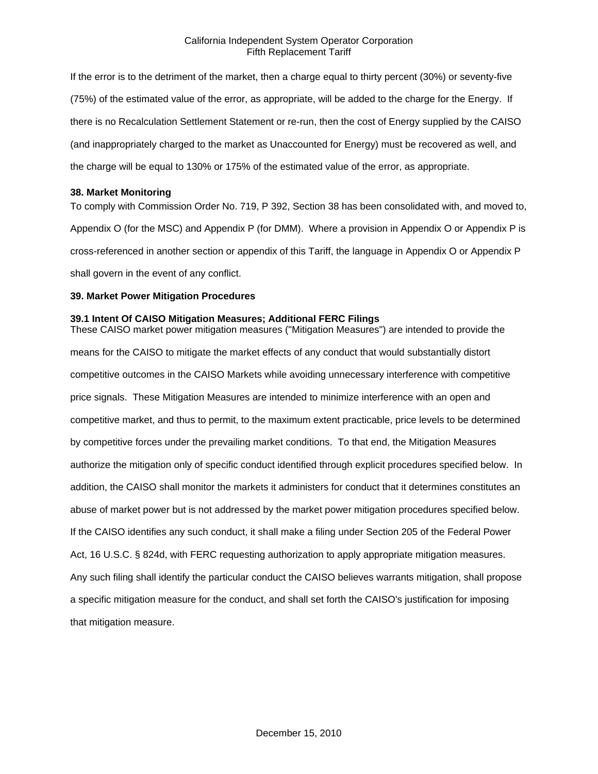If the error is to the detriment of the market, then a charge equal to thirty percent (30%) or seventy-five (75%) of the estimated value of the error, as appropriate, will be added to the charge for the Energy. If there is no Recalculation Settlement Statement or re-run, then the cost of Energy supplied by the CAISO (and inappropriately charged to the market as Unaccounted for Energy) must be recovered as well, and the charge will be equal to 130% or 175% of the estimated value of the error, as appropriate.

#### **38. Market Monitoring**

To comply with Commission Order No. 719, P 392, Section 38 has been consolidated with, and moved to, Appendix O (for the MSC) and Appendix P (for DMM). Where a provision in Appendix O or Appendix P is cross-referenced in another section or appendix of this Tariff, the language in Appendix O or Appendix P shall govern in the event of any conflict.

#### **39. Market Power Mitigation Procedures**

### **39.1 Intent Of CAISO Mitigation Measures; Additional FERC Filings**

These CAISO market power mitigation measures ("Mitigation Measures") are intended to provide the means for the CAISO to mitigate the market effects of any conduct that would substantially distort competitive outcomes in the CAISO Markets while avoiding unnecessary interference with competitive price signals. These Mitigation Measures are intended to minimize interference with an open and competitive market, and thus to permit, to the maximum extent practicable, price levels to be determined by competitive forces under the prevailing market conditions. To that end, the Mitigation Measures authorize the mitigation only of specific conduct identified through explicit procedures specified below. In addition, the CAISO shall monitor the markets it administers for conduct that it determines constitutes an abuse of market power but is not addressed by the market power mitigation procedures specified below. If the CAISO identifies any such conduct, it shall make a filing under Section 205 of the Federal Power Act, 16 U.S.C. § 824d, with FERC requesting authorization to apply appropriate mitigation measures. Any such filing shall identify the particular conduct the CAISO believes warrants mitigation, shall propose a specific mitigation measure for the conduct, and shall set forth the CAISO's justification for imposing that mitigation measure.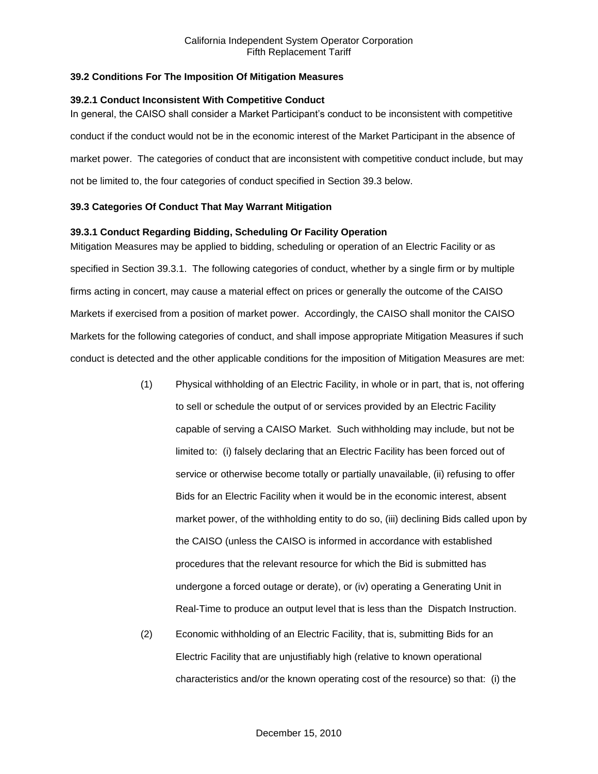## **39.2 Conditions For The Imposition Of Mitigation Measures**

### **39.2.1 Conduct Inconsistent With Competitive Conduct**

In general, the CAISO shall consider a Market Participant's conduct to be inconsistent with competitive conduct if the conduct would not be in the economic interest of the Market Participant in the absence of market power. The categories of conduct that are inconsistent with competitive conduct include, but may not be limited to, the four categories of conduct specified in Section 39.3 below.

# **39.3 Categories Of Conduct That May Warrant Mitigation**

## **39.3.1 Conduct Regarding Bidding, Scheduling Or Facility Operation**

Mitigation Measures may be applied to bidding, scheduling or operation of an Electric Facility or as specified in Section 39.3.1. The following categories of conduct, whether by a single firm or by multiple firms acting in concert, may cause a material effect on prices or generally the outcome of the CAISO Markets if exercised from a position of market power. Accordingly, the CAISO shall monitor the CAISO Markets for the following categories of conduct, and shall impose appropriate Mitigation Measures if such conduct is detected and the other applicable conditions for the imposition of Mitigation Measures are met:

- (1) Physical withholding of an Electric Facility, in whole or in part, that is, not offering to sell or schedule the output of or services provided by an Electric Facility capable of serving a CAISO Market. Such withholding may include, but not be limited to: (i) falsely declaring that an Electric Facility has been forced out of service or otherwise become totally or partially unavailable, (ii) refusing to offer Bids for an Electric Facility when it would be in the economic interest, absent market power, of the withholding entity to do so, (iii) declining Bids called upon by the CAISO (unless the CAISO is informed in accordance with established procedures that the relevant resource for which the Bid is submitted has undergone a forced outage or derate), or (iv) operating a Generating Unit in Real-Time to produce an output level that is less than the Dispatch Instruction.
- (2) Economic withholding of an Electric Facility, that is, submitting Bids for an Electric Facility that are unjustifiably high (relative to known operational characteristics and/or the known operating cost of the resource) so that: (i) the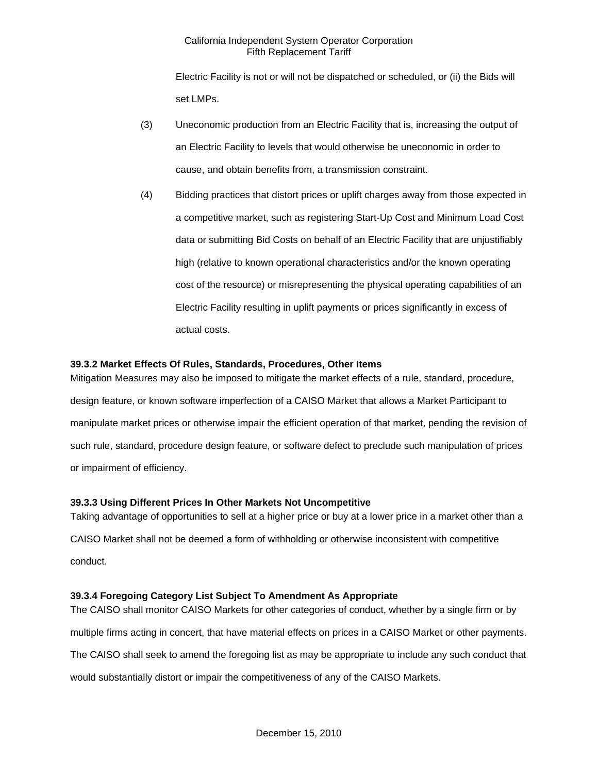Electric Facility is not or will not be dispatched or scheduled, or (ii) the Bids will set LMPs.

- (3) Uneconomic production from an Electric Facility that is, increasing the output of an Electric Facility to levels that would otherwise be uneconomic in order to cause, and obtain benefits from, a transmission constraint.
- (4) Bidding practices that distort prices or uplift charges away from those expected in a competitive market, such as registering Start-Up Cost and Minimum Load Cost data or submitting Bid Costs on behalf of an Electric Facility that are unjustifiably high (relative to known operational characteristics and/or the known operating cost of the resource) or misrepresenting the physical operating capabilities of an Electric Facility resulting in uplift payments or prices significantly in excess of actual costs.

# **39.3.2 Market Effects Of Rules, Standards, Procedures, Other Items**

Mitigation Measures may also be imposed to mitigate the market effects of a rule, standard, procedure, design feature, or known software imperfection of a CAISO Market that allows a Market Participant to manipulate market prices or otherwise impair the efficient operation of that market, pending the revision of such rule, standard, procedure design feature, or software defect to preclude such manipulation of prices or impairment of efficiency.

#### **39.3.3 Using Different Prices In Other Markets Not Uncompetitive**

Taking advantage of opportunities to sell at a higher price or buy at a lower price in a market other than a CAISO Market shall not be deemed a form of withholding or otherwise inconsistent with competitive conduct.

# **39.3.4 Foregoing Category List Subject To Amendment As Appropriate**

The CAISO shall monitor CAISO Markets for other categories of conduct, whether by a single firm or by multiple firms acting in concert, that have material effects on prices in a CAISO Market or other payments. The CAISO shall seek to amend the foregoing list as may be appropriate to include any such conduct that would substantially distort or impair the competitiveness of any of the CAISO Markets.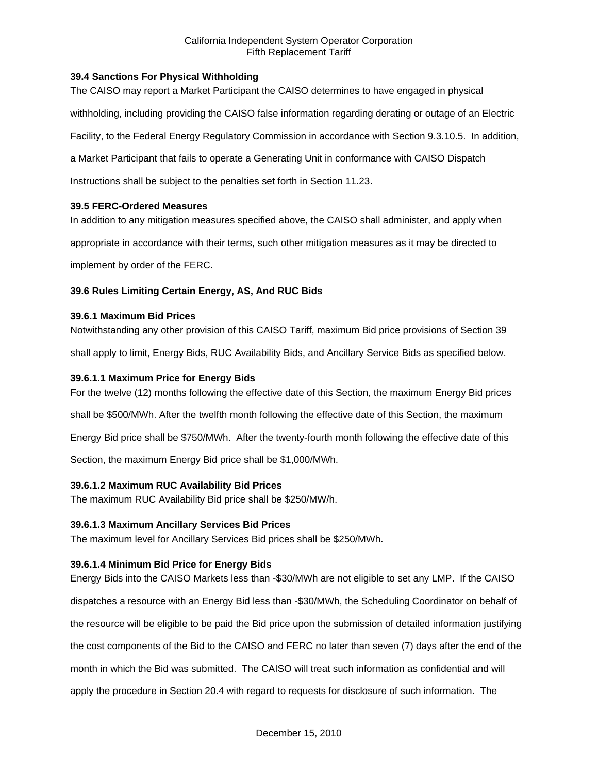# **39.4 Sanctions For Physical Withholding**

The CAISO may report a Market Participant the CAISO determines to have engaged in physical

withholding, including providing the CAISO false information regarding derating or outage of an Electric

Facility, to the Federal Energy Regulatory Commission in accordance with Section 9.3.10.5. In addition,

a Market Participant that fails to operate a Generating Unit in conformance with CAISO Dispatch

Instructions shall be subject to the penalties set forth in Section 11.23.

#### **39.5 FERC-Ordered Measures**

In addition to any mitigation measures specified above, the CAISO shall administer, and apply when

appropriate in accordance with their terms, such other mitigation measures as it may be directed to

implement by order of the FERC.

## **39.6 Rules Limiting Certain Energy, AS, And RUC Bids**

#### **39.6.1 Maximum Bid Prices**

Notwithstanding any other provision of this CAISO Tariff, maximum Bid price provisions of Section 39

shall apply to limit, Energy Bids, RUC Availability Bids, and Ancillary Service Bids as specified below.

## **39.6.1.1 Maximum Price for Energy Bids**

For the twelve (12) months following the effective date of this Section, the maximum Energy Bid prices

shall be \$500/MWh. After the twelfth month following the effective date of this Section, the maximum

Energy Bid price shall be \$750/MWh. After the twenty-fourth month following the effective date of this

Section, the maximum Energy Bid price shall be \$1,000/MWh.

# **39.6.1.2 Maximum RUC Availability Bid Prices**

The maximum RUC Availability Bid price shall be \$250/MW/h.

#### **39.6.1.3 Maximum Ancillary Services Bid Prices**

The maximum level for Ancillary Services Bid prices shall be \$250/MWh.

#### **39.6.1.4 Minimum Bid Price for Energy Bids**

Energy Bids into the CAISO Markets less than -\$30/MWh are not eligible to set any LMP. If the CAISO dispatches a resource with an Energy Bid less than -\$30/MWh, the Scheduling Coordinator on behalf of the resource will be eligible to be paid the Bid price upon the submission of detailed information justifying the cost components of the Bid to the CAISO and FERC no later than seven (7) days after the end of the month in which the Bid was submitted. The CAISO will treat such information as confidential and will apply the procedure in Section 20.4 with regard to requests for disclosure of such information. The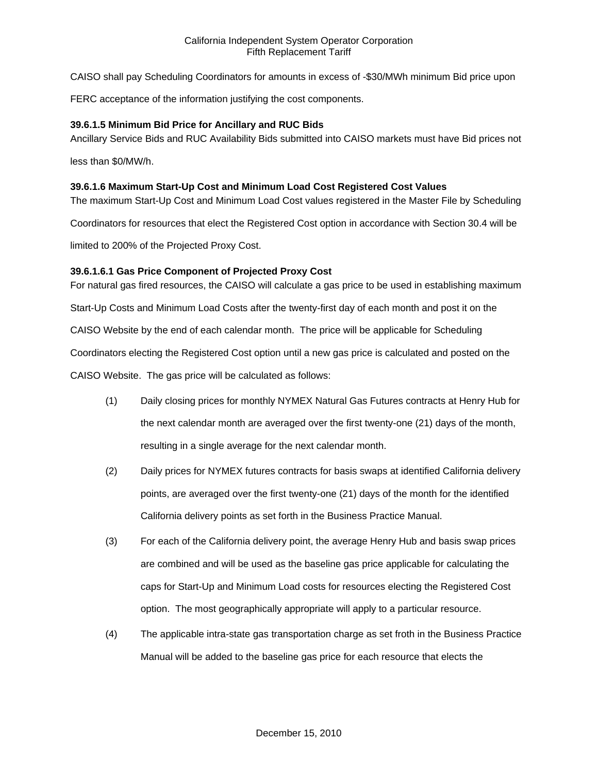CAISO shall pay Scheduling Coordinators for amounts in excess of -\$30/MWh minimum Bid price upon

FERC acceptance of the information justifying the cost components.

### **39.6.1.5 Minimum Bid Price for Ancillary and RUC Bids**

Ancillary Service Bids and RUC Availability Bids submitted into CAISO markets must have Bid prices not

less than \$0/MW/h.

### **39.6.1.6 Maximum Start-Up Cost and Minimum Load Cost Registered Cost Values**

The maximum Start-Up Cost and Minimum Load Cost values registered in the Master File by Scheduling

Coordinators for resources that elect the Registered Cost option in accordance with Section 30.4 will be

limited to 200% of the Projected Proxy Cost.

## **39.6.1.6.1 Gas Price Component of Projected Proxy Cost**

For natural gas fired resources, the CAISO will calculate a gas price to be used in establishing maximum

Start-Up Costs and Minimum Load Costs after the twenty-first day of each month and post it on the

CAISO Website by the end of each calendar month. The price will be applicable for Scheduling

Coordinators electing the Registered Cost option until a new gas price is calculated and posted on the

CAISO Website. The gas price will be calculated as follows:

- (1) Daily closing prices for monthly NYMEX Natural Gas Futures contracts at Henry Hub for the next calendar month are averaged over the first twenty-one (21) days of the month, resulting in a single average for the next calendar month.
- (2) Daily prices for NYMEX futures contracts for basis swaps at identified California delivery points, are averaged over the first twenty-one (21) days of the month for the identified California delivery points as set forth in the Business Practice Manual.
- (3) For each of the California delivery point, the average Henry Hub and basis swap prices are combined and will be used as the baseline gas price applicable for calculating the caps for Start-Up and Minimum Load costs for resources electing the Registered Cost option. The most geographically appropriate will apply to a particular resource.
- (4) The applicable intra-state gas transportation charge as set froth in the Business Practice Manual will be added to the baseline gas price for each resource that elects the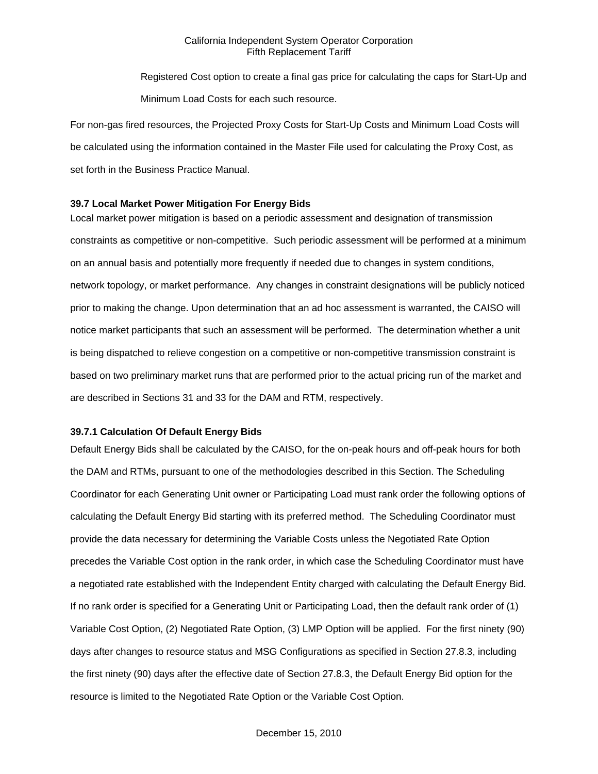Registered Cost option to create a final gas price for calculating the caps for Start-Up and Minimum Load Costs for each such resource.

For non-gas fired resources, the Projected Proxy Costs for Start-Up Costs and Minimum Load Costs will be calculated using the information contained in the Master File used for calculating the Proxy Cost, as set forth in the Business Practice Manual.

#### **39.7 Local Market Power Mitigation For Energy Bids**

Local market power mitigation is based on a periodic assessment and designation of transmission constraints as competitive or non-competitive. Such periodic assessment will be performed at a minimum on an annual basis and potentially more frequently if needed due to changes in system conditions, network topology, or market performance. Any changes in constraint designations will be publicly noticed prior to making the change. Upon determination that an ad hoc assessment is warranted, the CAISO will notice market participants that such an assessment will be performed. The determination whether a unit is being dispatched to relieve congestion on a competitive or non-competitive transmission constraint is based on two preliminary market runs that are performed prior to the actual pricing run of the market and are described in Sections 31 and 33 for the DAM and RTM, respectively.

### **39.7.1 Calculation Of Default Energy Bids**

Default Energy Bids shall be calculated by the CAISO, for the on-peak hours and off-peak hours for both the DAM and RTMs, pursuant to one of the methodologies described in this Section. The Scheduling Coordinator for each Generating Unit owner or Participating Load must rank order the following options of calculating the Default Energy Bid starting with its preferred method. The Scheduling Coordinator must provide the data necessary for determining the Variable Costs unless the Negotiated Rate Option precedes the Variable Cost option in the rank order, in which case the Scheduling Coordinator must have a negotiated rate established with the Independent Entity charged with calculating the Default Energy Bid. If no rank order is specified for a Generating Unit or Participating Load, then the default rank order of (1) Variable Cost Option, (2) Negotiated Rate Option, (3) LMP Option will be applied. For the first ninety (90) days after changes to resource status and MSG Configurations as specified in Section 27.8.3, including the first ninety (90) days after the effective date of Section 27.8.3, the Default Energy Bid option for the resource is limited to the Negotiated Rate Option or the Variable Cost Option.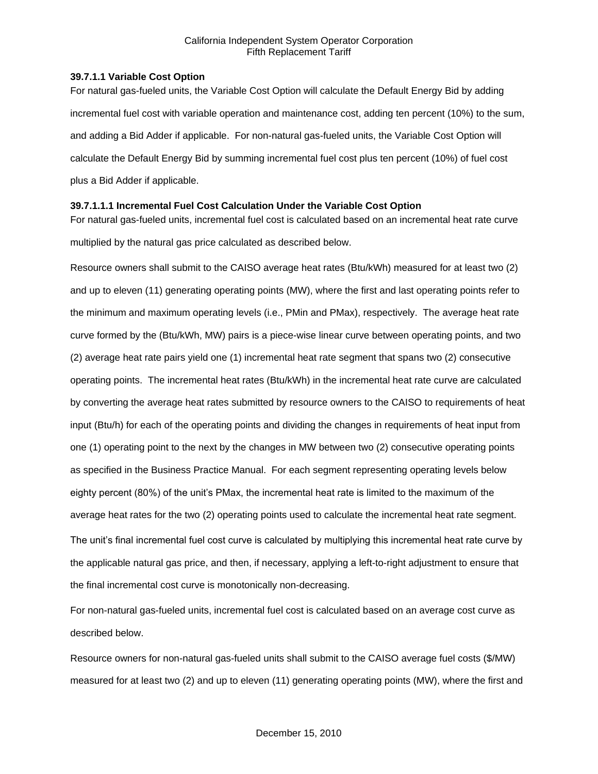### **39.7.1.1 Variable Cost Option**

For natural gas-fueled units, the Variable Cost Option will calculate the Default Energy Bid by adding incremental fuel cost with variable operation and maintenance cost, adding ten percent (10%) to the sum, and adding a Bid Adder if applicable. For non-natural gas-fueled units, the Variable Cost Option will calculate the Default Energy Bid by summing incremental fuel cost plus ten percent (10%) of fuel cost plus a Bid Adder if applicable.

# **39.7.1.1.1 Incremental Fuel Cost Calculation Under the Variable Cost Option**

For natural gas-fueled units, incremental fuel cost is calculated based on an incremental heat rate curve multiplied by the natural gas price calculated as described below.

Resource owners shall submit to the CAISO average heat rates (Btu/kWh) measured for at least two (2) and up to eleven (11) generating operating points (MW), where the first and last operating points refer to the minimum and maximum operating levels (i.e., PMin and PMax), respectively. The average heat rate curve formed by the (Btu/kWh, MW) pairs is a piece-wise linear curve between operating points, and two (2) average heat rate pairs yield one (1) incremental heat rate segment that spans two (2) consecutive operating points. The incremental heat rates (Btu/kWh) in the incremental heat rate curve are calculated by converting the average heat rates submitted by resource owners to the CAISO to requirements of heat input (Btu/h) for each of the operating points and dividing the changes in requirements of heat input from one (1) operating point to the next by the changes in MW between two (2) consecutive operating points as specified in the Business Practice Manual. For each segment representing operating levels below eighty percent (80%) of the unit's PMax, the incremental heat rate is limited to the maximum of the average heat rates for the two (2) operating points used to calculate the incremental heat rate segment. The unit's final incremental fuel cost curve is calculated by multiplying this incremental heat rate curve by the applicable natural gas price, and then, if necessary, applying a left-to-right adjustment to ensure that the final incremental cost curve is monotonically non-decreasing.

For non-natural gas-fueled units, incremental fuel cost is calculated based on an average cost curve as described below.

Resource owners for non-natural gas-fueled units shall submit to the CAISO average fuel costs (\$/MW) measured for at least two (2) and up to eleven (11) generating operating points (MW), where the first and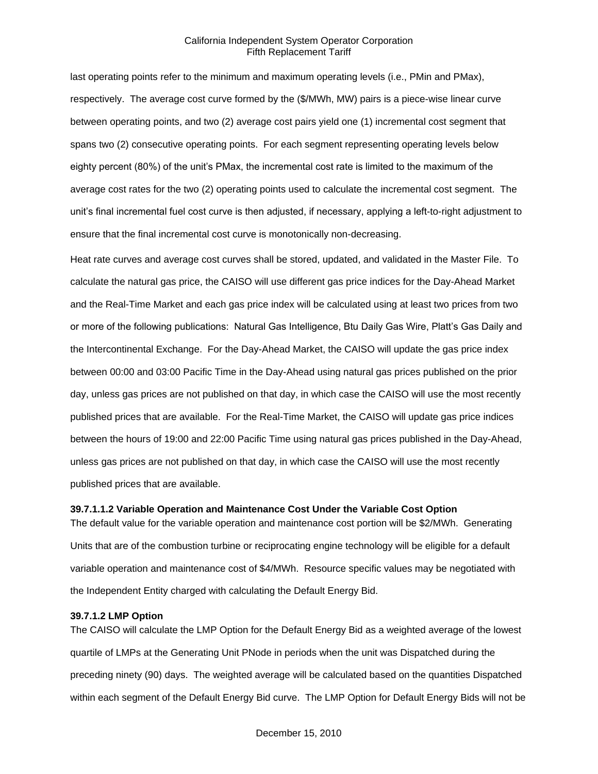last operating points refer to the minimum and maximum operating levels (i.e., PMin and PMax), respectively. The average cost curve formed by the (\$/MWh, MW) pairs is a piece-wise linear curve between operating points, and two (2) average cost pairs yield one (1) incremental cost segment that spans two (2) consecutive operating points. For each segment representing operating levels below eighty percent (80%) of the unit's PMax, the incremental cost rate is limited to the maximum of the average cost rates for the two (2) operating points used to calculate the incremental cost segment. The unit's final incremental fuel cost curve is then adjusted, if necessary, applying a left-to-right adjustment to ensure that the final incremental cost curve is monotonically non-decreasing.

Heat rate curves and average cost curves shall be stored, updated, and validated in the Master File. To calculate the natural gas price, the CAISO will use different gas price indices for the Day-Ahead Market and the Real-Time Market and each gas price index will be calculated using at least two prices from two or more of the following publications: Natural Gas Intelligence, Btu Daily Gas Wire, Platt's Gas Daily and the Intercontinental Exchange. For the Day-Ahead Market, the CAISO will update the gas price index between 00:00 and 03:00 Pacific Time in the Day-Ahead using natural gas prices published on the prior day, unless gas prices are not published on that day, in which case the CAISO will use the most recently published prices that are available. For the Real-Time Market, the CAISO will update gas price indices between the hours of 19:00 and 22:00 Pacific Time using natural gas prices published in the Day-Ahead, unless gas prices are not published on that day, in which case the CAISO will use the most recently published prices that are available.

#### **39.7.1.1.2 Variable Operation and Maintenance Cost Under the Variable Cost Option**

The default value for the variable operation and maintenance cost portion will be \$2/MWh. Generating Units that are of the combustion turbine or reciprocating engine technology will be eligible for a default variable operation and maintenance cost of \$4/MWh. Resource specific values may be negotiated with the Independent Entity charged with calculating the Default Energy Bid.

#### **39.7.1.2 LMP Option**

The CAISO will calculate the LMP Option for the Default Energy Bid as a weighted average of the lowest quartile of LMPs at the Generating Unit PNode in periods when the unit was Dispatched during the preceding ninety (90) days. The weighted average will be calculated based on the quantities Dispatched within each segment of the Default Energy Bid curve. The LMP Option for Default Energy Bids will not be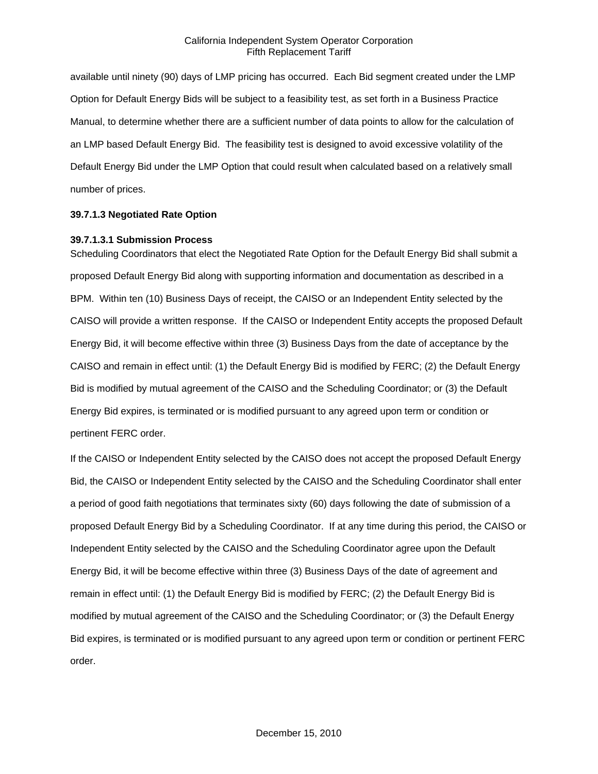available until ninety (90) days of LMP pricing has occurred. Each Bid segment created under the LMP Option for Default Energy Bids will be subject to a feasibility test, as set forth in a Business Practice Manual, to determine whether there are a sufficient number of data points to allow for the calculation of an LMP based Default Energy Bid. The feasibility test is designed to avoid excessive volatility of the Default Energy Bid under the LMP Option that could result when calculated based on a relatively small number of prices.

#### **39.7.1.3 Negotiated Rate Option**

#### **39.7.1.3.1 Submission Process**

Scheduling Coordinators that elect the Negotiated Rate Option for the Default Energy Bid shall submit a proposed Default Energy Bid along with supporting information and documentation as described in a BPM. Within ten (10) Business Days of receipt, the CAISO or an Independent Entity selected by the CAISO will provide a written response. If the CAISO or Independent Entity accepts the proposed Default Energy Bid, it will become effective within three (3) Business Days from the date of acceptance by the CAISO and remain in effect until: (1) the Default Energy Bid is modified by FERC; (2) the Default Energy Bid is modified by mutual agreement of the CAISO and the Scheduling Coordinator; or (3) the Default Energy Bid expires, is terminated or is modified pursuant to any agreed upon term or condition or pertinent FERC order.

If the CAISO or Independent Entity selected by the CAISO does not accept the proposed Default Energy Bid, the CAISO or Independent Entity selected by the CAISO and the Scheduling Coordinator shall enter a period of good faith negotiations that terminates sixty (60) days following the date of submission of a proposed Default Energy Bid by a Scheduling Coordinator. If at any time during this period, the CAISO or Independent Entity selected by the CAISO and the Scheduling Coordinator agree upon the Default Energy Bid, it will be become effective within three (3) Business Days of the date of agreement and remain in effect until: (1) the Default Energy Bid is modified by FERC; (2) the Default Energy Bid is modified by mutual agreement of the CAISO and the Scheduling Coordinator; or (3) the Default Energy Bid expires, is terminated or is modified pursuant to any agreed upon term or condition or pertinent FERC order.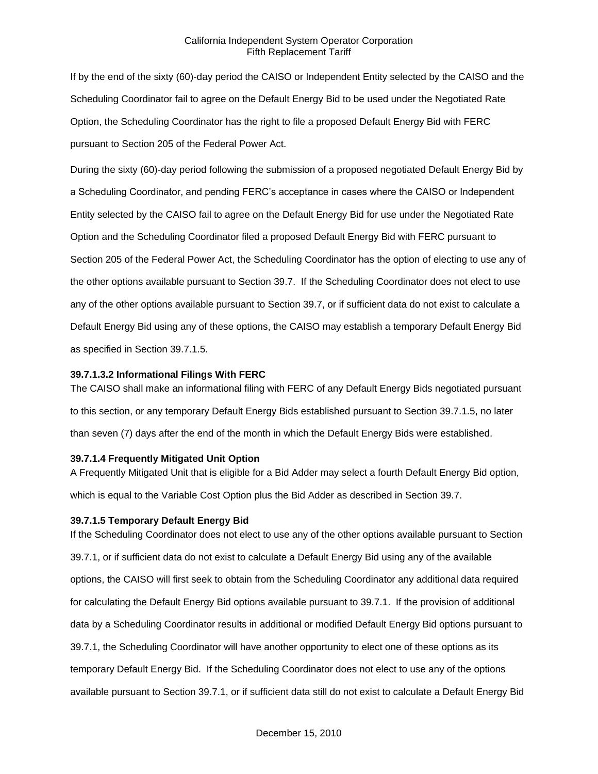If by the end of the sixty (60)-day period the CAISO or Independent Entity selected by the CAISO and the Scheduling Coordinator fail to agree on the Default Energy Bid to be used under the Negotiated Rate Option, the Scheduling Coordinator has the right to file a proposed Default Energy Bid with FERC pursuant to Section 205 of the Federal Power Act.

During the sixty (60)-day period following the submission of a proposed negotiated Default Energy Bid by a Scheduling Coordinator, and pending FERC's acceptance in cases where the CAISO or Independent Entity selected by the CAISO fail to agree on the Default Energy Bid for use under the Negotiated Rate Option and the Scheduling Coordinator filed a proposed Default Energy Bid with FERC pursuant to Section 205 of the Federal Power Act, the Scheduling Coordinator has the option of electing to use any of the other options available pursuant to Section 39.7. If the Scheduling Coordinator does not elect to use any of the other options available pursuant to Section 39.7, or if sufficient data do not exist to calculate a Default Energy Bid using any of these options, the CAISO may establish a temporary Default Energy Bid as specified in Section 39.7.1.5.

#### **39.7.1.3.2 Informational Filings With FERC**

The CAISO shall make an informational filing with FERC of any Default Energy Bids negotiated pursuant to this section, or any temporary Default Energy Bids established pursuant to Section 39.7.1.5, no later than seven (7) days after the end of the month in which the Default Energy Bids were established.

#### **39.7.1.4 Frequently Mitigated Unit Option**

A Frequently Mitigated Unit that is eligible for a Bid Adder may select a fourth Default Energy Bid option, which is equal to the Variable Cost Option plus the Bid Adder as described in Section 39.7.

#### **39.7.1.5 Temporary Default Energy Bid**

If the Scheduling Coordinator does not elect to use any of the other options available pursuant to Section 39.7.1, or if sufficient data do not exist to calculate a Default Energy Bid using any of the available options, the CAISO will first seek to obtain from the Scheduling Coordinator any additional data required for calculating the Default Energy Bid options available pursuant to 39.7.1. If the provision of additional data by a Scheduling Coordinator results in additional or modified Default Energy Bid options pursuant to 39.7.1, the Scheduling Coordinator will have another opportunity to elect one of these options as its temporary Default Energy Bid. If the Scheduling Coordinator does not elect to use any of the options available pursuant to Section 39.7.1, or if sufficient data still do not exist to calculate a Default Energy Bid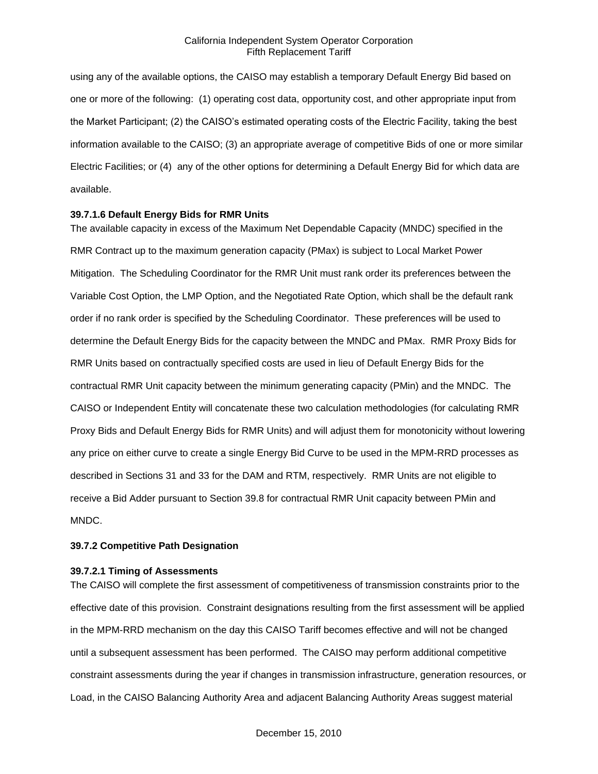using any of the available options, the CAISO may establish a temporary Default Energy Bid based on one or more of the following: (1) operating cost data, opportunity cost, and other appropriate input from the Market Participant; (2) the CAISO's estimated operating costs of the Electric Facility, taking the best information available to the CAISO; (3) an appropriate average of competitive Bids of one or more similar Electric Facilities; or (4) any of the other options for determining a Default Energy Bid for which data are available.

### **39.7.1.6 Default Energy Bids for RMR Units**

The available capacity in excess of the Maximum Net Dependable Capacity (MNDC) specified in the RMR Contract up to the maximum generation capacity (PMax) is subject to Local Market Power Mitigation. The Scheduling Coordinator for the RMR Unit must rank order its preferences between the Variable Cost Option, the LMP Option, and the Negotiated Rate Option, which shall be the default rank order if no rank order is specified by the Scheduling Coordinator. These preferences will be used to determine the Default Energy Bids for the capacity between the MNDC and PMax. RMR Proxy Bids for RMR Units based on contractually specified costs are used in lieu of Default Energy Bids for the contractual RMR Unit capacity between the minimum generating capacity (PMin) and the MNDC. The CAISO or Independent Entity will concatenate these two calculation methodologies (for calculating RMR Proxy Bids and Default Energy Bids for RMR Units) and will adjust them for monotonicity without lowering any price on either curve to create a single Energy Bid Curve to be used in the MPM-RRD processes as described in Sections 31 and 33 for the DAM and RTM, respectively. RMR Units are not eligible to receive a Bid Adder pursuant to Section 39.8 for contractual RMR Unit capacity between PMin and MNDC.

#### **39.7.2 Competitive Path Designation**

#### **39.7.2.1 Timing of Assessments**

The CAISO will complete the first assessment of competitiveness of transmission constraints prior to the effective date of this provision. Constraint designations resulting from the first assessment will be applied in the MPM-RRD mechanism on the day this CAISO Tariff becomes effective and will not be changed until a subsequent assessment has been performed. The CAISO may perform additional competitive constraint assessments during the year if changes in transmission infrastructure, generation resources, or Load, in the CAISO Balancing Authority Area and adjacent Balancing Authority Areas suggest material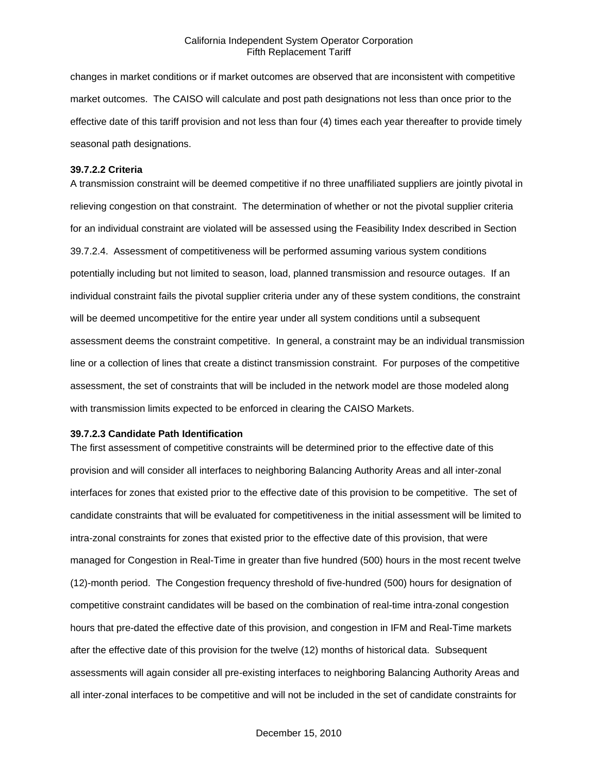changes in market conditions or if market outcomes are observed that are inconsistent with competitive market outcomes. The CAISO will calculate and post path designations not less than once prior to the effective date of this tariff provision and not less than four (4) times each year thereafter to provide timely seasonal path designations.

#### **39.7.2.2 Criteria**

A transmission constraint will be deemed competitive if no three unaffiliated suppliers are jointly pivotal in relieving congestion on that constraint. The determination of whether or not the pivotal supplier criteria for an individual constraint are violated will be assessed using the Feasibility Index described in Section 39.7.2.4. Assessment of competitiveness will be performed assuming various system conditions potentially including but not limited to season, load, planned transmission and resource outages. If an individual constraint fails the pivotal supplier criteria under any of these system conditions, the constraint will be deemed uncompetitive for the entire year under all system conditions until a subsequent assessment deems the constraint competitive. In general, a constraint may be an individual transmission line or a collection of lines that create a distinct transmission constraint. For purposes of the competitive assessment, the set of constraints that will be included in the network model are those modeled along with transmission limits expected to be enforced in clearing the CAISO Markets.

#### **39.7.2.3 Candidate Path Identification**

The first assessment of competitive constraints will be determined prior to the effective date of this provision and will consider all interfaces to neighboring Balancing Authority Areas and all inter-zonal interfaces for zones that existed prior to the effective date of this provision to be competitive. The set of candidate constraints that will be evaluated for competitiveness in the initial assessment will be limited to intra-zonal constraints for zones that existed prior to the effective date of this provision, that were managed for Congestion in Real-Time in greater than five hundred (500) hours in the most recent twelve (12)-month period. The Congestion frequency threshold of five-hundred (500) hours for designation of competitive constraint candidates will be based on the combination of real-time intra-zonal congestion hours that pre-dated the effective date of this provision, and congestion in IFM and Real-Time markets after the effective date of this provision for the twelve (12) months of historical data. Subsequent assessments will again consider all pre-existing interfaces to neighboring Balancing Authority Areas and all inter-zonal interfaces to be competitive and will not be included in the set of candidate constraints for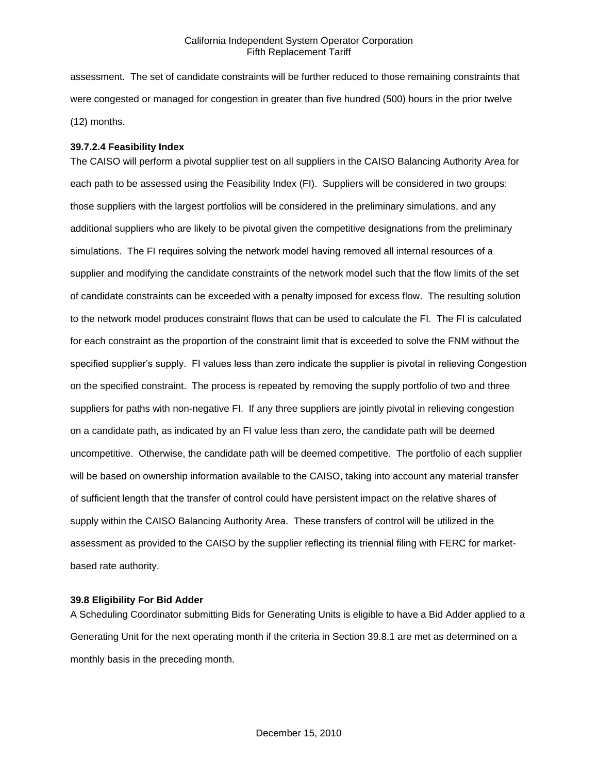assessment. The set of candidate constraints will be further reduced to those remaining constraints that were congested or managed for congestion in greater than five hundred (500) hours in the prior twelve (12) months.

### **39.7.2.4 Feasibility Index**

The CAISO will perform a pivotal supplier test on all suppliers in the CAISO Balancing Authority Area for each path to be assessed using the Feasibility Index (FI). Suppliers will be considered in two groups: those suppliers with the largest portfolios will be considered in the preliminary simulations, and any additional suppliers who are likely to be pivotal given the competitive designations from the preliminary simulations. The FI requires solving the network model having removed all internal resources of a supplier and modifying the candidate constraints of the network model such that the flow limits of the set of candidate constraints can be exceeded with a penalty imposed for excess flow. The resulting solution to the network model produces constraint flows that can be used to calculate the FI. The FI is calculated for each constraint as the proportion of the constraint limit that is exceeded to solve the FNM without the specified supplier's supply. FI values less than zero indicate the supplier is pivotal in relieving Congestion on the specified constraint. The process is repeated by removing the supply portfolio of two and three suppliers for paths with non-negative FI. If any three suppliers are jointly pivotal in relieving congestion on a candidate path, as indicated by an FI value less than zero, the candidate path will be deemed uncompetitive. Otherwise, the candidate path will be deemed competitive. The portfolio of each supplier will be based on ownership information available to the CAISO, taking into account any material transfer of sufficient length that the transfer of control could have persistent impact on the relative shares of supply within the CAISO Balancing Authority Area. These transfers of control will be utilized in the assessment as provided to the CAISO by the supplier reflecting its triennial filing with FERC for marketbased rate authority.

### **39.8 Eligibility For Bid Adder**

A Scheduling Coordinator submitting Bids for Generating Units is eligible to have a Bid Adder applied to a Generating Unit for the next operating month if the criteria in Section 39.8.1 are met as determined on a monthly basis in the preceding month.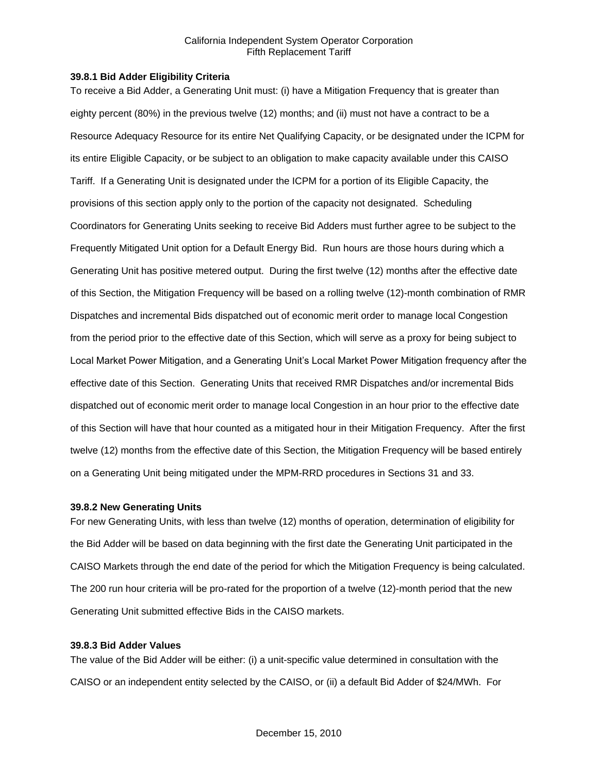### **39.8.1 Bid Adder Eligibility Criteria**

To receive a Bid Adder, a Generating Unit must: (i) have a Mitigation Frequency that is greater than eighty percent (80%) in the previous twelve (12) months; and (ii) must not have a contract to be a Resource Adequacy Resource for its entire Net Qualifying Capacity, or be designated under the ICPM for its entire Eligible Capacity, or be subject to an obligation to make capacity available under this CAISO Tariff. If a Generating Unit is designated under the ICPM for a portion of its Eligible Capacity, the provisions of this section apply only to the portion of the capacity not designated. Scheduling Coordinators for Generating Units seeking to receive Bid Adders must further agree to be subject to the Frequently Mitigated Unit option for a Default Energy Bid. Run hours are those hours during which a Generating Unit has positive metered output. During the first twelve (12) months after the effective date of this Section, the Mitigation Frequency will be based on a rolling twelve (12)-month combination of RMR Dispatches and incremental Bids dispatched out of economic merit order to manage local Congestion from the period prior to the effective date of this Section, which will serve as a proxy for being subject to Local Market Power Mitigation, and a Generating Unit's Local Market Power Mitigation frequency after the effective date of this Section. Generating Units that received RMR Dispatches and/or incremental Bids dispatched out of economic merit order to manage local Congestion in an hour prior to the effective date of this Section will have that hour counted as a mitigated hour in their Mitigation Frequency. After the first twelve (12) months from the effective date of this Section, the Mitigation Frequency will be based entirely on a Generating Unit being mitigated under the MPM-RRD procedures in Sections 31 and 33.

### **39.8.2 New Generating Units**

For new Generating Units, with less than twelve (12) months of operation, determination of eligibility for the Bid Adder will be based on data beginning with the first date the Generating Unit participated in the CAISO Markets through the end date of the period for which the Mitigation Frequency is being calculated. The 200 run hour criteria will be pro-rated for the proportion of a twelve (12)-month period that the new Generating Unit submitted effective Bids in the CAISO markets.

### **39.8.3 Bid Adder Values**

The value of the Bid Adder will be either: (i) a unit-specific value determined in consultation with the CAISO or an independent entity selected by the CAISO, or (ii) a default Bid Adder of \$24/MWh. For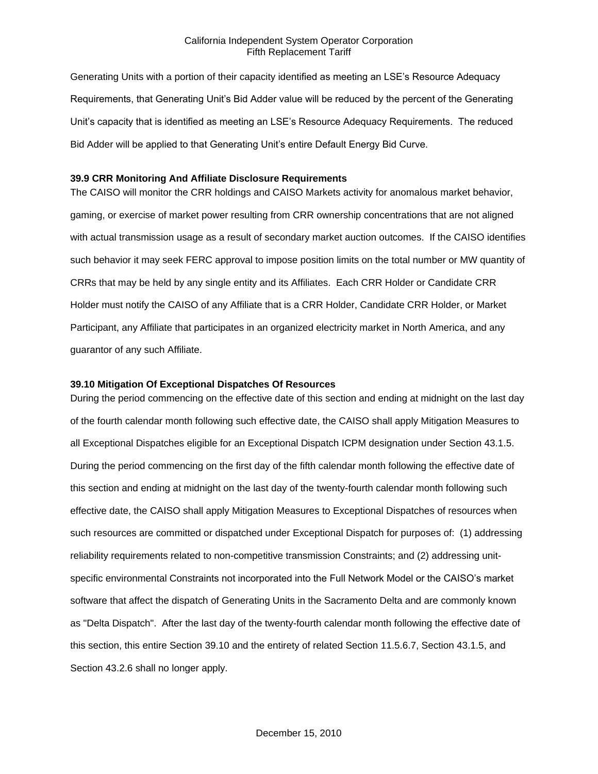Generating Units with a portion of their capacity identified as meeting an LSE's Resource Adequacy Requirements, that Generating Unit's Bid Adder value will be reduced by the percent of the Generating Unit's capacity that is identified as meeting an LSE's Resource Adequacy Requirements. The reduced Bid Adder will be applied to that Generating Unit's entire Default Energy Bid Curve.

### **39.9 CRR Monitoring And Affiliate Disclosure Requirements**

The CAISO will monitor the CRR holdings and CAISO Markets activity for anomalous market behavior, gaming, or exercise of market power resulting from CRR ownership concentrations that are not aligned with actual transmission usage as a result of secondary market auction outcomes. If the CAISO identifies such behavior it may seek FERC approval to impose position limits on the total number or MW quantity of CRRs that may be held by any single entity and its Affiliates. Each CRR Holder or Candidate CRR Holder must notify the CAISO of any Affiliate that is a CRR Holder, Candidate CRR Holder, or Market Participant, any Affiliate that participates in an organized electricity market in North America, and any guarantor of any such Affiliate.

### **39.10 Mitigation Of Exceptional Dispatches Of Resources**

During the period commencing on the effective date of this section and ending at midnight on the last day of the fourth calendar month following such effective date, the CAISO shall apply Mitigation Measures to all Exceptional Dispatches eligible for an Exceptional Dispatch ICPM designation under Section 43.1.5. During the period commencing on the first day of the fifth calendar month following the effective date of this section and ending at midnight on the last day of the twenty-fourth calendar month following such effective date, the CAISO shall apply Mitigation Measures to Exceptional Dispatches of resources when such resources are committed or dispatched under Exceptional Dispatch for purposes of: (1) addressing reliability requirements related to non-competitive transmission Constraints; and (2) addressing unitspecific environmental Constraints not incorporated into the Full Network Model or the CAISO's market software that affect the dispatch of Generating Units in the Sacramento Delta and are commonly known as "Delta Dispatch". After the last day of the twenty-fourth calendar month following the effective date of this section, this entire Section 39.10 and the entirety of related Section 11.5.6.7, Section 43.1.5, and Section 43.2.6 shall no longer apply.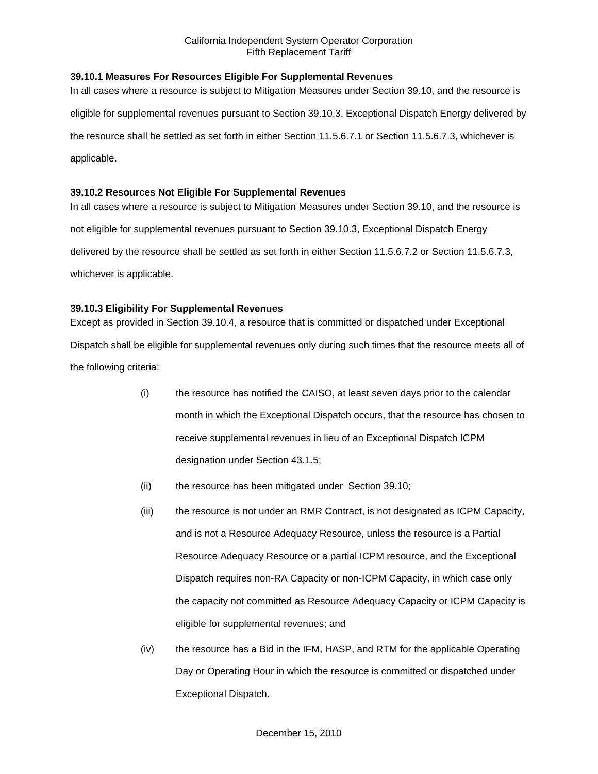# **39.10.1 Measures For Resources Eligible For Supplemental Revenues**

In all cases where a resource is subject to Mitigation Measures under Section 39.10, and the resource is eligible for supplemental revenues pursuant to Section 39.10.3, Exceptional Dispatch Energy delivered by the resource shall be settled as set forth in either Section 11.5.6.7.1 or Section 11.5.6.7.3, whichever is applicable.

## **39.10.2 Resources Not Eligible For Supplemental Revenues**

In all cases where a resource is subject to Mitigation Measures under Section 39.10, and the resource is not eligible for supplemental revenues pursuant to Section 39.10.3, Exceptional Dispatch Energy delivered by the resource shall be settled as set forth in either Section 11.5.6.7.2 or Section 11.5.6.7.3, whichever is applicable.

# **39.10.3 Eligibility For Supplemental Revenues**

Except as provided in Section 39.10.4, a resource that is committed or dispatched under Exceptional Dispatch shall be eligible for supplemental revenues only during such times that the resource meets all of the following criteria:

- (i) the resource has notified the CAISO, at least seven days prior to the calendar month in which the Exceptional Dispatch occurs, that the resource has chosen to receive supplemental revenues in lieu of an Exceptional Dispatch ICPM designation under Section 43.1.5;
- (ii) the resource has been mitigated under Section 39.10;
- (iii) the resource is not under an RMR Contract, is not designated as ICPM Capacity, and is not a Resource Adequacy Resource, unless the resource is a Partial Resource Adequacy Resource or a partial ICPM resource, and the Exceptional Dispatch requires non-RA Capacity or non-ICPM Capacity, in which case only the capacity not committed as Resource Adequacy Capacity or ICPM Capacity is eligible for supplemental revenues; and
- (iv) the resource has a Bid in the IFM, HASP, and RTM for the applicable Operating Day or Operating Hour in which the resource is committed or dispatched under Exceptional Dispatch.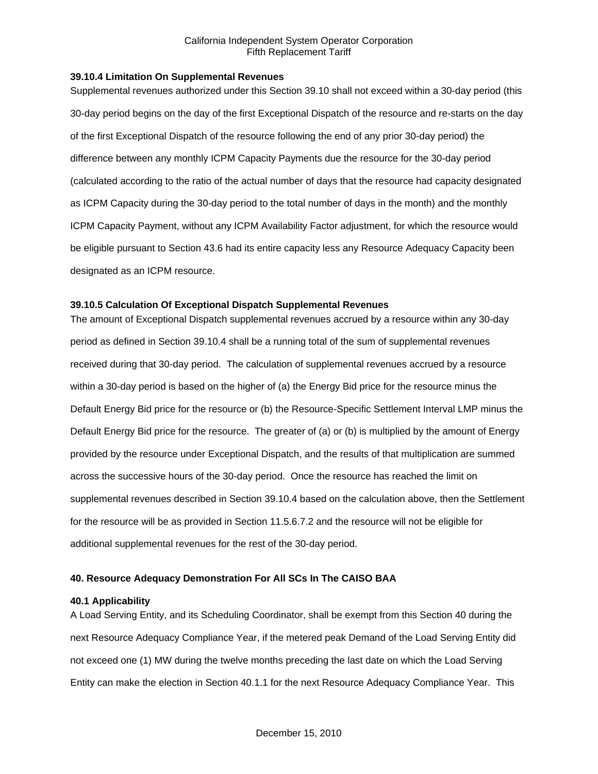### **39.10.4 Limitation On Supplemental Revenues**

Supplemental revenues authorized under this Section 39.10 shall not exceed within a 30-day period (this 30-day period begins on the day of the first Exceptional Dispatch of the resource and re-starts on the day of the first Exceptional Dispatch of the resource following the end of any prior 30-day period) the difference between any monthly ICPM Capacity Payments due the resource for the 30-day period (calculated according to the ratio of the actual number of days that the resource had capacity designated as ICPM Capacity during the 30-day period to the total number of days in the month) and the monthly ICPM Capacity Payment, without any ICPM Availability Factor adjustment, for which the resource would be eligible pursuant to Section 43.6 had its entire capacity less any Resource Adequacy Capacity been designated as an ICPM resource.

### **39.10.5 Calculation Of Exceptional Dispatch Supplemental Revenues**

The amount of Exceptional Dispatch supplemental revenues accrued by a resource within any 30-day period as defined in Section 39.10.4 shall be a running total of the sum of supplemental revenues received during that 30-day period. The calculation of supplemental revenues accrued by a resource within a 30-day period is based on the higher of (a) the Energy Bid price for the resource minus the Default Energy Bid price for the resource or (b) the Resource-Specific Settlement Interval LMP minus the Default Energy Bid price for the resource. The greater of (a) or (b) is multiplied by the amount of Energy provided by the resource under Exceptional Dispatch, and the results of that multiplication are summed across the successive hours of the 30-day period. Once the resource has reached the limit on supplemental revenues described in Section 39.10.4 based on the calculation above, then the Settlement for the resource will be as provided in Section 11.5.6.7.2 and the resource will not be eligible for additional supplemental revenues for the rest of the 30-day period.

### **40. Resource Adequacy Demonstration For All SCs In The CAISO BAA**

### **40.1 Applicability**

A Load Serving Entity, and its Scheduling Coordinator, shall be exempt from this Section 40 during the next Resource Adequacy Compliance Year, if the metered peak Demand of the Load Serving Entity did not exceed one (1) MW during the twelve months preceding the last date on which the Load Serving Entity can make the election in Section 40.1.1 for the next Resource Adequacy Compliance Year. This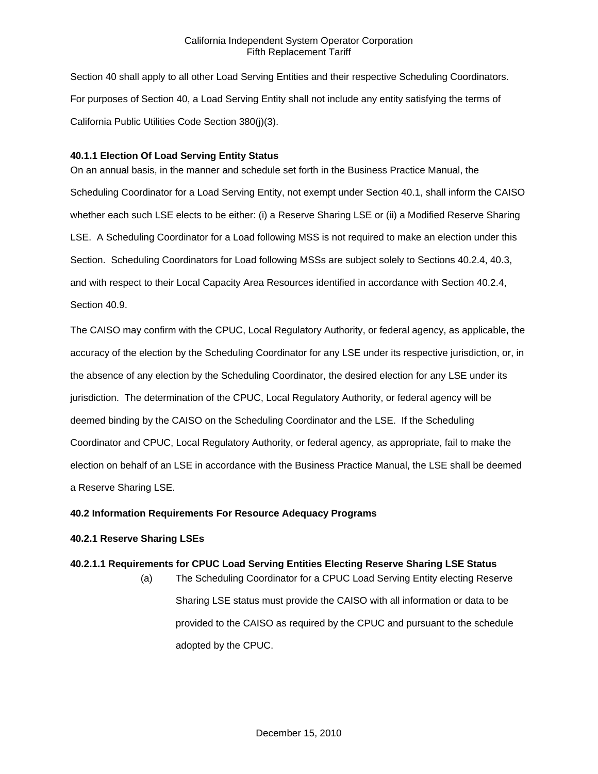Section 40 shall apply to all other Load Serving Entities and their respective Scheduling Coordinators. For purposes of Section 40, a Load Serving Entity shall not include any entity satisfying the terms of California Public Utilities Code Section 380(j)(3).

# **40.1.1 Election Of Load Serving Entity Status**

On an annual basis, in the manner and schedule set forth in the Business Practice Manual, the Scheduling Coordinator for a Load Serving Entity, not exempt under Section 40.1, shall inform the CAISO whether each such LSE elects to be either: (i) a Reserve Sharing LSE or (ii) a Modified Reserve Sharing LSE. A Scheduling Coordinator for a Load following MSS is not required to make an election under this Section. Scheduling Coordinators for Load following MSSs are subject solely to Sections 40.2.4, 40.3, and with respect to their Local Capacity Area Resources identified in accordance with Section 40.2.4, Section 40.9.

The CAISO may confirm with the CPUC, Local Regulatory Authority, or federal agency, as applicable, the accuracy of the election by the Scheduling Coordinator for any LSE under its respective jurisdiction, or, in the absence of any election by the Scheduling Coordinator, the desired election for any LSE under its jurisdiction. The determination of the CPUC, Local Regulatory Authority, or federal agency will be deemed binding by the CAISO on the Scheduling Coordinator and the LSE. If the Scheduling Coordinator and CPUC, Local Regulatory Authority, or federal agency, as appropriate, fail to make the election on behalf of an LSE in accordance with the Business Practice Manual, the LSE shall be deemed a Reserve Sharing LSE.

# **40.2 Information Requirements For Resource Adequacy Programs**

# **40.2.1 Reserve Sharing LSEs**

# **40.2.1.1 Requirements for CPUC Load Serving Entities Electing Reserve Sharing LSE Status**

(a) The Scheduling Coordinator for a CPUC Load Serving Entity electing Reserve Sharing LSE status must provide the CAISO with all information or data to be provided to the CAISO as required by the CPUC and pursuant to the schedule adopted by the CPUC.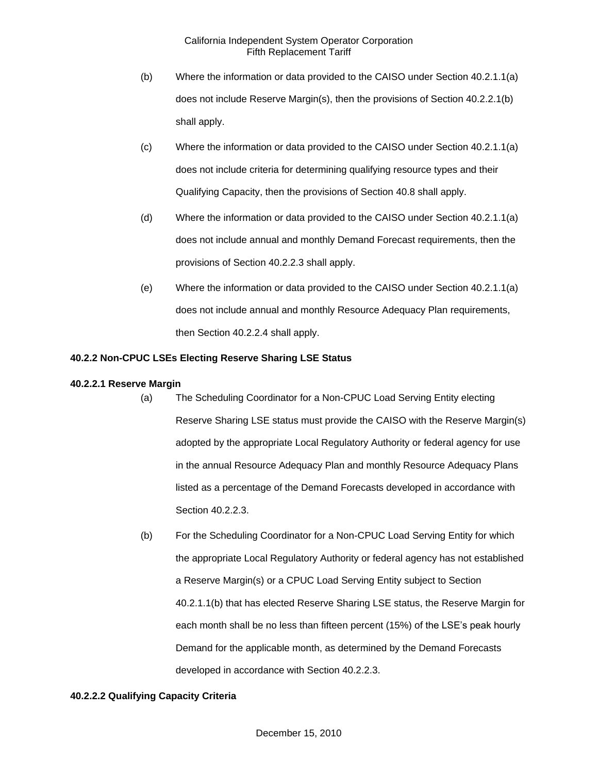- (b) Where the information or data provided to the CAISO under Section 40.2.1.1(a) does not include Reserve Margin(s), then the provisions of Section 40.2.2.1(b) shall apply.
- (c) Where the information or data provided to the CAISO under Section 40.2.1.1(a) does not include criteria for determining qualifying resource types and their Qualifying Capacity, then the provisions of Section 40.8 shall apply.
- (d) Where the information or data provided to the CAISO under Section 40.2.1.1(a) does not include annual and monthly Demand Forecast requirements, then the provisions of Section 40.2.2.3 shall apply.
- (e) Where the information or data provided to the CAISO under Section 40.2.1.1(a) does not include annual and monthly Resource Adequacy Plan requirements, then Section 40.2.2.4 shall apply.

# **40.2.2 Non-CPUC LSEs Electing Reserve Sharing LSE Status**

# **40.2.2.1 Reserve Margin**

- (a) The Scheduling Coordinator for a Non-CPUC Load Serving Entity electing Reserve Sharing LSE status must provide the CAISO with the Reserve Margin(s) adopted by the appropriate Local Regulatory Authority or federal agency for use in the annual Resource Adequacy Plan and monthly Resource Adequacy Plans listed as a percentage of the Demand Forecasts developed in accordance with Section 40.2.2.3.
	- (b) For the Scheduling Coordinator for a Non-CPUC Load Serving Entity for which the appropriate Local Regulatory Authority or federal agency has not established a Reserve Margin(s) or a CPUC Load Serving Entity subject to Section 40.2.1.1(b) that has elected Reserve Sharing LSE status, the Reserve Margin for each month shall be no less than fifteen percent (15%) of the LSE's peak hourly Demand for the applicable month, as determined by the Demand Forecasts developed in accordance with Section 40.2.2.3.

# **40.2.2.2 Qualifying Capacity Criteria**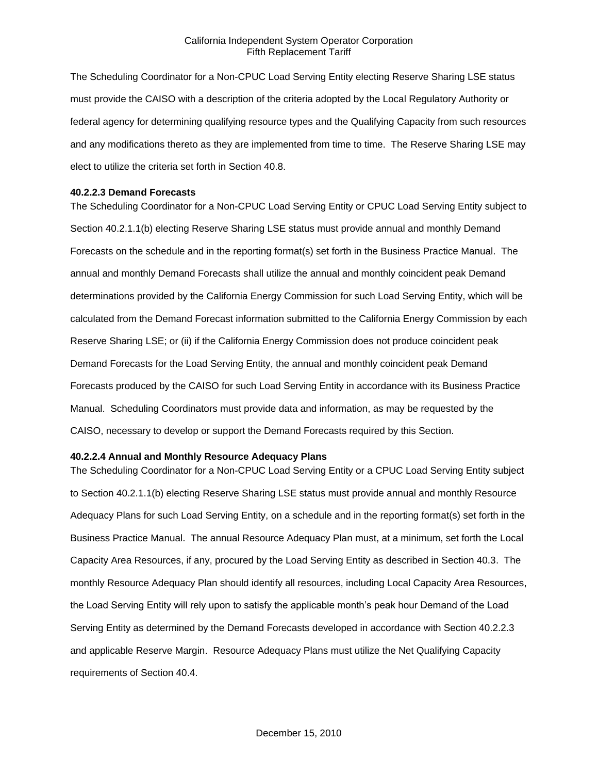The Scheduling Coordinator for a Non-CPUC Load Serving Entity electing Reserve Sharing LSE status must provide the CAISO with a description of the criteria adopted by the Local Regulatory Authority or federal agency for determining qualifying resource types and the Qualifying Capacity from such resources and any modifications thereto as they are implemented from time to time. The Reserve Sharing LSE may elect to utilize the criteria set forth in Section 40.8.

### **40.2.2.3 Demand Forecasts**

The Scheduling Coordinator for a Non-CPUC Load Serving Entity or CPUC Load Serving Entity subject to Section 40.2.1.1(b) electing Reserve Sharing LSE status must provide annual and monthly Demand Forecasts on the schedule and in the reporting format(s) set forth in the Business Practice Manual. The annual and monthly Demand Forecasts shall utilize the annual and monthly coincident peak Demand determinations provided by the California Energy Commission for such Load Serving Entity, which will be calculated from the Demand Forecast information submitted to the California Energy Commission by each Reserve Sharing LSE; or (ii) if the California Energy Commission does not produce coincident peak Demand Forecasts for the Load Serving Entity, the annual and monthly coincident peak Demand Forecasts produced by the CAISO for such Load Serving Entity in accordance with its Business Practice Manual. Scheduling Coordinators must provide data and information, as may be requested by the CAISO, necessary to develop or support the Demand Forecasts required by this Section.

### **40.2.2.4 Annual and Monthly Resource Adequacy Plans**

The Scheduling Coordinator for a Non-CPUC Load Serving Entity or a CPUC Load Serving Entity subject to Section 40.2.1.1(b) electing Reserve Sharing LSE status must provide annual and monthly Resource Adequacy Plans for such Load Serving Entity, on a schedule and in the reporting format(s) set forth in the Business Practice Manual. The annual Resource Adequacy Plan must, at a minimum, set forth the Local Capacity Area Resources, if any, procured by the Load Serving Entity as described in Section 40.3. The monthly Resource Adequacy Plan should identify all resources, including Local Capacity Area Resources, the Load Serving Entity will rely upon to satisfy the applicable month's peak hour Demand of the Load Serving Entity as determined by the Demand Forecasts developed in accordance with Section 40.2.2.3 and applicable Reserve Margin. Resource Adequacy Plans must utilize the Net Qualifying Capacity requirements of Section 40.4.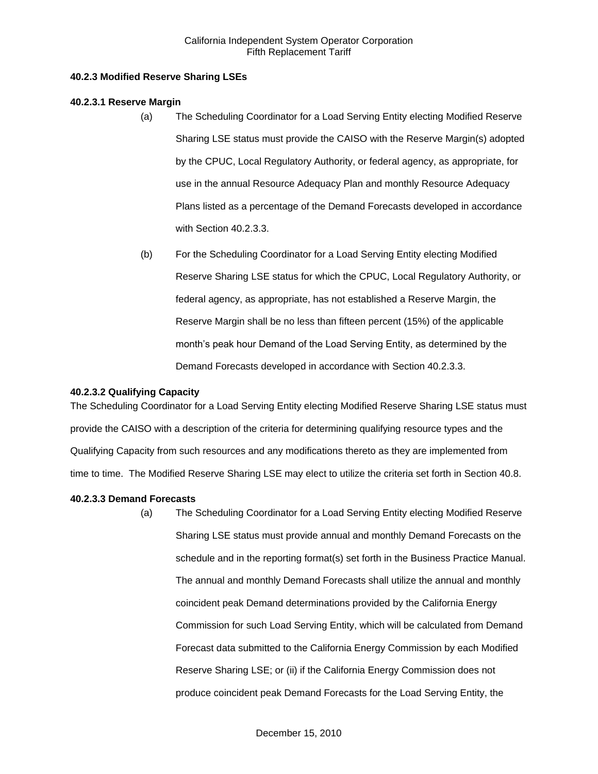## **40.2.3 Modified Reserve Sharing LSEs**

## **40.2.3.1 Reserve Margin**

- (a) The Scheduling Coordinator for a Load Serving Entity electing Modified Reserve Sharing LSE status must provide the CAISO with the Reserve Margin(s) adopted by the CPUC, Local Regulatory Authority, or federal agency, as appropriate, for use in the annual Resource Adequacy Plan and monthly Resource Adequacy Plans listed as a percentage of the Demand Forecasts developed in accordance with Section 40.2.3.3.
- (b) For the Scheduling Coordinator for a Load Serving Entity electing Modified Reserve Sharing LSE status for which the CPUC, Local Regulatory Authority, or federal agency, as appropriate, has not established a Reserve Margin, the Reserve Margin shall be no less than fifteen percent (15%) of the applicable month's peak hour Demand of the Load Serving Entity, as determined by the Demand Forecasts developed in accordance with Section 40.2.3.3.

## **40.2.3.2 Qualifying Capacity**

The Scheduling Coordinator for a Load Serving Entity electing Modified Reserve Sharing LSE status must provide the CAISO with a description of the criteria for determining qualifying resource types and the Qualifying Capacity from such resources and any modifications thereto as they are implemented from time to time. The Modified Reserve Sharing LSE may elect to utilize the criteria set forth in Section 40.8.

# **40.2.3.3 Demand Forecasts**

(a) The Scheduling Coordinator for a Load Serving Entity electing Modified Reserve Sharing LSE status must provide annual and monthly Demand Forecasts on the schedule and in the reporting format(s) set forth in the Business Practice Manual. The annual and monthly Demand Forecasts shall utilize the annual and monthly coincident peak Demand determinations provided by the California Energy Commission for such Load Serving Entity, which will be calculated from Demand Forecast data submitted to the California Energy Commission by each Modified Reserve Sharing LSE; or (ii) if the California Energy Commission does not produce coincident peak Demand Forecasts for the Load Serving Entity, the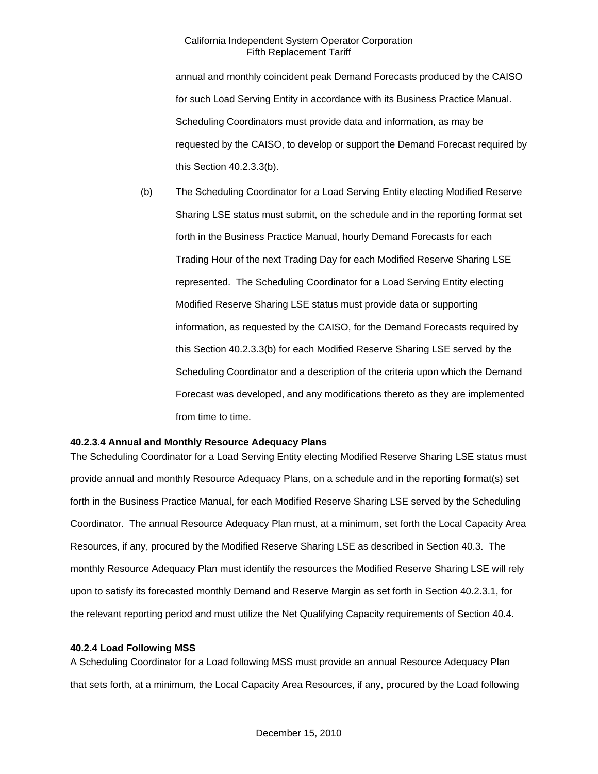annual and monthly coincident peak Demand Forecasts produced by the CAISO for such Load Serving Entity in accordance with its Business Practice Manual. Scheduling Coordinators must provide data and information, as may be requested by the CAISO, to develop or support the Demand Forecast required by this Section 40.2.3.3(b).

(b) The Scheduling Coordinator for a Load Serving Entity electing Modified Reserve Sharing LSE status must submit, on the schedule and in the reporting format set forth in the Business Practice Manual, hourly Demand Forecasts for each Trading Hour of the next Trading Day for each Modified Reserve Sharing LSE represented. The Scheduling Coordinator for a Load Serving Entity electing Modified Reserve Sharing LSE status must provide data or supporting information, as requested by the CAISO, for the Demand Forecasts required by this Section 40.2.3.3(b) for each Modified Reserve Sharing LSE served by the Scheduling Coordinator and a description of the criteria upon which the Demand Forecast was developed, and any modifications thereto as they are implemented from time to time.

### **40.2.3.4 Annual and Monthly Resource Adequacy Plans**

The Scheduling Coordinator for a Load Serving Entity electing Modified Reserve Sharing LSE status must provide annual and monthly Resource Adequacy Plans, on a schedule and in the reporting format(s) set forth in the Business Practice Manual, for each Modified Reserve Sharing LSE served by the Scheduling Coordinator. The annual Resource Adequacy Plan must, at a minimum, set forth the Local Capacity Area Resources, if any, procured by the Modified Reserve Sharing LSE as described in Section 40.3. The monthly Resource Adequacy Plan must identify the resources the Modified Reserve Sharing LSE will rely upon to satisfy its forecasted monthly Demand and Reserve Margin as set forth in Section 40.2.3.1, for the relevant reporting period and must utilize the Net Qualifying Capacity requirements of Section 40.4.

### **40.2.4 Load Following MSS**

A Scheduling Coordinator for a Load following MSS must provide an annual Resource Adequacy Plan that sets forth, at a minimum, the Local Capacity Area Resources, if any, procured by the Load following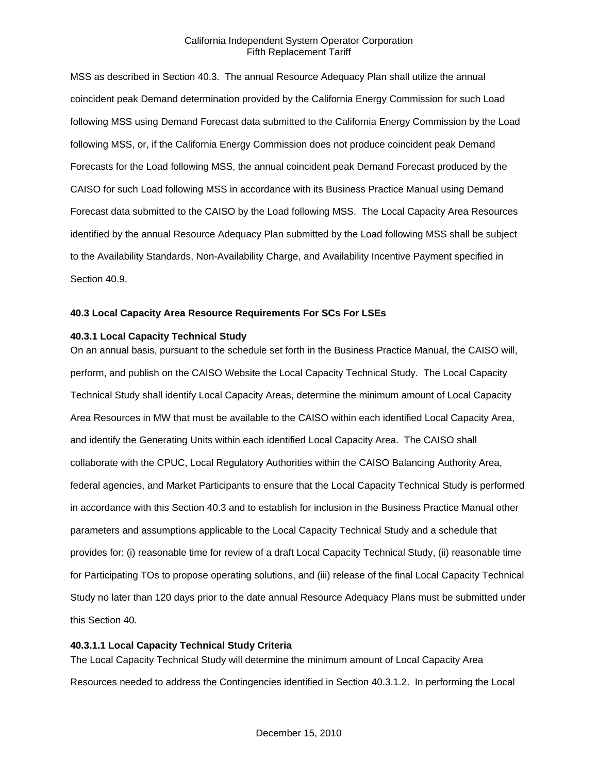MSS as described in Section 40.3. The annual Resource Adequacy Plan shall utilize the annual coincident peak Demand determination provided by the California Energy Commission for such Load following MSS using Demand Forecast data submitted to the California Energy Commission by the Load following MSS, or, if the California Energy Commission does not produce coincident peak Demand Forecasts for the Load following MSS, the annual coincident peak Demand Forecast produced by the CAISO for such Load following MSS in accordance with its Business Practice Manual using Demand Forecast data submitted to the CAISO by the Load following MSS. The Local Capacity Area Resources identified by the annual Resource Adequacy Plan submitted by the Load following MSS shall be subject to the Availability Standards, Non-Availability Charge, and Availability Incentive Payment specified in Section 40.9.

### **40.3 Local Capacity Area Resource Requirements For SCs For LSEs**

### **40.3.1 Local Capacity Technical Study**

On an annual basis, pursuant to the schedule set forth in the Business Practice Manual, the CAISO will, perform, and publish on the CAISO Website the Local Capacity Technical Study. The Local Capacity Technical Study shall identify Local Capacity Areas, determine the minimum amount of Local Capacity Area Resources in MW that must be available to the CAISO within each identified Local Capacity Area, and identify the Generating Units within each identified Local Capacity Area. The CAISO shall collaborate with the CPUC, Local Regulatory Authorities within the CAISO Balancing Authority Area, federal agencies, and Market Participants to ensure that the Local Capacity Technical Study is performed in accordance with this Section 40.3 and to establish for inclusion in the Business Practice Manual other parameters and assumptions applicable to the Local Capacity Technical Study and a schedule that provides for: (i) reasonable time for review of a draft Local Capacity Technical Study, (ii) reasonable time for Participating TOs to propose operating solutions, and (iii) release of the final Local Capacity Technical Study no later than 120 days prior to the date annual Resource Adequacy Plans must be submitted under this Section 40.

### **40.3.1.1 Local Capacity Technical Study Criteria**

The Local Capacity Technical Study will determine the minimum amount of Local Capacity Area Resources needed to address the Contingencies identified in Section 40.3.1.2. In performing the Local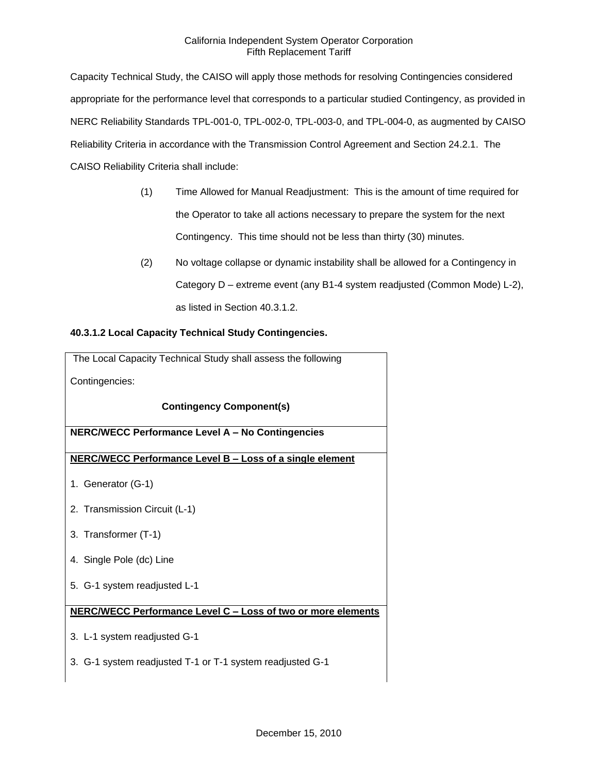Capacity Technical Study, the CAISO will apply those methods for resolving Contingencies considered appropriate for the performance level that corresponds to a particular studied Contingency, as provided in NERC Reliability Standards TPL-001-0, TPL-002-0, TPL-003-0, and TPL-004-0, as augmented by CAISO Reliability Criteria in accordance with the Transmission Control Agreement and Section 24.2.1. The CAISO Reliability Criteria shall include:

- (1) Time Allowed for Manual Readjustment: This is the amount of time required for the Operator to take all actions necessary to prepare the system for the next Contingency. This time should not be less than thirty (30) minutes.
- (2) No voltage collapse or dynamic instability shall be allowed for a Contingency in Category D – extreme event (any B1-4 system readjusted (Common Mode) L-2), as listed in Section 40.3.1.2.

# **40.3.1.2 Local Capacity Technical Study Contingencies.**

| The Local Capacity Technical Study shall assess the following |
|---------------------------------------------------------------|
| Contingencies:                                                |
| <b>Contingency Component(s)</b>                               |
| NERC/WECC Performance Level A - No Contingencies              |
| NERC/WECC Performance Level B - Loss of a single element      |
| 1. Generator (G-1)                                            |
| 2. Transmission Circuit (L-1)                                 |
| 3. Transformer (T-1)                                          |
| 4. Single Pole (dc) Line                                      |
| 5. G-1 system readjusted L-1                                  |
| NERC/WECC Performance Level C - Loss of two or more elements  |
| 3. L-1 system readjusted G-1                                  |
| 3. G-1 system readjusted T-1 or T-1 system readjusted G-1     |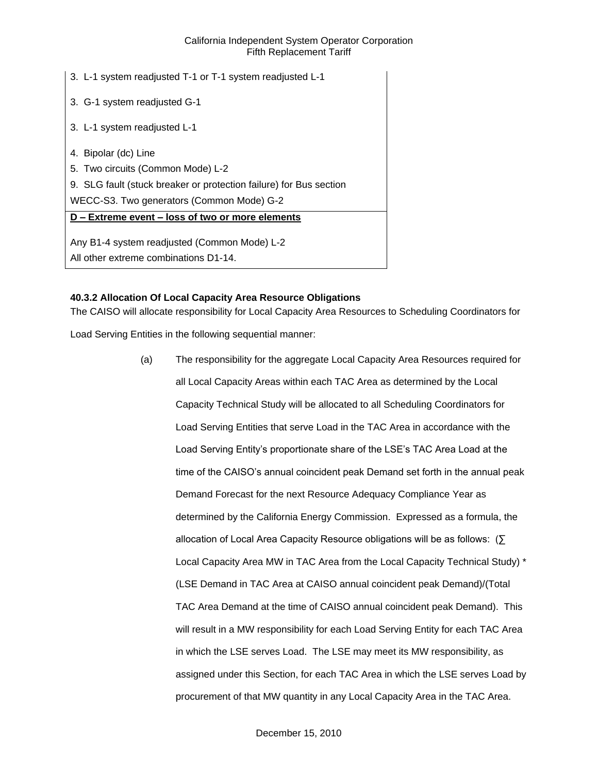| 3. L-1 system readjusted T-1 or T-1 system readjusted L-1          |
|--------------------------------------------------------------------|
| 3. G-1 system readjusted G-1                                       |
| 3. L-1 system readjusted L-1                                       |
| 4. Bipolar (dc) Line                                               |
| 5. Two circuits (Common Mode) L-2                                  |
| 9. SLG fault (stuck breaker or protection failure) for Bus section |
| WECC-S3. Two generators (Common Mode) G-2                          |
| D - Extreme event - loss of two or more elements                   |
| Any B1-4 system readjusted (Common Mode) L-2                       |
| All other extreme combinations D1-14.                              |

# **40.3.2 Allocation Of Local Capacity Area Resource Obligations**

The CAISO will allocate responsibility for Local Capacity Area Resources to Scheduling Coordinators for

Load Serving Entities in the following sequential manner:

(a) The responsibility for the aggregate Local Capacity Area Resources required for all Local Capacity Areas within each TAC Area as determined by the Local Capacity Technical Study will be allocated to all Scheduling Coordinators for Load Serving Entities that serve Load in the TAC Area in accordance with the Load Serving Entity's proportionate share of the LSE's TAC Area Load at the time of the CAISO's annual coincident peak Demand set forth in the annual peak Demand Forecast for the next Resource Adequacy Compliance Year as determined by the California Energy Commission. Expressed as a formula, the allocation of Local Area Capacity Resource obligations will be as follows: (∑ Local Capacity Area MW in TAC Area from the Local Capacity Technical Study) \* (LSE Demand in TAC Area at CAISO annual coincident peak Demand)/(Total TAC Area Demand at the time of CAISO annual coincident peak Demand). This will result in a MW responsibility for each Load Serving Entity for each TAC Area in which the LSE serves Load. The LSE may meet its MW responsibility, as assigned under this Section, for each TAC Area in which the LSE serves Load by procurement of that MW quantity in any Local Capacity Area in the TAC Area.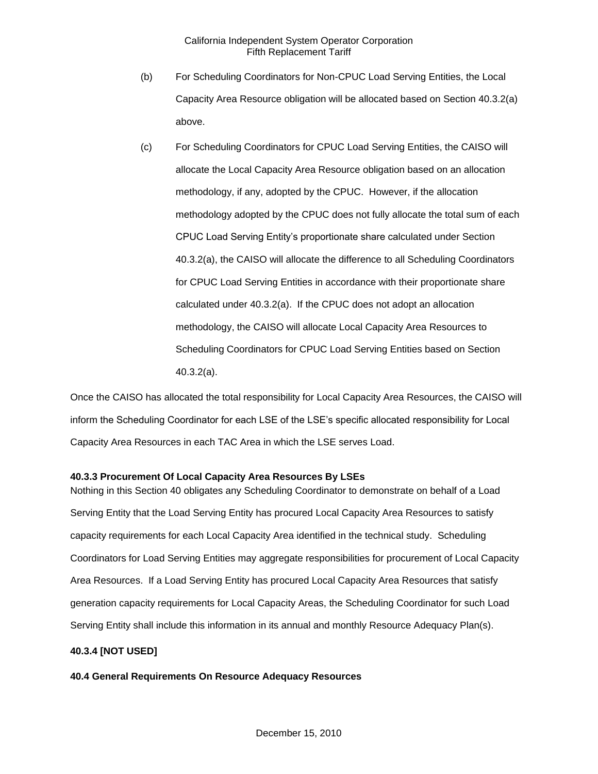- (b) For Scheduling Coordinators for Non-CPUC Load Serving Entities, the Local Capacity Area Resource obligation will be allocated based on Section 40.3.2(a) above.
- (c) For Scheduling Coordinators for CPUC Load Serving Entities, the CAISO will allocate the Local Capacity Area Resource obligation based on an allocation methodology, if any, adopted by the CPUC. However, if the allocation methodology adopted by the CPUC does not fully allocate the total sum of each CPUC Load Serving Entity's proportionate share calculated under Section 40.3.2(a), the CAISO will allocate the difference to all Scheduling Coordinators for CPUC Load Serving Entities in accordance with their proportionate share calculated under 40.3.2(a). If the CPUC does not adopt an allocation methodology, the CAISO will allocate Local Capacity Area Resources to Scheduling Coordinators for CPUC Load Serving Entities based on Section 40.3.2(a).

Once the CAISO has allocated the total responsibility for Local Capacity Area Resources, the CAISO will inform the Scheduling Coordinator for each LSE of the LSE's specific allocated responsibility for Local Capacity Area Resources in each TAC Area in which the LSE serves Load.

### **40.3.3 Procurement Of Local Capacity Area Resources By LSEs**

Nothing in this Section 40 obligates any Scheduling Coordinator to demonstrate on behalf of a Load Serving Entity that the Load Serving Entity has procured Local Capacity Area Resources to satisfy capacity requirements for each Local Capacity Area identified in the technical study. Scheduling Coordinators for Load Serving Entities may aggregate responsibilities for procurement of Local Capacity Area Resources. If a Load Serving Entity has procured Local Capacity Area Resources that satisfy generation capacity requirements for Local Capacity Areas, the Scheduling Coordinator for such Load Serving Entity shall include this information in its annual and monthly Resource Adequacy Plan(s).

# **40.3.4 [NOT USED]**

### **40.4 General Requirements On Resource Adequacy Resources**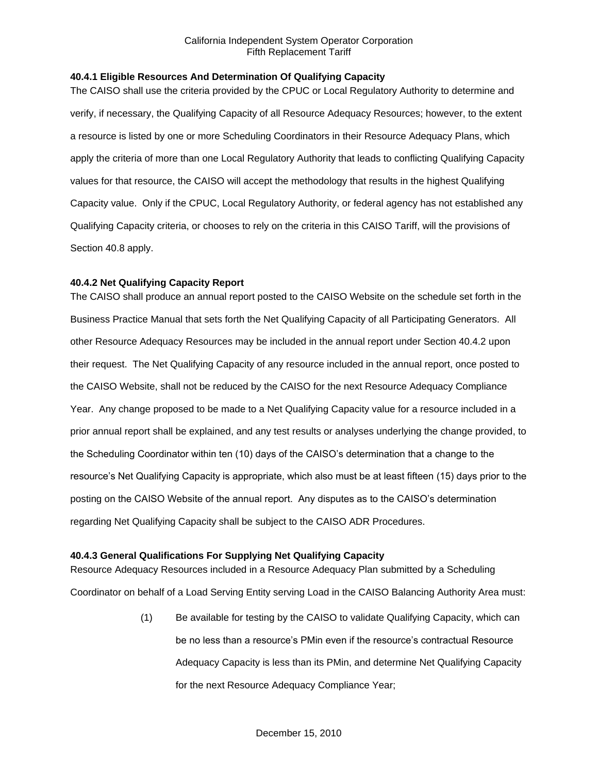# **40.4.1 Eligible Resources And Determination Of Qualifying Capacity**

The CAISO shall use the criteria provided by the CPUC or Local Regulatory Authority to determine and verify, if necessary, the Qualifying Capacity of all Resource Adequacy Resources; however, to the extent a resource is listed by one or more Scheduling Coordinators in their Resource Adequacy Plans, which apply the criteria of more than one Local Regulatory Authority that leads to conflicting Qualifying Capacity values for that resource, the CAISO will accept the methodology that results in the highest Qualifying Capacity value. Only if the CPUC, Local Regulatory Authority, or federal agency has not established any Qualifying Capacity criteria, or chooses to rely on the criteria in this CAISO Tariff, will the provisions of Section 40.8 apply.

# **40.4.2 Net Qualifying Capacity Report**

The CAISO shall produce an annual report posted to the CAISO Website on the schedule set forth in the Business Practice Manual that sets forth the Net Qualifying Capacity of all Participating Generators. All other Resource Adequacy Resources may be included in the annual report under Section 40.4.2 upon their request. The Net Qualifying Capacity of any resource included in the annual report, once posted to the CAISO Website, shall not be reduced by the CAISO for the next Resource Adequacy Compliance Year. Any change proposed to be made to a Net Qualifying Capacity value for a resource included in a prior annual report shall be explained, and any test results or analyses underlying the change provided, to the Scheduling Coordinator within ten (10) days of the CAISO's determination that a change to the resource's Net Qualifying Capacity is appropriate, which also must be at least fifteen (15) days prior to the posting on the CAISO Website of the annual report. Any disputes as to the CAISO's determination regarding Net Qualifying Capacity shall be subject to the CAISO ADR Procedures.

# **40.4.3 General Qualifications For Supplying Net Qualifying Capacity**

Resource Adequacy Resources included in a Resource Adequacy Plan submitted by a Scheduling Coordinator on behalf of a Load Serving Entity serving Load in the CAISO Balancing Authority Area must:

> (1) Be available for testing by the CAISO to validate Qualifying Capacity, which can be no less than a resource's PMin even if the resource's contractual Resource Adequacy Capacity is less than its PMin, and determine Net Qualifying Capacity for the next Resource Adequacy Compliance Year;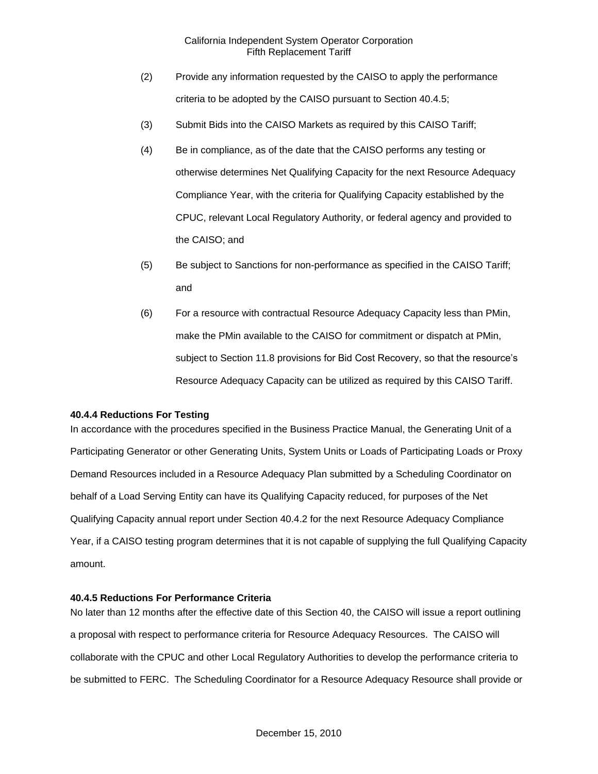- (2) Provide any information requested by the CAISO to apply the performance criteria to be adopted by the CAISO pursuant to Section 40.4.5;
- (3) Submit Bids into the CAISO Markets as required by this CAISO Tariff;
- (4) Be in compliance, as of the date that the CAISO performs any testing or otherwise determines Net Qualifying Capacity for the next Resource Adequacy Compliance Year, with the criteria for Qualifying Capacity established by the CPUC, relevant Local Regulatory Authority, or federal agency and provided to the CAISO; and
- (5) Be subject to Sanctions for non-performance as specified in the CAISO Tariff; and
- (6) For a resource with contractual Resource Adequacy Capacity less than PMin, make the PMin available to the CAISO for commitment or dispatch at PMin, subject to Section 11.8 provisions for Bid Cost Recovery, so that the resource's Resource Adequacy Capacity can be utilized as required by this CAISO Tariff.

#### **40.4.4 Reductions For Testing**

In accordance with the procedures specified in the Business Practice Manual, the Generating Unit of a Participating Generator or other Generating Units, System Units or Loads of Participating Loads or Proxy Demand Resources included in a Resource Adequacy Plan submitted by a Scheduling Coordinator on behalf of a Load Serving Entity can have its Qualifying Capacity reduced, for purposes of the Net Qualifying Capacity annual report under Section 40.4.2 for the next Resource Adequacy Compliance Year, if a CAISO testing program determines that it is not capable of supplying the full Qualifying Capacity amount.

### **40.4.5 Reductions For Performance Criteria**

No later than 12 months after the effective date of this Section 40, the CAISO will issue a report outlining a proposal with respect to performance criteria for Resource Adequacy Resources. The CAISO will collaborate with the CPUC and other Local Regulatory Authorities to develop the performance criteria to be submitted to FERC. The Scheduling Coordinator for a Resource Adequacy Resource shall provide or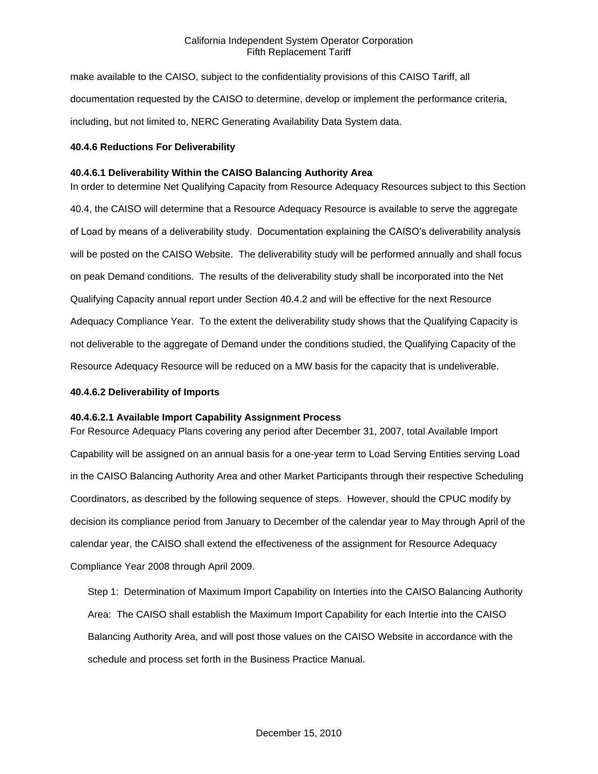make available to the CAISO, subject to the confidentiality provisions of this CAISO Tariff, all documentation requested by the CAISO to determine, develop or implement the performance criteria, including, but not limited to, NERC Generating Availability Data System data.

### **40.4.6 Reductions For Deliverability**

### **40.4.6.1 Deliverability Within the CAISO Balancing Authority Area**

In order to determine Net Qualifying Capacity from Resource Adequacy Resources subject to this Section 40.4, the CAISO will determine that a Resource Adequacy Resource is available to serve the aggregate of Load by means of a deliverability study. Documentation explaining the CAISO's deliverability analysis will be posted on the CAISO Website. The deliverability study will be performed annually and shall focus on peak Demand conditions. The results of the deliverability study shall be incorporated into the Net Qualifying Capacity annual report under Section 40.4.2 and will be effective for the next Resource Adequacy Compliance Year. To the extent the deliverability study shows that the Qualifying Capacity is not deliverable to the aggregate of Demand under the conditions studied, the Qualifying Capacity of the Resource Adequacy Resource will be reduced on a MW basis for the capacity that is undeliverable.

#### **40.4.6.2 Deliverability of Imports**

### **40.4.6.2.1 Available Import Capability Assignment Process**

For Resource Adequacy Plans covering any period after December 31, 2007, total Available Import Capability will be assigned on an annual basis for a one-year term to Load Serving Entities serving Load in the CAISO Balancing Authority Area and other Market Participants through their respective Scheduling Coordinators, as described by the following sequence of steps. However, should the CPUC modify by decision its compliance period from January to December of the calendar year to May through April of the calendar year, the CAISO shall extend the effectiveness of the assignment for Resource Adequacy Compliance Year 2008 through April 2009.

Step 1: Determination of Maximum Import Capability on Interties into the CAISO Balancing Authority Area: The CAISO shall establish the Maximum Import Capability for each Intertie into the CAISO Balancing Authority Area, and will post those values on the CAISO Website in accordance with the schedule and process set forth in the Business Practice Manual.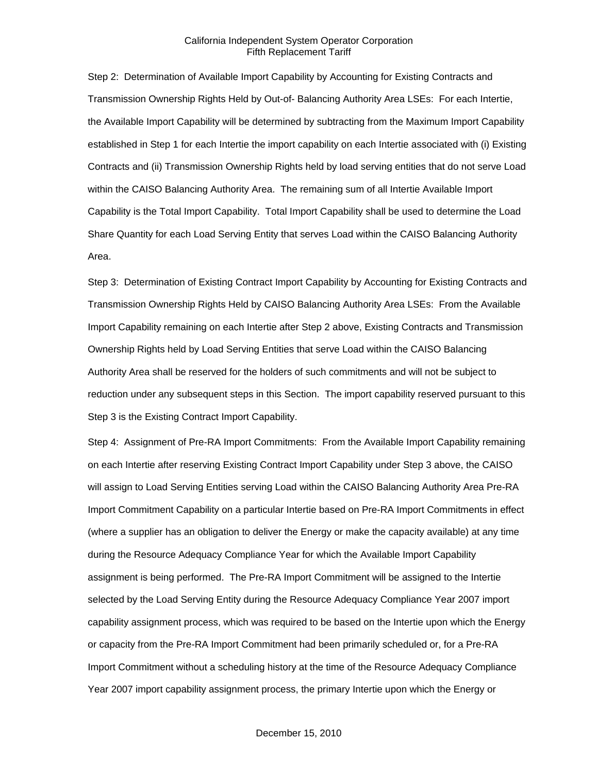Step 2: Determination of Available Import Capability by Accounting for Existing Contracts and Transmission Ownership Rights Held by Out-of- Balancing Authority Area LSEs: For each Intertie, the Available Import Capability will be determined by subtracting from the Maximum Import Capability established in Step 1 for each Intertie the import capability on each Intertie associated with (i) Existing Contracts and (ii) Transmission Ownership Rights held by load serving entities that do not serve Load within the CAISO Balancing Authority Area. The remaining sum of all Intertie Available Import Capability is the Total Import Capability. Total Import Capability shall be used to determine the Load Share Quantity for each Load Serving Entity that serves Load within the CAISO Balancing Authority Area.

Step 3: Determination of Existing Contract Import Capability by Accounting for Existing Contracts and Transmission Ownership Rights Held by CAISO Balancing Authority Area LSEs: From the Available Import Capability remaining on each Intertie after Step 2 above, Existing Contracts and Transmission Ownership Rights held by Load Serving Entities that serve Load within the CAISO Balancing Authority Area shall be reserved for the holders of such commitments and will not be subject to reduction under any subsequent steps in this Section. The import capability reserved pursuant to this Step 3 is the Existing Contract Import Capability.

Step 4: Assignment of Pre-RA Import Commitments: From the Available Import Capability remaining on each Intertie after reserving Existing Contract Import Capability under Step 3 above, the CAISO will assign to Load Serving Entities serving Load within the CAISO Balancing Authority Area Pre-RA Import Commitment Capability on a particular Intertie based on Pre-RA Import Commitments in effect (where a supplier has an obligation to deliver the Energy or make the capacity available) at any time during the Resource Adequacy Compliance Year for which the Available Import Capability assignment is being performed. The Pre-RA Import Commitment will be assigned to the Intertie selected by the Load Serving Entity during the Resource Adequacy Compliance Year 2007 import capability assignment process, which was required to be based on the Intertie upon which the Energy or capacity from the Pre-RA Import Commitment had been primarily scheduled or, for a Pre-RA Import Commitment without a scheduling history at the time of the Resource Adequacy Compliance Year 2007 import capability assignment process, the primary Intertie upon which the Energy or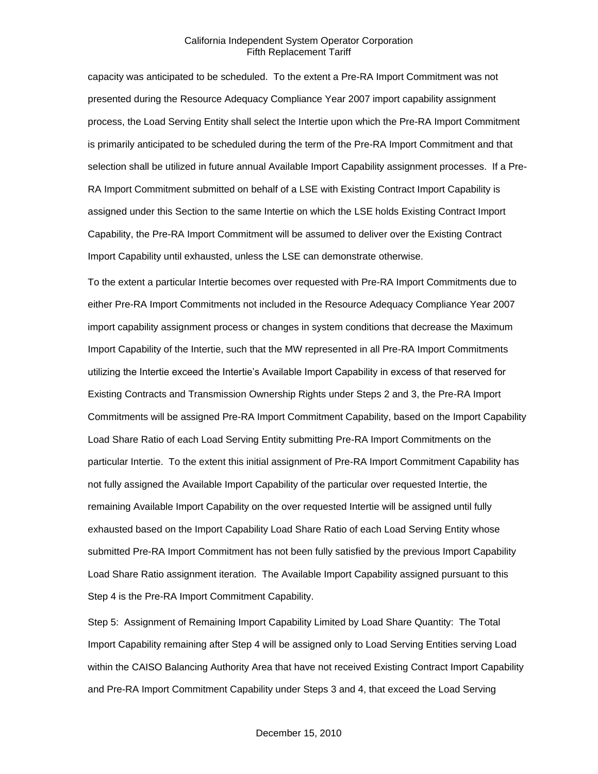capacity was anticipated to be scheduled. To the extent a Pre-RA Import Commitment was not presented during the Resource Adequacy Compliance Year 2007 import capability assignment process, the Load Serving Entity shall select the Intertie upon which the Pre-RA Import Commitment is primarily anticipated to be scheduled during the term of the Pre-RA Import Commitment and that selection shall be utilized in future annual Available Import Capability assignment processes. If a Pre-RA Import Commitment submitted on behalf of a LSE with Existing Contract Import Capability is assigned under this Section to the same Intertie on which the LSE holds Existing Contract Import Capability, the Pre-RA Import Commitment will be assumed to deliver over the Existing Contract Import Capability until exhausted, unless the LSE can demonstrate otherwise.

To the extent a particular Intertie becomes over requested with Pre-RA Import Commitments due to either Pre-RA Import Commitments not included in the Resource Adequacy Compliance Year 2007 import capability assignment process or changes in system conditions that decrease the Maximum Import Capability of the Intertie, such that the MW represented in all Pre-RA Import Commitments utilizing the Intertie exceed the Intertie's Available Import Capability in excess of that reserved for Existing Contracts and Transmission Ownership Rights under Steps 2 and 3, the Pre-RA Import Commitments will be assigned Pre-RA Import Commitment Capability, based on the Import Capability Load Share Ratio of each Load Serving Entity submitting Pre-RA Import Commitments on the particular Intertie. To the extent this initial assignment of Pre-RA Import Commitment Capability has not fully assigned the Available Import Capability of the particular over requested Intertie, the remaining Available Import Capability on the over requested Intertie will be assigned until fully exhausted based on the Import Capability Load Share Ratio of each Load Serving Entity whose submitted Pre-RA Import Commitment has not been fully satisfied by the previous Import Capability Load Share Ratio assignment iteration. The Available Import Capability assigned pursuant to this Step 4 is the Pre-RA Import Commitment Capability.

Step 5: Assignment of Remaining Import Capability Limited by Load Share Quantity: The Total Import Capability remaining after Step 4 will be assigned only to Load Serving Entities serving Load within the CAISO Balancing Authority Area that have not received Existing Contract Import Capability and Pre-RA Import Commitment Capability under Steps 3 and 4, that exceed the Load Serving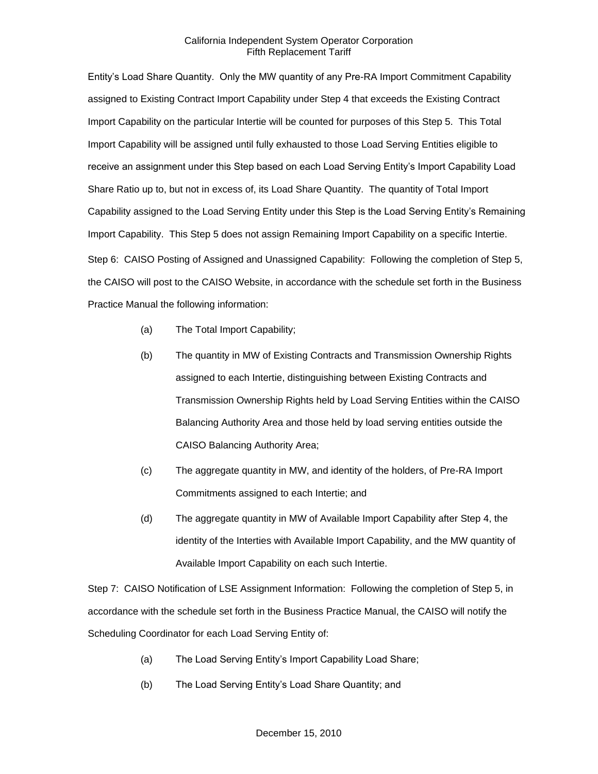Entity's Load Share Quantity. Only the MW quantity of any Pre-RA Import Commitment Capability assigned to Existing Contract Import Capability under Step 4 that exceeds the Existing Contract Import Capability on the particular Intertie will be counted for purposes of this Step 5. This Total Import Capability will be assigned until fully exhausted to those Load Serving Entities eligible to receive an assignment under this Step based on each Load Serving Entity's Import Capability Load Share Ratio up to, but not in excess of, its Load Share Quantity. The quantity of Total Import Capability assigned to the Load Serving Entity under this Step is the Load Serving Entity's Remaining Import Capability. This Step 5 does not assign Remaining Import Capability on a specific Intertie. Step 6: CAISO Posting of Assigned and Unassigned Capability: Following the completion of Step 5, the CAISO will post to the CAISO Website, in accordance with the schedule set forth in the Business Practice Manual the following information:

- (a) The Total Import Capability;
- (b) The quantity in MW of Existing Contracts and Transmission Ownership Rights assigned to each Intertie, distinguishing between Existing Contracts and Transmission Ownership Rights held by Load Serving Entities within the CAISO Balancing Authority Area and those held by load serving entities outside the CAISO Balancing Authority Area;
- (c) The aggregate quantity in MW, and identity of the holders, of Pre-RA Import Commitments assigned to each Intertie; and
- (d) The aggregate quantity in MW of Available Import Capability after Step 4, the identity of the Interties with Available Import Capability, and the MW quantity of Available Import Capability on each such Intertie.

Step 7: CAISO Notification of LSE Assignment Information: Following the completion of Step 5, in accordance with the schedule set forth in the Business Practice Manual, the CAISO will notify the Scheduling Coordinator for each Load Serving Entity of:

- (a) The Load Serving Entity's Import Capability Load Share;
- (b) The Load Serving Entity's Load Share Quantity; and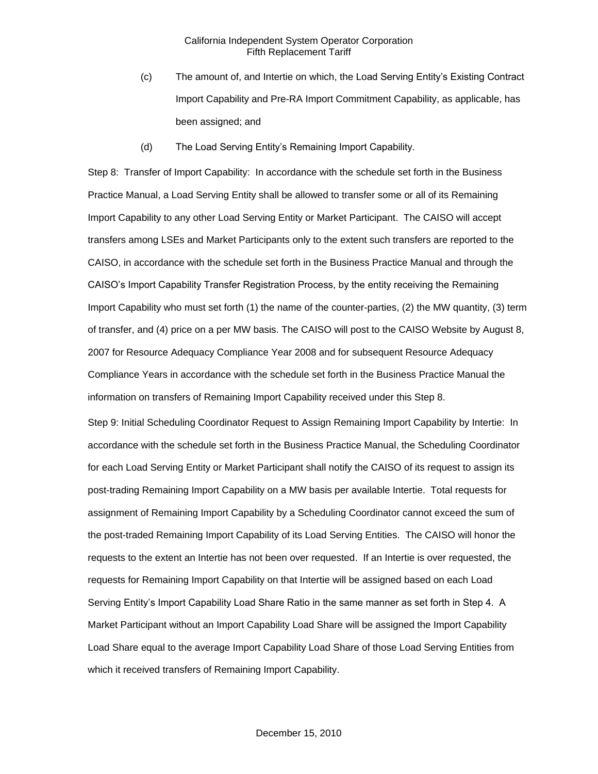- (c) The amount of, and Intertie on which, the Load Serving Entity's Existing Contract Import Capability and Pre-RA Import Commitment Capability, as applicable, has been assigned; and
- (d) The Load Serving Entity's Remaining Import Capability.

Step 8: Transfer of Import Capability: In accordance with the schedule set forth in the Business Practice Manual, a Load Serving Entity shall be allowed to transfer some or all of its Remaining Import Capability to any other Load Serving Entity or Market Participant. The CAISO will accept transfers among LSEs and Market Participants only to the extent such transfers are reported to the CAISO, in accordance with the schedule set forth in the Business Practice Manual and through the CAISO's Import Capability Transfer Registration Process, by the entity receiving the Remaining Import Capability who must set forth (1) the name of the counter-parties, (2) the MW quantity, (3) term of transfer, and (4) price on a per MW basis. The CAISO will post to the CAISO Website by August 8, 2007 for Resource Adequacy Compliance Year 2008 and for subsequent Resource Adequacy Compliance Years in accordance with the schedule set forth in the Business Practice Manual the information on transfers of Remaining Import Capability received under this Step 8.

Step 9: Initial Scheduling Coordinator Request to Assign Remaining Import Capability by Intertie: In accordance with the schedule set forth in the Business Practice Manual, the Scheduling Coordinator for each Load Serving Entity or Market Participant shall notify the CAISO of its request to assign its post-trading Remaining Import Capability on a MW basis per available Intertie. Total requests for assignment of Remaining Import Capability by a Scheduling Coordinator cannot exceed the sum of the post-traded Remaining Import Capability of its Load Serving Entities. The CAISO will honor the requests to the extent an Intertie has not been over requested. If an Intertie is over requested, the requests for Remaining Import Capability on that Intertie will be assigned based on each Load Serving Entity's Import Capability Load Share Ratio in the same manner as set forth in Step 4. A Market Participant without an Import Capability Load Share will be assigned the Import Capability Load Share equal to the average Import Capability Load Share of those Load Serving Entities from which it received transfers of Remaining Import Capability.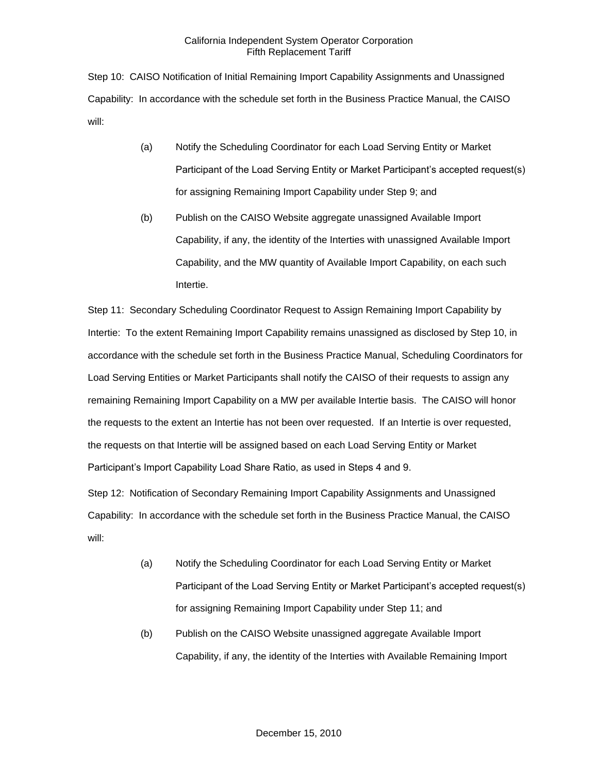Step 10: CAISO Notification of Initial Remaining Import Capability Assignments and Unassigned Capability: In accordance with the schedule set forth in the Business Practice Manual, the CAISO will:

- (a) Notify the Scheduling Coordinator for each Load Serving Entity or Market Participant of the Load Serving Entity or Market Participant's accepted request(s) for assigning Remaining Import Capability under Step 9; and
- (b) Publish on the CAISO Website aggregate unassigned Available Import Capability, if any, the identity of the Interties with unassigned Available Import Capability, and the MW quantity of Available Import Capability, on each such Intertie.

Step 11: Secondary Scheduling Coordinator Request to Assign Remaining Import Capability by Intertie: To the extent Remaining Import Capability remains unassigned as disclosed by Step 10, in accordance with the schedule set forth in the Business Practice Manual, Scheduling Coordinators for Load Serving Entities or Market Participants shall notify the CAISO of their requests to assign any remaining Remaining Import Capability on a MW per available Intertie basis. The CAISO will honor the requests to the extent an Intertie has not been over requested. If an Intertie is over requested, the requests on that Intertie will be assigned based on each Load Serving Entity or Market Participant's Import Capability Load Share Ratio, as used in Steps 4 and 9.

Step 12: Notification of Secondary Remaining Import Capability Assignments and Unassigned Capability: In accordance with the schedule set forth in the Business Practice Manual, the CAISO will:

- (a) Notify the Scheduling Coordinator for each Load Serving Entity or Market Participant of the Load Serving Entity or Market Participant's accepted request(s) for assigning Remaining Import Capability under Step 11; and
- (b) Publish on the CAISO Website unassigned aggregate Available Import Capability, if any, the identity of the Interties with Available Remaining Import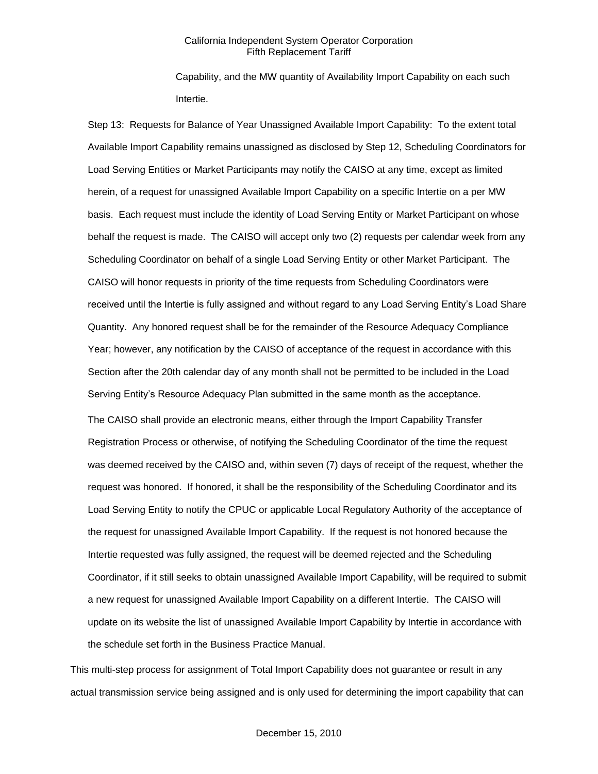Capability, and the MW quantity of Availability Import Capability on each such Intertie.

Step 13: Requests for Balance of Year Unassigned Available Import Capability: To the extent total Available Import Capability remains unassigned as disclosed by Step 12, Scheduling Coordinators for Load Serving Entities or Market Participants may notify the CAISO at any time, except as limited herein, of a request for unassigned Available Import Capability on a specific Intertie on a per MW basis. Each request must include the identity of Load Serving Entity or Market Participant on whose behalf the request is made. The CAISO will accept only two (2) requests per calendar week from any Scheduling Coordinator on behalf of a single Load Serving Entity or other Market Participant. The CAISO will honor requests in priority of the time requests from Scheduling Coordinators were received until the Intertie is fully assigned and without regard to any Load Serving Entity's Load Share Quantity. Any honored request shall be for the remainder of the Resource Adequacy Compliance Year; however, any notification by the CAISO of acceptance of the request in accordance with this Section after the 20th calendar day of any month shall not be permitted to be included in the Load Serving Entity's Resource Adequacy Plan submitted in the same month as the acceptance. The CAISO shall provide an electronic means, either through the Import Capability Transfer Registration Process or otherwise, of notifying the Scheduling Coordinator of the time the request was deemed received by the CAISO and, within seven (7) days of receipt of the request, whether the request was honored. If honored, it shall be the responsibility of the Scheduling Coordinator and its Load Serving Entity to notify the CPUC or applicable Local Regulatory Authority of the acceptance of the request for unassigned Available Import Capability. If the request is not honored because the Intertie requested was fully assigned, the request will be deemed rejected and the Scheduling Coordinator, if it still seeks to obtain unassigned Available Import Capability, will be required to submit a new request for unassigned Available Import Capability on a different Intertie. The CAISO will update on its website the list of unassigned Available Import Capability by Intertie in accordance with

This multi-step process for assignment of Total Import Capability does not guarantee or result in any actual transmission service being assigned and is only used for determining the import capability that can

the schedule set forth in the Business Practice Manual.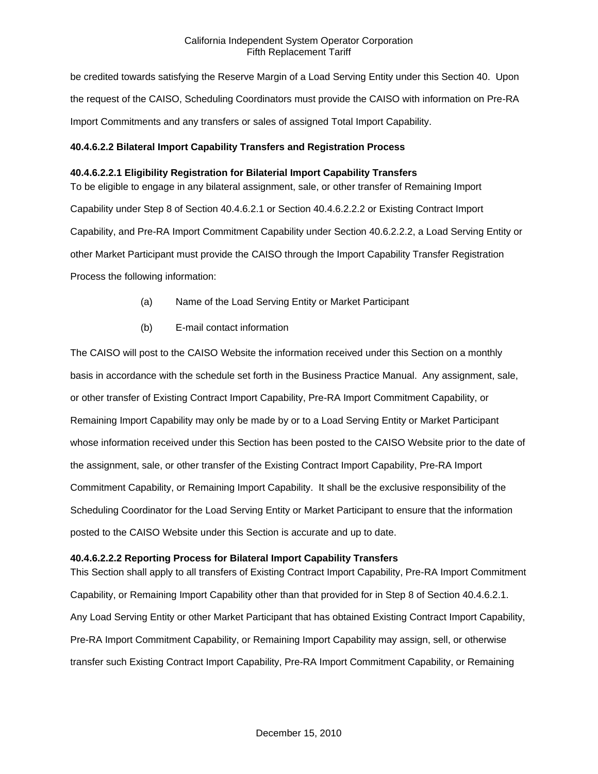be credited towards satisfying the Reserve Margin of a Load Serving Entity under this Section 40. Upon the request of the CAISO, Scheduling Coordinators must provide the CAISO with information on Pre-RA Import Commitments and any transfers or sales of assigned Total Import Capability.

# **40.4.6.2.2 Bilateral Import Capability Transfers and Registration Process**

# **40.4.6.2.2.1 Eligibility Registration for Bilaterial Import Capability Transfers**

To be eligible to engage in any bilateral assignment, sale, or other transfer of Remaining Import Capability under Step 8 of Section 40.4.6.2.1 or Section 40.4.6.2.2.2 or Existing Contract Import Capability, and Pre-RA Import Commitment Capability under Section 40.6.2.2.2, a Load Serving Entity or other Market Participant must provide the CAISO through the Import Capability Transfer Registration Process the following information:

- (a) Name of the Load Serving Entity or Market Participant
- (b) E-mail contact information

The CAISO will post to the CAISO Website the information received under this Section on a monthly basis in accordance with the schedule set forth in the Business Practice Manual. Any assignment, sale, or other transfer of Existing Contract Import Capability, Pre-RA Import Commitment Capability, or Remaining Import Capability may only be made by or to a Load Serving Entity or Market Participant whose information received under this Section has been posted to the CAISO Website prior to the date of the assignment, sale, or other transfer of the Existing Contract Import Capability, Pre-RA Import Commitment Capability, or Remaining Import Capability. It shall be the exclusive responsibility of the Scheduling Coordinator for the Load Serving Entity or Market Participant to ensure that the information posted to the CAISO Website under this Section is accurate and up to date.

### **40.4.6.2.2.2 Reporting Process for Bilateral Import Capability Transfers**

This Section shall apply to all transfers of Existing Contract Import Capability, Pre-RA Import Commitment Capability, or Remaining Import Capability other than that provided for in Step 8 of Section 40.4.6.2.1. Any Load Serving Entity or other Market Participant that has obtained Existing Contract Import Capability, Pre-RA Import Commitment Capability, or Remaining Import Capability may assign, sell, or otherwise transfer such Existing Contract Import Capability, Pre-RA Import Commitment Capability, or Remaining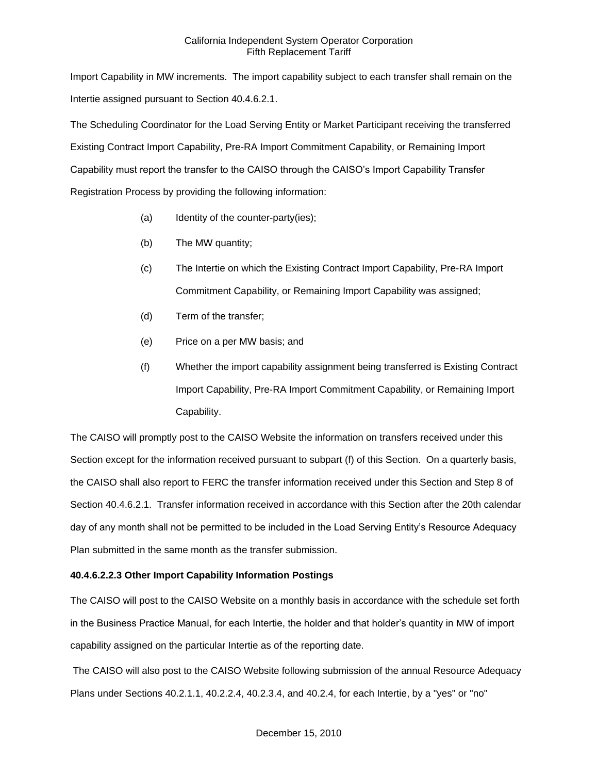Import Capability in MW increments. The import capability subject to each transfer shall remain on the Intertie assigned pursuant to Section 40.4.6.2.1.

The Scheduling Coordinator for the Load Serving Entity or Market Participant receiving the transferred Existing Contract Import Capability, Pre-RA Import Commitment Capability, or Remaining Import Capability must report the transfer to the CAISO through the CAISO's Import Capability Transfer Registration Process by providing the following information:

- (a) Identity of the counter-party(ies);
- (b) The MW quantity;
- (c) The Intertie on which the Existing Contract Import Capability, Pre-RA Import Commitment Capability, or Remaining Import Capability was assigned;
- (d) Term of the transfer;
- (e) Price on a per MW basis; and
- (f) Whether the import capability assignment being transferred is Existing Contract Import Capability, Pre-RA Import Commitment Capability, or Remaining Import Capability.

The CAISO will promptly post to the CAISO Website the information on transfers received under this Section except for the information received pursuant to subpart (f) of this Section. On a quarterly basis, the CAISO shall also report to FERC the transfer information received under this Section and Step 8 of Section 40.4.6.2.1. Transfer information received in accordance with this Section after the 20th calendar day of any month shall not be permitted to be included in the Load Serving Entity's Resource Adequacy Plan submitted in the same month as the transfer submission.

# **40.4.6.2.2.3 Other Import Capability Information Postings**

The CAISO will post to the CAISO Website on a monthly basis in accordance with the schedule set forth in the Business Practice Manual, for each Intertie, the holder and that holder's quantity in MW of import capability assigned on the particular Intertie as of the reporting date.

The CAISO will also post to the CAISO Website following submission of the annual Resource Adequacy Plans under Sections 40.2.1.1, 40.2.2.4, 40.2.3.4, and 40.2.4, for each Intertie, by a "yes" or "no"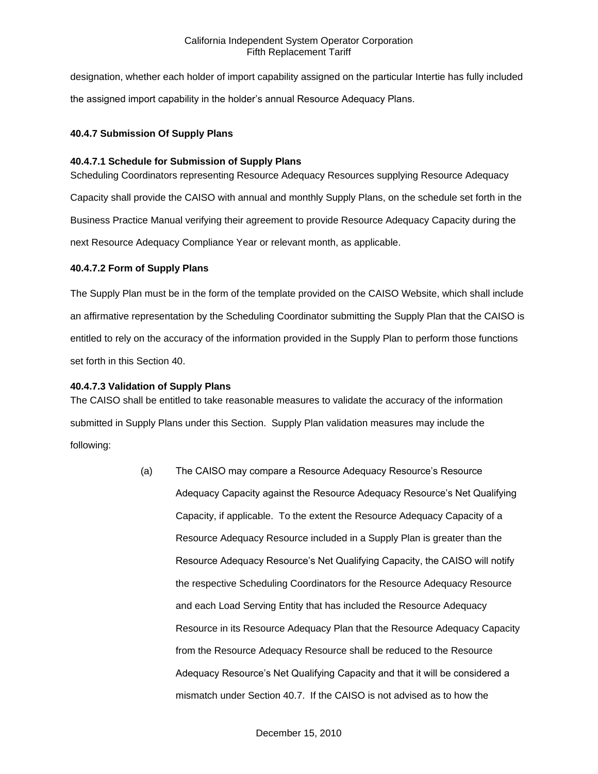designation, whether each holder of import capability assigned on the particular Intertie has fully included the assigned import capability in the holder's annual Resource Adequacy Plans.

# **40.4.7 Submission Of Supply Plans**

## **40.4.7.1 Schedule for Submission of Supply Plans**

Scheduling Coordinators representing Resource Adequacy Resources supplying Resource Adequacy Capacity shall provide the CAISO with annual and monthly Supply Plans, on the schedule set forth in the Business Practice Manual verifying their agreement to provide Resource Adequacy Capacity during the next Resource Adequacy Compliance Year or relevant month, as applicable.

# **40.4.7.2 Form of Supply Plans**

The Supply Plan must be in the form of the template provided on the CAISO Website, which shall include an affirmative representation by the Scheduling Coordinator submitting the Supply Plan that the CAISO is entitled to rely on the accuracy of the information provided in the Supply Plan to perform those functions set forth in this Section 40.

## **40.4.7.3 Validation of Supply Plans**

The CAISO shall be entitled to take reasonable measures to validate the accuracy of the information submitted in Supply Plans under this Section. Supply Plan validation measures may include the following:

> (a) The CAISO may compare a Resource Adequacy Resource's Resource Adequacy Capacity against the Resource Adequacy Resource's Net Qualifying Capacity, if applicable. To the extent the Resource Adequacy Capacity of a Resource Adequacy Resource included in a Supply Plan is greater than the Resource Adequacy Resource's Net Qualifying Capacity, the CAISO will notify the respective Scheduling Coordinators for the Resource Adequacy Resource and each Load Serving Entity that has included the Resource Adequacy Resource in its Resource Adequacy Plan that the Resource Adequacy Capacity from the Resource Adequacy Resource shall be reduced to the Resource Adequacy Resource's Net Qualifying Capacity and that it will be considered a mismatch under Section 40.7. If the CAISO is not advised as to how the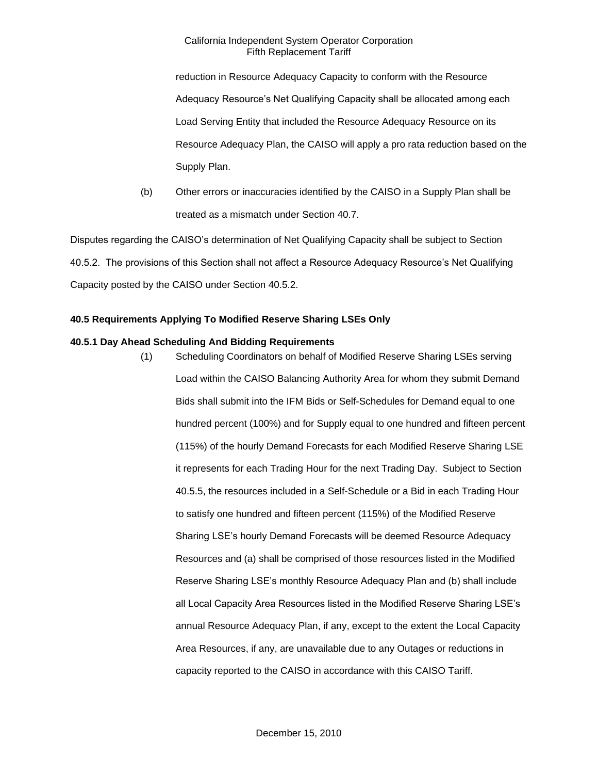reduction in Resource Adequacy Capacity to conform with the Resource Adequacy Resource's Net Qualifying Capacity shall be allocated among each Load Serving Entity that included the Resource Adequacy Resource on its Resource Adequacy Plan, the CAISO will apply a pro rata reduction based on the Supply Plan.

(b) Other errors or inaccuracies identified by the CAISO in a Supply Plan shall be treated as a mismatch under Section 40.7.

Disputes regarding the CAISO's determination of Net Qualifying Capacity shall be subject to Section 40.5.2. The provisions of this Section shall not affect a Resource Adequacy Resource's Net Qualifying Capacity posted by the CAISO under Section 40.5.2.

# **40.5 Requirements Applying To Modified Reserve Sharing LSEs Only**

# **40.5.1 Day Ahead Scheduling And Bidding Requirements**

(1) Scheduling Coordinators on behalf of Modified Reserve Sharing LSEs serving Load within the CAISO Balancing Authority Area for whom they submit Demand Bids shall submit into the IFM Bids or Self-Schedules for Demand equal to one hundred percent (100%) and for Supply equal to one hundred and fifteen percent (115%) of the hourly Demand Forecasts for each Modified Reserve Sharing LSE it represents for each Trading Hour for the next Trading Day. Subject to Section 40.5.5, the resources included in a Self-Schedule or a Bid in each Trading Hour to satisfy one hundred and fifteen percent (115%) of the Modified Reserve Sharing LSE's hourly Demand Forecasts will be deemed Resource Adequacy Resources and (a) shall be comprised of those resources listed in the Modified Reserve Sharing LSE's monthly Resource Adequacy Plan and (b) shall include all Local Capacity Area Resources listed in the Modified Reserve Sharing LSE's annual Resource Adequacy Plan, if any, except to the extent the Local Capacity Area Resources, if any, are unavailable due to any Outages or reductions in capacity reported to the CAISO in accordance with this CAISO Tariff.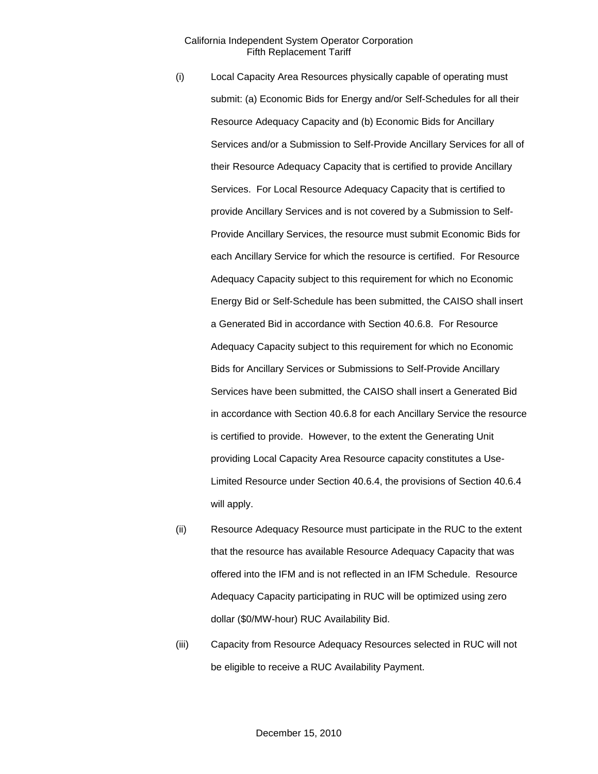- (i) Local Capacity Area Resources physically capable of operating must submit: (a) Economic Bids for Energy and/or Self-Schedules for all their Resource Adequacy Capacity and (b) Economic Bids for Ancillary Services and/or a Submission to Self-Provide Ancillary Services for all of their Resource Adequacy Capacity that is certified to provide Ancillary Services. For Local Resource Adequacy Capacity that is certified to provide Ancillary Services and is not covered by a Submission to Self-Provide Ancillary Services, the resource must submit Economic Bids for each Ancillary Service for which the resource is certified. For Resource Adequacy Capacity subject to this requirement for which no Economic Energy Bid or Self-Schedule has been submitted, the CAISO shall insert a Generated Bid in accordance with Section 40.6.8. For Resource Adequacy Capacity subject to this requirement for which no Economic Bids for Ancillary Services or Submissions to Self-Provide Ancillary Services have been submitted, the CAISO shall insert a Generated Bid in accordance with Section 40.6.8 for each Ancillary Service the resource is certified to provide. However, to the extent the Generating Unit providing Local Capacity Area Resource capacity constitutes a Use-Limited Resource under Section 40.6.4, the provisions of Section 40.6.4 will apply.
- (ii) Resource Adequacy Resource must participate in the RUC to the extent that the resource has available Resource Adequacy Capacity that was offered into the IFM and is not reflected in an IFM Schedule. Resource Adequacy Capacity participating in RUC will be optimized using zero dollar (\$0/MW-hour) RUC Availability Bid.
- (iii) Capacity from Resource Adequacy Resources selected in RUC will not be eligible to receive a RUC Availability Payment.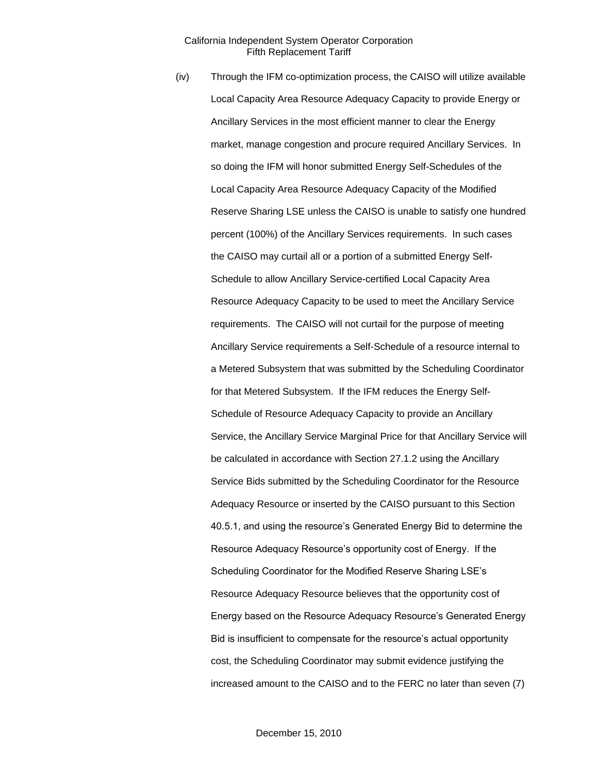(iv) Through the IFM co-optimization process, the CAISO will utilize available Local Capacity Area Resource Adequacy Capacity to provide Energy or Ancillary Services in the most efficient manner to clear the Energy market, manage congestion and procure required Ancillary Services. In so doing the IFM will honor submitted Energy Self-Schedules of the Local Capacity Area Resource Adequacy Capacity of the Modified Reserve Sharing LSE unless the CAISO is unable to satisfy one hundred percent (100%) of the Ancillary Services requirements. In such cases the CAISO may curtail all or a portion of a submitted Energy Self-Schedule to allow Ancillary Service-certified Local Capacity Area Resource Adequacy Capacity to be used to meet the Ancillary Service requirements. The CAISO will not curtail for the purpose of meeting Ancillary Service requirements a Self-Schedule of a resource internal to a Metered Subsystem that was submitted by the Scheduling Coordinator for that Metered Subsystem. If the IFM reduces the Energy Self-Schedule of Resource Adequacy Capacity to provide an Ancillary Service, the Ancillary Service Marginal Price for that Ancillary Service will be calculated in accordance with Section 27.1.2 using the Ancillary Service Bids submitted by the Scheduling Coordinator for the Resource Adequacy Resource or inserted by the CAISO pursuant to this Section 40.5.1, and using the resource's Generated Energy Bid to determine the Resource Adequacy Resource's opportunity cost of Energy. If the Scheduling Coordinator for the Modified Reserve Sharing LSE's Resource Adequacy Resource believes that the opportunity cost of Energy based on the Resource Adequacy Resource's Generated Energy Bid is insufficient to compensate for the resource's actual opportunity cost, the Scheduling Coordinator may submit evidence justifying the increased amount to the CAISO and to the FERC no later than seven (7)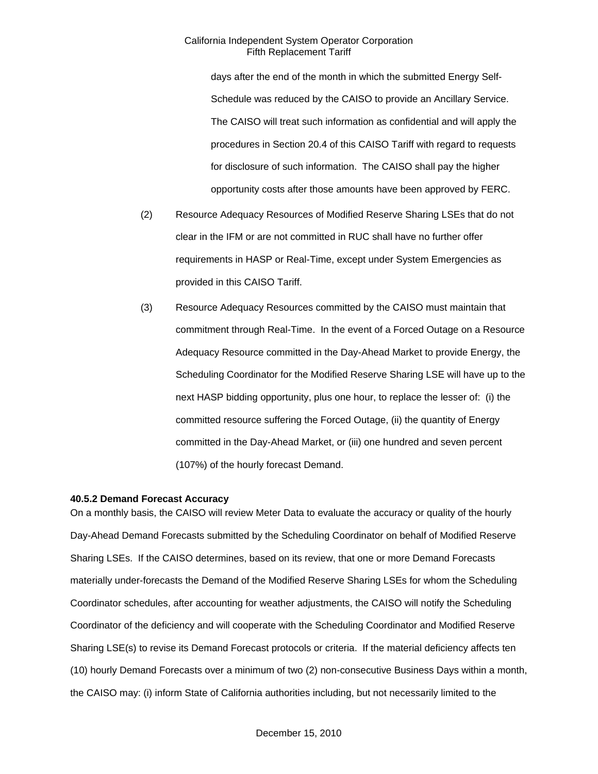days after the end of the month in which the submitted Energy Self-Schedule was reduced by the CAISO to provide an Ancillary Service. The CAISO will treat such information as confidential and will apply the procedures in Section 20.4 of this CAISO Tariff with regard to requests for disclosure of such information. The CAISO shall pay the higher opportunity costs after those amounts have been approved by FERC.

- (2) Resource Adequacy Resources of Modified Reserve Sharing LSEs that do not clear in the IFM or are not committed in RUC shall have no further offer requirements in HASP or Real-Time, except under System Emergencies as provided in this CAISO Tariff.
- (3) Resource Adequacy Resources committed by the CAISO must maintain that commitment through Real-Time. In the event of a Forced Outage on a Resource Adequacy Resource committed in the Day-Ahead Market to provide Energy, the Scheduling Coordinator for the Modified Reserve Sharing LSE will have up to the next HASP bidding opportunity, plus one hour, to replace the lesser of: (i) the committed resource suffering the Forced Outage, (ii) the quantity of Energy committed in the Day-Ahead Market, or (iii) one hundred and seven percent (107%) of the hourly forecast Demand.

### **40.5.2 Demand Forecast Accuracy**

On a monthly basis, the CAISO will review Meter Data to evaluate the accuracy or quality of the hourly Day-Ahead Demand Forecasts submitted by the Scheduling Coordinator on behalf of Modified Reserve Sharing LSEs. If the CAISO determines, based on its review, that one or more Demand Forecasts materially under-forecasts the Demand of the Modified Reserve Sharing LSEs for whom the Scheduling Coordinator schedules, after accounting for weather adjustments, the CAISO will notify the Scheduling Coordinator of the deficiency and will cooperate with the Scheduling Coordinator and Modified Reserve Sharing LSE(s) to revise its Demand Forecast protocols or criteria. If the material deficiency affects ten (10) hourly Demand Forecasts over a minimum of two (2) non-consecutive Business Days within a month, the CAISO may: (i) inform State of California authorities including, but not necessarily limited to the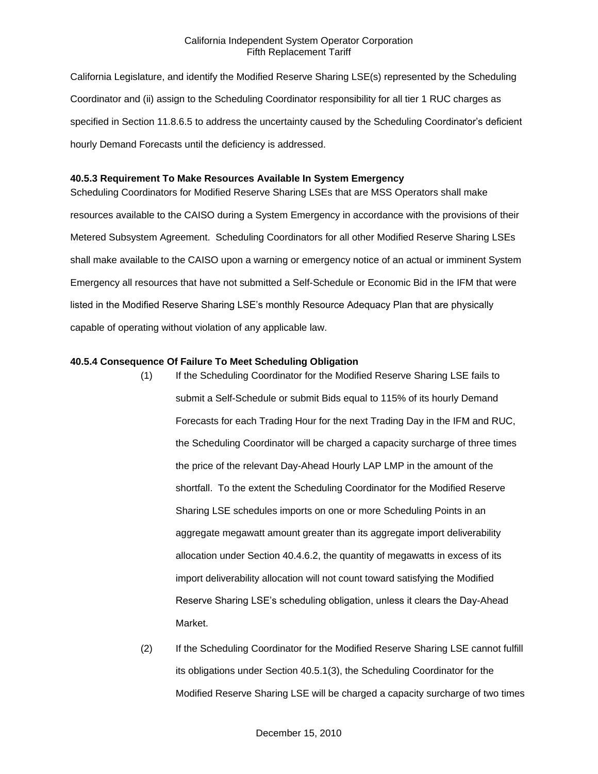California Legislature, and identify the Modified Reserve Sharing LSE(s) represented by the Scheduling Coordinator and (ii) assign to the Scheduling Coordinator responsibility for all tier 1 RUC charges as specified in Section 11.8.6.5 to address the uncertainty caused by the Scheduling Coordinator's deficient hourly Demand Forecasts until the deficiency is addressed.

### **40.5.3 Requirement To Make Resources Available In System Emergency**

Scheduling Coordinators for Modified Reserve Sharing LSEs that are MSS Operators shall make resources available to the CAISO during a System Emergency in accordance with the provisions of their Metered Subsystem Agreement. Scheduling Coordinators for all other Modified Reserve Sharing LSEs shall make available to the CAISO upon a warning or emergency notice of an actual or imminent System Emergency all resources that have not submitted a Self-Schedule or Economic Bid in the IFM that were listed in the Modified Reserve Sharing LSE's monthly Resource Adequacy Plan that are physically capable of operating without violation of any applicable law.

### **40.5.4 Consequence Of Failure To Meet Scheduling Obligation**

- (1) If the Scheduling Coordinator for the Modified Reserve Sharing LSE fails to submit a Self-Schedule or submit Bids equal to 115% of its hourly Demand Forecasts for each Trading Hour for the next Trading Day in the IFM and RUC, the Scheduling Coordinator will be charged a capacity surcharge of three times the price of the relevant Day-Ahead Hourly LAP LMP in the amount of the shortfall. To the extent the Scheduling Coordinator for the Modified Reserve Sharing LSE schedules imports on one or more Scheduling Points in an aggregate megawatt amount greater than its aggregate import deliverability allocation under Section 40.4.6.2, the quantity of megawatts in excess of its import deliverability allocation will not count toward satisfying the Modified Reserve Sharing LSE's scheduling obligation, unless it clears the Day-Ahead Market.
- (2) If the Scheduling Coordinator for the Modified Reserve Sharing LSE cannot fulfill its obligations under Section 40.5.1(3), the Scheduling Coordinator for the Modified Reserve Sharing LSE will be charged a capacity surcharge of two times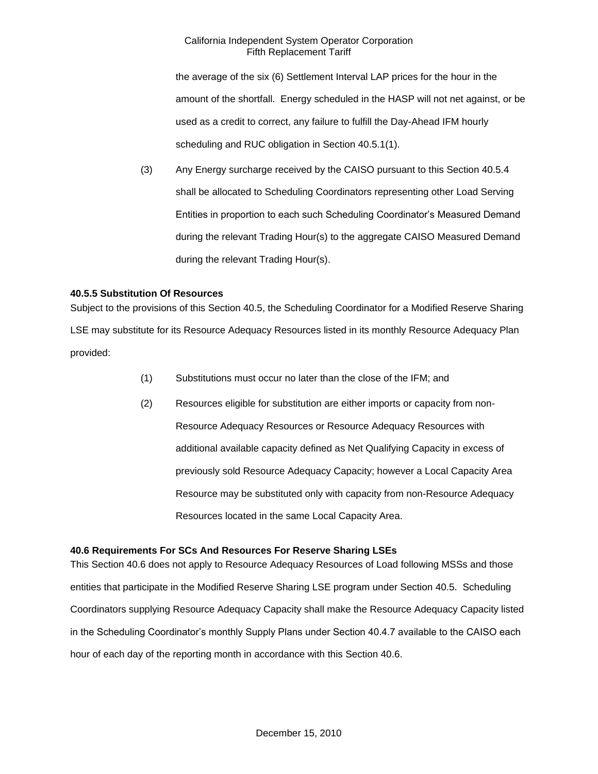the average of the six (6) Settlement Interval LAP prices for the hour in the amount of the shortfall. Energy scheduled in the HASP will not net against, or be used as a credit to correct, any failure to fulfill the Day-Ahead IFM hourly scheduling and RUC obligation in Section 40.5.1(1).

(3) Any Energy surcharge received by the CAISO pursuant to this Section 40.5.4 shall be allocated to Scheduling Coordinators representing other Load Serving Entities in proportion to each such Scheduling Coordinator's Measured Demand during the relevant Trading Hour(s) to the aggregate CAISO Measured Demand during the relevant Trading Hour(s).

# **40.5.5 Substitution Of Resources**

Subject to the provisions of this Section 40.5, the Scheduling Coordinator for a Modified Reserve Sharing LSE may substitute for its Resource Adequacy Resources listed in its monthly Resource Adequacy Plan provided:

- (1) Substitutions must occur no later than the close of the IFM; and
- (2) Resources eligible for substitution are either imports or capacity from non-Resource Adequacy Resources or Resource Adequacy Resources with additional available capacity defined as Net Qualifying Capacity in excess of previously sold Resource Adequacy Capacity; however a Local Capacity Area Resource may be substituted only with capacity from non-Resource Adequacy Resources located in the same Local Capacity Area.

### **40.6 Requirements For SCs And Resources For Reserve Sharing LSEs**

This Section 40.6 does not apply to Resource Adequacy Resources of Load following MSSs and those entities that participate in the Modified Reserve Sharing LSE program under Section 40.5. Scheduling Coordinators supplying Resource Adequacy Capacity shall make the Resource Adequacy Capacity listed in the Scheduling Coordinator's monthly Supply Plans under Section 40.4.7 available to the CAISO each hour of each day of the reporting month in accordance with this Section 40.6.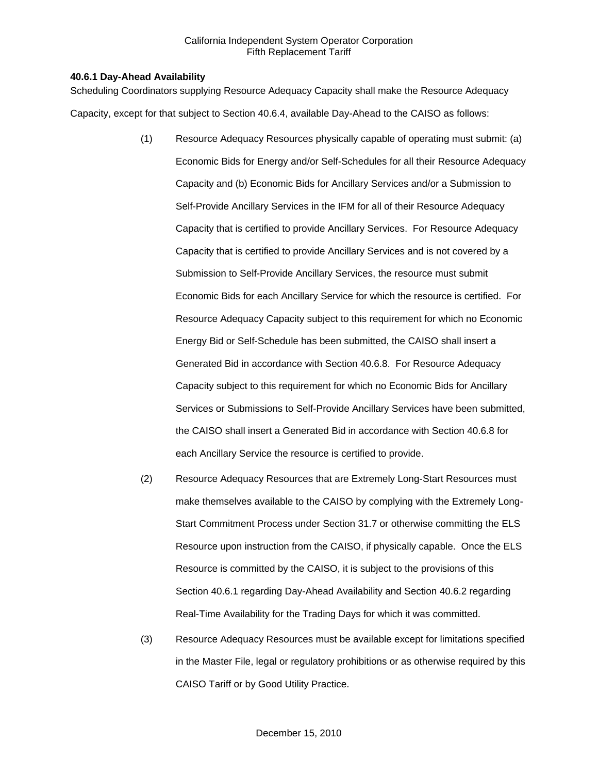## **40.6.1 Day-Ahead Availability**

Scheduling Coordinators supplying Resource Adequacy Capacity shall make the Resource Adequacy Capacity, except for that subject to Section 40.6.4, available Day-Ahead to the CAISO as follows:

- (1) Resource Adequacy Resources physically capable of operating must submit: (a) Economic Bids for Energy and/or Self-Schedules for all their Resource Adequacy Capacity and (b) Economic Bids for Ancillary Services and/or a Submission to Self-Provide Ancillary Services in the IFM for all of their Resource Adequacy Capacity that is certified to provide Ancillary Services. For Resource Adequacy Capacity that is certified to provide Ancillary Services and is not covered by a Submission to Self-Provide Ancillary Services, the resource must submit Economic Bids for each Ancillary Service for which the resource is certified. For Resource Adequacy Capacity subject to this requirement for which no Economic Energy Bid or Self-Schedule has been submitted, the CAISO shall insert a Generated Bid in accordance with Section 40.6.8. For Resource Adequacy Capacity subject to this requirement for which no Economic Bids for Ancillary Services or Submissions to Self-Provide Ancillary Services have been submitted, the CAISO shall insert a Generated Bid in accordance with Section 40.6.8 for each Ancillary Service the resource is certified to provide.
- (2) Resource Adequacy Resources that are Extremely Long-Start Resources must make themselves available to the CAISO by complying with the Extremely Long-Start Commitment Process under Section 31.7 or otherwise committing the ELS Resource upon instruction from the CAISO, if physically capable. Once the ELS Resource is committed by the CAISO, it is subject to the provisions of this Section 40.6.1 regarding Day-Ahead Availability and Section 40.6.2 regarding Real-Time Availability for the Trading Days for which it was committed.
- (3) Resource Adequacy Resources must be available except for limitations specified in the Master File, legal or regulatory prohibitions or as otherwise required by this CAISO Tariff or by Good Utility Practice.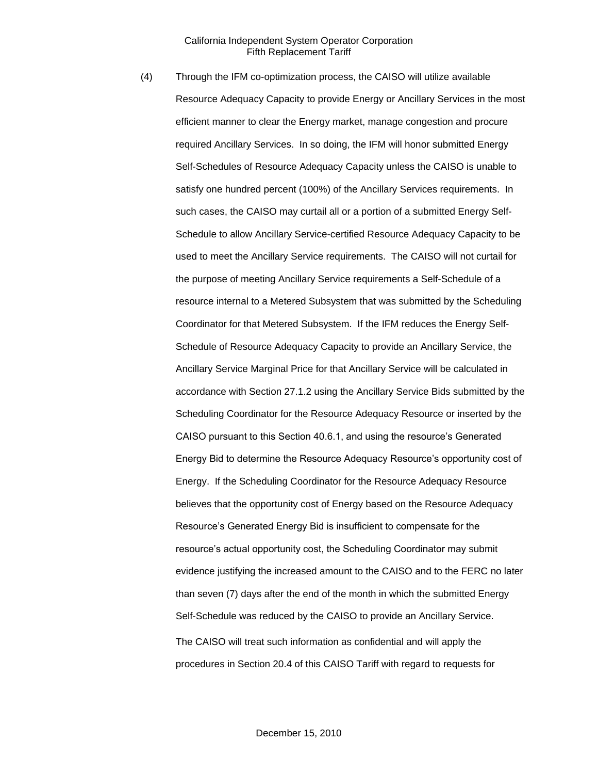(4) Through the IFM co-optimization process, the CAISO will utilize available Resource Adequacy Capacity to provide Energy or Ancillary Services in the most efficient manner to clear the Energy market, manage congestion and procure required Ancillary Services. In so doing, the IFM will honor submitted Energy Self-Schedules of Resource Adequacy Capacity unless the CAISO is unable to satisfy one hundred percent (100%) of the Ancillary Services requirements. In such cases, the CAISO may curtail all or a portion of a submitted Energy Self-Schedule to allow Ancillary Service-certified Resource Adequacy Capacity to be used to meet the Ancillary Service requirements. The CAISO will not curtail for the purpose of meeting Ancillary Service requirements a Self-Schedule of a resource internal to a Metered Subsystem that was submitted by the Scheduling Coordinator for that Metered Subsystem. If the IFM reduces the Energy Self-Schedule of Resource Adequacy Capacity to provide an Ancillary Service, the Ancillary Service Marginal Price for that Ancillary Service will be calculated in accordance with Section 27.1.2 using the Ancillary Service Bids submitted by the Scheduling Coordinator for the Resource Adequacy Resource or inserted by the CAISO pursuant to this Section 40.6.1, and using the resource's Generated Energy Bid to determine the Resource Adequacy Resource's opportunity cost of Energy. If the Scheduling Coordinator for the Resource Adequacy Resource believes that the opportunity cost of Energy based on the Resource Adequacy Resource's Generated Energy Bid is insufficient to compensate for the resource's actual opportunity cost, the Scheduling Coordinator may submit evidence justifying the increased amount to the CAISO and to the FERC no later than seven (7) days after the end of the month in which the submitted Energy Self-Schedule was reduced by the CAISO to provide an Ancillary Service. The CAISO will treat such information as confidential and will apply the procedures in Section 20.4 of this CAISO Tariff with regard to requests for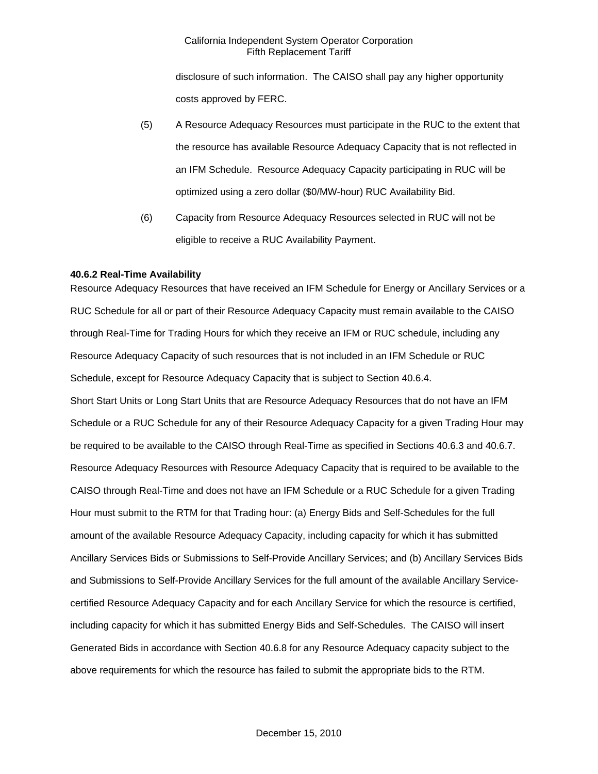disclosure of such information. The CAISO shall pay any higher opportunity costs approved by FERC.

- (5) A Resource Adequacy Resources must participate in the RUC to the extent that the resource has available Resource Adequacy Capacity that is not reflected in an IFM Schedule. Resource Adequacy Capacity participating in RUC will be optimized using a zero dollar (\$0/MW-hour) RUC Availability Bid.
- (6) Capacity from Resource Adequacy Resources selected in RUC will not be eligible to receive a RUC Availability Payment.

## **40.6.2 Real-Time Availability**

Resource Adequacy Resources that have received an IFM Schedule for Energy or Ancillary Services or a RUC Schedule for all or part of their Resource Adequacy Capacity must remain available to the CAISO through Real-Time for Trading Hours for which they receive an IFM or RUC schedule, including any Resource Adequacy Capacity of such resources that is not included in an IFM Schedule or RUC Schedule, except for Resource Adequacy Capacity that is subject to Section 40.6.4. Short Start Units or Long Start Units that are Resource Adequacy Resources that do not have an IFM Schedule or a RUC Schedule for any of their Resource Adequacy Capacity for a given Trading Hour may be required to be available to the CAISO through Real-Time as specified in Sections 40.6.3 and 40.6.7. Resource Adequacy Resources with Resource Adequacy Capacity that is required to be available to the CAISO through Real-Time and does not have an IFM Schedule or a RUC Schedule for a given Trading Hour must submit to the RTM for that Trading hour: (a) Energy Bids and Self-Schedules for the full amount of the available Resource Adequacy Capacity, including capacity for which it has submitted Ancillary Services Bids or Submissions to Self-Provide Ancillary Services; and (b) Ancillary Services Bids and Submissions to Self-Provide Ancillary Services for the full amount of the available Ancillary Servicecertified Resource Adequacy Capacity and for each Ancillary Service for which the resource is certified, including capacity for which it has submitted Energy Bids and Self-Schedules. The CAISO will insert Generated Bids in accordance with Section 40.6.8 for any Resource Adequacy capacity subject to the above requirements for which the resource has failed to submit the appropriate bids to the RTM.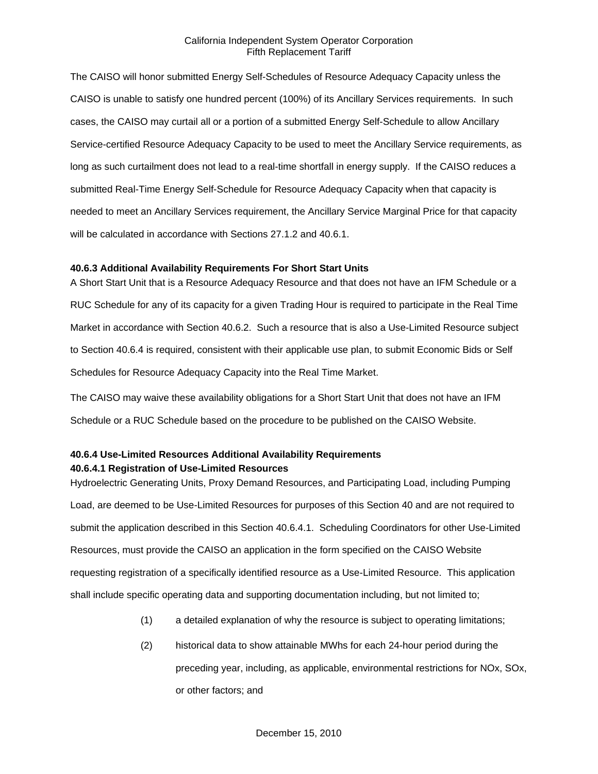The CAISO will honor submitted Energy Self-Schedules of Resource Adequacy Capacity unless the CAISO is unable to satisfy one hundred percent (100%) of its Ancillary Services requirements. In such cases, the CAISO may curtail all or a portion of a submitted Energy Self-Schedule to allow Ancillary Service-certified Resource Adequacy Capacity to be used to meet the Ancillary Service requirements, as long as such curtailment does not lead to a real-time shortfall in energy supply. If the CAISO reduces a submitted Real-Time Energy Self-Schedule for Resource Adequacy Capacity when that capacity is needed to meet an Ancillary Services requirement, the Ancillary Service Marginal Price for that capacity will be calculated in accordance with Sections 27.1.2 and 40.6.1.

#### **40.6.3 Additional Availability Requirements For Short Start Units**

A Short Start Unit that is a Resource Adequacy Resource and that does not have an IFM Schedule or a RUC Schedule for any of its capacity for a given Trading Hour is required to participate in the Real Time Market in accordance with Section 40.6.2. Such a resource that is also a Use-Limited Resource subject to Section 40.6.4 is required, consistent with their applicable use plan, to submit Economic Bids or Self Schedules for Resource Adequacy Capacity into the Real Time Market.

The CAISO may waive these availability obligations for a Short Start Unit that does not have an IFM Schedule or a RUC Schedule based on the procedure to be published on the CAISO Website.

# **40.6.4 Use-Limited Resources Additional Availability Requirements 40.6.4.1 Registration of Use-Limited Resources**

Hydroelectric Generating Units, Proxy Demand Resources, and Participating Load, including Pumping Load, are deemed to be Use-Limited Resources for purposes of this Section 40 and are not required to submit the application described in this Section 40.6.4.1. Scheduling Coordinators for other Use-Limited Resources, must provide the CAISO an application in the form specified on the CAISO Website requesting registration of a specifically identified resource as a Use-Limited Resource. This application shall include specific operating data and supporting documentation including, but not limited to;

- (1) a detailed explanation of why the resource is subject to operating limitations;
- (2) historical data to show attainable MWhs for each 24-hour period during the preceding year, including, as applicable, environmental restrictions for NOx, SOx, or other factors; and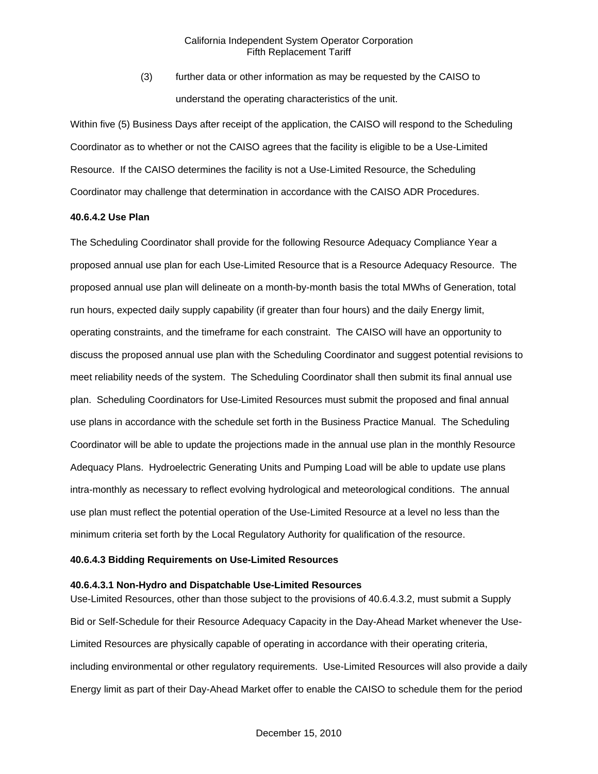(3) further data or other information as may be requested by the CAISO to understand the operating characteristics of the unit.

Within five (5) Business Days after receipt of the application, the CAISO will respond to the Scheduling Coordinator as to whether or not the CAISO agrees that the facility is eligible to be a Use-Limited Resource. If the CAISO determines the facility is not a Use-Limited Resource, the Scheduling Coordinator may challenge that determination in accordance with the CAISO ADR Procedures.

#### **40.6.4.2 Use Plan**

The Scheduling Coordinator shall provide for the following Resource Adequacy Compliance Year a proposed annual use plan for each Use-Limited Resource that is a Resource Adequacy Resource. The proposed annual use plan will delineate on a month-by-month basis the total MWhs of Generation, total run hours, expected daily supply capability (if greater than four hours) and the daily Energy limit, operating constraints, and the timeframe for each constraint. The CAISO will have an opportunity to discuss the proposed annual use plan with the Scheduling Coordinator and suggest potential revisions to meet reliability needs of the system. The Scheduling Coordinator shall then submit its final annual use plan. Scheduling Coordinators for Use-Limited Resources must submit the proposed and final annual use plans in accordance with the schedule set forth in the Business Practice Manual. The Scheduling Coordinator will be able to update the projections made in the annual use plan in the monthly Resource Adequacy Plans. Hydroelectric Generating Units and Pumping Load will be able to update use plans intra-monthly as necessary to reflect evolving hydrological and meteorological conditions. The annual use plan must reflect the potential operation of the Use-Limited Resource at a level no less than the minimum criteria set forth by the Local Regulatory Authority for qualification of the resource.

## **40.6.4.3 Bidding Requirements on Use-Limited Resources**

## **40.6.4.3.1 Non-Hydro and Dispatchable Use-Limited Resources**

Use-Limited Resources, other than those subject to the provisions of 40.6.4.3.2, must submit a Supply Bid or Self-Schedule for their Resource Adequacy Capacity in the Day-Ahead Market whenever the Use-Limited Resources are physically capable of operating in accordance with their operating criteria, including environmental or other regulatory requirements. Use-Limited Resources will also provide a daily Energy limit as part of their Day-Ahead Market offer to enable the CAISO to schedule them for the period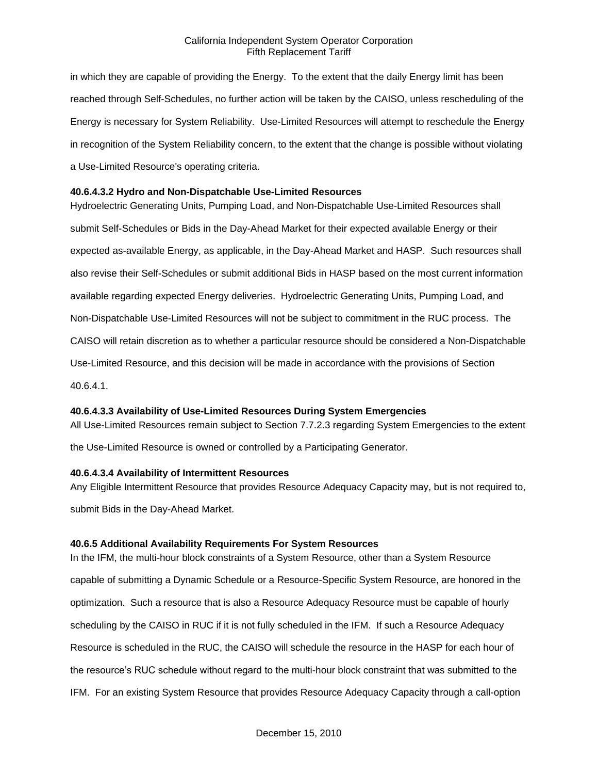in which they are capable of providing the Energy. To the extent that the daily Energy limit has been reached through Self-Schedules, no further action will be taken by the CAISO, unless rescheduling of the Energy is necessary for System Reliability. Use-Limited Resources will attempt to reschedule the Energy in recognition of the System Reliability concern, to the extent that the change is possible without violating a Use-Limited Resource's operating criteria.

## **40.6.4.3.2 Hydro and Non-Dispatchable Use-Limited Resources**

Hydroelectric Generating Units, Pumping Load, and Non-Dispatchable Use-Limited Resources shall submit Self-Schedules or Bids in the Day-Ahead Market for their expected available Energy or their expected as-available Energy, as applicable, in the Day-Ahead Market and HASP. Such resources shall also revise their Self-Schedules or submit additional Bids in HASP based on the most current information available regarding expected Energy deliveries. Hydroelectric Generating Units, Pumping Load, and Non-Dispatchable Use-Limited Resources will not be subject to commitment in the RUC process. The CAISO will retain discretion as to whether a particular resource should be considered a Non-Dispatchable Use-Limited Resource, and this decision will be made in accordance with the provisions of Section 40.6.4.1.

## **40.6.4.3.3 Availability of Use-Limited Resources During System Emergencies**

All Use-Limited Resources remain subject to Section 7.7.2.3 regarding System Emergencies to the extent

the Use-Limited Resource is owned or controlled by a Participating Generator.

## **40.6.4.3.4 Availability of Intermittent Resources**

Any Eligible Intermittent Resource that provides Resource Adequacy Capacity may, but is not required to, submit Bids in the Day-Ahead Market.

## **40.6.5 Additional Availability Requirements For System Resources**

In the IFM, the multi-hour block constraints of a System Resource, other than a System Resource capable of submitting a Dynamic Schedule or a Resource-Specific System Resource, are honored in the optimization. Such a resource that is also a Resource Adequacy Resource must be capable of hourly scheduling by the CAISO in RUC if it is not fully scheduled in the IFM. If such a Resource Adequacy Resource is scheduled in the RUC, the CAISO will schedule the resource in the HASP for each hour of the resource's RUC schedule without regard to the multi-hour block constraint that was submitted to the IFM. For an existing System Resource that provides Resource Adequacy Capacity through a call-option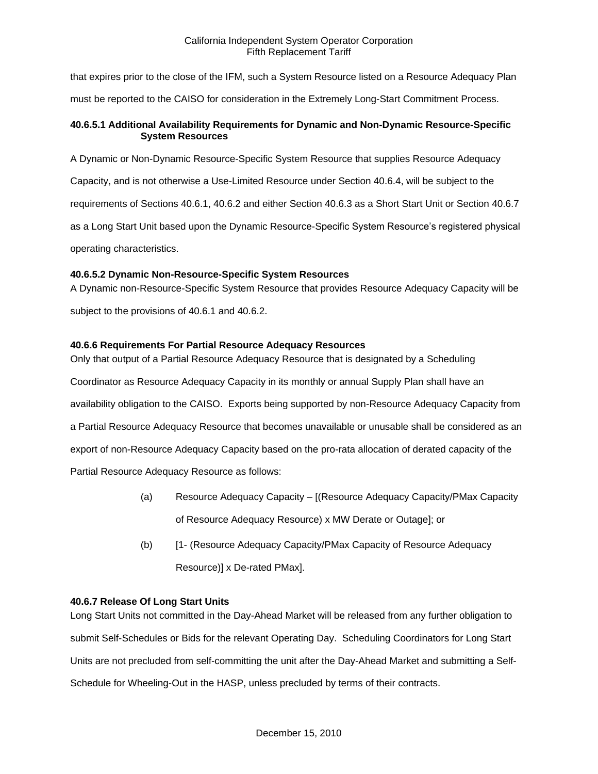that expires prior to the close of the IFM, such a System Resource listed on a Resource Adequacy Plan

must be reported to the CAISO for consideration in the Extremely Long-Start Commitment Process.

## **40.6.5.1 Additional Availability Requirements for Dynamic and Non-Dynamic Resource-Specific System Resources**

A Dynamic or Non-Dynamic Resource-Specific System Resource that supplies Resource Adequacy Capacity, and is not otherwise a Use-Limited Resource under Section 40.6.4, will be subject to the requirements of Sections 40.6.1, 40.6.2 and either Section 40.6.3 as a Short Start Unit or Section 40.6.7 as a Long Start Unit based upon the Dynamic Resource-Specific System Resource's registered physical operating characteristics.

# **40.6.5.2 Dynamic Non-Resource-Specific System Resources**

A Dynamic non-Resource-Specific System Resource that provides Resource Adequacy Capacity will be subject to the provisions of 40.6.1 and 40.6.2.

# **40.6.6 Requirements For Partial Resource Adequacy Resources**

Only that output of a Partial Resource Adequacy Resource that is designated by a Scheduling Coordinator as Resource Adequacy Capacity in its monthly or annual Supply Plan shall have an availability obligation to the CAISO. Exports being supported by non-Resource Adequacy Capacity from a Partial Resource Adequacy Resource that becomes unavailable or unusable shall be considered as an export of non-Resource Adequacy Capacity based on the pro-rata allocation of derated capacity of the Partial Resource Adequacy Resource as follows:

- (a) Resource Adequacy Capacity [(Resource Adequacy Capacity/PMax Capacity of Resource Adequacy Resource) x MW Derate or Outage]; or
- (b) [1- (Resource Adequacy Capacity/PMax Capacity of Resource Adequacy Resource)] x De-rated PMax].

## **40.6.7 Release Of Long Start Units**

Long Start Units not committed in the Day-Ahead Market will be released from any further obligation to submit Self-Schedules or Bids for the relevant Operating Day. Scheduling Coordinators for Long Start Units are not precluded from self-committing the unit after the Day-Ahead Market and submitting a Self-Schedule for Wheeling-Out in the HASP, unless precluded by terms of their contracts.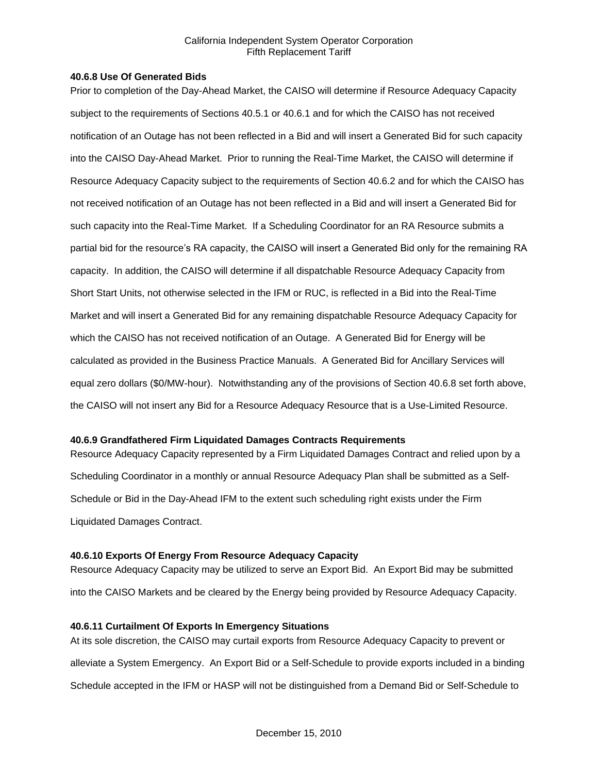## **40.6.8 Use Of Generated Bids**

Prior to completion of the Day-Ahead Market, the CAISO will determine if Resource Adequacy Capacity subject to the requirements of Sections 40.5.1 or 40.6.1 and for which the CAISO has not received notification of an Outage has not been reflected in a Bid and will insert a Generated Bid for such capacity into the CAISO Day-Ahead Market. Prior to running the Real-Time Market, the CAISO will determine if Resource Adequacy Capacity subject to the requirements of Section 40.6.2 and for which the CAISO has not received notification of an Outage has not been reflected in a Bid and will insert a Generated Bid for such capacity into the Real-Time Market. If a Scheduling Coordinator for an RA Resource submits a partial bid for the resource's RA capacity, the CAISO will insert a Generated Bid only for the remaining RA capacity. In addition, the CAISO will determine if all dispatchable Resource Adequacy Capacity from Short Start Units, not otherwise selected in the IFM or RUC, is reflected in a Bid into the Real-Time Market and will insert a Generated Bid for any remaining dispatchable Resource Adequacy Capacity for which the CAISO has not received notification of an Outage. A Generated Bid for Energy will be calculated as provided in the Business Practice Manuals. A Generated Bid for Ancillary Services will equal zero dollars (\$0/MW-hour). Notwithstanding any of the provisions of Section 40.6.8 set forth above, the CAISO will not insert any Bid for a Resource Adequacy Resource that is a Use-Limited Resource.

## **40.6.9 Grandfathered Firm Liquidated Damages Contracts Requirements**

Resource Adequacy Capacity represented by a Firm Liquidated Damages Contract and relied upon by a Scheduling Coordinator in a monthly or annual Resource Adequacy Plan shall be submitted as a Self-Schedule or Bid in the Day-Ahead IFM to the extent such scheduling right exists under the Firm Liquidated Damages Contract.

## **40.6.10 Exports Of Energy From Resource Adequacy Capacity**

Resource Adequacy Capacity may be utilized to serve an Export Bid. An Export Bid may be submitted into the CAISO Markets and be cleared by the Energy being provided by Resource Adequacy Capacity.

## **40.6.11 Curtailment Of Exports In Emergency Situations**

At its sole discretion, the CAISO may curtail exports from Resource Adequacy Capacity to prevent or alleviate a System Emergency. An Export Bid or a Self-Schedule to provide exports included in a binding Schedule accepted in the IFM or HASP will not be distinguished from a Demand Bid or Self-Schedule to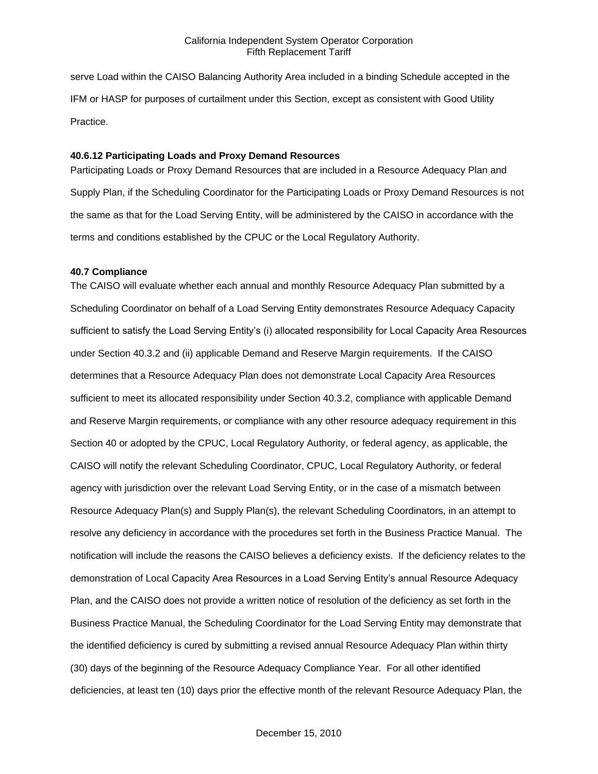serve Load within the CAISO Balancing Authority Area included in a binding Schedule accepted in the IFM or HASP for purposes of curtailment under this Section, except as consistent with Good Utility Practice.

## **40.6.12 Participating Loads and Proxy Demand Resources**

Participating Loads or Proxy Demand Resources that are included in a Resource Adequacy Plan and Supply Plan, if the Scheduling Coordinator for the Participating Loads or Proxy Demand Resources is not the same as that for the Load Serving Entity, will be administered by the CAISO in accordance with the terms and conditions established by the CPUC or the Local Regulatory Authority.

#### **40.7 Compliance**

The CAISO will evaluate whether each annual and monthly Resource Adequacy Plan submitted by a Scheduling Coordinator on behalf of a Load Serving Entity demonstrates Resource Adequacy Capacity sufficient to satisfy the Load Serving Entity's (i) allocated responsibility for Local Capacity Area Resources under Section 40.3.2 and (ii) applicable Demand and Reserve Margin requirements. If the CAISO determines that a Resource Adequacy Plan does not demonstrate Local Capacity Area Resources sufficient to meet its allocated responsibility under Section 40.3.2, compliance with applicable Demand and Reserve Margin requirements, or compliance with any other resource adequacy requirement in this Section 40 or adopted by the CPUC, Local Regulatory Authority, or federal agency, as applicable, the CAISO will notify the relevant Scheduling Coordinator, CPUC, Local Regulatory Authority, or federal agency with jurisdiction over the relevant Load Serving Entity, or in the case of a mismatch between Resource Adequacy Plan(s) and Supply Plan(s), the relevant Scheduling Coordinators, in an attempt to resolve any deficiency in accordance with the procedures set forth in the Business Practice Manual. The notification will include the reasons the CAISO believes a deficiency exists. If the deficiency relates to the demonstration of Local Capacity Area Resources in a Load Serving Entity's annual Resource Adequacy Plan, and the CAISO does not provide a written notice of resolution of the deficiency as set forth in the Business Practice Manual, the Scheduling Coordinator for the Load Serving Entity may demonstrate that the identified deficiency is cured by submitting a revised annual Resource Adequacy Plan within thirty (30) days of the beginning of the Resource Adequacy Compliance Year. For all other identified deficiencies, at least ten (10) days prior the effective month of the relevant Resource Adequacy Plan, the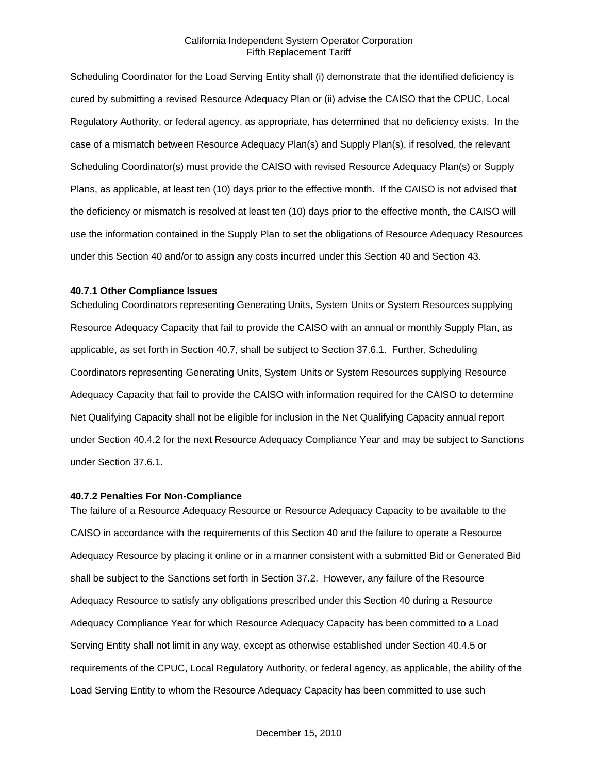Scheduling Coordinator for the Load Serving Entity shall (i) demonstrate that the identified deficiency is cured by submitting a revised Resource Adequacy Plan or (ii) advise the CAISO that the CPUC, Local Regulatory Authority, or federal agency, as appropriate, has determined that no deficiency exists. In the case of a mismatch between Resource Adequacy Plan(s) and Supply Plan(s), if resolved, the relevant Scheduling Coordinator(s) must provide the CAISO with revised Resource Adequacy Plan(s) or Supply Plans, as applicable, at least ten (10) days prior to the effective month. If the CAISO is not advised that the deficiency or mismatch is resolved at least ten (10) days prior to the effective month, the CAISO will use the information contained in the Supply Plan to set the obligations of Resource Adequacy Resources under this Section 40 and/or to assign any costs incurred under this Section 40 and Section 43.

#### **40.7.1 Other Compliance Issues**

Scheduling Coordinators representing Generating Units, System Units or System Resources supplying Resource Adequacy Capacity that fail to provide the CAISO with an annual or monthly Supply Plan, as applicable, as set forth in Section 40.7, shall be subject to Section 37.6.1. Further, Scheduling Coordinators representing Generating Units, System Units or System Resources supplying Resource Adequacy Capacity that fail to provide the CAISO with information required for the CAISO to determine Net Qualifying Capacity shall not be eligible for inclusion in the Net Qualifying Capacity annual report under Section 40.4.2 for the next Resource Adequacy Compliance Year and may be subject to Sanctions under Section 37.6.1.

#### **40.7.2 Penalties For Non-Compliance**

The failure of a Resource Adequacy Resource or Resource Adequacy Capacity to be available to the CAISO in accordance with the requirements of this Section 40 and the failure to operate a Resource Adequacy Resource by placing it online or in a manner consistent with a submitted Bid or Generated Bid shall be subject to the Sanctions set forth in Section 37.2. However, any failure of the Resource Adequacy Resource to satisfy any obligations prescribed under this Section 40 during a Resource Adequacy Compliance Year for which Resource Adequacy Capacity has been committed to a Load Serving Entity shall not limit in any way, except as otherwise established under Section 40.4.5 or requirements of the CPUC, Local Regulatory Authority, or federal agency, as applicable, the ability of the Load Serving Entity to whom the Resource Adequacy Capacity has been committed to use such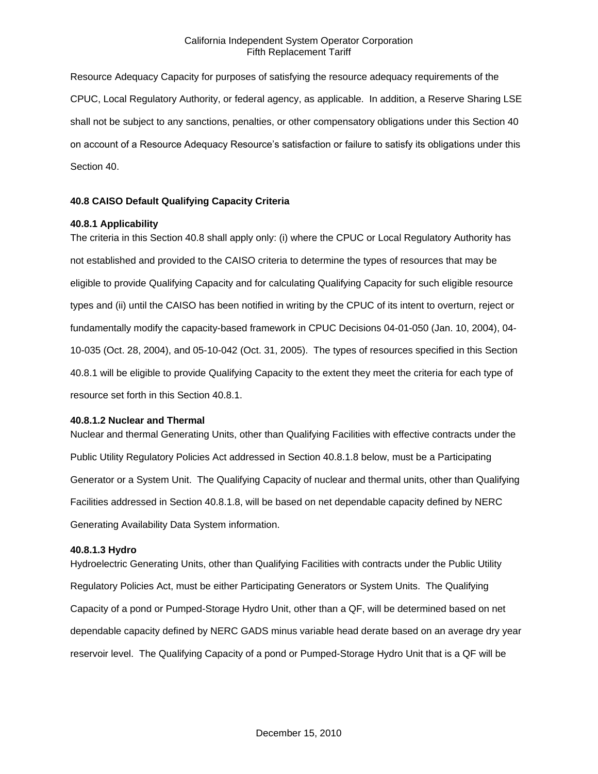Resource Adequacy Capacity for purposes of satisfying the resource adequacy requirements of the CPUC, Local Regulatory Authority, or federal agency, as applicable. In addition, a Reserve Sharing LSE shall not be subject to any sanctions, penalties, or other compensatory obligations under this Section 40 on account of a Resource Adequacy Resource's satisfaction or failure to satisfy its obligations under this Section 40.

## **40.8 CAISO Default Qualifying Capacity Criteria**

## **40.8.1 Applicability**

The criteria in this Section 40.8 shall apply only: (i) where the CPUC or Local Regulatory Authority has not established and provided to the CAISO criteria to determine the types of resources that may be eligible to provide Qualifying Capacity and for calculating Qualifying Capacity for such eligible resource types and (ii) until the CAISO has been notified in writing by the CPUC of its intent to overturn, reject or fundamentally modify the capacity-based framework in CPUC Decisions 04-01-050 (Jan. 10, 2004), 04- 10-035 (Oct. 28, 2004), and 05-10-042 (Oct. 31, 2005). The types of resources specified in this Section 40.8.1 will be eligible to provide Qualifying Capacity to the extent they meet the criteria for each type of resource set forth in this Section 40.8.1.

#### **40.8.1.2 Nuclear and Thermal**

Nuclear and thermal Generating Units, other than Qualifying Facilities with effective contracts under the Public Utility Regulatory Policies Act addressed in Section 40.8.1.8 below, must be a Participating Generator or a System Unit. The Qualifying Capacity of nuclear and thermal units, other than Qualifying Facilities addressed in Section 40.8.1.8, will be based on net dependable capacity defined by NERC Generating Availability Data System information.

### **40.8.1.3 Hydro**

Hydroelectric Generating Units, other than Qualifying Facilities with contracts under the Public Utility Regulatory Policies Act, must be either Participating Generators or System Units. The Qualifying Capacity of a pond or Pumped-Storage Hydro Unit, other than a QF, will be determined based on net dependable capacity defined by NERC GADS minus variable head derate based on an average dry year reservoir level. The Qualifying Capacity of a pond or Pumped-Storage Hydro Unit that is a QF will be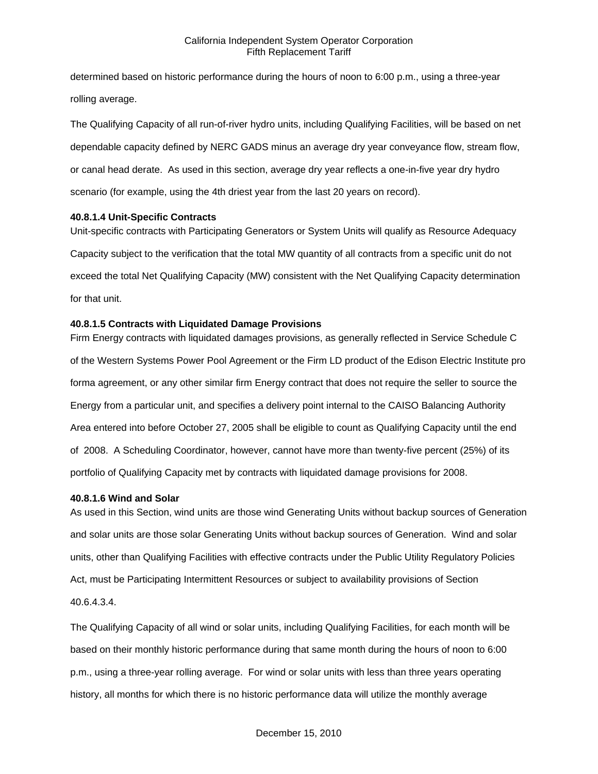determined based on historic performance during the hours of noon to 6:00 p.m., using a three-year rolling average.

The Qualifying Capacity of all run-of-river hydro units, including Qualifying Facilities, will be based on net dependable capacity defined by NERC GADS minus an average dry year conveyance flow, stream flow, or canal head derate. As used in this section, average dry year reflects a one-in-five year dry hydro scenario (for example, using the 4th driest year from the last 20 years on record).

## **40.8.1.4 Unit-Specific Contracts**

Unit-specific contracts with Participating Generators or System Units will qualify as Resource Adequacy Capacity subject to the verification that the total MW quantity of all contracts from a specific unit do not exceed the total Net Qualifying Capacity (MW) consistent with the Net Qualifying Capacity determination for that unit.

### **40.8.1.5 Contracts with Liquidated Damage Provisions**

Firm Energy contracts with liquidated damages provisions, as generally reflected in Service Schedule C of the Western Systems Power Pool Agreement or the Firm LD product of the Edison Electric Institute pro forma agreement, or any other similar firm Energy contract that does not require the seller to source the Energy from a particular unit, and specifies a delivery point internal to the CAISO Balancing Authority Area entered into before October 27, 2005 shall be eligible to count as Qualifying Capacity until the end of 2008. A Scheduling Coordinator, however, cannot have more than twenty-five percent (25%) of its portfolio of Qualifying Capacity met by contracts with liquidated damage provisions for 2008.

## **40.8.1.6 Wind and Solar**

As used in this Section, wind units are those wind Generating Units without backup sources of Generation and solar units are those solar Generating Units without backup sources of Generation. Wind and solar units, other than Qualifying Facilities with effective contracts under the Public Utility Regulatory Policies Act, must be Participating Intermittent Resources or subject to availability provisions of Section 40.6.4.3.4.

The Qualifying Capacity of all wind or solar units, including Qualifying Facilities, for each month will be based on their monthly historic performance during that same month during the hours of noon to 6:00 p.m., using a three-year rolling average. For wind or solar units with less than three years operating history, all months for which there is no historic performance data will utilize the monthly average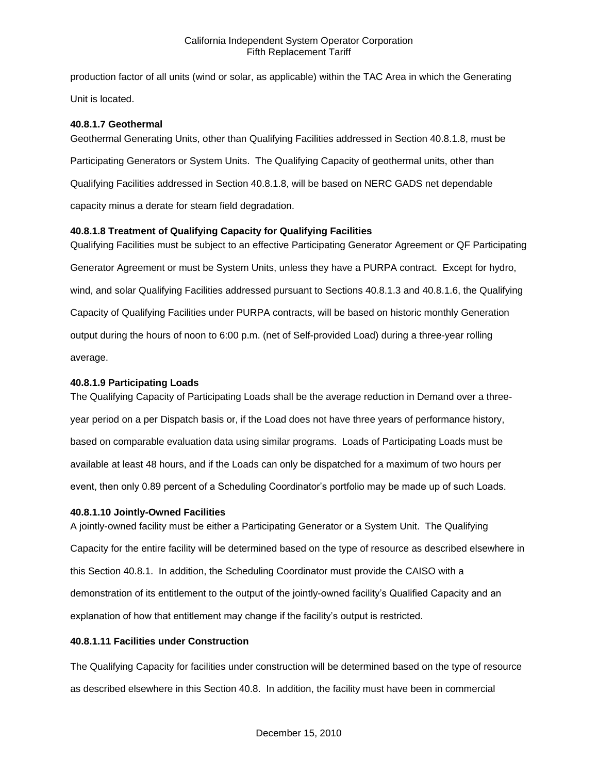production factor of all units (wind or solar, as applicable) within the TAC Area in which the Generating Unit is located.

## **40.8.1.7 Geothermal**

Geothermal Generating Units, other than Qualifying Facilities addressed in Section 40.8.1.8, must be Participating Generators or System Units. The Qualifying Capacity of geothermal units, other than Qualifying Facilities addressed in Section 40.8.1.8, will be based on NERC GADS net dependable capacity minus a derate for steam field degradation.

## **40.8.1.8 Treatment of Qualifying Capacity for Qualifying Facilities**

Qualifying Facilities must be subject to an effective Participating Generator Agreement or QF Participating Generator Agreement or must be System Units, unless they have a PURPA contract. Except for hydro, wind, and solar Qualifying Facilities addressed pursuant to Sections 40.8.1.3 and 40.8.1.6, the Qualifying Capacity of Qualifying Facilities under PURPA contracts, will be based on historic monthly Generation output during the hours of noon to 6:00 p.m. (net of Self-provided Load) during a three-year rolling average.

## **40.8.1.9 Participating Loads**

The Qualifying Capacity of Participating Loads shall be the average reduction in Demand over a threeyear period on a per Dispatch basis or, if the Load does not have three years of performance history, based on comparable evaluation data using similar programs. Loads of Participating Loads must be available at least 48 hours, and if the Loads can only be dispatched for a maximum of two hours per event, then only 0.89 percent of a Scheduling Coordinator's portfolio may be made up of such Loads.

## **40.8.1.10 Jointly-Owned Facilities**

A jointly-owned facility must be either a Participating Generator or a System Unit. The Qualifying Capacity for the entire facility will be determined based on the type of resource as described elsewhere in this Section 40.8.1. In addition, the Scheduling Coordinator must provide the CAISO with a demonstration of its entitlement to the output of the jointly-owned facility's Qualified Capacity and an explanation of how that entitlement may change if the facility's output is restricted.

## **40.8.1.11 Facilities under Construction**

The Qualifying Capacity for facilities under construction will be determined based on the type of resource as described elsewhere in this Section 40.8. In addition, the facility must have been in commercial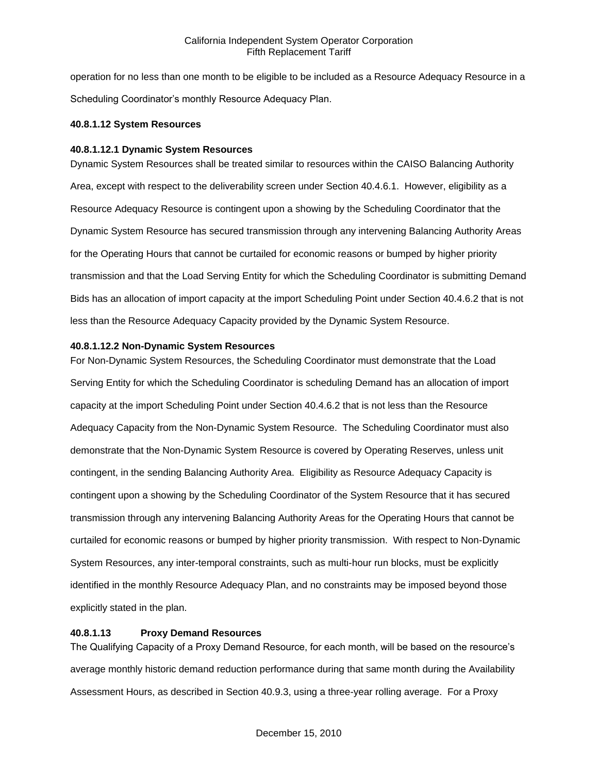operation for no less than one month to be eligible to be included as a Resource Adequacy Resource in a Scheduling Coordinator's monthly Resource Adequacy Plan.

## **40.8.1.12 System Resources**

## **40.8.1.12.1 Dynamic System Resources**

Dynamic System Resources shall be treated similar to resources within the CAISO Balancing Authority Area, except with respect to the deliverability screen under Section 40.4.6.1. However, eligibility as a Resource Adequacy Resource is contingent upon a showing by the Scheduling Coordinator that the Dynamic System Resource has secured transmission through any intervening Balancing Authority Areas for the Operating Hours that cannot be curtailed for economic reasons or bumped by higher priority transmission and that the Load Serving Entity for which the Scheduling Coordinator is submitting Demand Bids has an allocation of import capacity at the import Scheduling Point under Section 40.4.6.2 that is not less than the Resource Adequacy Capacity provided by the Dynamic System Resource.

## **40.8.1.12.2 Non-Dynamic System Resources**

For Non-Dynamic System Resources, the Scheduling Coordinator must demonstrate that the Load Serving Entity for which the Scheduling Coordinator is scheduling Demand has an allocation of import capacity at the import Scheduling Point under Section 40.4.6.2 that is not less than the Resource Adequacy Capacity from the Non-Dynamic System Resource. The Scheduling Coordinator must also demonstrate that the Non-Dynamic System Resource is covered by Operating Reserves, unless unit contingent, in the sending Balancing Authority Area. Eligibility as Resource Adequacy Capacity is contingent upon a showing by the Scheduling Coordinator of the System Resource that it has secured transmission through any intervening Balancing Authority Areas for the Operating Hours that cannot be curtailed for economic reasons or bumped by higher priority transmission. With respect to Non-Dynamic System Resources, any inter-temporal constraints, such as multi-hour run blocks, must be explicitly identified in the monthly Resource Adequacy Plan, and no constraints may be imposed beyond those explicitly stated in the plan.

## **40.8.1.13 Proxy Demand Resources**

The Qualifying Capacity of a Proxy Demand Resource, for each month, will be based on the resource's average monthly historic demand reduction performance during that same month during the Availability Assessment Hours, as described in Section 40.9.3, using a three-year rolling average. For a Proxy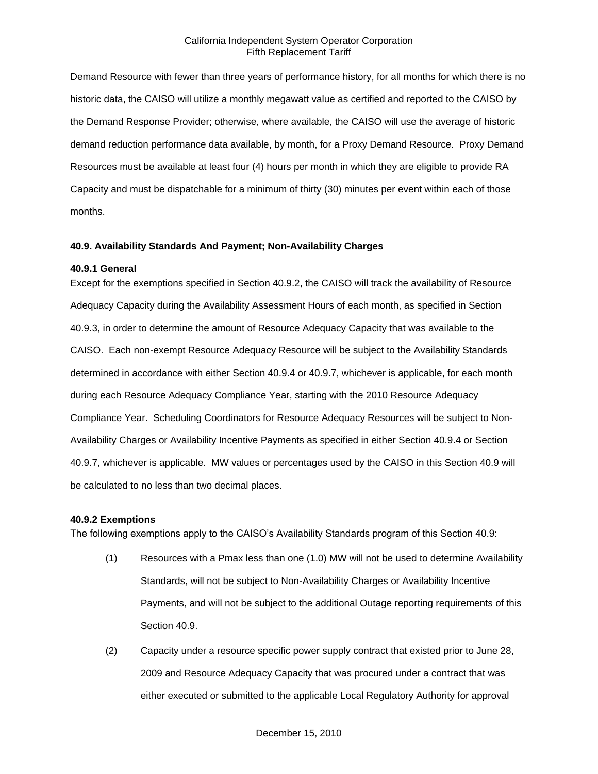Demand Resource with fewer than three years of performance history, for all months for which there is no historic data, the CAISO will utilize a monthly megawatt value as certified and reported to the CAISO by the Demand Response Provider; otherwise, where available, the CAISO will use the average of historic demand reduction performance data available, by month, for a Proxy Demand Resource. Proxy Demand Resources must be available at least four (4) hours per month in which they are eligible to provide RA Capacity and must be dispatchable for a minimum of thirty (30) minutes per event within each of those months.

### **40.9. Availability Standards And Payment; Non-Availability Charges**

#### **40.9.1 General**

Except for the exemptions specified in Section 40.9.2, the CAISO will track the availability of Resource Adequacy Capacity during the Availability Assessment Hours of each month, as specified in Section 40.9.3, in order to determine the amount of Resource Adequacy Capacity that was available to the CAISO. Each non-exempt Resource Adequacy Resource will be subject to the Availability Standards determined in accordance with either Section 40.9.4 or 40.9.7, whichever is applicable, for each month during each Resource Adequacy Compliance Year, starting with the 2010 Resource Adequacy Compliance Year. Scheduling Coordinators for Resource Adequacy Resources will be subject to Non-Availability Charges or Availability Incentive Payments as specified in either Section 40.9.4 or Section 40.9.7, whichever is applicable. MW values or percentages used by the CAISO in this Section 40.9 will be calculated to no less than two decimal places.

#### **40.9.2 Exemptions**

The following exemptions apply to the CAISO's Availability Standards program of this Section 40.9:

- (1) Resources with a Pmax less than one (1.0) MW will not be used to determine Availability Standards, will not be subject to Non-Availability Charges or Availability Incentive Payments, and will not be subject to the additional Outage reporting requirements of this Section 40.9.
- (2) Capacity under a resource specific power supply contract that existed prior to June 28, 2009 and Resource Adequacy Capacity that was procured under a contract that was either executed or submitted to the applicable Local Regulatory Authority for approval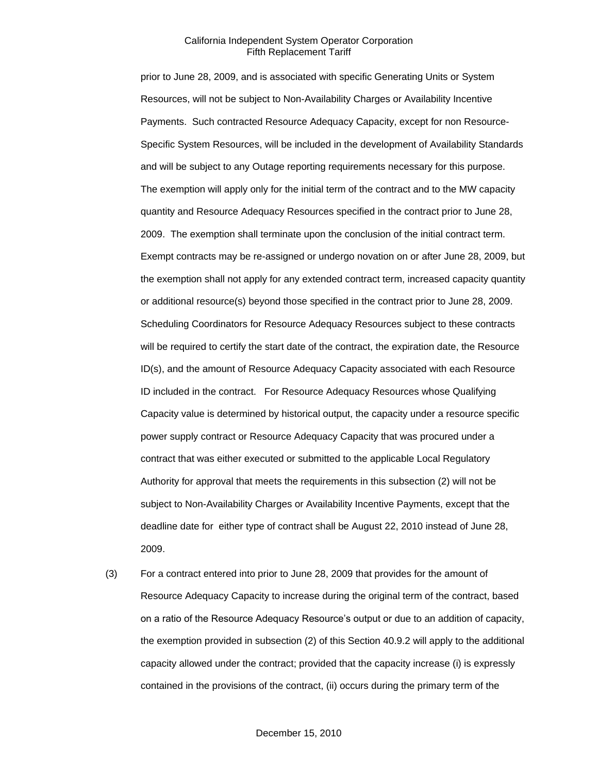prior to June 28, 2009, and is associated with specific Generating Units or System Resources, will not be subject to Non-Availability Charges or Availability Incentive Payments. Such contracted Resource Adequacy Capacity, except for non Resource-Specific System Resources, will be included in the development of Availability Standards and will be subject to any Outage reporting requirements necessary for this purpose. The exemption will apply only for the initial term of the contract and to the MW capacity quantity and Resource Adequacy Resources specified in the contract prior to June 28, 2009. The exemption shall terminate upon the conclusion of the initial contract term. Exempt contracts may be re-assigned or undergo novation on or after June 28, 2009, but the exemption shall not apply for any extended contract term, increased capacity quantity or additional resource(s) beyond those specified in the contract prior to June 28, 2009. Scheduling Coordinators for Resource Adequacy Resources subject to these contracts will be required to certify the start date of the contract, the expiration date, the Resource ID(s), and the amount of Resource Adequacy Capacity associated with each Resource ID included in the contract. For Resource Adequacy Resources whose Qualifying Capacity value is determined by historical output, the capacity under a resource specific power supply contract or Resource Adequacy Capacity that was procured under a contract that was either executed or submitted to the applicable Local Regulatory Authority for approval that meets the requirements in this subsection (2) will not be subject to Non-Availability Charges or Availability Incentive Payments, except that the deadline date for either type of contract shall be August 22, 2010 instead of June 28, 2009.

(3) For a contract entered into prior to June 28, 2009 that provides for the amount of Resource Adequacy Capacity to increase during the original term of the contract, based on a ratio of the Resource Adequacy Resource's output or due to an addition of capacity, the exemption provided in subsection (2) of this Section 40.9.2 will apply to the additional capacity allowed under the contract; provided that the capacity increase (i) is expressly contained in the provisions of the contract, (ii) occurs during the primary term of the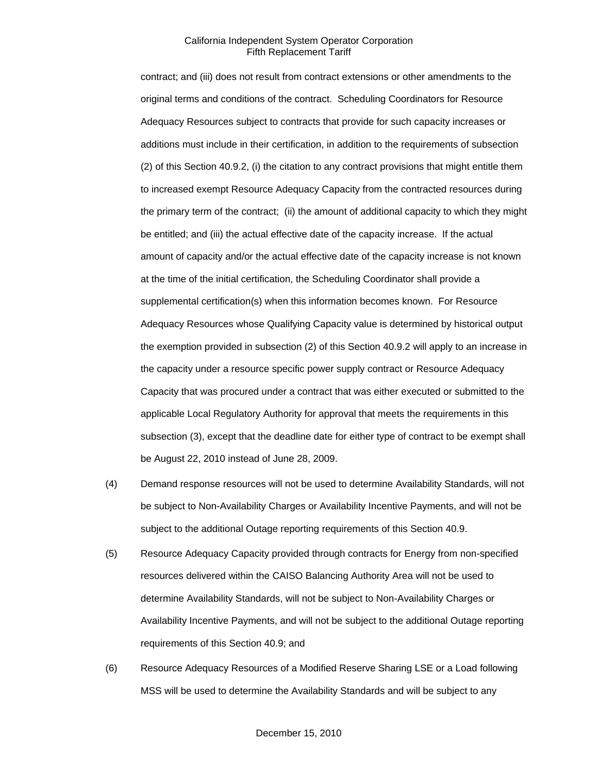contract; and (iii) does not result from contract extensions or other amendments to the original terms and conditions of the contract. Scheduling Coordinators for Resource Adequacy Resources subject to contracts that provide for such capacity increases or additions must include in their certification, in addition to the requirements of subsection (2) of this Section 40.9.2, (i) the citation to any contract provisions that might entitle them to increased exempt Resource Adequacy Capacity from the contracted resources during the primary term of the contract; (ii) the amount of additional capacity to which they might be entitled; and (iii) the actual effective date of the capacity increase. If the actual amount of capacity and/or the actual effective date of the capacity increase is not known at the time of the initial certification, the Scheduling Coordinator shall provide a supplemental certification(s) when this information becomes known. For Resource Adequacy Resources whose Qualifying Capacity value is determined by historical output the exemption provided in subsection (2) of this Section 40.9.2 will apply to an increase in the capacity under a resource specific power supply contract or Resource Adequacy Capacity that was procured under a contract that was either executed or submitted to the applicable Local Regulatory Authority for approval that meets the requirements in this subsection (3), except that the deadline date for either type of contract to be exempt shall be August 22, 2010 instead of June 28, 2009.

- (4) Demand response resources will not be used to determine Availability Standards, will not be subject to Non-Availability Charges or Availability Incentive Payments, and will not be subject to the additional Outage reporting requirements of this Section 40.9.
- (5) Resource Adequacy Capacity provided through contracts for Energy from non-specified resources delivered within the CAISO Balancing Authority Area will not be used to determine Availability Standards, will not be subject to Non-Availability Charges or Availability Incentive Payments, and will not be subject to the additional Outage reporting requirements of this Section 40.9; and
- (6) Resource Adequacy Resources of a Modified Reserve Sharing LSE or a Load following MSS will be used to determine the Availability Standards and will be subject to any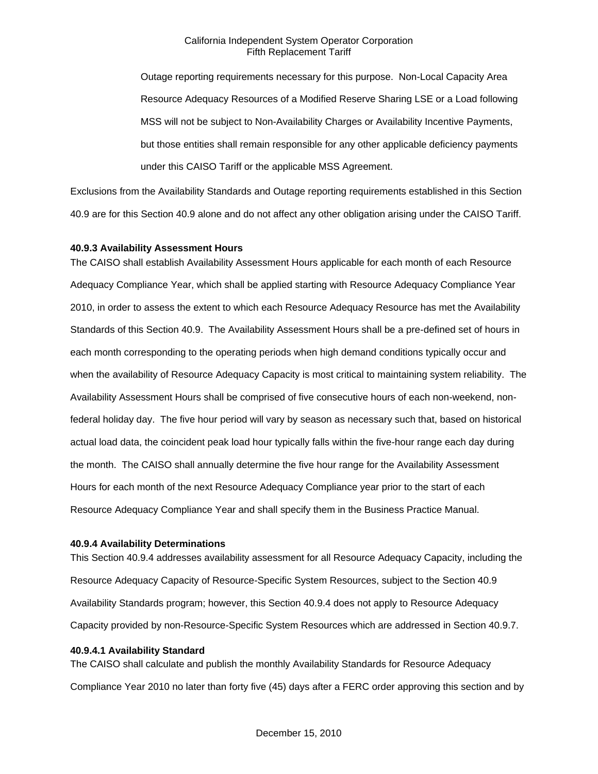Outage reporting requirements necessary for this purpose. Non-Local Capacity Area Resource Adequacy Resources of a Modified Reserve Sharing LSE or a Load following MSS will not be subject to Non-Availability Charges or Availability Incentive Payments, but those entities shall remain responsible for any other applicable deficiency payments under this CAISO Tariff or the applicable MSS Agreement.

Exclusions from the Availability Standards and Outage reporting requirements established in this Section 40.9 are for this Section 40.9 alone and do not affect any other obligation arising under the CAISO Tariff.

#### **40.9.3 Availability Assessment Hours**

The CAISO shall establish Availability Assessment Hours applicable for each month of each Resource Adequacy Compliance Year, which shall be applied starting with Resource Adequacy Compliance Year 2010, in order to assess the extent to which each Resource Adequacy Resource has met the Availability Standards of this Section 40.9. The Availability Assessment Hours shall be a pre-defined set of hours in each month corresponding to the operating periods when high demand conditions typically occur and when the availability of Resource Adequacy Capacity is most critical to maintaining system reliability. The Availability Assessment Hours shall be comprised of five consecutive hours of each non-weekend, nonfederal holiday day. The five hour period will vary by season as necessary such that, based on historical actual load data, the coincident peak load hour typically falls within the five-hour range each day during the month. The CAISO shall annually determine the five hour range for the Availability Assessment Hours for each month of the next Resource Adequacy Compliance year prior to the start of each Resource Adequacy Compliance Year and shall specify them in the Business Practice Manual.

#### **40.9.4 Availability Determinations**

This Section 40.9.4 addresses availability assessment for all Resource Adequacy Capacity, including the Resource Adequacy Capacity of Resource-Specific System Resources, subject to the Section 40.9 Availability Standards program; however, this Section 40.9.4 does not apply to Resource Adequacy Capacity provided by non-Resource-Specific System Resources which are addressed in Section 40.9.7.

#### **40.9.4.1 Availability Standard**

The CAISO shall calculate and publish the monthly Availability Standards for Resource Adequacy Compliance Year 2010 no later than forty five (45) days after a FERC order approving this section and by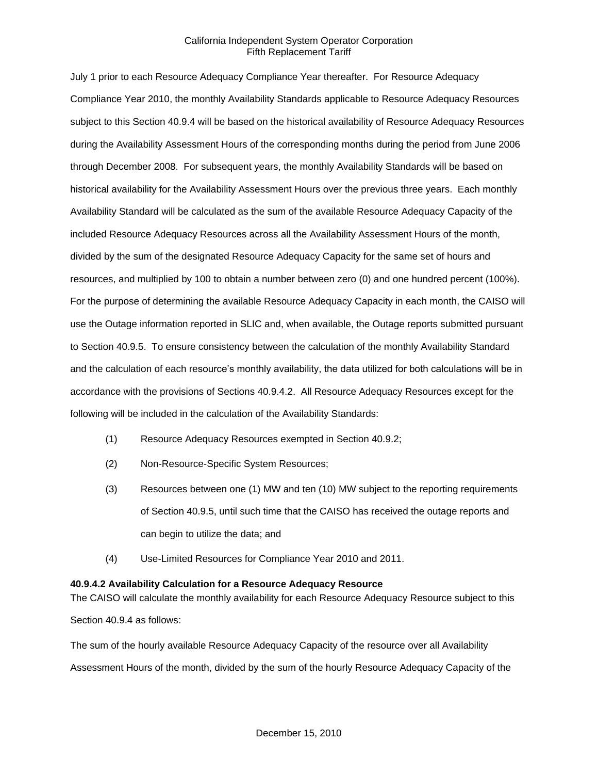July 1 prior to each Resource Adequacy Compliance Year thereafter. For Resource Adequacy Compliance Year 2010, the monthly Availability Standards applicable to Resource Adequacy Resources subject to this Section 40.9.4 will be based on the historical availability of Resource Adequacy Resources during the Availability Assessment Hours of the corresponding months during the period from June 2006 through December 2008. For subsequent years, the monthly Availability Standards will be based on historical availability for the Availability Assessment Hours over the previous three years. Each monthly Availability Standard will be calculated as the sum of the available Resource Adequacy Capacity of the included Resource Adequacy Resources across all the Availability Assessment Hours of the month, divided by the sum of the designated Resource Adequacy Capacity for the same set of hours and resources, and multiplied by 100 to obtain a number between zero (0) and one hundred percent (100%). For the purpose of determining the available Resource Adequacy Capacity in each month, the CAISO will use the Outage information reported in SLIC and, when available, the Outage reports submitted pursuant to Section 40.9.5. To ensure consistency between the calculation of the monthly Availability Standard and the calculation of each resource's monthly availability, the data utilized for both calculations will be in accordance with the provisions of Sections 40.9.4.2. All Resource Adequacy Resources except for the following will be included in the calculation of the Availability Standards:

- (1) Resource Adequacy Resources exempted in Section 40.9.2;
- (2) Non-Resource-Specific System Resources;
- (3) Resources between one (1) MW and ten (10) MW subject to the reporting requirements of Section 40.9.5, until such time that the CAISO has received the outage reports and can begin to utilize the data; and
- (4) Use-Limited Resources for Compliance Year 2010 and 2011.

## **40.9.4.2 Availability Calculation for a Resource Adequacy Resource**

The CAISO will calculate the monthly availability for each Resource Adequacy Resource subject to this

Section 40.9.4 as follows:

The sum of the hourly available Resource Adequacy Capacity of the resource over all Availability

Assessment Hours of the month, divided by the sum of the hourly Resource Adequacy Capacity of the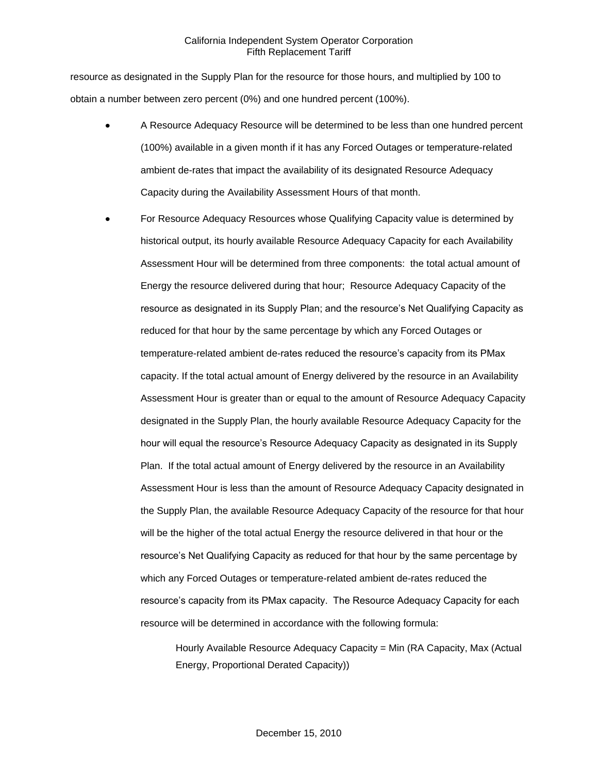resource as designated in the Supply Plan for the resource for those hours, and multiplied by 100 to obtain a number between zero percent (0%) and one hundred percent (100%).

- A Resource Adequacy Resource will be determined to be less than one hundred percent (100%) available in a given month if it has any Forced Outages or temperature-related ambient de-rates that impact the availability of its designated Resource Adequacy Capacity during the Availability Assessment Hours of that month.
- For Resource Adequacy Resources whose Qualifying Capacity value is determined by historical output, its hourly available Resource Adequacy Capacity for each Availability Assessment Hour will be determined from three components: the total actual amount of Energy the resource delivered during that hour; Resource Adequacy Capacity of the resource as designated in its Supply Plan; and the resource's Net Qualifying Capacity as reduced for that hour by the same percentage by which any Forced Outages or temperature-related ambient de-rates reduced the resource's capacity from its PMax capacity. If the total actual amount of Energy delivered by the resource in an Availability Assessment Hour is greater than or equal to the amount of Resource Adequacy Capacity designated in the Supply Plan, the hourly available Resource Adequacy Capacity for the hour will equal the resource's Resource Adequacy Capacity as designated in its Supply Plan. If the total actual amount of Energy delivered by the resource in an Availability Assessment Hour is less than the amount of Resource Adequacy Capacity designated in the Supply Plan, the available Resource Adequacy Capacity of the resource for that hour will be the higher of the total actual Energy the resource delivered in that hour or the resource's Net Qualifying Capacity as reduced for that hour by the same percentage by which any Forced Outages or temperature-related ambient de-rates reduced the resource's capacity from its PMax capacity. The Resource Adequacy Capacity for each resource will be determined in accordance with the following formula:

Hourly Available Resource Adequacy Capacity = Min (RA Capacity, Max (Actual Energy, Proportional Derated Capacity))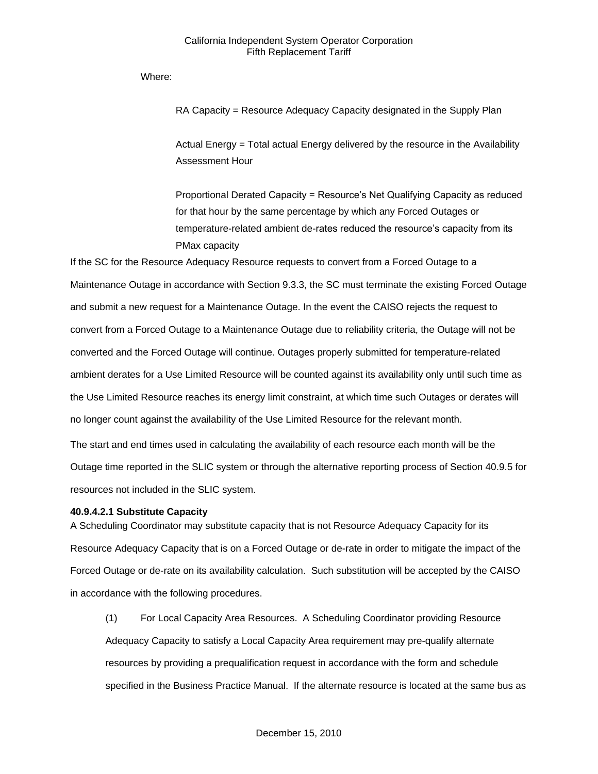Where:

RA Capacity = Resource Adequacy Capacity designated in the Supply Plan

Actual Energy = Total actual Energy delivered by the resource in the Availability Assessment Hour

Proportional Derated Capacity = Resource's Net Qualifying Capacity as reduced for that hour by the same percentage by which any Forced Outages or temperature-related ambient de-rates reduced the resource's capacity from its PMax capacity

If the SC for the Resource Adequacy Resource requests to convert from a Forced Outage to a Maintenance Outage in accordance with Section 9.3.3, the SC must terminate the existing Forced Outage and submit a new request for a Maintenance Outage. In the event the CAISO rejects the request to convert from a Forced Outage to a Maintenance Outage due to reliability criteria, the Outage will not be converted and the Forced Outage will continue. Outages properly submitted for temperature-related ambient derates for a Use Limited Resource will be counted against its availability only until such time as the Use Limited Resource reaches its energy limit constraint, at which time such Outages or derates will no longer count against the availability of the Use Limited Resource for the relevant month.

The start and end times used in calculating the availability of each resource each month will be the Outage time reported in the SLIC system or through the alternative reporting process of Section 40.9.5 for resources not included in the SLIC system.

## **40.9.4.2.1 Substitute Capacity**

A Scheduling Coordinator may substitute capacity that is not Resource Adequacy Capacity for its Resource Adequacy Capacity that is on a Forced Outage or de-rate in order to mitigate the impact of the Forced Outage or de-rate on its availability calculation. Such substitution will be accepted by the CAISO in accordance with the following procedures.

(1) For Local Capacity Area Resources. A Scheduling Coordinator providing Resource Adequacy Capacity to satisfy a Local Capacity Area requirement may pre-qualify alternate resources by providing a prequalification request in accordance with the form and schedule specified in the Business Practice Manual. If the alternate resource is located at the same bus as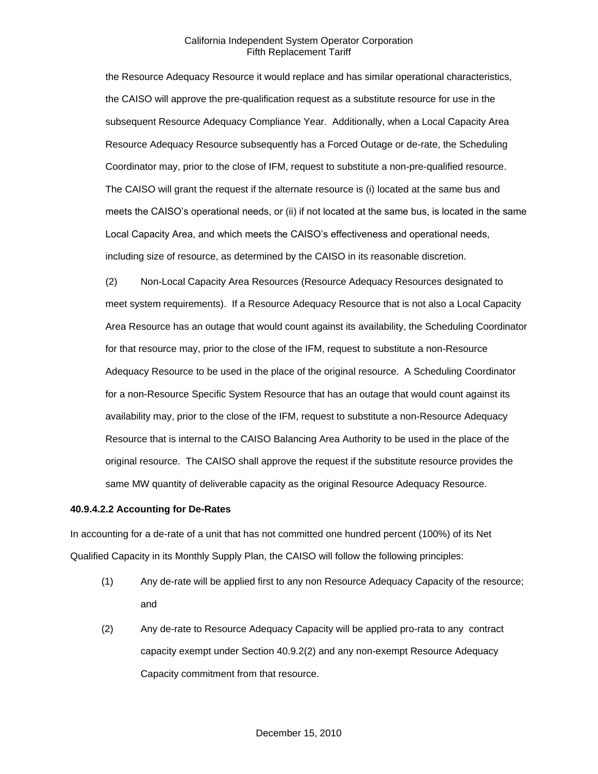the Resource Adequacy Resource it would replace and has similar operational characteristics, the CAISO will approve the pre-qualification request as a substitute resource for use in the subsequent Resource Adequacy Compliance Year. Additionally, when a Local Capacity Area Resource Adequacy Resource subsequently has a Forced Outage or de-rate, the Scheduling Coordinator may, prior to the close of IFM, request to substitute a non-pre-qualified resource. The CAISO will grant the request if the alternate resource is (i) located at the same bus and meets the CAISO's operational needs, or (ii) if not located at the same bus, is located in the same Local Capacity Area, and which meets the CAISO's effectiveness and operational needs, including size of resource, as determined by the CAISO in its reasonable discretion.

(2) Non-Local Capacity Area Resources (Resource Adequacy Resources designated to meet system requirements). If a Resource Adequacy Resource that is not also a Local Capacity Area Resource has an outage that would count against its availability, the Scheduling Coordinator for that resource may, prior to the close of the IFM, request to substitute a non-Resource Adequacy Resource to be used in the place of the original resource. A Scheduling Coordinator for a non-Resource Specific System Resource that has an outage that would count against its availability may, prior to the close of the IFM, request to substitute a non-Resource Adequacy Resource that is internal to the CAISO Balancing Area Authority to be used in the place of the original resource. The CAISO shall approve the request if the substitute resource provides the same MW quantity of deliverable capacity as the original Resource Adequacy Resource.

#### **40.9.4.2.2 Accounting for De-Rates**

In accounting for a de-rate of a unit that has not committed one hundred percent (100%) of its Net Qualified Capacity in its Monthly Supply Plan, the CAISO will follow the following principles:

- (1) Any de-rate will be applied first to any non Resource Adequacy Capacity of the resource; and
- (2) Any de-rate to Resource Adequacy Capacity will be applied pro-rata to any contract capacity exempt under Section 40.9.2(2) and any non-exempt Resource Adequacy Capacity commitment from that resource.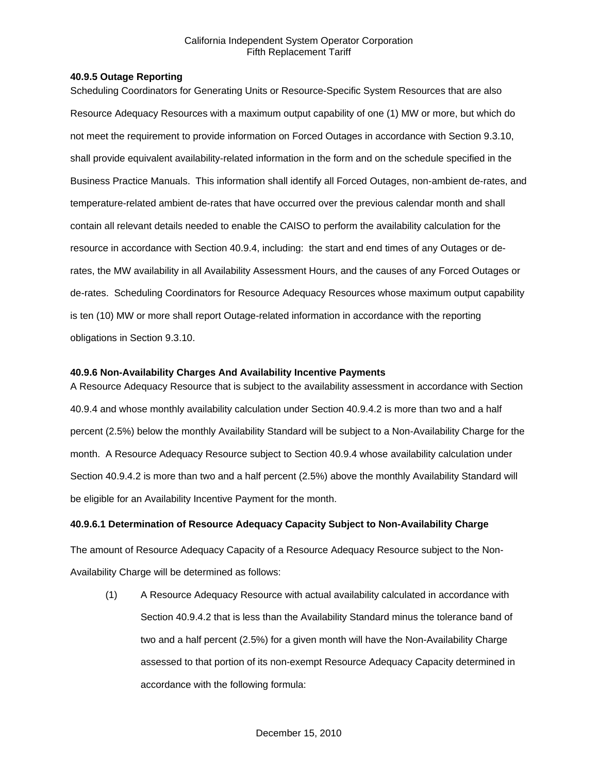## **40.9.5 Outage Reporting**

Scheduling Coordinators for Generating Units or Resource-Specific System Resources that are also Resource Adequacy Resources with a maximum output capability of one (1) MW or more, but which do not meet the requirement to provide information on Forced Outages in accordance with Section 9.3.10, shall provide equivalent availability-related information in the form and on the schedule specified in the Business Practice Manuals. This information shall identify all Forced Outages, non-ambient de-rates, and temperature-related ambient de-rates that have occurred over the previous calendar month and shall contain all relevant details needed to enable the CAISO to perform the availability calculation for the resource in accordance with Section 40.9.4, including: the start and end times of any Outages or derates, the MW availability in all Availability Assessment Hours, and the causes of any Forced Outages or de-rates. Scheduling Coordinators for Resource Adequacy Resources whose maximum output capability is ten (10) MW or more shall report Outage-related information in accordance with the reporting obligations in Section 9.3.10.

## **40.9.6 Non-Availability Charges And Availability Incentive Payments**

A Resource Adequacy Resource that is subject to the availability assessment in accordance with Section 40.9.4 and whose monthly availability calculation under Section 40.9.4.2 is more than two and a half percent (2.5%) below the monthly Availability Standard will be subject to a Non-Availability Charge for the month. A Resource Adequacy Resource subject to Section 40.9.4 whose availability calculation under Section 40.9.4.2 is more than two and a half percent (2.5%) above the monthly Availability Standard will be eligible for an Availability Incentive Payment for the month.

## **40.9.6.1 Determination of Resource Adequacy Capacity Subject to Non-Availability Charge**

The amount of Resource Adequacy Capacity of a Resource Adequacy Resource subject to the Non-Availability Charge will be determined as follows:

(1) A Resource Adequacy Resource with actual availability calculated in accordance with Section 40.9.4.2 that is less than the Availability Standard minus the tolerance band of two and a half percent (2.5%) for a given month will have the Non-Availability Charge assessed to that portion of its non-exempt Resource Adequacy Capacity determined in accordance with the following formula: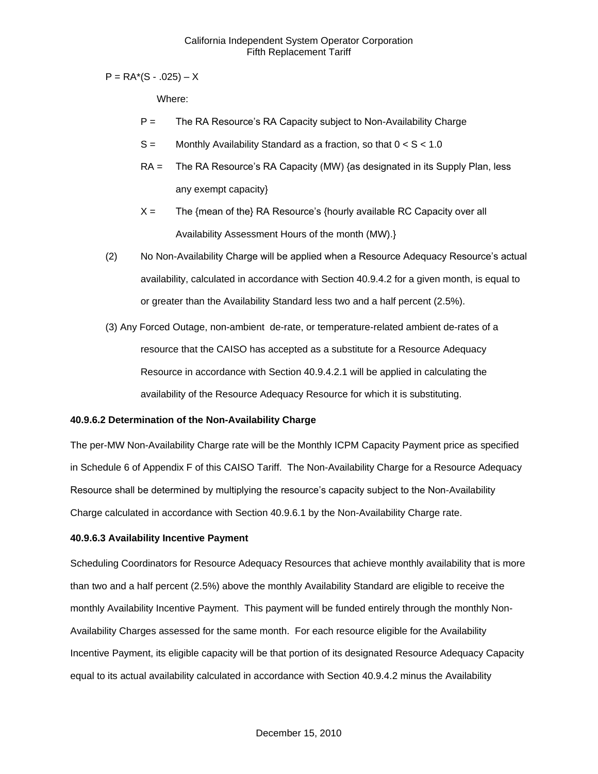$P = RA<sup>*</sup>(S - .025) - X$ 

Where:

- $P =$  The RA Resource's RA Capacity subject to Non-Availability Charge
- $S =$  Monthly Availability Standard as a fraction, so that  $0 < S < 1.0$
- RA = The RA Resource's RA Capacity (MW) {as designated in its Supply Plan, less any exempt capacity}
- $X =$  The {mean of the} RA Resource's {hourly available RC Capacity over all Availability Assessment Hours of the month (MW).}
- (2) No Non-Availability Charge will be applied when a Resource Adequacy Resource's actual availability, calculated in accordance with Section 40.9.4.2 for a given month, is equal to or greater than the Availability Standard less two and a half percent (2.5%).
- (3) Any Forced Outage, non-ambient de-rate, or temperature-related ambient de-rates of a resource that the CAISO has accepted as a substitute for a Resource Adequacy Resource in accordance with Section 40.9.4.2.1 will be applied in calculating the availability of the Resource Adequacy Resource for which it is substituting.

## **40.9.6.2 Determination of the Non-Availability Charge**

The per-MW Non-Availability Charge rate will be the Monthly ICPM Capacity Payment price as specified in Schedule 6 of Appendix F of this CAISO Tariff. The Non-Availability Charge for a Resource Adequacy Resource shall be determined by multiplying the resource's capacity subject to the Non-Availability Charge calculated in accordance with Section 40.9.6.1 by the Non-Availability Charge rate.

## **40.9.6.3 Availability Incentive Payment**

Scheduling Coordinators for Resource Adequacy Resources that achieve monthly availability that is more than two and a half percent (2.5%) above the monthly Availability Standard are eligible to receive the monthly Availability Incentive Payment. This payment will be funded entirely through the monthly Non-Availability Charges assessed for the same month. For each resource eligible for the Availability Incentive Payment, its eligible capacity will be that portion of its designated Resource Adequacy Capacity equal to its actual availability calculated in accordance with Section 40.9.4.2 minus the Availability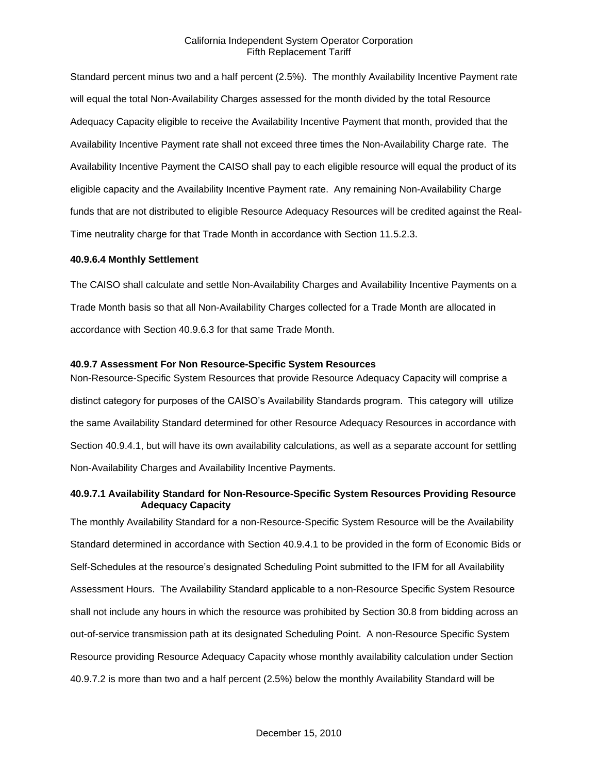Standard percent minus two and a half percent (2.5%). The monthly Availability Incentive Payment rate will equal the total Non-Availability Charges assessed for the month divided by the total Resource Adequacy Capacity eligible to receive the Availability Incentive Payment that month, provided that the Availability Incentive Payment rate shall not exceed three times the Non-Availability Charge rate. The Availability Incentive Payment the CAISO shall pay to each eligible resource will equal the product of its eligible capacity and the Availability Incentive Payment rate. Any remaining Non-Availability Charge funds that are not distributed to eligible Resource Adequacy Resources will be credited against the Real-Time neutrality charge for that Trade Month in accordance with Section 11.5.2.3.

### **40.9.6.4 Monthly Settlement**

The CAISO shall calculate and settle Non-Availability Charges and Availability Incentive Payments on a Trade Month basis so that all Non-Availability Charges collected for a Trade Month are allocated in accordance with Section 40.9.6.3 for that same Trade Month.

#### **40.9.7 Assessment For Non Resource-Specific System Resources**

Non-Resource-Specific System Resources that provide Resource Adequacy Capacity will comprise a distinct category for purposes of the CAISO's Availability Standards program. This category will utilize the same Availability Standard determined for other Resource Adequacy Resources in accordance with Section 40.9.4.1, but will have its own availability calculations, as well as a separate account for settling Non-Availability Charges and Availability Incentive Payments.

## **40.9.7.1 Availability Standard for Non-Resource-Specific System Resources Providing Resource Adequacy Capacity**

The monthly Availability Standard for a non-Resource-Specific System Resource will be the Availability Standard determined in accordance with Section 40.9.4.1 to be provided in the form of Economic Bids or Self-Schedules at the resource's designated Scheduling Point submitted to the IFM for all Availability Assessment Hours. The Availability Standard applicable to a non-Resource Specific System Resource shall not include any hours in which the resource was prohibited by Section 30.8 from bidding across an out-of-service transmission path at its designated Scheduling Point. A non-Resource Specific System Resource providing Resource Adequacy Capacity whose monthly availability calculation under Section 40.9.7.2 is more than two and a half percent (2.5%) below the monthly Availability Standard will be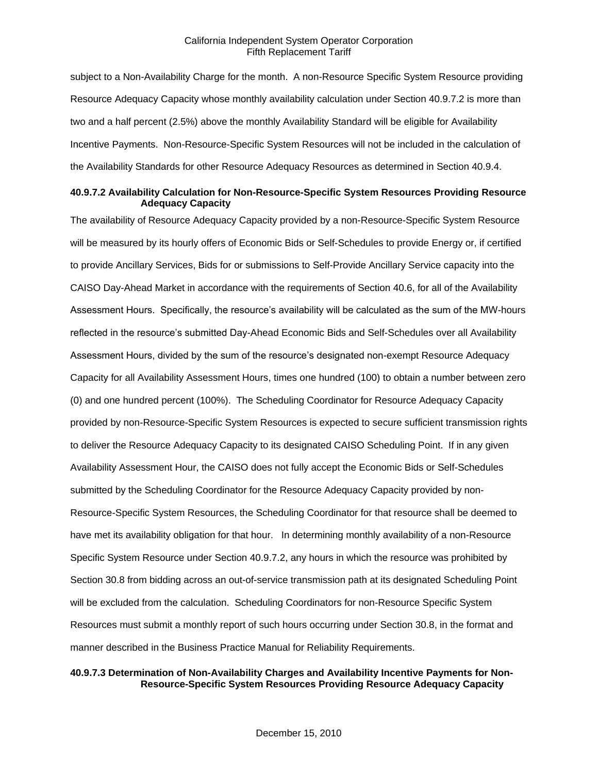subject to a Non-Availability Charge for the month. A non-Resource Specific System Resource providing Resource Adequacy Capacity whose monthly availability calculation under Section 40.9.7.2 is more than two and a half percent (2.5%) above the monthly Availability Standard will be eligible for Availability Incentive Payments. Non-Resource-Specific System Resources will not be included in the calculation of the Availability Standards for other Resource Adequacy Resources as determined in Section 40.9.4.

#### **40.9.7.2 Availability Calculation for Non-Resource-Specific System Resources Providing Resource Adequacy Capacity**

The availability of Resource Adequacy Capacity provided by a non-Resource-Specific System Resource will be measured by its hourly offers of Economic Bids or Self-Schedules to provide Energy or, if certified to provide Ancillary Services, Bids for or submissions to Self-Provide Ancillary Service capacity into the CAISO Day-Ahead Market in accordance with the requirements of Section 40.6, for all of the Availability Assessment Hours. Specifically, the resource's availability will be calculated as the sum of the MW-hours reflected in the resource's submitted Day-Ahead Economic Bids and Self-Schedules over all Availability Assessment Hours, divided by the sum of the resource's designated non-exempt Resource Adequacy Capacity for all Availability Assessment Hours, times one hundred (100) to obtain a number between zero (0) and one hundred percent (100%). The Scheduling Coordinator for Resource Adequacy Capacity provided by non-Resource-Specific System Resources is expected to secure sufficient transmission rights to deliver the Resource Adequacy Capacity to its designated CAISO Scheduling Point. If in any given Availability Assessment Hour, the CAISO does not fully accept the Economic Bids or Self-Schedules submitted by the Scheduling Coordinator for the Resource Adequacy Capacity provided by non-Resource-Specific System Resources, the Scheduling Coordinator for that resource shall be deemed to have met its availability obligation for that hour. In determining monthly availability of a non-Resource Specific System Resource under Section 40.9.7.2, any hours in which the resource was prohibited by Section 30.8 from bidding across an out-of-service transmission path at its designated Scheduling Point will be excluded from the calculation. Scheduling Coordinators for non-Resource Specific System Resources must submit a monthly report of such hours occurring under Section 30.8, in the format and manner described in the Business Practice Manual for Reliability Requirements.

## **40.9.7.3 Determination of Non-Availability Charges and Availability Incentive Payments for Non-Resource-Specific System Resources Providing Resource Adequacy Capacity**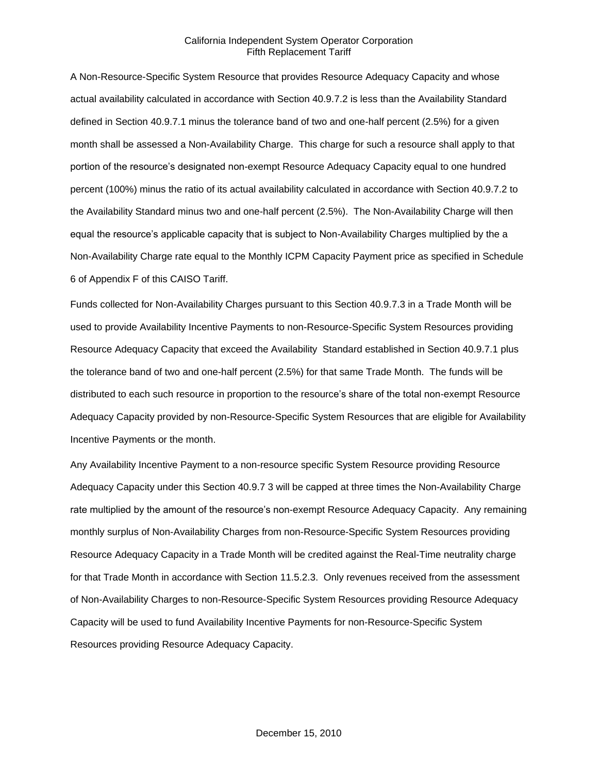A Non-Resource-Specific System Resource that provides Resource Adequacy Capacity and whose actual availability calculated in accordance with Section 40.9.7.2 is less than the Availability Standard defined in Section 40.9.7.1 minus the tolerance band of two and one-half percent (2.5%) for a given month shall be assessed a Non-Availability Charge. This charge for such a resource shall apply to that portion of the resource's designated non-exempt Resource Adequacy Capacity equal to one hundred percent (100%) minus the ratio of its actual availability calculated in accordance with Section 40.9.7.2 to the Availability Standard minus two and one-half percent (2.5%). The Non-Availability Charge will then equal the resource's applicable capacity that is subject to Non-Availability Charges multiplied by the a Non-Availability Charge rate equal to the Monthly ICPM Capacity Payment price as specified in Schedule 6 of Appendix F of this CAISO Tariff.

Funds collected for Non-Availability Charges pursuant to this Section 40.9.7.3 in a Trade Month will be used to provide Availability Incentive Payments to non-Resource-Specific System Resources providing Resource Adequacy Capacity that exceed the Availability Standard established in Section 40.9.7.1 plus the tolerance band of two and one-half percent (2.5%) for that same Trade Month. The funds will be distributed to each such resource in proportion to the resource's share of the total non-exempt Resource Adequacy Capacity provided by non-Resource-Specific System Resources that are eligible for Availability Incentive Payments or the month.

Any Availability Incentive Payment to a non-resource specific System Resource providing Resource Adequacy Capacity under this Section 40.9.7 3 will be capped at three times the Non-Availability Charge rate multiplied by the amount of the resource's non-exempt Resource Adequacy Capacity. Any remaining monthly surplus of Non-Availability Charges from non-Resource-Specific System Resources providing Resource Adequacy Capacity in a Trade Month will be credited against the Real-Time neutrality charge for that Trade Month in accordance with Section 11.5.2.3. Only revenues received from the assessment of Non-Availability Charges to non-Resource-Specific System Resources providing Resource Adequacy Capacity will be used to fund Availability Incentive Payments for non-Resource-Specific System Resources providing Resource Adequacy Capacity.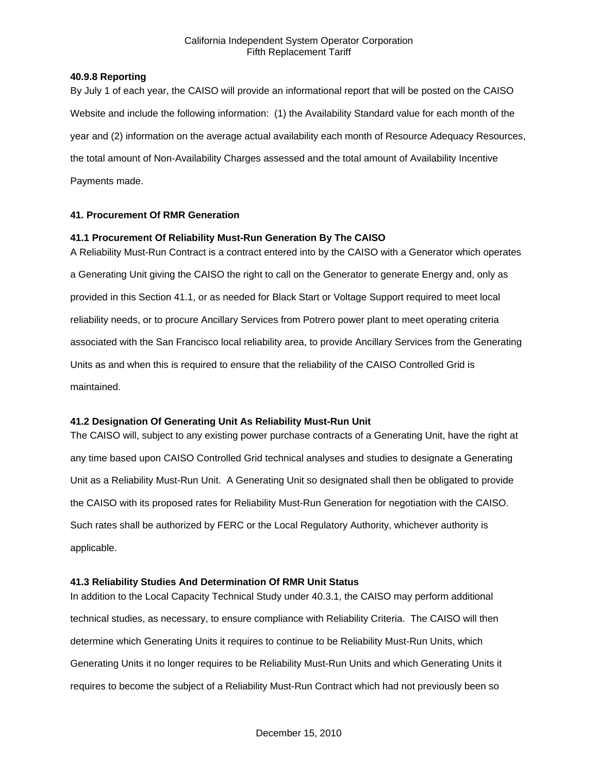## **40.9.8 Reporting**

By July 1 of each year, the CAISO will provide an informational report that will be posted on the CAISO Website and include the following information: (1) the Availability Standard value for each month of the year and (2) information on the average actual availability each month of Resource Adequacy Resources, the total amount of Non-Availability Charges assessed and the total amount of Availability Incentive Payments made.

# **41. Procurement Of RMR Generation**

## **41.1 Procurement Of Reliability Must-Run Generation By The CAISO**

A Reliability Must-Run Contract is a contract entered into by the CAISO with a Generator which operates a Generating Unit giving the CAISO the right to call on the Generator to generate Energy and, only as provided in this Section 41.1, or as needed for Black Start or Voltage Support required to meet local reliability needs, or to procure Ancillary Services from Potrero power plant to meet operating criteria associated with the San Francisco local reliability area, to provide Ancillary Services from the Generating Units as and when this is required to ensure that the reliability of the CAISO Controlled Grid is maintained.

## **41.2 Designation Of Generating Unit As Reliability Must-Run Unit**

The CAISO will, subject to any existing power purchase contracts of a Generating Unit, have the right at any time based upon CAISO Controlled Grid technical analyses and studies to designate a Generating Unit as a Reliability Must-Run Unit. A Generating Unit so designated shall then be obligated to provide the CAISO with its proposed rates for Reliability Must-Run Generation for negotiation with the CAISO. Such rates shall be authorized by FERC or the Local Regulatory Authority, whichever authority is applicable.

## **41.3 Reliability Studies And Determination Of RMR Unit Status**

In addition to the Local Capacity Technical Study under 40.3.1, the CAISO may perform additional technical studies, as necessary, to ensure compliance with Reliability Criteria. The CAISO will then determine which Generating Units it requires to continue to be Reliability Must-Run Units, which Generating Units it no longer requires to be Reliability Must-Run Units and which Generating Units it requires to become the subject of a Reliability Must-Run Contract which had not previously been so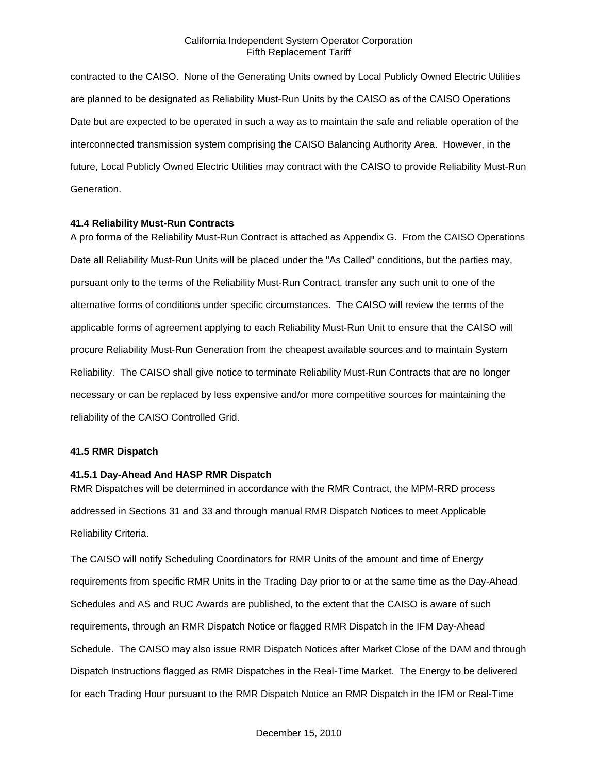contracted to the CAISO. None of the Generating Units owned by Local Publicly Owned Electric Utilities are planned to be designated as Reliability Must-Run Units by the CAISO as of the CAISO Operations Date but are expected to be operated in such a way as to maintain the safe and reliable operation of the interconnected transmission system comprising the CAISO Balancing Authority Area. However, in the future, Local Publicly Owned Electric Utilities may contract with the CAISO to provide Reliability Must-Run Generation.

#### **41.4 Reliability Must-Run Contracts**

A pro forma of the Reliability Must-Run Contract is attached as Appendix G. From the CAISO Operations Date all Reliability Must-Run Units will be placed under the "As Called" conditions, but the parties may, pursuant only to the terms of the Reliability Must-Run Contract, transfer any such unit to one of the alternative forms of conditions under specific circumstances. The CAISO will review the terms of the applicable forms of agreement applying to each Reliability Must-Run Unit to ensure that the CAISO will procure Reliability Must-Run Generation from the cheapest available sources and to maintain System Reliability. The CAISO shall give notice to terminate Reliability Must-Run Contracts that are no longer necessary or can be replaced by less expensive and/or more competitive sources for maintaining the reliability of the CAISO Controlled Grid.

#### **41.5 RMR Dispatch**

## **41.5.1 Day-Ahead And HASP RMR Dispatch**

RMR Dispatches will be determined in accordance with the RMR Contract, the MPM-RRD process addressed in Sections 31 and 33 and through manual RMR Dispatch Notices to meet Applicable Reliability Criteria.

The CAISO will notify Scheduling Coordinators for RMR Units of the amount and time of Energy requirements from specific RMR Units in the Trading Day prior to or at the same time as the Day-Ahead Schedules and AS and RUC Awards are published, to the extent that the CAISO is aware of such requirements, through an RMR Dispatch Notice or flagged RMR Dispatch in the IFM Day-Ahead Schedule. The CAISO may also issue RMR Dispatch Notices after Market Close of the DAM and through Dispatch Instructions flagged as RMR Dispatches in the Real-Time Market. The Energy to be delivered for each Trading Hour pursuant to the RMR Dispatch Notice an RMR Dispatch in the IFM or Real-Time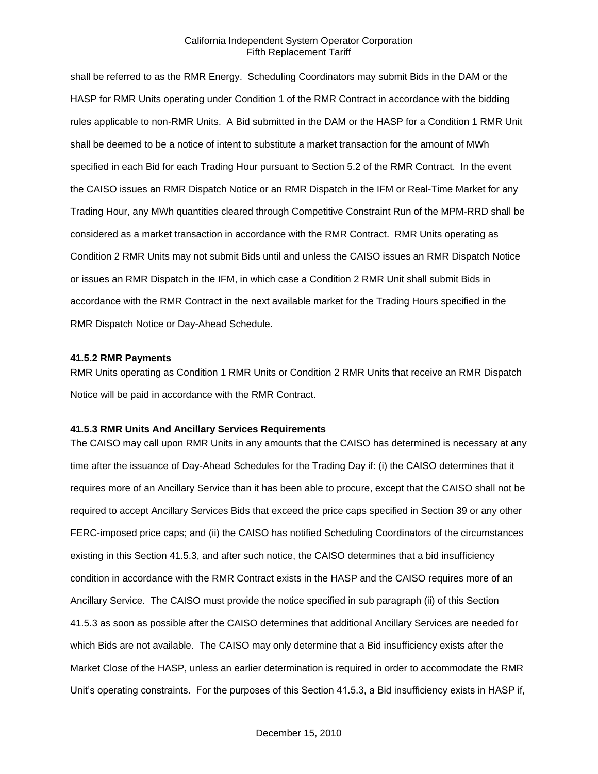shall be referred to as the RMR Energy. Scheduling Coordinators may submit Bids in the DAM or the HASP for RMR Units operating under Condition 1 of the RMR Contract in accordance with the bidding rules applicable to non-RMR Units. A Bid submitted in the DAM or the HASP for a Condition 1 RMR Unit shall be deemed to be a notice of intent to substitute a market transaction for the amount of MWh specified in each Bid for each Trading Hour pursuant to Section 5.2 of the RMR Contract. In the event the CAISO issues an RMR Dispatch Notice or an RMR Dispatch in the IFM or Real-Time Market for any Trading Hour, any MWh quantities cleared through Competitive Constraint Run of the MPM-RRD shall be considered as a market transaction in accordance with the RMR Contract. RMR Units operating as Condition 2 RMR Units may not submit Bids until and unless the CAISO issues an RMR Dispatch Notice or issues an RMR Dispatch in the IFM, in which case a Condition 2 RMR Unit shall submit Bids in accordance with the RMR Contract in the next available market for the Trading Hours specified in the RMR Dispatch Notice or Day-Ahead Schedule.

#### **41.5.2 RMR Payments**

RMR Units operating as Condition 1 RMR Units or Condition 2 RMR Units that receive an RMR Dispatch Notice will be paid in accordance with the RMR Contract.

#### **41.5.3 RMR Units And Ancillary Services Requirements**

The CAISO may call upon RMR Units in any amounts that the CAISO has determined is necessary at any time after the issuance of Day-Ahead Schedules for the Trading Day if: (i) the CAISO determines that it requires more of an Ancillary Service than it has been able to procure, except that the CAISO shall not be required to accept Ancillary Services Bids that exceed the price caps specified in Section 39 or any other FERC-imposed price caps; and (ii) the CAISO has notified Scheduling Coordinators of the circumstances existing in this Section 41.5.3, and after such notice, the CAISO determines that a bid insufficiency condition in accordance with the RMR Contract exists in the HASP and the CAISO requires more of an Ancillary Service. The CAISO must provide the notice specified in sub paragraph (ii) of this Section 41.5.3 as soon as possible after the CAISO determines that additional Ancillary Services are needed for which Bids are not available. The CAISO may only determine that a Bid insufficiency exists after the Market Close of the HASP, unless an earlier determination is required in order to accommodate the RMR Unit's operating constraints. For the purposes of this Section 41.5.3, a Bid insufficiency exists in HASP if,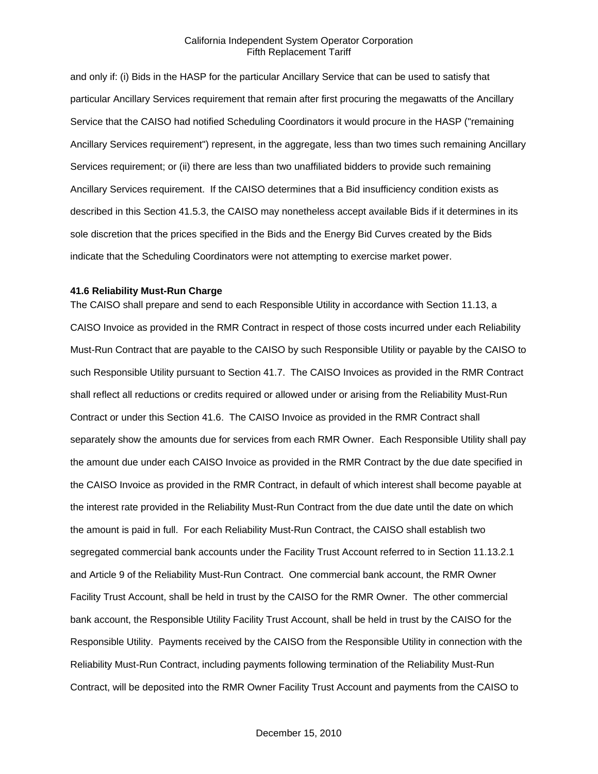and only if: (i) Bids in the HASP for the particular Ancillary Service that can be used to satisfy that particular Ancillary Services requirement that remain after first procuring the megawatts of the Ancillary Service that the CAISO had notified Scheduling Coordinators it would procure in the HASP ("remaining Ancillary Services requirement") represent, in the aggregate, less than two times such remaining Ancillary Services requirement; or (ii) there are less than two unaffiliated bidders to provide such remaining Ancillary Services requirement. If the CAISO determines that a Bid insufficiency condition exists as described in this Section 41.5.3, the CAISO may nonetheless accept available Bids if it determines in its sole discretion that the prices specified in the Bids and the Energy Bid Curves created by the Bids indicate that the Scheduling Coordinators were not attempting to exercise market power.

#### **41.6 Reliability Must-Run Charge**

The CAISO shall prepare and send to each Responsible Utility in accordance with Section 11.13, a CAISO Invoice as provided in the RMR Contract in respect of those costs incurred under each Reliability Must-Run Contract that are payable to the CAISO by such Responsible Utility or payable by the CAISO to such Responsible Utility pursuant to Section 41.7. The CAISO Invoices as provided in the RMR Contract shall reflect all reductions or credits required or allowed under or arising from the Reliability Must-Run Contract or under this Section 41.6. The CAISO Invoice as provided in the RMR Contract shall separately show the amounts due for services from each RMR Owner. Each Responsible Utility shall pay the amount due under each CAISO Invoice as provided in the RMR Contract by the due date specified in the CAISO Invoice as provided in the RMR Contract, in default of which interest shall become payable at the interest rate provided in the Reliability Must-Run Contract from the due date until the date on which the amount is paid in full. For each Reliability Must-Run Contract, the CAISO shall establish two segregated commercial bank accounts under the Facility Trust Account referred to in Section 11.13.2.1 and Article 9 of the Reliability Must-Run Contract. One commercial bank account, the RMR Owner Facility Trust Account, shall be held in trust by the CAISO for the RMR Owner. The other commercial bank account, the Responsible Utility Facility Trust Account, shall be held in trust by the CAISO for the Responsible Utility. Payments received by the CAISO from the Responsible Utility in connection with the Reliability Must-Run Contract, including payments following termination of the Reliability Must-Run Contract, will be deposited into the RMR Owner Facility Trust Account and payments from the CAISO to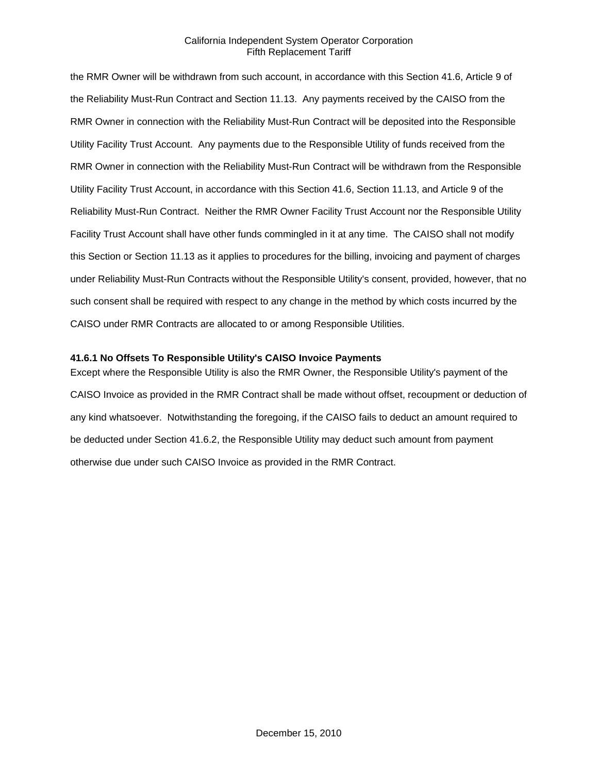the RMR Owner will be withdrawn from such account, in accordance with this Section 41.6, Article 9 of the Reliability Must-Run Contract and Section 11.13. Any payments received by the CAISO from the RMR Owner in connection with the Reliability Must-Run Contract will be deposited into the Responsible Utility Facility Trust Account. Any payments due to the Responsible Utility of funds received from the RMR Owner in connection with the Reliability Must-Run Contract will be withdrawn from the Responsible Utility Facility Trust Account, in accordance with this Section 41.6, Section 11.13, and Article 9 of the Reliability Must-Run Contract. Neither the RMR Owner Facility Trust Account nor the Responsible Utility Facility Trust Account shall have other funds commingled in it at any time. The CAISO shall not modify this Section or Section 11.13 as it applies to procedures for the billing, invoicing and payment of charges under Reliability Must-Run Contracts without the Responsible Utility's consent, provided, however, that no such consent shall be required with respect to any change in the method by which costs incurred by the CAISO under RMR Contracts are allocated to or among Responsible Utilities.

## **41.6.1 No Offsets To Responsible Utility's CAISO Invoice Payments**

Except where the Responsible Utility is also the RMR Owner, the Responsible Utility's payment of the CAISO Invoice as provided in the RMR Contract shall be made without offset, recoupment or deduction of any kind whatsoever. Notwithstanding the foregoing, if the CAISO fails to deduct an amount required to be deducted under Section 41.6.2, the Responsible Utility may deduct such amount from payment otherwise due under such CAISO Invoice as provided in the RMR Contract.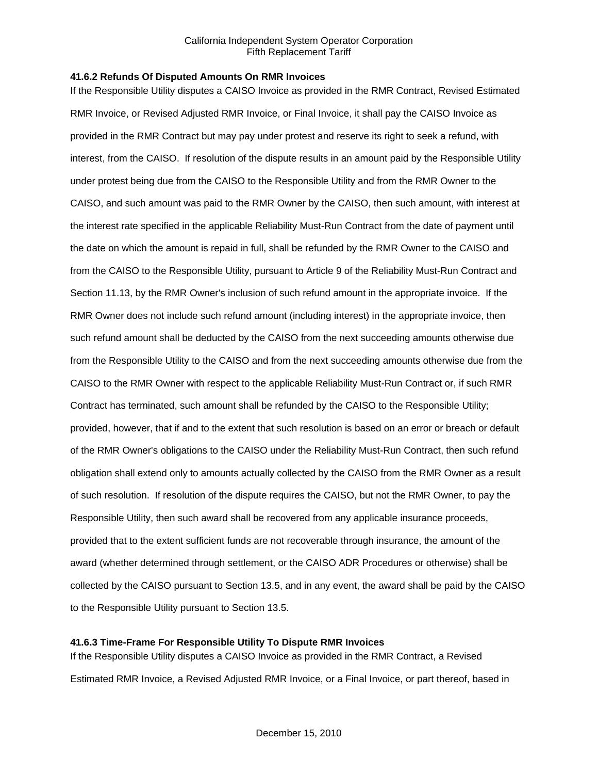## **41.6.2 Refunds Of Disputed Amounts On RMR Invoices**

If the Responsible Utility disputes a CAISO Invoice as provided in the RMR Contract, Revised Estimated RMR Invoice, or Revised Adjusted RMR Invoice, or Final Invoice, it shall pay the CAISO Invoice as provided in the RMR Contract but may pay under protest and reserve its right to seek a refund, with interest, from the CAISO. If resolution of the dispute results in an amount paid by the Responsible Utility under protest being due from the CAISO to the Responsible Utility and from the RMR Owner to the CAISO, and such amount was paid to the RMR Owner by the CAISO, then such amount, with interest at the interest rate specified in the applicable Reliability Must-Run Contract from the date of payment until the date on which the amount is repaid in full, shall be refunded by the RMR Owner to the CAISO and from the CAISO to the Responsible Utility, pursuant to Article 9 of the Reliability Must-Run Contract and Section 11.13, by the RMR Owner's inclusion of such refund amount in the appropriate invoice. If the RMR Owner does not include such refund amount (including interest) in the appropriate invoice, then such refund amount shall be deducted by the CAISO from the next succeeding amounts otherwise due from the Responsible Utility to the CAISO and from the next succeeding amounts otherwise due from the CAISO to the RMR Owner with respect to the applicable Reliability Must-Run Contract or, if such RMR Contract has terminated, such amount shall be refunded by the CAISO to the Responsible Utility; provided, however, that if and to the extent that such resolution is based on an error or breach or default of the RMR Owner's obligations to the CAISO under the Reliability Must-Run Contract, then such refund obligation shall extend only to amounts actually collected by the CAISO from the RMR Owner as a result of such resolution. If resolution of the dispute requires the CAISO, but not the RMR Owner, to pay the Responsible Utility, then such award shall be recovered from any applicable insurance proceeds, provided that to the extent sufficient funds are not recoverable through insurance, the amount of the award (whether determined through settlement, or the CAISO ADR Procedures or otherwise) shall be collected by the CAISO pursuant to Section 13.5, and in any event, the award shall be paid by the CAISO to the Responsible Utility pursuant to Section 13.5.

## **41.6.3 Time-Frame For Responsible Utility To Dispute RMR Invoices**

If the Responsible Utility disputes a CAISO Invoice as provided in the RMR Contract, a Revised Estimated RMR Invoice, a Revised Adjusted RMR Invoice, or a Final Invoice, or part thereof, based in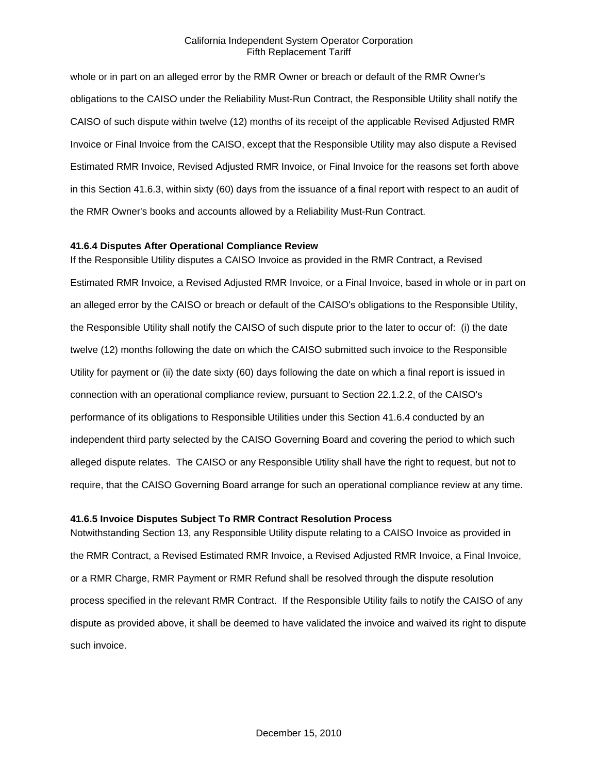whole or in part on an alleged error by the RMR Owner or breach or default of the RMR Owner's obligations to the CAISO under the Reliability Must-Run Contract, the Responsible Utility shall notify the CAISO of such dispute within twelve (12) months of its receipt of the applicable Revised Adjusted RMR Invoice or Final Invoice from the CAISO, except that the Responsible Utility may also dispute a Revised Estimated RMR Invoice, Revised Adjusted RMR Invoice, or Final Invoice for the reasons set forth above in this Section 41.6.3, within sixty (60) days from the issuance of a final report with respect to an audit of the RMR Owner's books and accounts allowed by a Reliability Must-Run Contract.

## **41.6.4 Disputes After Operational Compliance Review**

If the Responsible Utility disputes a CAISO Invoice as provided in the RMR Contract, a Revised Estimated RMR Invoice, a Revised Adjusted RMR Invoice, or a Final Invoice, based in whole or in part on an alleged error by the CAISO or breach or default of the CAISO's obligations to the Responsible Utility, the Responsible Utility shall notify the CAISO of such dispute prior to the later to occur of: (i) the date twelve (12) months following the date on which the CAISO submitted such invoice to the Responsible Utility for payment or (ii) the date sixty (60) days following the date on which a final report is issued in connection with an operational compliance review, pursuant to Section 22.1.2.2, of the CAISO's performance of its obligations to Responsible Utilities under this Section 41.6.4 conducted by an independent third party selected by the CAISO Governing Board and covering the period to which such alleged dispute relates. The CAISO or any Responsible Utility shall have the right to request, but not to require, that the CAISO Governing Board arrange for such an operational compliance review at any time.

#### **41.6.5 Invoice Disputes Subject To RMR Contract Resolution Process**

Notwithstanding Section 13, any Responsible Utility dispute relating to a CAISO Invoice as provided in the RMR Contract, a Revised Estimated RMR Invoice, a Revised Adjusted RMR Invoice, a Final Invoice, or a RMR Charge, RMR Payment or RMR Refund shall be resolved through the dispute resolution process specified in the relevant RMR Contract. If the Responsible Utility fails to notify the CAISO of any dispute as provided above, it shall be deemed to have validated the invoice and waived its right to dispute such invoice.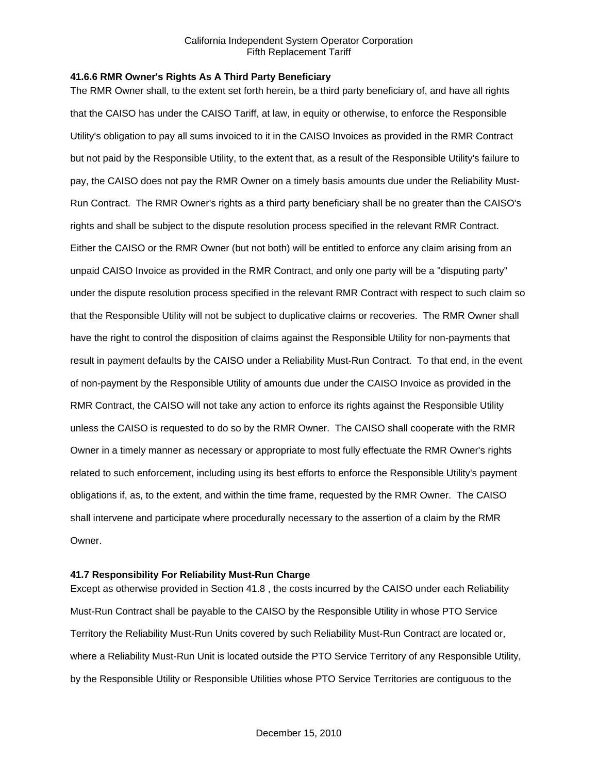#### **41.6.6 RMR Owner's Rights As A Third Party Beneficiary**

The RMR Owner shall, to the extent set forth herein, be a third party beneficiary of, and have all rights that the CAISO has under the CAISO Tariff, at law, in equity or otherwise, to enforce the Responsible Utility's obligation to pay all sums invoiced to it in the CAISO Invoices as provided in the RMR Contract but not paid by the Responsible Utility, to the extent that, as a result of the Responsible Utility's failure to pay, the CAISO does not pay the RMR Owner on a timely basis amounts due under the Reliability Must-Run Contract. The RMR Owner's rights as a third party beneficiary shall be no greater than the CAISO's rights and shall be subject to the dispute resolution process specified in the relevant RMR Contract. Either the CAISO or the RMR Owner (but not both) will be entitled to enforce any claim arising from an unpaid CAISO Invoice as provided in the RMR Contract, and only one party will be a "disputing party" under the dispute resolution process specified in the relevant RMR Contract with respect to such claim so that the Responsible Utility will not be subject to duplicative claims or recoveries. The RMR Owner shall have the right to control the disposition of claims against the Responsible Utility for non-payments that result in payment defaults by the CAISO under a Reliability Must-Run Contract. To that end, in the event of non-payment by the Responsible Utility of amounts due under the CAISO Invoice as provided in the RMR Contract, the CAISO will not take any action to enforce its rights against the Responsible Utility unless the CAISO is requested to do so by the RMR Owner. The CAISO shall cooperate with the RMR Owner in a timely manner as necessary or appropriate to most fully effectuate the RMR Owner's rights related to such enforcement, including using its best efforts to enforce the Responsible Utility's payment obligations if, as, to the extent, and within the time frame, requested by the RMR Owner. The CAISO shall intervene and participate where procedurally necessary to the assertion of a claim by the RMR Owner.

## **41.7 Responsibility For Reliability Must-Run Charge**

Except as otherwise provided in Section 41.8 , the costs incurred by the CAISO under each Reliability Must-Run Contract shall be payable to the CAISO by the Responsible Utility in whose PTO Service Territory the Reliability Must-Run Units covered by such Reliability Must-Run Contract are located or, where a Reliability Must-Run Unit is located outside the PTO Service Territory of any Responsible Utility, by the Responsible Utility or Responsible Utilities whose PTO Service Territories are contiguous to the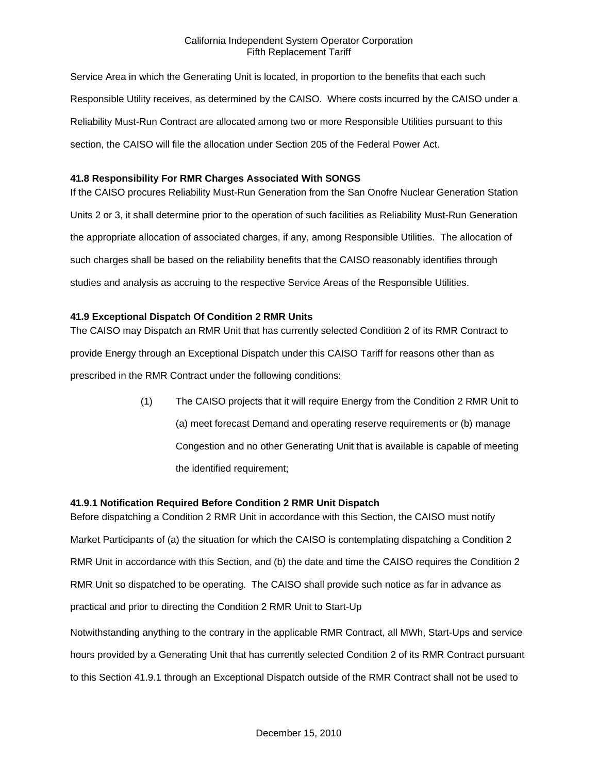Service Area in which the Generating Unit is located, in proportion to the benefits that each such Responsible Utility receives, as determined by the CAISO. Where costs incurred by the CAISO under a Reliability Must-Run Contract are allocated among two or more Responsible Utilities pursuant to this section, the CAISO will file the allocation under Section 205 of the Federal Power Act.

## **41.8 Responsibility For RMR Charges Associated With SONGS**

If the CAISO procures Reliability Must-Run Generation from the San Onofre Nuclear Generation Station Units 2 or 3, it shall determine prior to the operation of such facilities as Reliability Must-Run Generation the appropriate allocation of associated charges, if any, among Responsible Utilities. The allocation of such charges shall be based on the reliability benefits that the CAISO reasonably identifies through studies and analysis as accruing to the respective Service Areas of the Responsible Utilities.

## **41.9 Exceptional Dispatch Of Condition 2 RMR Units**

The CAISO may Dispatch an RMR Unit that has currently selected Condition 2 of its RMR Contract to provide Energy through an Exceptional Dispatch under this CAISO Tariff for reasons other than as prescribed in the RMR Contract under the following conditions:

> (1) The CAISO projects that it will require Energy from the Condition 2 RMR Unit to (a) meet forecast Demand and operating reserve requirements or (b) manage Congestion and no other Generating Unit that is available is capable of meeting the identified requirement;

## **41.9.1 Notification Required Before Condition 2 RMR Unit Dispatch**

Before dispatching a Condition 2 RMR Unit in accordance with this Section, the CAISO must notify Market Participants of (a) the situation for which the CAISO is contemplating dispatching a Condition 2 RMR Unit in accordance with this Section, and (b) the date and time the CAISO requires the Condition 2 RMR Unit so dispatched to be operating. The CAISO shall provide such notice as far in advance as practical and prior to directing the Condition 2 RMR Unit to Start-Up

Notwithstanding anything to the contrary in the applicable RMR Contract, all MWh, Start-Ups and service hours provided by a Generating Unit that has currently selected Condition 2 of its RMR Contract pursuant to this Section 41.9.1 through an Exceptional Dispatch outside of the RMR Contract shall not be used to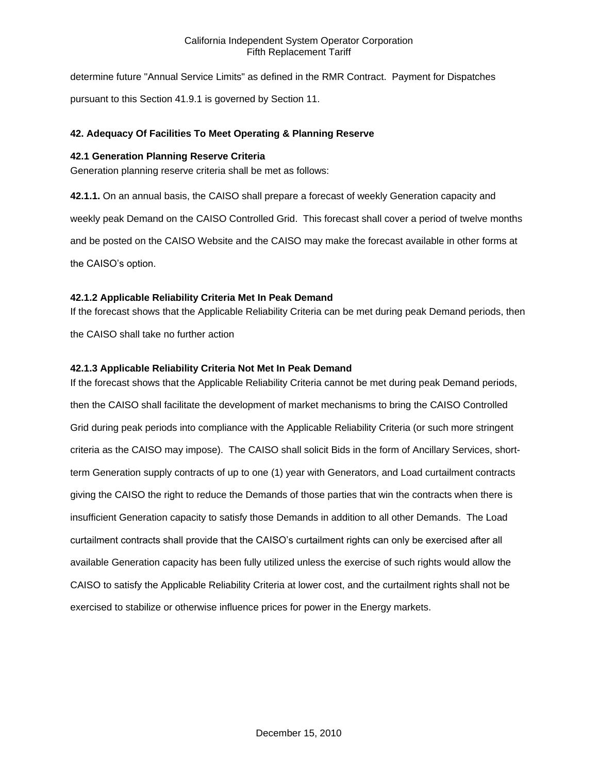determine future "Annual Service Limits" as defined in the RMR Contract. Payment for Dispatches pursuant to this Section 41.9.1 is governed by Section 11.

# **42. Adequacy Of Facilities To Meet Operating & Planning Reserve**

## **42.1 Generation Planning Reserve Criteria**

Generation planning reserve criteria shall be met as follows:

**42.1.1.** On an annual basis, the CAISO shall prepare a forecast of weekly Generation capacity and weekly peak Demand on the CAISO Controlled Grid. This forecast shall cover a period of twelve months and be posted on the CAISO Website and the CAISO may make the forecast available in other forms at the CAISO's option.

## **42.1.2 Applicable Reliability Criteria Met In Peak Demand**

If the forecast shows that the Applicable Reliability Criteria can be met during peak Demand periods, then

the CAISO shall take no further action

## **42.1.3 Applicable Reliability Criteria Not Met In Peak Demand**

If the forecast shows that the Applicable Reliability Criteria cannot be met during peak Demand periods, then the CAISO shall facilitate the development of market mechanisms to bring the CAISO Controlled Grid during peak periods into compliance with the Applicable Reliability Criteria (or such more stringent criteria as the CAISO may impose). The CAISO shall solicit Bids in the form of Ancillary Services, shortterm Generation supply contracts of up to one (1) year with Generators, and Load curtailment contracts giving the CAISO the right to reduce the Demands of those parties that win the contracts when there is insufficient Generation capacity to satisfy those Demands in addition to all other Demands. The Load curtailment contracts shall provide that the CAISO's curtailment rights can only be exercised after all available Generation capacity has been fully utilized unless the exercise of such rights would allow the CAISO to satisfy the Applicable Reliability Criteria at lower cost, and the curtailment rights shall not be exercised to stabilize or otherwise influence prices for power in the Energy markets.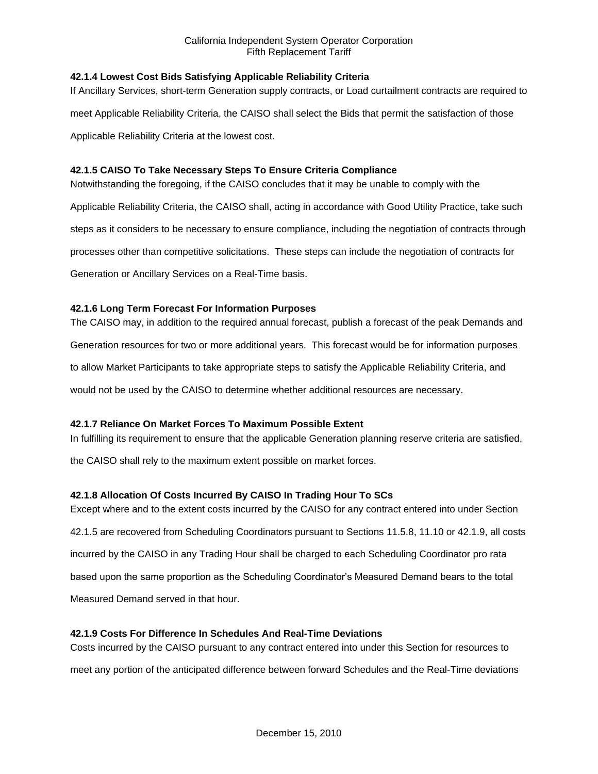# **42.1.4 Lowest Cost Bids Satisfying Applicable Reliability Criteria**

If Ancillary Services, short-term Generation supply contracts, or Load curtailment contracts are required to meet Applicable Reliability Criteria, the CAISO shall select the Bids that permit the satisfaction of those Applicable Reliability Criteria at the lowest cost.

# **42.1.5 CAISO To Take Necessary Steps To Ensure Criteria Compliance**

Notwithstanding the foregoing, if the CAISO concludes that it may be unable to comply with the

Applicable Reliability Criteria, the CAISO shall, acting in accordance with Good Utility Practice, take such steps as it considers to be necessary to ensure compliance, including the negotiation of contracts through processes other than competitive solicitations. These steps can include the negotiation of contracts for Generation or Ancillary Services on a Real-Time basis.

# **42.1.6 Long Term Forecast For Information Purposes**

The CAISO may, in addition to the required annual forecast, publish a forecast of the peak Demands and Generation resources for two or more additional years. This forecast would be for information purposes to allow Market Participants to take appropriate steps to satisfy the Applicable Reliability Criteria, and would not be used by the CAISO to determine whether additional resources are necessary.

# **42.1.7 Reliance On Market Forces To Maximum Possible Extent**

In fulfilling its requirement to ensure that the applicable Generation planning reserve criteria are satisfied,

the CAISO shall rely to the maximum extent possible on market forces.

# **42.1.8 Allocation Of Costs Incurred By CAISO In Trading Hour To SCs**

Except where and to the extent costs incurred by the CAISO for any contract entered into under Section 42.1.5 are recovered from Scheduling Coordinators pursuant to Sections 11.5.8, 11.10 or 42.1.9, all costs incurred by the CAISO in any Trading Hour shall be charged to each Scheduling Coordinator pro rata based upon the same proportion as the Scheduling Coordinator's Measured Demand bears to the total Measured Demand served in that hour.

## **42.1.9 Costs For Difference In Schedules And Real-Time Deviations**

Costs incurred by the CAISO pursuant to any contract entered into under this Section for resources to

meet any portion of the anticipated difference between forward Schedules and the Real-Time deviations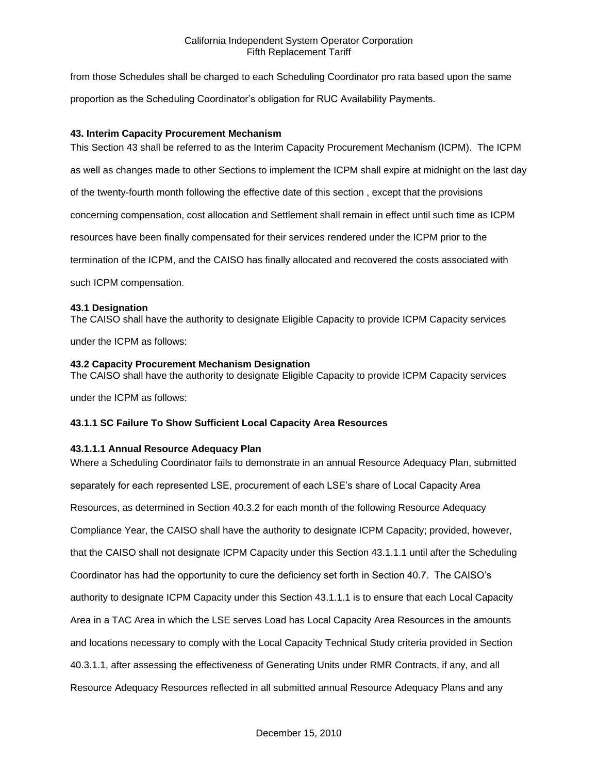from those Schedules shall be charged to each Scheduling Coordinator pro rata based upon the same proportion as the Scheduling Coordinator's obligation for RUC Availability Payments.

## **43. Interim Capacity Procurement Mechanism**

This Section 43 shall be referred to as the Interim Capacity Procurement Mechanism (ICPM). The ICPM as well as changes made to other Sections to implement the ICPM shall expire at midnight on the last day of the twenty-fourth month following the effective date of this section , except that the provisions concerning compensation, cost allocation and Settlement shall remain in effect until such time as ICPM resources have been finally compensated for their services rendered under the ICPM prior to the termination of the ICPM, and the CAISO has finally allocated and recovered the costs associated with such ICPM compensation.

## **43.1 Designation**

The CAISO shall have the authority to designate Eligible Capacity to provide ICPM Capacity services

under the ICPM as follows:

## **43.2 Capacity Procurement Mechanism Designation**

The CAISO shall have the authority to designate Eligible Capacity to provide ICPM Capacity services

under the ICPM as follows:

# **43.1.1 SC Failure To Show Sufficient Local Capacity Area Resources**

# **43.1.1.1 Annual Resource Adequacy Plan**

Where a Scheduling Coordinator fails to demonstrate in an annual Resource Adequacy Plan, submitted separately for each represented LSE, procurement of each LSE's share of Local Capacity Area Resources, as determined in Section 40.3.2 for each month of the following Resource Adequacy Compliance Year, the CAISO shall have the authority to designate ICPM Capacity; provided, however, that the CAISO shall not designate ICPM Capacity under this Section 43.1.1.1 until after the Scheduling Coordinator has had the opportunity to cure the deficiency set forth in Section 40.7. The CAISO's authority to designate ICPM Capacity under this Section 43.1.1.1 is to ensure that each Local Capacity Area in a TAC Area in which the LSE serves Load has Local Capacity Area Resources in the amounts and locations necessary to comply with the Local Capacity Technical Study criteria provided in Section 40.3.1.1, after assessing the effectiveness of Generating Units under RMR Contracts, if any, and all Resource Adequacy Resources reflected in all submitted annual Resource Adequacy Plans and any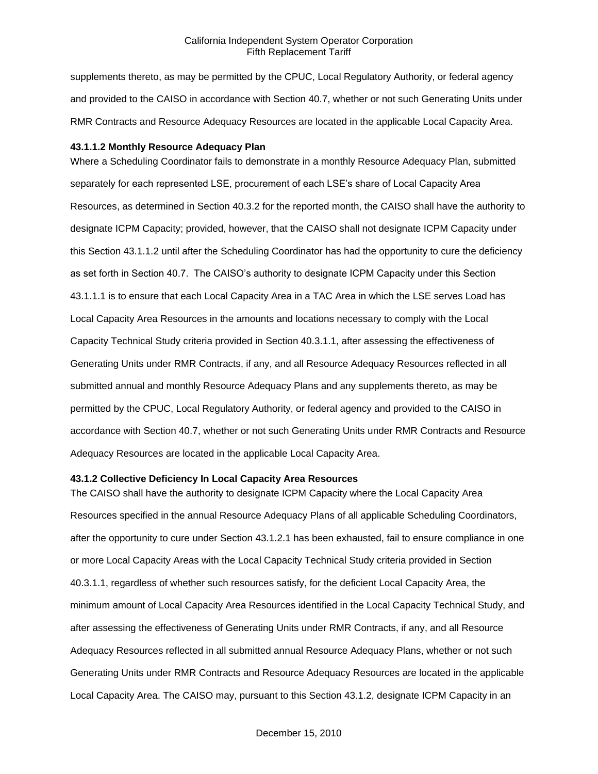supplements thereto, as may be permitted by the CPUC, Local Regulatory Authority, or federal agency and provided to the CAISO in accordance with Section 40.7, whether or not such Generating Units under RMR Contracts and Resource Adequacy Resources are located in the applicable Local Capacity Area.

#### **43.1.1.2 Monthly Resource Adequacy Plan**

Where a Scheduling Coordinator fails to demonstrate in a monthly Resource Adequacy Plan, submitted separately for each represented LSE, procurement of each LSE's share of Local Capacity Area Resources, as determined in Section 40.3.2 for the reported month, the CAISO shall have the authority to designate ICPM Capacity; provided, however, that the CAISO shall not designate ICPM Capacity under this Section 43.1.1.2 until after the Scheduling Coordinator has had the opportunity to cure the deficiency as set forth in Section 40.7. The CAISO's authority to designate ICPM Capacity under this Section 43.1.1.1 is to ensure that each Local Capacity Area in a TAC Area in which the LSE serves Load has Local Capacity Area Resources in the amounts and locations necessary to comply with the Local Capacity Technical Study criteria provided in Section 40.3.1.1, after assessing the effectiveness of Generating Units under RMR Contracts, if any, and all Resource Adequacy Resources reflected in all submitted annual and monthly Resource Adequacy Plans and any supplements thereto, as may be permitted by the CPUC, Local Regulatory Authority, or federal agency and provided to the CAISO in accordance with Section 40.7, whether or not such Generating Units under RMR Contracts and Resource Adequacy Resources are located in the applicable Local Capacity Area.

## **43.1.2 Collective Deficiency In Local Capacity Area Resources**

The CAISO shall have the authority to designate ICPM Capacity where the Local Capacity Area Resources specified in the annual Resource Adequacy Plans of all applicable Scheduling Coordinators, after the opportunity to cure under Section 43.1.2.1 has been exhausted, fail to ensure compliance in one or more Local Capacity Areas with the Local Capacity Technical Study criteria provided in Section 40.3.1.1, regardless of whether such resources satisfy, for the deficient Local Capacity Area, the minimum amount of Local Capacity Area Resources identified in the Local Capacity Technical Study, and after assessing the effectiveness of Generating Units under RMR Contracts, if any, and all Resource Adequacy Resources reflected in all submitted annual Resource Adequacy Plans, whether or not such Generating Units under RMR Contracts and Resource Adequacy Resources are located in the applicable Local Capacity Area. The CAISO may, pursuant to this Section 43.1.2, designate ICPM Capacity in an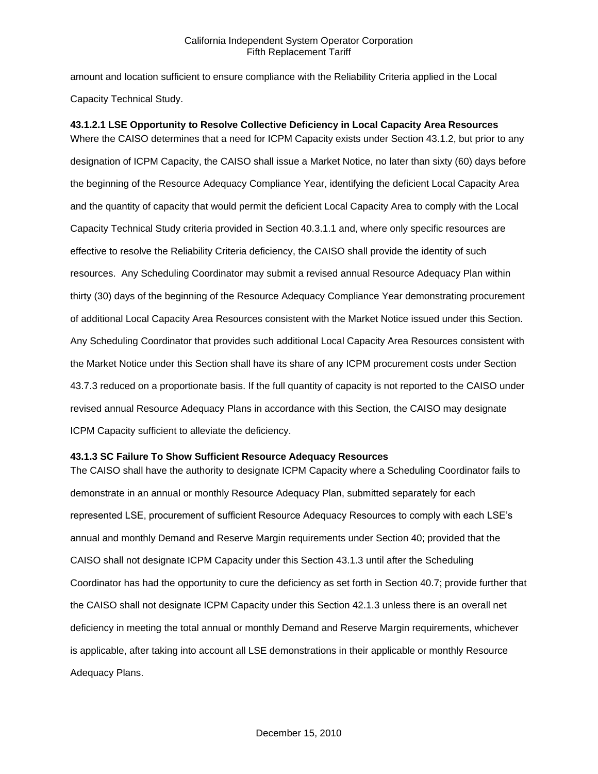amount and location sufficient to ensure compliance with the Reliability Criteria applied in the Local Capacity Technical Study.

**43.1.2.1 LSE Opportunity to Resolve Collective Deficiency in Local Capacity Area Resources** Where the CAISO determines that a need for ICPM Capacity exists under Section 43.1.2, but prior to any designation of ICPM Capacity, the CAISO shall issue a Market Notice, no later than sixty (60) days before the beginning of the Resource Adequacy Compliance Year, identifying the deficient Local Capacity Area and the quantity of capacity that would permit the deficient Local Capacity Area to comply with the Local Capacity Technical Study criteria provided in Section 40.3.1.1 and, where only specific resources are effective to resolve the Reliability Criteria deficiency, the CAISO shall provide the identity of such resources. Any Scheduling Coordinator may submit a revised annual Resource Adequacy Plan within thirty (30) days of the beginning of the Resource Adequacy Compliance Year demonstrating procurement of additional Local Capacity Area Resources consistent with the Market Notice issued under this Section. Any Scheduling Coordinator that provides such additional Local Capacity Area Resources consistent with the Market Notice under this Section shall have its share of any ICPM procurement costs under Section 43.7.3 reduced on a proportionate basis. If the full quantity of capacity is not reported to the CAISO under revised annual Resource Adequacy Plans in accordance with this Section, the CAISO may designate ICPM Capacity sufficient to alleviate the deficiency.

#### **43.1.3 SC Failure To Show Sufficient Resource Adequacy Resources**

The CAISO shall have the authority to designate ICPM Capacity where a Scheduling Coordinator fails to demonstrate in an annual or monthly Resource Adequacy Plan, submitted separately for each represented LSE, procurement of sufficient Resource Adequacy Resources to comply with each LSE's annual and monthly Demand and Reserve Margin requirements under Section 40; provided that the CAISO shall not designate ICPM Capacity under this Section 43.1.3 until after the Scheduling Coordinator has had the opportunity to cure the deficiency as set forth in Section 40.7; provide further that the CAISO shall not designate ICPM Capacity under this Section 42.1.3 unless there is an overall net deficiency in meeting the total annual or monthly Demand and Reserve Margin requirements, whichever is applicable, after taking into account all LSE demonstrations in their applicable or monthly Resource Adequacy Plans.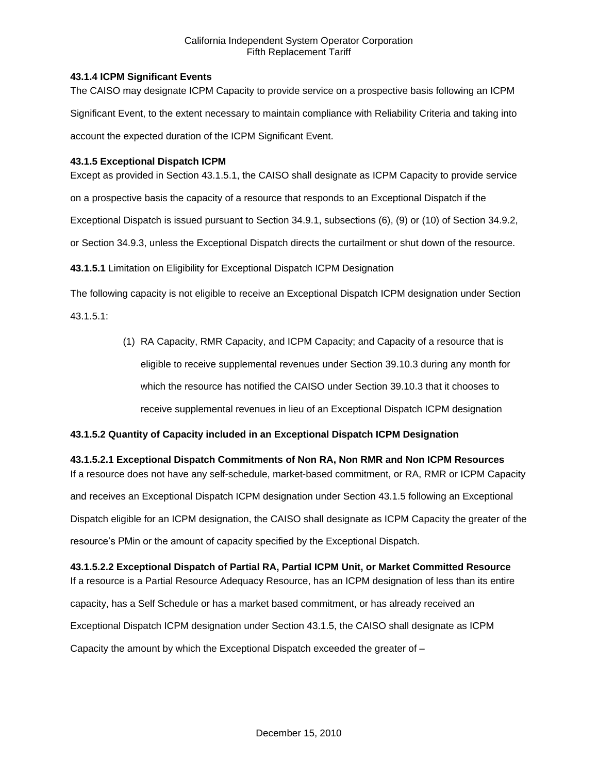## **43.1.4 ICPM Significant Events**

The CAISO may designate ICPM Capacity to provide service on a prospective basis following an ICPM Significant Event, to the extent necessary to maintain compliance with Reliability Criteria and taking into account the expected duration of the ICPM Significant Event.

## **43.1.5 Exceptional Dispatch ICPM**

Except as provided in Section 43.1.5.1, the CAISO shall designate as ICPM Capacity to provide service

on a prospective basis the capacity of a resource that responds to an Exceptional Dispatch if the

Exceptional Dispatch is issued pursuant to Section 34.9.1, subsections (6), (9) or (10) of Section 34.9.2,

or Section 34.9.3, unless the Exceptional Dispatch directs the curtailment or shut down of the resource.

**43.1.5.1** Limitation on Eligibility for Exceptional Dispatch ICPM Designation

The following capacity is not eligible to receive an Exceptional Dispatch ICPM designation under Section

43.1.5.1:

(1) RA Capacity, RMR Capacity, and ICPM Capacity; and Capacity of a resource that is eligible to receive supplemental revenues under Section 39.10.3 during any month for which the resource has notified the CAISO under Section 39.10.3 that it chooses to receive supplemental revenues in lieu of an Exceptional Dispatch ICPM designation

# **43.1.5.2 Quantity of Capacity included in an Exceptional Dispatch ICPM Designation**

**43.1.5.2.1 Exceptional Dispatch Commitments of Non RA, Non RMR and Non ICPM Resources** If a resource does not have any self-schedule, market-based commitment, or RA, RMR or ICPM Capacity and receives an Exceptional Dispatch ICPM designation under Section 43.1.5 following an Exceptional Dispatch eligible for an ICPM designation, the CAISO shall designate as ICPM Capacity the greater of the resource's PMin or the amount of capacity specified by the Exceptional Dispatch.

**43.1.5.2.2 Exceptional Dispatch of Partial RA, Partial ICPM Unit, or Market Committed Resource** If a resource is a Partial Resource Adequacy Resource, has an ICPM designation of less than its entire capacity, has a Self Schedule or has a market based commitment, or has already received an Exceptional Dispatch ICPM designation under Section 43.1.5, the CAISO shall designate as ICPM Capacity the amount by which the Exceptional Dispatch exceeded the greater of –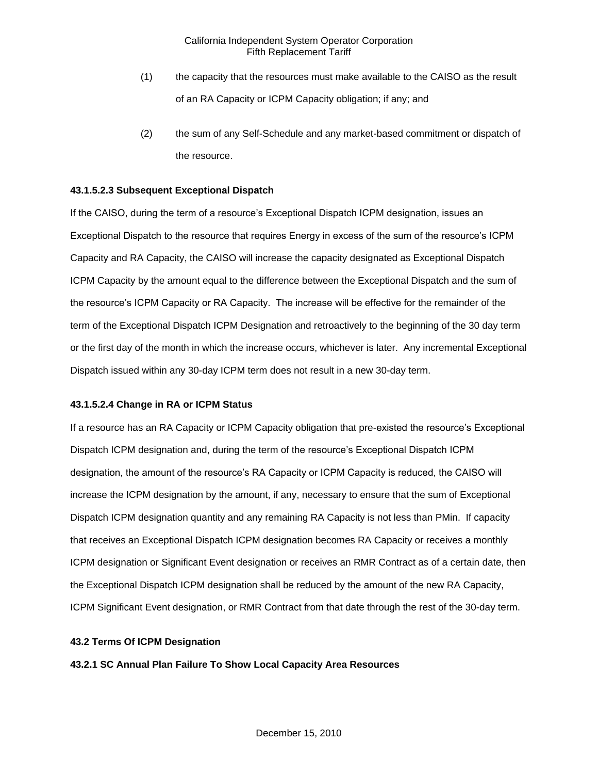- (1) the capacity that the resources must make available to the CAISO as the result of an RA Capacity or ICPM Capacity obligation; if any; and
- (2) the sum of any Self-Schedule and any market-based commitment or dispatch of the resource.

## **43.1.5.2.3 Subsequent Exceptional Dispatch**

If the CAISO, during the term of a resource's Exceptional Dispatch ICPM designation, issues an Exceptional Dispatch to the resource that requires Energy in excess of the sum of the resource's ICPM Capacity and RA Capacity, the CAISO will increase the capacity designated as Exceptional Dispatch ICPM Capacity by the amount equal to the difference between the Exceptional Dispatch and the sum of the resource's ICPM Capacity or RA Capacity. The increase will be effective for the remainder of the term of the Exceptional Dispatch ICPM Designation and retroactively to the beginning of the 30 day term or the first day of the month in which the increase occurs, whichever is later. Any incremental Exceptional Dispatch issued within any 30-day ICPM term does not result in a new 30-day term.

#### **43.1.5.2.4 Change in RA or ICPM Status**

If a resource has an RA Capacity or ICPM Capacity obligation that pre-existed the resource's Exceptional Dispatch ICPM designation and, during the term of the resource's Exceptional Dispatch ICPM designation, the amount of the resource's RA Capacity or ICPM Capacity is reduced, the CAISO will increase the ICPM designation by the amount, if any, necessary to ensure that the sum of Exceptional Dispatch ICPM designation quantity and any remaining RA Capacity is not less than PMin. If capacity that receives an Exceptional Dispatch ICPM designation becomes RA Capacity or receives a monthly ICPM designation or Significant Event designation or receives an RMR Contract as of a certain date, then the Exceptional Dispatch ICPM designation shall be reduced by the amount of the new RA Capacity, ICPM Significant Event designation, or RMR Contract from that date through the rest of the 30-day term.

#### **43.2 Terms Of ICPM Designation**

#### **43.2.1 SC Annual Plan Failure To Show Local Capacity Area Resources**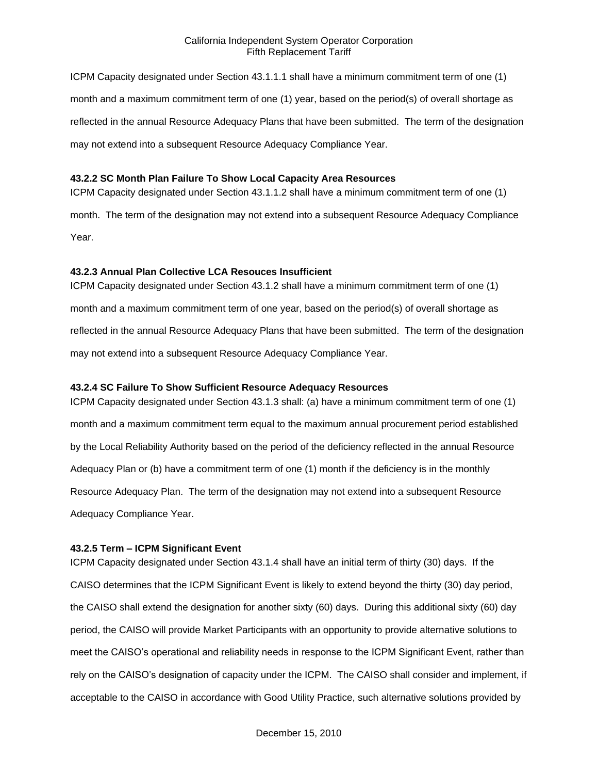ICPM Capacity designated under Section 43.1.1.1 shall have a minimum commitment term of one (1) month and a maximum commitment term of one (1) year, based on the period(s) of overall shortage as reflected in the annual Resource Adequacy Plans that have been submitted. The term of the designation may not extend into a subsequent Resource Adequacy Compliance Year.

#### **43.2.2 SC Month Plan Failure To Show Local Capacity Area Resources**

month. The term of the designation may not extend into a subsequent Resource Adequacy Compliance Year.

ICPM Capacity designated under Section 43.1.1.2 shall have a minimum commitment term of one (1)

#### **43.2.3 Annual Plan Collective LCA Resouces Insufficient**

ICPM Capacity designated under Section 43.1.2 shall have a minimum commitment term of one (1) month and a maximum commitment term of one year, based on the period(s) of overall shortage as reflected in the annual Resource Adequacy Plans that have been submitted. The term of the designation may not extend into a subsequent Resource Adequacy Compliance Year.

### **43.2.4 SC Failure To Show Sufficient Resource Adequacy Resources**

ICPM Capacity designated under Section 43.1.3 shall: (a) have a minimum commitment term of one (1) month and a maximum commitment term equal to the maximum annual procurement period established by the Local Reliability Authority based on the period of the deficiency reflected in the annual Resource Adequacy Plan or (b) have a commitment term of one (1) month if the deficiency is in the monthly Resource Adequacy Plan. The term of the designation may not extend into a subsequent Resource Adequacy Compliance Year.

#### **43.2.5 Term – ICPM Significant Event**

ICPM Capacity designated under Section 43.1.4 shall have an initial term of thirty (30) days. If the CAISO determines that the ICPM Significant Event is likely to extend beyond the thirty (30) day period, the CAISO shall extend the designation for another sixty (60) days. During this additional sixty (60) day period, the CAISO will provide Market Participants with an opportunity to provide alternative solutions to meet the CAISO's operational and reliability needs in response to the ICPM Significant Event, rather than rely on the CAISO's designation of capacity under the ICPM. The CAISO shall consider and implement, if acceptable to the CAISO in accordance with Good Utility Practice, such alternative solutions provided by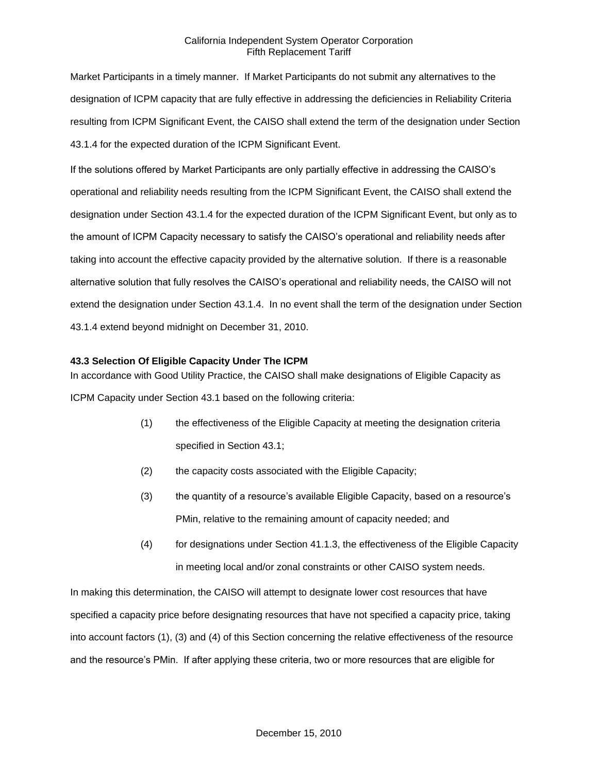Market Participants in a timely manner. If Market Participants do not submit any alternatives to the designation of ICPM capacity that are fully effective in addressing the deficiencies in Reliability Criteria resulting from ICPM Significant Event, the CAISO shall extend the term of the designation under Section 43.1.4 for the expected duration of the ICPM Significant Event.

If the solutions offered by Market Participants are only partially effective in addressing the CAISO's operational and reliability needs resulting from the ICPM Significant Event, the CAISO shall extend the designation under Section 43.1.4 for the expected duration of the ICPM Significant Event, but only as to the amount of ICPM Capacity necessary to satisfy the CAISO's operational and reliability needs after taking into account the effective capacity provided by the alternative solution. If there is a reasonable alternative solution that fully resolves the CAISO's operational and reliability needs, the CAISO will not extend the designation under Section 43.1.4. In no event shall the term of the designation under Section 43.1.4 extend beyond midnight on December 31, 2010.

## **43.3 Selection Of Eligible Capacity Under The ICPM**

In accordance with Good Utility Practice, the CAISO shall make designations of Eligible Capacity as ICPM Capacity under Section 43.1 based on the following criteria:

- (1) the effectiveness of the Eligible Capacity at meeting the designation criteria specified in Section 43.1;
- (2) the capacity costs associated with the Eligible Capacity;
- (3) the quantity of a resource's available Eligible Capacity, based on a resource's PMin, relative to the remaining amount of capacity needed; and
- (4) for designations under Section 41.1.3, the effectiveness of the Eligible Capacity in meeting local and/or zonal constraints or other CAISO system needs.

In making this determination, the CAISO will attempt to designate lower cost resources that have specified a capacity price before designating resources that have not specified a capacity price, taking into account factors (1), (3) and (4) of this Section concerning the relative effectiveness of the resource and the resource's PMin. If after applying these criteria, two or more resources that are eligible for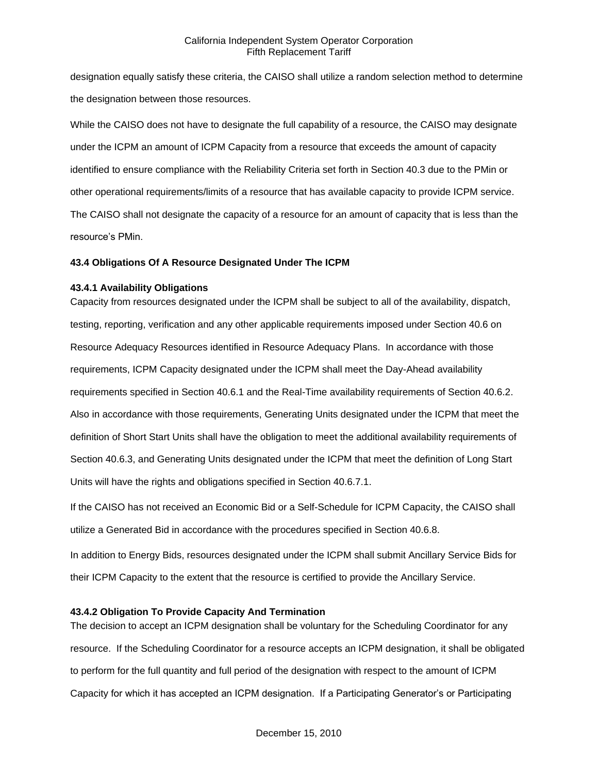designation equally satisfy these criteria, the CAISO shall utilize a random selection method to determine the designation between those resources.

While the CAISO does not have to designate the full capability of a resource, the CAISO may designate under the ICPM an amount of ICPM Capacity from a resource that exceeds the amount of capacity identified to ensure compliance with the Reliability Criteria set forth in Section 40.3 due to the PMin or other operational requirements/limits of a resource that has available capacity to provide ICPM service. The CAISO shall not designate the capacity of a resource for an amount of capacity that is less than the resource's PMin.

#### **43.4 Obligations Of A Resource Designated Under The ICPM**

#### **43.4.1 Availability Obligations**

Capacity from resources designated under the ICPM shall be subject to all of the availability, dispatch, testing, reporting, verification and any other applicable requirements imposed under Section 40.6 on Resource Adequacy Resources identified in Resource Adequacy Plans. In accordance with those requirements, ICPM Capacity designated under the ICPM shall meet the Day-Ahead availability requirements specified in Section 40.6.1 and the Real-Time availability requirements of Section 40.6.2. Also in accordance with those requirements, Generating Units designated under the ICPM that meet the definition of Short Start Units shall have the obligation to meet the additional availability requirements of Section 40.6.3, and Generating Units designated under the ICPM that meet the definition of Long Start Units will have the rights and obligations specified in Section 40.6.7.1.

If the CAISO has not received an Economic Bid or a Self-Schedule for ICPM Capacity, the CAISO shall utilize a Generated Bid in accordance with the procedures specified in Section 40.6.8.

In addition to Energy Bids, resources designated under the ICPM shall submit Ancillary Service Bids for their ICPM Capacity to the extent that the resource is certified to provide the Ancillary Service.

### **43.4.2 Obligation To Provide Capacity And Termination**

The decision to accept an ICPM designation shall be voluntary for the Scheduling Coordinator for any resource. If the Scheduling Coordinator for a resource accepts an ICPM designation, it shall be obligated to perform for the full quantity and full period of the designation with respect to the amount of ICPM Capacity for which it has accepted an ICPM designation. If a Participating Generator's or Participating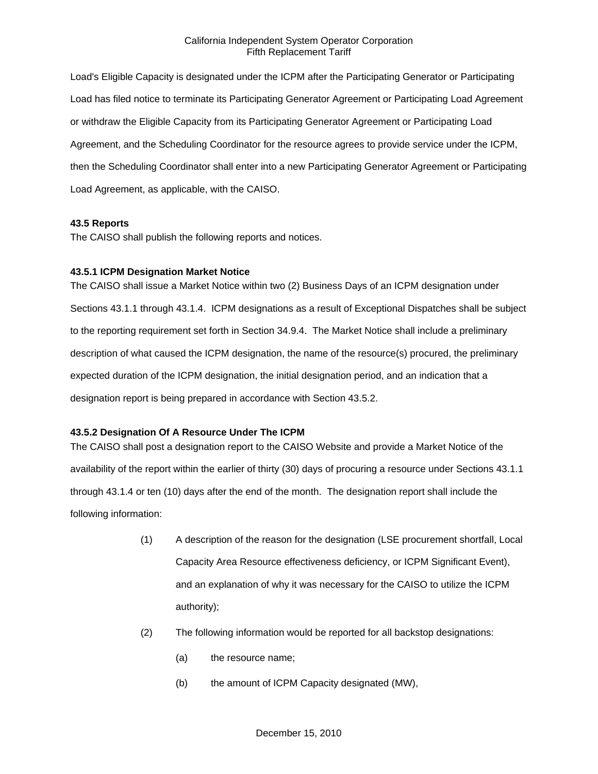Load's Eligible Capacity is designated under the ICPM after the Participating Generator or Participating Load has filed notice to terminate its Participating Generator Agreement or Participating Load Agreement or withdraw the Eligible Capacity from its Participating Generator Agreement or Participating Load Agreement, and the Scheduling Coordinator for the resource agrees to provide service under the ICPM, then the Scheduling Coordinator shall enter into a new Participating Generator Agreement or Participating Load Agreement, as applicable, with the CAISO.

## **43.5 Reports**

The CAISO shall publish the following reports and notices.

## **43.5.1 ICPM Designation Market Notice**

The CAISO shall issue a Market Notice within two (2) Business Days of an ICPM designation under Sections 43.1.1 through 43.1.4. ICPM designations as a result of Exceptional Dispatches shall be subject to the reporting requirement set forth in Section 34.9.4. The Market Notice shall include a preliminary description of what caused the ICPM designation, the name of the resource(s) procured, the preliminary expected duration of the ICPM designation, the initial designation period, and an indication that a designation report is being prepared in accordance with Section 43.5.2.

# **43.5.2 Designation Of A Resource Under The ICPM**

The CAISO shall post a designation report to the CAISO Website and provide a Market Notice of the availability of the report within the earlier of thirty (30) days of procuring a resource under Sections 43.1.1 through 43.1.4 or ten (10) days after the end of the month. The designation report shall include the following information:

- (1) A description of the reason for the designation (LSE procurement shortfall, Local Capacity Area Resource effectiveness deficiency, or ICPM Significant Event), and an explanation of why it was necessary for the CAISO to utilize the ICPM authority);
- (2) The following information would be reported for all backstop designations:
	- (a) the resource name;
	- (b) the amount of ICPM Capacity designated (MW),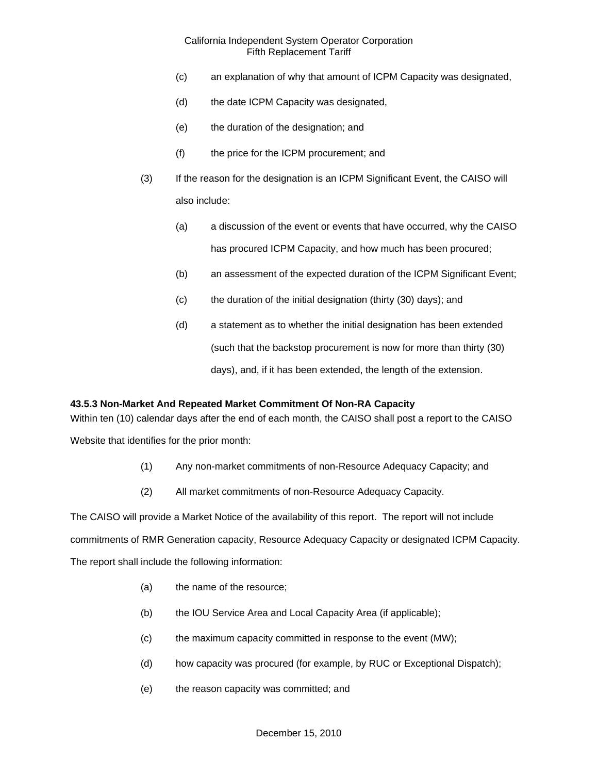- (c) an explanation of why that amount of ICPM Capacity was designated,
- (d) the date ICPM Capacity was designated,
- (e) the duration of the designation; and
- (f) the price for the ICPM procurement; and
- (3) If the reason for the designation is an ICPM Significant Event, the CAISO will also include:
	- (a) a discussion of the event or events that have occurred, why the CAISO has procured ICPM Capacity, and how much has been procured;
	- (b) an assessment of the expected duration of the ICPM Significant Event;
	- (c) the duration of the initial designation (thirty (30) days); and
	- (d) a statement as to whether the initial designation has been extended (such that the backstop procurement is now for more than thirty (30) days), and, if it has been extended, the length of the extension.

#### **43.5.3 Non-Market And Repeated Market Commitment Of Non-RA Capacity**

Within ten (10) calendar days after the end of each month, the CAISO shall post a report to the CAISO

Website that identifies for the prior month:

- (1) Any non-market commitments of non-Resource Adequacy Capacity; and
- (2) All market commitments of non-Resource Adequacy Capacity.

The CAISO will provide a Market Notice of the availability of this report. The report will not include commitments of RMR Generation capacity, Resource Adequacy Capacity or designated ICPM Capacity. The report shall include the following information:

- (a) the name of the resource;
- (b) the IOU Service Area and Local Capacity Area (if applicable);
- (c) the maximum capacity committed in response to the event (MW);
- (d) how capacity was procured (for example, by RUC or Exceptional Dispatch);
- (e) the reason capacity was committed; and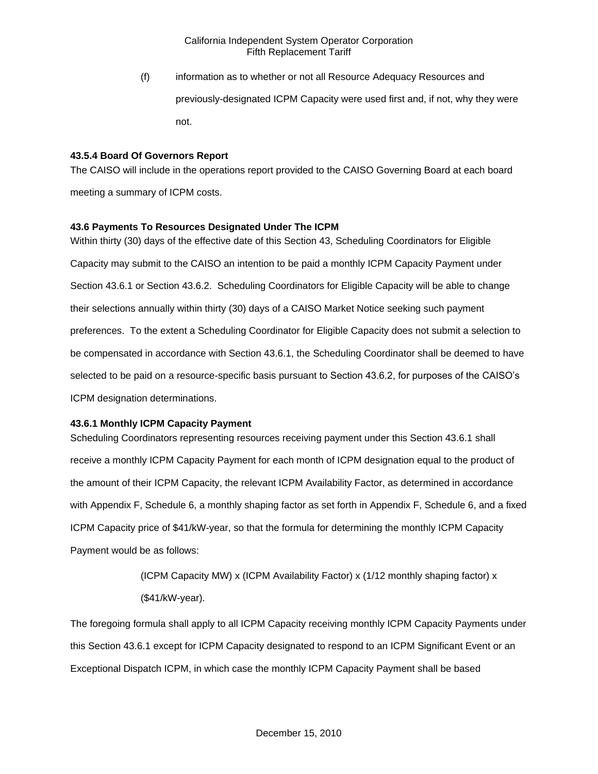(f) information as to whether or not all Resource Adequacy Resources and previously-designated ICPM Capacity were used first and, if not, why they were not.

## **43.5.4 Board Of Governors Report**

The CAISO will include in the operations report provided to the CAISO Governing Board at each board meeting a summary of ICPM costs.

## **43.6 Payments To Resources Designated Under The ICPM**

Within thirty (30) days of the effective date of this Section 43, Scheduling Coordinators for Eligible Capacity may submit to the CAISO an intention to be paid a monthly ICPM Capacity Payment under Section 43.6.1 or Section 43.6.2. Scheduling Coordinators for Eligible Capacity will be able to change their selections annually within thirty (30) days of a CAISO Market Notice seeking such payment preferences. To the extent a Scheduling Coordinator for Eligible Capacity does not submit a selection to be compensated in accordance with Section 43.6.1, the Scheduling Coordinator shall be deemed to have selected to be paid on a resource-specific basis pursuant to Section 43.6.2, for purposes of the CAISO's ICPM designation determinations.

# **43.6.1 Monthly ICPM Capacity Payment**

Scheduling Coordinators representing resources receiving payment under this Section 43.6.1 shall receive a monthly ICPM Capacity Payment for each month of ICPM designation equal to the product of the amount of their ICPM Capacity, the relevant ICPM Availability Factor, as determined in accordance with Appendix F, Schedule 6, a monthly shaping factor as set forth in Appendix F, Schedule 6, and a fixed ICPM Capacity price of \$41/kW-year, so that the formula for determining the monthly ICPM Capacity Payment would be as follows:

> (ICPM Capacity MW) x (ICPM Availability Factor) x (1/12 monthly shaping factor) x (\$41/kW-year).

The foregoing formula shall apply to all ICPM Capacity receiving monthly ICPM Capacity Payments under this Section 43.6.1 except for ICPM Capacity designated to respond to an ICPM Significant Event or an Exceptional Dispatch ICPM, in which case the monthly ICPM Capacity Payment shall be based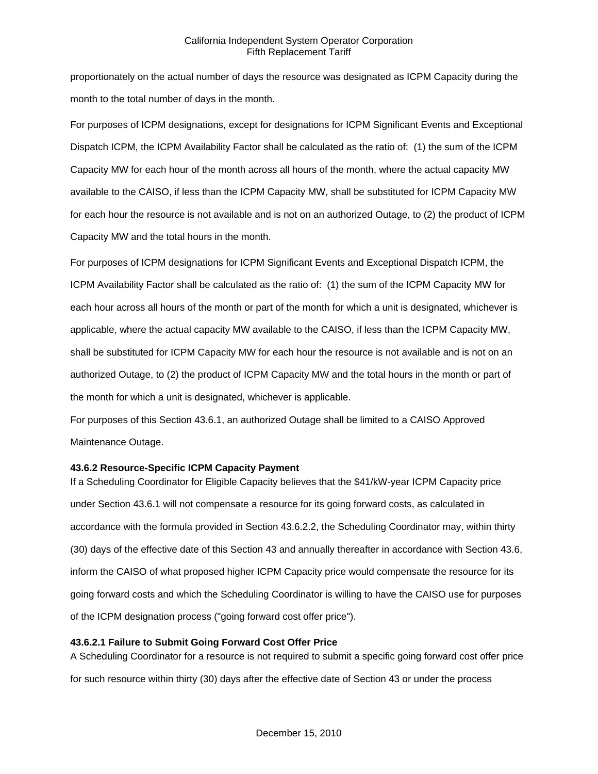proportionately on the actual number of days the resource was designated as ICPM Capacity during the month to the total number of days in the month.

For purposes of ICPM designations, except for designations for ICPM Significant Events and Exceptional Dispatch ICPM, the ICPM Availability Factor shall be calculated as the ratio of: (1) the sum of the ICPM Capacity MW for each hour of the month across all hours of the month, where the actual capacity MW available to the CAISO, if less than the ICPM Capacity MW, shall be substituted for ICPM Capacity MW for each hour the resource is not available and is not on an authorized Outage, to (2) the product of ICPM Capacity MW and the total hours in the month.

For purposes of ICPM designations for ICPM Significant Events and Exceptional Dispatch ICPM, the ICPM Availability Factor shall be calculated as the ratio of: (1) the sum of the ICPM Capacity MW for each hour across all hours of the month or part of the month for which a unit is designated, whichever is applicable, where the actual capacity MW available to the CAISO, if less than the ICPM Capacity MW, shall be substituted for ICPM Capacity MW for each hour the resource is not available and is not on an authorized Outage, to (2) the product of ICPM Capacity MW and the total hours in the month or part of the month for which a unit is designated, whichever is applicable.

For purposes of this Section 43.6.1, an authorized Outage shall be limited to a CAISO Approved Maintenance Outage.

# **43.6.2 Resource-Specific ICPM Capacity Payment**

If a Scheduling Coordinator for Eligible Capacity believes that the \$41/kW-year ICPM Capacity price under Section 43.6.1 will not compensate a resource for its going forward costs, as calculated in accordance with the formula provided in Section 43.6.2.2, the Scheduling Coordinator may, within thirty (30) days of the effective date of this Section 43 and annually thereafter in accordance with Section 43.6, inform the CAISO of what proposed higher ICPM Capacity price would compensate the resource for its going forward costs and which the Scheduling Coordinator is willing to have the CAISO use for purposes of the ICPM designation process ("going forward cost offer price").

# **43.6.2.1 Failure to Submit Going Forward Cost Offer Price**

A Scheduling Coordinator for a resource is not required to submit a specific going forward cost offer price for such resource within thirty (30) days after the effective date of Section 43 or under the process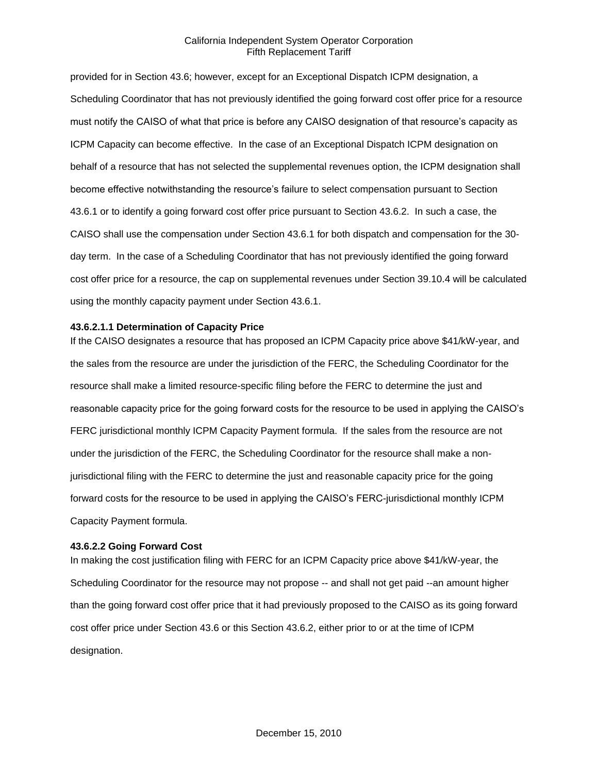provided for in Section 43.6; however, except for an Exceptional Dispatch ICPM designation, a Scheduling Coordinator that has not previously identified the going forward cost offer price for a resource must notify the CAISO of what that price is before any CAISO designation of that resource's capacity as ICPM Capacity can become effective. In the case of an Exceptional Dispatch ICPM designation on behalf of a resource that has not selected the supplemental revenues option, the ICPM designation shall become effective notwithstanding the resource's failure to select compensation pursuant to Section 43.6.1 or to identify a going forward cost offer price pursuant to Section 43.6.2. In such a case, the CAISO shall use the compensation under Section 43.6.1 for both dispatch and compensation for the 30 day term. In the case of a Scheduling Coordinator that has not previously identified the going forward cost offer price for a resource, the cap on supplemental revenues under Section 39.10.4 will be calculated using the monthly capacity payment under Section 43.6.1.

#### **43.6.2.1.1 Determination of Capacity Price**

If the CAISO designates a resource that has proposed an ICPM Capacity price above \$41/kW-year, and the sales from the resource are under the jurisdiction of the FERC, the Scheduling Coordinator for the resource shall make a limited resource-specific filing before the FERC to determine the just and reasonable capacity price for the going forward costs for the resource to be used in applying the CAISO's FERC jurisdictional monthly ICPM Capacity Payment formula. If the sales from the resource are not under the jurisdiction of the FERC, the Scheduling Coordinator for the resource shall make a nonjurisdictional filing with the FERC to determine the just and reasonable capacity price for the going forward costs for the resource to be used in applying the CAISO's FERC-jurisdictional monthly ICPM Capacity Payment formula.

#### **43.6.2.2 Going Forward Cost**

In making the cost justification filing with FERC for an ICPM Capacity price above \$41/kW-year, the Scheduling Coordinator for the resource may not propose -- and shall not get paid --an amount higher than the going forward cost offer price that it had previously proposed to the CAISO as its going forward cost offer price under Section 43.6 or this Section 43.6.2, either prior to or at the time of ICPM designation.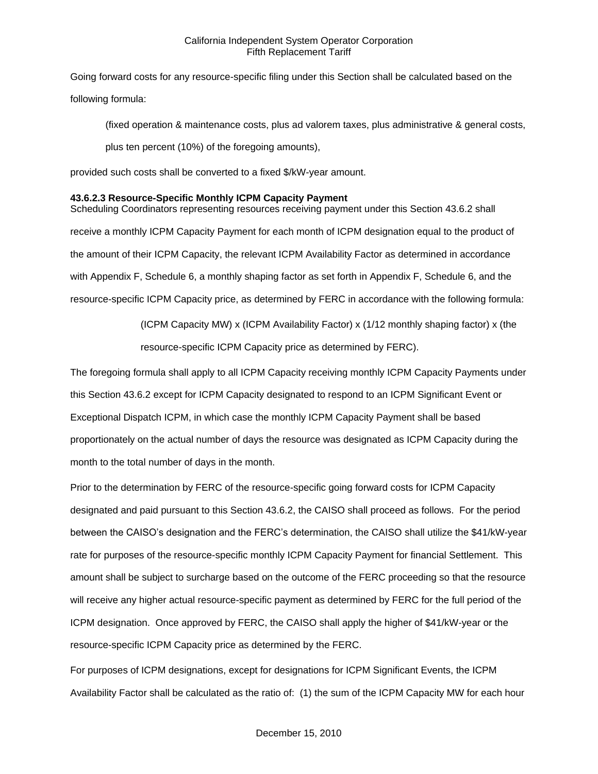Going forward costs for any resource-specific filing under this Section shall be calculated based on the following formula:

(fixed operation & maintenance costs, plus ad valorem taxes, plus administrative & general costs, plus ten percent (10%) of the foregoing amounts),

provided such costs shall be converted to a fixed \$/kW-year amount.

## **43.6.2.3 Resource-Specific Monthly ICPM Capacity Payment**

Scheduling Coordinators representing resources receiving payment under this Section 43.6.2 shall receive a monthly ICPM Capacity Payment for each month of ICPM designation equal to the product of the amount of their ICPM Capacity, the relevant ICPM Availability Factor as determined in accordance with Appendix F, Schedule 6, a monthly shaping factor as set forth in Appendix F, Schedule 6, and the resource-specific ICPM Capacity price, as determined by FERC in accordance with the following formula:

> (ICPM Capacity MW) x (ICPM Availability Factor) x (1/12 monthly shaping factor) x (the resource-specific ICPM Capacity price as determined by FERC).

The foregoing formula shall apply to all ICPM Capacity receiving monthly ICPM Capacity Payments under this Section 43.6.2 except for ICPM Capacity designated to respond to an ICPM Significant Event or Exceptional Dispatch ICPM, in which case the monthly ICPM Capacity Payment shall be based proportionately on the actual number of days the resource was designated as ICPM Capacity during the month to the total number of days in the month.

Prior to the determination by FERC of the resource-specific going forward costs for ICPM Capacity designated and paid pursuant to this Section 43.6.2, the CAISO shall proceed as follows. For the period between the CAISO's designation and the FERC's determination, the CAISO shall utilize the \$41/kW-year rate for purposes of the resource-specific monthly ICPM Capacity Payment for financial Settlement. This amount shall be subject to surcharge based on the outcome of the FERC proceeding so that the resource will receive any higher actual resource-specific payment as determined by FERC for the full period of the ICPM designation. Once approved by FERC, the CAISO shall apply the higher of \$41/kW-year or the resource-specific ICPM Capacity price as determined by the FERC.

For purposes of ICPM designations, except for designations for ICPM Significant Events, the ICPM Availability Factor shall be calculated as the ratio of: (1) the sum of the ICPM Capacity MW for each hour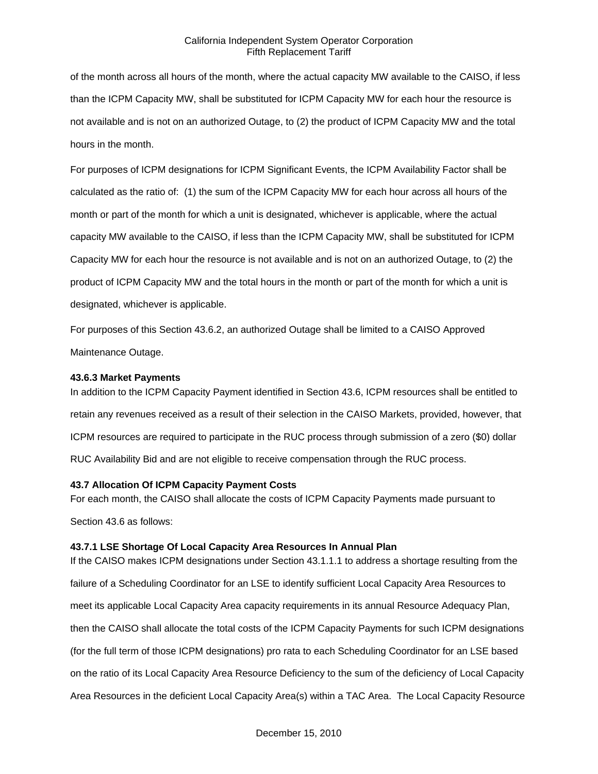of the month across all hours of the month, where the actual capacity MW available to the CAISO, if less than the ICPM Capacity MW, shall be substituted for ICPM Capacity MW for each hour the resource is not available and is not on an authorized Outage, to (2) the product of ICPM Capacity MW and the total hours in the month.

For purposes of ICPM designations for ICPM Significant Events, the ICPM Availability Factor shall be calculated as the ratio of: (1) the sum of the ICPM Capacity MW for each hour across all hours of the month or part of the month for which a unit is designated, whichever is applicable, where the actual capacity MW available to the CAISO, if less than the ICPM Capacity MW, shall be substituted for ICPM Capacity MW for each hour the resource is not available and is not on an authorized Outage, to (2) the product of ICPM Capacity MW and the total hours in the month or part of the month for which a unit is designated, whichever is applicable.

For purposes of this Section 43.6.2, an authorized Outage shall be limited to a CAISO Approved Maintenance Outage.

#### **43.6.3 Market Payments**

In addition to the ICPM Capacity Payment identified in Section 43.6, ICPM resources shall be entitled to retain any revenues received as a result of their selection in the CAISO Markets, provided, however, that ICPM resources are required to participate in the RUC process through submission of a zero (\$0) dollar RUC Availability Bid and are not eligible to receive compensation through the RUC process.

#### **43.7 Allocation Of ICPM Capacity Payment Costs**

For each month, the CAISO shall allocate the costs of ICPM Capacity Payments made pursuant to Section 43.6 as follows:

# **43.7.1 LSE Shortage Of Local Capacity Area Resources In Annual Plan**

If the CAISO makes ICPM designations under Section 43.1.1.1 to address a shortage resulting from the failure of a Scheduling Coordinator for an LSE to identify sufficient Local Capacity Area Resources to meet its applicable Local Capacity Area capacity requirements in its annual Resource Adequacy Plan, then the CAISO shall allocate the total costs of the ICPM Capacity Payments for such ICPM designations (for the full term of those ICPM designations) pro rata to each Scheduling Coordinator for an LSE based on the ratio of its Local Capacity Area Resource Deficiency to the sum of the deficiency of Local Capacity Area Resources in the deficient Local Capacity Area(s) within a TAC Area. The Local Capacity Resource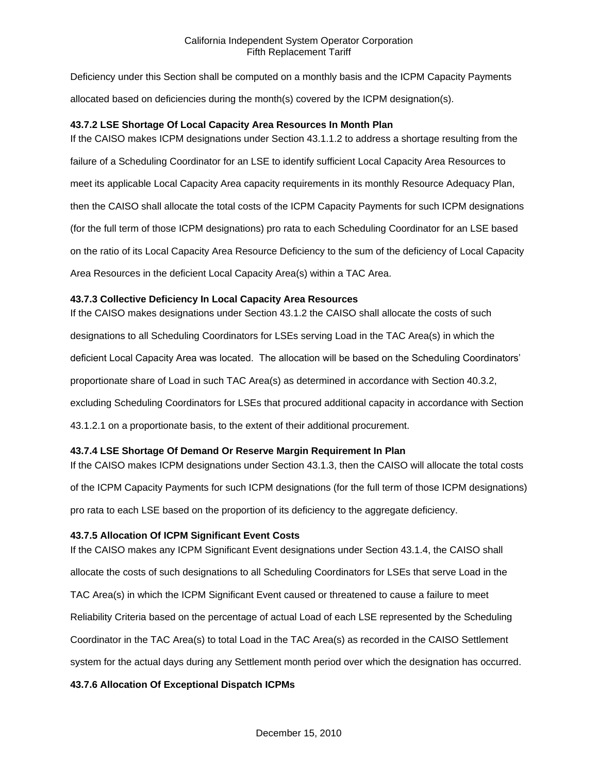Deficiency under this Section shall be computed on a monthly basis and the ICPM Capacity Payments allocated based on deficiencies during the month(s) covered by the ICPM designation(s).

## **43.7.2 LSE Shortage Of Local Capacity Area Resources In Month Plan**

If the CAISO makes ICPM designations under Section 43.1.1.2 to address a shortage resulting from the failure of a Scheduling Coordinator for an LSE to identify sufficient Local Capacity Area Resources to meet its applicable Local Capacity Area capacity requirements in its monthly Resource Adequacy Plan, then the CAISO shall allocate the total costs of the ICPM Capacity Payments for such ICPM designations (for the full term of those ICPM designations) pro rata to each Scheduling Coordinator for an LSE based on the ratio of its Local Capacity Area Resource Deficiency to the sum of the deficiency of Local Capacity Area Resources in the deficient Local Capacity Area(s) within a TAC Area.

## **43.7.3 Collective Deficiency In Local Capacity Area Resources**

If the CAISO makes designations under Section 43.1.2 the CAISO shall allocate the costs of such designations to all Scheduling Coordinators for LSEs serving Load in the TAC Area(s) in which the deficient Local Capacity Area was located. The allocation will be based on the Scheduling Coordinators' proportionate share of Load in such TAC Area(s) as determined in accordance with Section 40.3.2, excluding Scheduling Coordinators for LSEs that procured additional capacity in accordance with Section 43.1.2.1 on a proportionate basis, to the extent of their additional procurement.

# **43.7.4 LSE Shortage Of Demand Or Reserve Margin Requirement In Plan**

If the CAISO makes ICPM designations under Section 43.1.3, then the CAISO will allocate the total costs of the ICPM Capacity Payments for such ICPM designations (for the full term of those ICPM designations) pro rata to each LSE based on the proportion of its deficiency to the aggregate deficiency.

#### **43.7.5 Allocation Of ICPM Significant Event Costs**

If the CAISO makes any ICPM Significant Event designations under Section 43.1.4, the CAISO shall allocate the costs of such designations to all Scheduling Coordinators for LSEs that serve Load in the TAC Area(s) in which the ICPM Significant Event caused or threatened to cause a failure to meet Reliability Criteria based on the percentage of actual Load of each LSE represented by the Scheduling Coordinator in the TAC Area(s) to total Load in the TAC Area(s) as recorded in the CAISO Settlement system for the actual days during any Settlement month period over which the designation has occurred.

# **43.7.6 Allocation Of Exceptional Dispatch ICPMs**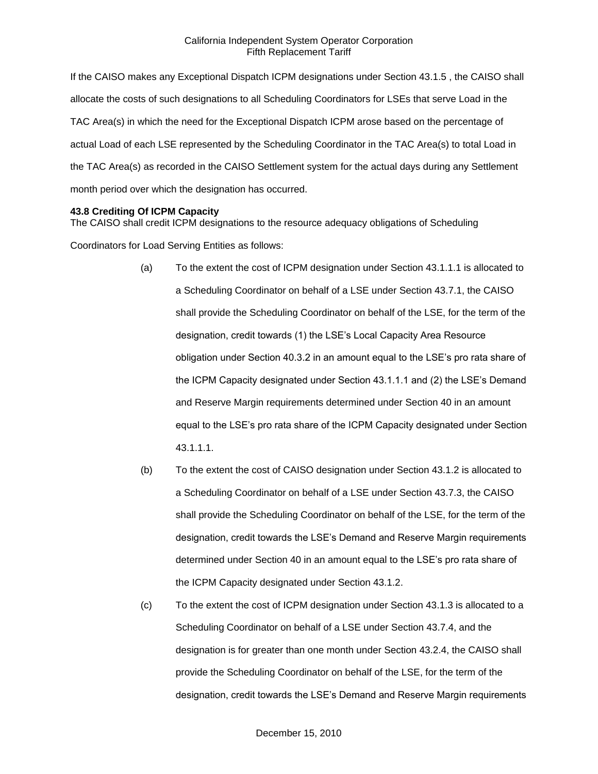If the CAISO makes any Exceptional Dispatch ICPM designations under Section 43.1.5 , the CAISO shall allocate the costs of such designations to all Scheduling Coordinators for LSEs that serve Load in the TAC Area(s) in which the need for the Exceptional Dispatch ICPM arose based on the percentage of actual Load of each LSE represented by the Scheduling Coordinator in the TAC Area(s) to total Load in the TAC Area(s) as recorded in the CAISO Settlement system for the actual days during any Settlement month period over which the designation has occurred.

#### **43.8 Crediting Of ICPM Capacity**

The CAISO shall credit ICPM designations to the resource adequacy obligations of Scheduling

Coordinators for Load Serving Entities as follows:

- (a) To the extent the cost of ICPM designation under Section 43.1.1.1 is allocated to a Scheduling Coordinator on behalf of a LSE under Section 43.7.1, the CAISO shall provide the Scheduling Coordinator on behalf of the LSE, for the term of the designation, credit towards (1) the LSE's Local Capacity Area Resource obligation under Section 40.3.2 in an amount equal to the LSE's pro rata share of the ICPM Capacity designated under Section 43.1.1.1 and (2) the LSE's Demand and Reserve Margin requirements determined under Section 40 in an amount equal to the LSE's pro rata share of the ICPM Capacity designated under Section 43.1.1.1.
- (b) To the extent the cost of CAISO designation under Section 43.1.2 is allocated to a Scheduling Coordinator on behalf of a LSE under Section 43.7.3, the CAISO shall provide the Scheduling Coordinator on behalf of the LSE, for the term of the designation, credit towards the LSE's Demand and Reserve Margin requirements determined under Section 40 in an amount equal to the LSE's pro rata share of the ICPM Capacity designated under Section 43.1.2.
- (c) To the extent the cost of ICPM designation under Section 43.1.3 is allocated to a Scheduling Coordinator on behalf of a LSE under Section 43.7.4, and the designation is for greater than one month under Section 43.2.4, the CAISO shall provide the Scheduling Coordinator on behalf of the LSE, for the term of the designation, credit towards the LSE's Demand and Reserve Margin requirements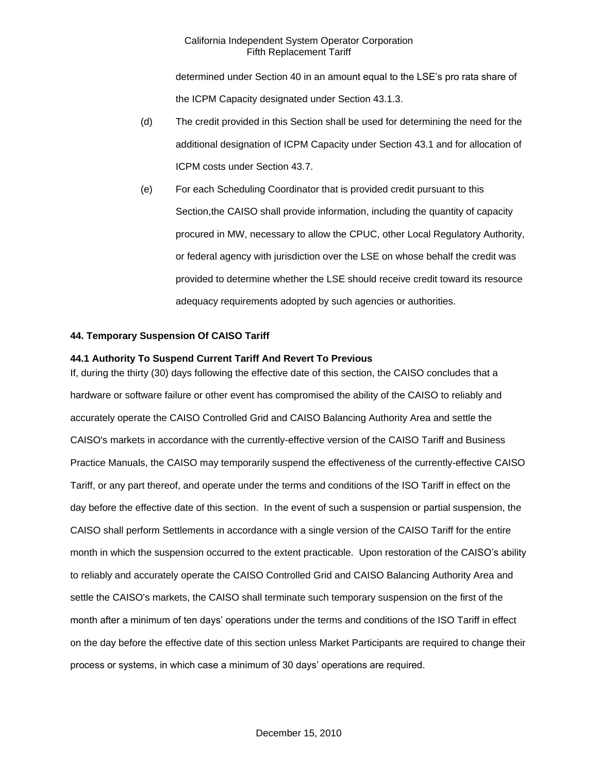determined under Section 40 in an amount equal to the LSE's pro rata share of the ICPM Capacity designated under Section 43.1.3.

- (d) The credit provided in this Section shall be used for determining the need for the additional designation of ICPM Capacity under Section 43.1 and for allocation of ICPM costs under Section 43.7.
- (e) For each Scheduling Coordinator that is provided credit pursuant to this Section,the CAISO shall provide information, including the quantity of capacity procured in MW, necessary to allow the CPUC, other Local Regulatory Authority, or federal agency with jurisdiction over the LSE on whose behalf the credit was provided to determine whether the LSE should receive credit toward its resource adequacy requirements adopted by such agencies or authorities.

## **44. Temporary Suspension Of CAISO Tariff**

#### **44.1 Authority To Suspend Current Tariff And Revert To Previous**

If, during the thirty (30) days following the effective date of this section, the CAISO concludes that a hardware or software failure or other event has compromised the ability of the CAISO to reliably and accurately operate the CAISO Controlled Grid and CAISO Balancing Authority Area and settle the CAISO's markets in accordance with the currently-effective version of the CAISO Tariff and Business Practice Manuals, the CAISO may temporarily suspend the effectiveness of the currently-effective CAISO Tariff, or any part thereof, and operate under the terms and conditions of the ISO Tariff in effect on the day before the effective date of this section. In the event of such a suspension or partial suspension, the CAISO shall perform Settlements in accordance with a single version of the CAISO Tariff for the entire month in which the suspension occurred to the extent practicable. Upon restoration of the CAISO's ability to reliably and accurately operate the CAISO Controlled Grid and CAISO Balancing Authority Area and settle the CAISO's markets, the CAISO shall terminate such temporary suspension on the first of the month after a minimum of ten days' operations under the terms and conditions of the ISO Tariff in effect on the day before the effective date of this section unless Market Participants are required to change their process or systems, in which case a minimum of 30 days' operations are required.